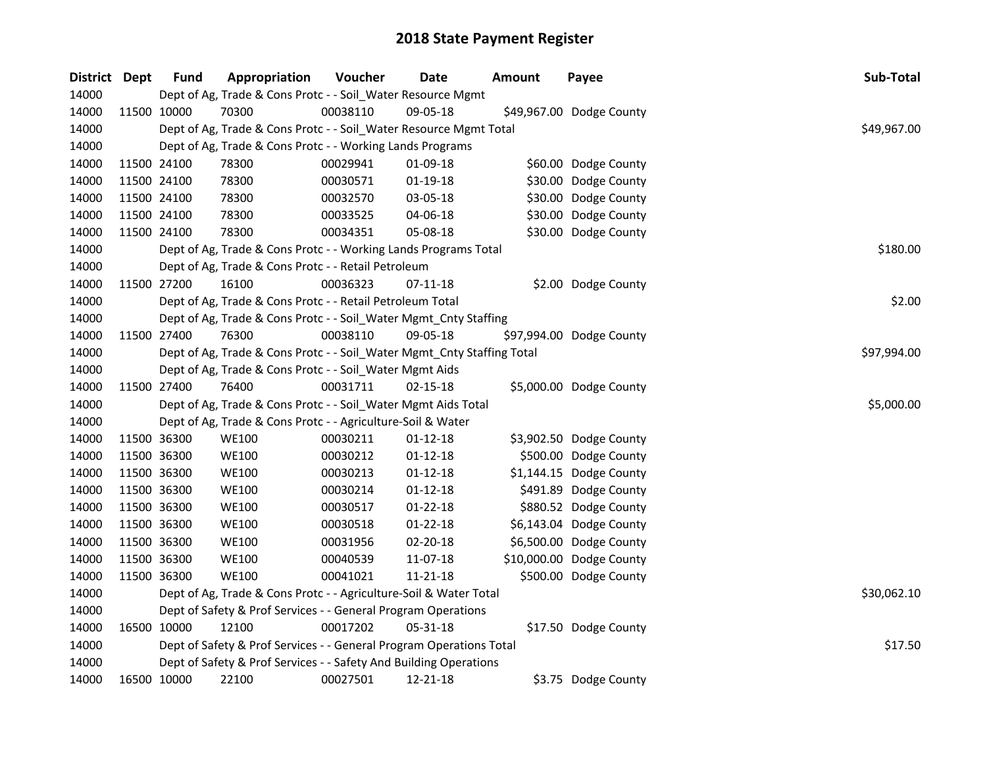| District Dept | <b>Fund</b> | Appropriation                                                       | Voucher                                                                                                                                                                                                                                                                                                                                                                                                                                                                                                                                                                                                                                                                                                                                                                                                                                                                                                                                                                                                                                                                                                                                                                                                                                                                                                                                                                                                                                                                                                                                 | <b>Date</b> | <b>Amount</b> | Payee                    | Sub-Total   |  |  |  |  |  |  |  |
|---------------|-------------|---------------------------------------------------------------------|-----------------------------------------------------------------------------------------------------------------------------------------------------------------------------------------------------------------------------------------------------------------------------------------------------------------------------------------------------------------------------------------------------------------------------------------------------------------------------------------------------------------------------------------------------------------------------------------------------------------------------------------------------------------------------------------------------------------------------------------------------------------------------------------------------------------------------------------------------------------------------------------------------------------------------------------------------------------------------------------------------------------------------------------------------------------------------------------------------------------------------------------------------------------------------------------------------------------------------------------------------------------------------------------------------------------------------------------------------------------------------------------------------------------------------------------------------------------------------------------------------------------------------------------|-------------|---------------|--------------------------|-------------|--|--|--|--|--|--|--|
| 14000         |             |                                                                     | Dept of Ag, Trade & Cons Protc - - Soil_Water Resource Mgmt<br>00038110<br>09-05-18<br>\$49,967.00 Dodge County<br>Dept of Ag, Trade & Cons Protc - - Soil_Water Resource Mgmt Total<br>Dept of Ag, Trade & Cons Protc - - Working Lands Programs<br>00029941<br>01-09-18<br>\$60.00 Dodge County<br>$01-19-18$<br>\$30.00 Dodge County<br>00030571<br>\$30.00 Dodge County<br>00032570<br>03-05-18<br>\$30.00 Dodge County<br>00033525<br>04-06-18<br>\$30.00 Dodge County<br>00034351<br>05-08-18<br>Dept of Ag, Trade & Cons Protc - - Working Lands Programs Total<br>Dept of Ag, Trade & Cons Protc - - Retail Petroleum<br>00036323<br>\$2.00 Dodge County<br>07-11-18<br>Dept of Ag, Trade & Cons Protc - - Retail Petroleum Total<br>Dept of Ag, Trade & Cons Protc - - Soil_Water Mgmt_Cnty Staffing<br>00038110<br>09-05-18<br>\$97,994.00 Dodge County<br>Dept of Ag, Trade & Cons Protc - - Soil_Water Mgmt_Cnty Staffing Total<br>Dept of Ag, Trade & Cons Protc - - Soil_Water Mgmt Aids<br>00031711<br>$02 - 15 - 18$<br>\$5,000.00 Dodge County<br>Dept of Ag, Trade & Cons Protc - - Soil_Water Mgmt Aids Total<br>Dept of Ag, Trade & Cons Protc - - Agriculture-Soil & Water<br>00030211<br>$01 - 12 - 18$<br>\$3,902.50 Dodge County<br>\$500.00 Dodge County<br>00030212<br>$01-12-18$<br>00030213<br>$01 - 12 - 18$<br>\$1,144.15 Dodge County<br>00030214<br>$01-12-18$<br>\$491.89 Dodge County<br>00030517<br>$01 - 22 - 18$<br>\$880.52 Dodge County<br>00030518<br>$01 - 22 - 18$<br>\$6,143.04 Dodge County |             |               |                          |             |  |  |  |  |  |  |  |
| 14000         | 11500 10000 | 70300                                                               |                                                                                                                                                                                                                                                                                                                                                                                                                                                                                                                                                                                                                                                                                                                                                                                                                                                                                                                                                                                                                                                                                                                                                                                                                                                                                                                                                                                                                                                                                                                                         |             |               |                          |             |  |  |  |  |  |  |  |
| 14000         |             |                                                                     |                                                                                                                                                                                                                                                                                                                                                                                                                                                                                                                                                                                                                                                                                                                                                                                                                                                                                                                                                                                                                                                                                                                                                                                                                                                                                                                                                                                                                                                                                                                                         |             |               |                          | \$49,967.00 |  |  |  |  |  |  |  |
| 14000         |             |                                                                     |                                                                                                                                                                                                                                                                                                                                                                                                                                                                                                                                                                                                                                                                                                                                                                                                                                                                                                                                                                                                                                                                                                                                                                                                                                                                                                                                                                                                                                                                                                                                         |             |               |                          |             |  |  |  |  |  |  |  |
| 14000         | 11500 24100 | 78300                                                               |                                                                                                                                                                                                                                                                                                                                                                                                                                                                                                                                                                                                                                                                                                                                                                                                                                                                                                                                                                                                                                                                                                                                                                                                                                                                                                                                                                                                                                                                                                                                         |             |               |                          |             |  |  |  |  |  |  |  |
| 14000         | 11500 24100 | 78300                                                               |                                                                                                                                                                                                                                                                                                                                                                                                                                                                                                                                                                                                                                                                                                                                                                                                                                                                                                                                                                                                                                                                                                                                                                                                                                                                                                                                                                                                                                                                                                                                         |             |               |                          |             |  |  |  |  |  |  |  |
| 14000         | 11500 24100 | 78300                                                               |                                                                                                                                                                                                                                                                                                                                                                                                                                                                                                                                                                                                                                                                                                                                                                                                                                                                                                                                                                                                                                                                                                                                                                                                                                                                                                                                                                                                                                                                                                                                         |             |               |                          |             |  |  |  |  |  |  |  |
| 14000         | 11500 24100 | 78300                                                               |                                                                                                                                                                                                                                                                                                                                                                                                                                                                                                                                                                                                                                                                                                                                                                                                                                                                                                                                                                                                                                                                                                                                                                                                                                                                                                                                                                                                                                                                                                                                         |             |               |                          |             |  |  |  |  |  |  |  |
| 14000         | 11500 24100 | 78300                                                               |                                                                                                                                                                                                                                                                                                                                                                                                                                                                                                                                                                                                                                                                                                                                                                                                                                                                                                                                                                                                                                                                                                                                                                                                                                                                                                                                                                                                                                                                                                                                         |             |               |                          |             |  |  |  |  |  |  |  |
| 14000         |             |                                                                     |                                                                                                                                                                                                                                                                                                                                                                                                                                                                                                                                                                                                                                                                                                                                                                                                                                                                                                                                                                                                                                                                                                                                                                                                                                                                                                                                                                                                                                                                                                                                         |             |               |                          | \$180.00    |  |  |  |  |  |  |  |
| 14000         |             |                                                                     |                                                                                                                                                                                                                                                                                                                                                                                                                                                                                                                                                                                                                                                                                                                                                                                                                                                                                                                                                                                                                                                                                                                                                                                                                                                                                                                                                                                                                                                                                                                                         |             |               |                          |             |  |  |  |  |  |  |  |
| 14000         | 11500 27200 | 16100                                                               |                                                                                                                                                                                                                                                                                                                                                                                                                                                                                                                                                                                                                                                                                                                                                                                                                                                                                                                                                                                                                                                                                                                                                                                                                                                                                                                                                                                                                                                                                                                                         |             |               |                          |             |  |  |  |  |  |  |  |
| 14000         |             |                                                                     |                                                                                                                                                                                                                                                                                                                                                                                                                                                                                                                                                                                                                                                                                                                                                                                                                                                                                                                                                                                                                                                                                                                                                                                                                                                                                                                                                                                                                                                                                                                                         |             |               |                          | \$2.00      |  |  |  |  |  |  |  |
| 14000         |             |                                                                     |                                                                                                                                                                                                                                                                                                                                                                                                                                                                                                                                                                                                                                                                                                                                                                                                                                                                                                                                                                                                                                                                                                                                                                                                                                                                                                                                                                                                                                                                                                                                         |             |               |                          |             |  |  |  |  |  |  |  |
| 14000         | 11500 27400 | 76300                                                               |                                                                                                                                                                                                                                                                                                                                                                                                                                                                                                                                                                                                                                                                                                                                                                                                                                                                                                                                                                                                                                                                                                                                                                                                                                                                                                                                                                                                                                                                                                                                         |             |               |                          |             |  |  |  |  |  |  |  |
| 14000         |             |                                                                     |                                                                                                                                                                                                                                                                                                                                                                                                                                                                                                                                                                                                                                                                                                                                                                                                                                                                                                                                                                                                                                                                                                                                                                                                                                                                                                                                                                                                                                                                                                                                         |             |               |                          | \$97,994.00 |  |  |  |  |  |  |  |
| 14000         |             |                                                                     |                                                                                                                                                                                                                                                                                                                                                                                                                                                                                                                                                                                                                                                                                                                                                                                                                                                                                                                                                                                                                                                                                                                                                                                                                                                                                                                                                                                                                                                                                                                                         |             |               |                          |             |  |  |  |  |  |  |  |
| 14000         | 11500 27400 | 76400                                                               |                                                                                                                                                                                                                                                                                                                                                                                                                                                                                                                                                                                                                                                                                                                                                                                                                                                                                                                                                                                                                                                                                                                                                                                                                                                                                                                                                                                                                                                                                                                                         |             |               |                          |             |  |  |  |  |  |  |  |
| 14000         |             |                                                                     |                                                                                                                                                                                                                                                                                                                                                                                                                                                                                                                                                                                                                                                                                                                                                                                                                                                                                                                                                                                                                                                                                                                                                                                                                                                                                                                                                                                                                                                                                                                                         |             |               |                          | \$5,000.00  |  |  |  |  |  |  |  |
| 14000         |             |                                                                     |                                                                                                                                                                                                                                                                                                                                                                                                                                                                                                                                                                                                                                                                                                                                                                                                                                                                                                                                                                                                                                                                                                                                                                                                                                                                                                                                                                                                                                                                                                                                         |             |               |                          |             |  |  |  |  |  |  |  |
| 14000         | 11500 36300 | <b>WE100</b>                                                        |                                                                                                                                                                                                                                                                                                                                                                                                                                                                                                                                                                                                                                                                                                                                                                                                                                                                                                                                                                                                                                                                                                                                                                                                                                                                                                                                                                                                                                                                                                                                         |             |               |                          |             |  |  |  |  |  |  |  |
| 14000         | 11500 36300 | <b>WE100</b>                                                        |                                                                                                                                                                                                                                                                                                                                                                                                                                                                                                                                                                                                                                                                                                                                                                                                                                                                                                                                                                                                                                                                                                                                                                                                                                                                                                                                                                                                                                                                                                                                         |             |               |                          |             |  |  |  |  |  |  |  |
| 14000         | 11500 36300 | <b>WE100</b>                                                        |                                                                                                                                                                                                                                                                                                                                                                                                                                                                                                                                                                                                                                                                                                                                                                                                                                                                                                                                                                                                                                                                                                                                                                                                                                                                                                                                                                                                                                                                                                                                         |             |               |                          |             |  |  |  |  |  |  |  |
| 14000         | 11500 36300 | <b>WE100</b>                                                        |                                                                                                                                                                                                                                                                                                                                                                                                                                                                                                                                                                                                                                                                                                                                                                                                                                                                                                                                                                                                                                                                                                                                                                                                                                                                                                                                                                                                                                                                                                                                         |             |               |                          |             |  |  |  |  |  |  |  |
| 14000         | 11500 36300 | <b>WE100</b>                                                        |                                                                                                                                                                                                                                                                                                                                                                                                                                                                                                                                                                                                                                                                                                                                                                                                                                                                                                                                                                                                                                                                                                                                                                                                                                                                                                                                                                                                                                                                                                                                         |             |               |                          |             |  |  |  |  |  |  |  |
| 14000         | 11500 36300 | <b>WE100</b>                                                        |                                                                                                                                                                                                                                                                                                                                                                                                                                                                                                                                                                                                                                                                                                                                                                                                                                                                                                                                                                                                                                                                                                                                                                                                                                                                                                                                                                                                                                                                                                                                         |             |               |                          |             |  |  |  |  |  |  |  |
| 14000         | 11500 36300 | <b>WE100</b>                                                        | 00031956                                                                                                                                                                                                                                                                                                                                                                                                                                                                                                                                                                                                                                                                                                                                                                                                                                                                                                                                                                                                                                                                                                                                                                                                                                                                                                                                                                                                                                                                                                                                | 02-20-18    |               | \$6,500.00 Dodge County  |             |  |  |  |  |  |  |  |
| 14000         | 11500 36300 | <b>WE100</b>                                                        | 00040539                                                                                                                                                                                                                                                                                                                                                                                                                                                                                                                                                                                                                                                                                                                                                                                                                                                                                                                                                                                                                                                                                                                                                                                                                                                                                                                                                                                                                                                                                                                                | 11-07-18    |               | \$10,000.00 Dodge County |             |  |  |  |  |  |  |  |
| 14000         | 11500 36300 | <b>WE100</b>                                                        | 00041021                                                                                                                                                                                                                                                                                                                                                                                                                                                                                                                                                                                                                                                                                                                                                                                                                                                                                                                                                                                                                                                                                                                                                                                                                                                                                                                                                                                                                                                                                                                                | 11-21-18    |               | \$500.00 Dodge County    |             |  |  |  |  |  |  |  |
| 14000         |             | Dept of Ag, Trade & Cons Protc - - Agriculture-Soil & Water Total   |                                                                                                                                                                                                                                                                                                                                                                                                                                                                                                                                                                                                                                                                                                                                                                                                                                                                                                                                                                                                                                                                                                                                                                                                                                                                                                                                                                                                                                                                                                                                         |             |               |                          | \$30,062.10 |  |  |  |  |  |  |  |
| 14000         |             | Dept of Safety & Prof Services - - General Program Operations       |                                                                                                                                                                                                                                                                                                                                                                                                                                                                                                                                                                                                                                                                                                                                                                                                                                                                                                                                                                                                                                                                                                                                                                                                                                                                                                                                                                                                                                                                                                                                         |             |               |                          |             |  |  |  |  |  |  |  |
| 14000         | 16500 10000 | 12100                                                               | 00017202                                                                                                                                                                                                                                                                                                                                                                                                                                                                                                                                                                                                                                                                                                                                                                                                                                                                                                                                                                                                                                                                                                                                                                                                                                                                                                                                                                                                                                                                                                                                | 05-31-18    |               | \$17.50 Dodge County     |             |  |  |  |  |  |  |  |
| 14000         |             | Dept of Safety & Prof Services - - General Program Operations Total | \$17.50                                                                                                                                                                                                                                                                                                                                                                                                                                                                                                                                                                                                                                                                                                                                                                                                                                                                                                                                                                                                                                                                                                                                                                                                                                                                                                                                                                                                                                                                                                                                 |             |               |                          |             |  |  |  |  |  |  |  |
| 14000         |             | Dept of Safety & Prof Services - - Safety And Building Operations   |                                                                                                                                                                                                                                                                                                                                                                                                                                                                                                                                                                                                                                                                                                                                                                                                                                                                                                                                                                                                                                                                                                                                                                                                                                                                                                                                                                                                                                                                                                                                         |             |               |                          |             |  |  |  |  |  |  |  |
| 14000         | 16500 10000 | 22100                                                               | 00027501                                                                                                                                                                                                                                                                                                                                                                                                                                                                                                                                                                                                                                                                                                                                                                                                                                                                                                                                                                                                                                                                                                                                                                                                                                                                                                                                                                                                                                                                                                                                | 12-21-18    |               | \$3.75 Dodge County      |             |  |  |  |  |  |  |  |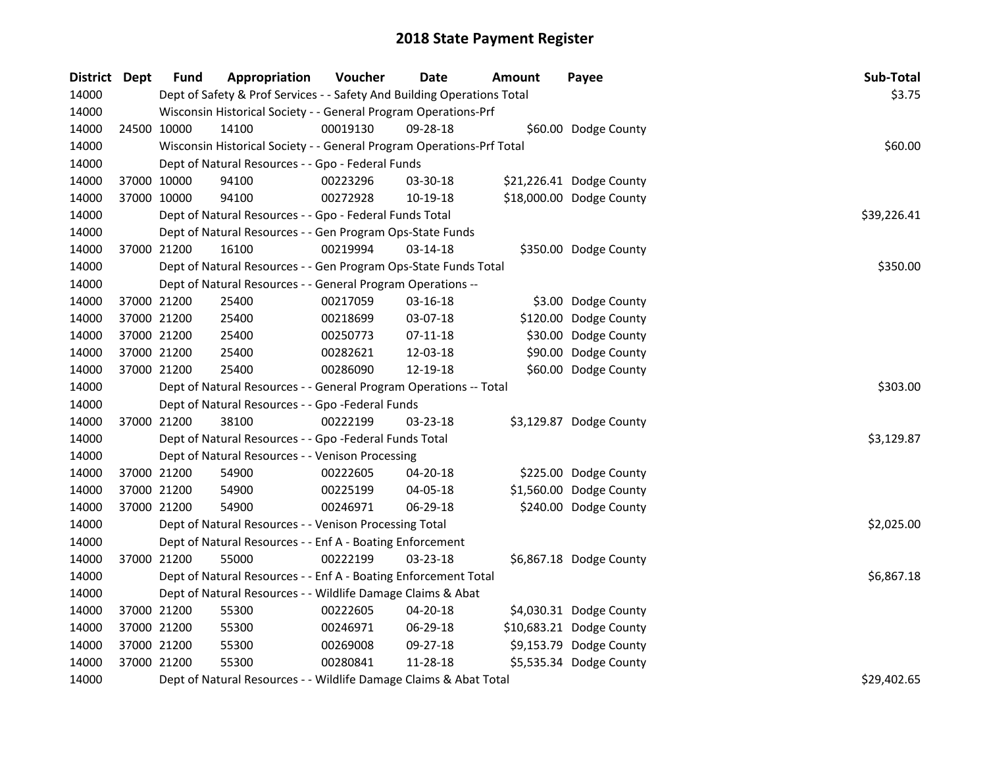| District Dept | <b>Fund</b> | Appropriation                                                           | Voucher  | <b>Date</b> | Amount      | Payee                    | Sub-Total   |
|---------------|-------------|-------------------------------------------------------------------------|----------|-------------|-------------|--------------------------|-------------|
| 14000         |             | Dept of Safety & Prof Services - - Safety And Building Operations Total |          |             |             |                          | \$3.75      |
| 14000         |             | Wisconsin Historical Society - - General Program Operations-Prf         |          |             |             |                          |             |
| 14000         | 24500 10000 | 14100                                                                   | 00019130 | 09-28-18    |             | \$60.00 Dodge County     |             |
| 14000         |             | Wisconsin Historical Society - - General Program Operations-Prf Total   |          |             |             |                          | \$60.00     |
| 14000         |             | Dept of Natural Resources - - Gpo - Federal Funds                       |          |             |             |                          |             |
| 14000         | 37000 10000 | 94100                                                                   | 00223296 | 03-30-18    |             | \$21,226.41 Dodge County |             |
| 14000         | 37000 10000 | 94100                                                                   | 00272928 | 10-19-18    |             | \$18,000.00 Dodge County |             |
| 14000         |             | Dept of Natural Resources - - Gpo - Federal Funds Total                 |          |             | \$39,226.41 |                          |             |
| 14000         |             | Dept of Natural Resources - - Gen Program Ops-State Funds               |          |             |             |                          |             |
| 14000         | 37000 21200 | 16100                                                                   | 00219994 | 03-14-18    |             | \$350.00 Dodge County    |             |
| 14000         |             | Dept of Natural Resources - - Gen Program Ops-State Funds Total         |          | \$350.00    |             |                          |             |
| 14000         |             | Dept of Natural Resources - - General Program Operations --             |          |             |             |                          |             |
| 14000         | 37000 21200 | 25400                                                                   | 00217059 | 03-16-18    |             | \$3.00 Dodge County      |             |
| 14000         | 37000 21200 | 25400                                                                   | 00218699 | 03-07-18    |             | \$120.00 Dodge County    |             |
| 14000         | 37000 21200 | 25400                                                                   | 00250773 | 07-11-18    |             | \$30.00 Dodge County     |             |
| 14000         | 37000 21200 | 25400                                                                   | 00282621 | 12-03-18    |             | \$90.00 Dodge County     |             |
| 14000         | 37000 21200 | 25400                                                                   | 00286090 | 12-19-18    |             | \$60.00 Dodge County     |             |
| 14000         |             | Dept of Natural Resources - - General Program Operations -- Total       |          |             |             |                          | \$303.00    |
| 14000         |             | Dept of Natural Resources - - Gpo -Federal Funds                        |          |             |             |                          |             |
| 14000         | 37000 21200 | 38100                                                                   | 00222199 | 03-23-18    |             | \$3,129.87 Dodge County  |             |
| 14000         |             | Dept of Natural Resources - - Gpo -Federal Funds Total                  |          |             |             |                          | \$3,129.87  |
| 14000         |             | Dept of Natural Resources - - Venison Processing                        |          |             |             |                          |             |
| 14000         | 37000 21200 | 54900                                                                   | 00222605 | 04-20-18    |             | \$225.00 Dodge County    |             |
| 14000         | 37000 21200 | 54900                                                                   | 00225199 | 04-05-18    |             | \$1,560.00 Dodge County  |             |
| 14000         | 37000 21200 | 54900                                                                   | 00246971 | 06-29-18    |             | \$240.00 Dodge County    |             |
| 14000         |             | Dept of Natural Resources - - Venison Processing Total                  |          |             |             |                          | \$2,025.00  |
| 14000         |             | Dept of Natural Resources - - Enf A - Boating Enforcement               |          |             |             |                          |             |
| 14000         | 37000 21200 | 55000                                                                   | 00222199 | 03-23-18    |             | \$6,867.18 Dodge County  |             |
| 14000         |             | Dept of Natural Resources - - Enf A - Boating Enforcement Total         |          |             |             |                          | \$6,867.18  |
| 14000         |             | Dept of Natural Resources - - Wildlife Damage Claims & Abat             |          |             |             |                          |             |
| 14000         | 37000 21200 | 55300                                                                   | 00222605 | 04-20-18    |             | \$4,030.31 Dodge County  |             |
| 14000         | 37000 21200 | 55300                                                                   | 00246971 | 06-29-18    |             | \$10,683.21 Dodge County |             |
| 14000         | 37000 21200 | 55300                                                                   | 00269008 | 09-27-18    |             | \$9,153.79 Dodge County  |             |
| 14000         | 37000 21200 | 55300                                                                   | 00280841 | 11-28-18    |             | \$5,535.34 Dodge County  |             |
| 14000         |             | Dept of Natural Resources - - Wildlife Damage Claims & Abat Total       |          |             |             |                          | \$29,402.65 |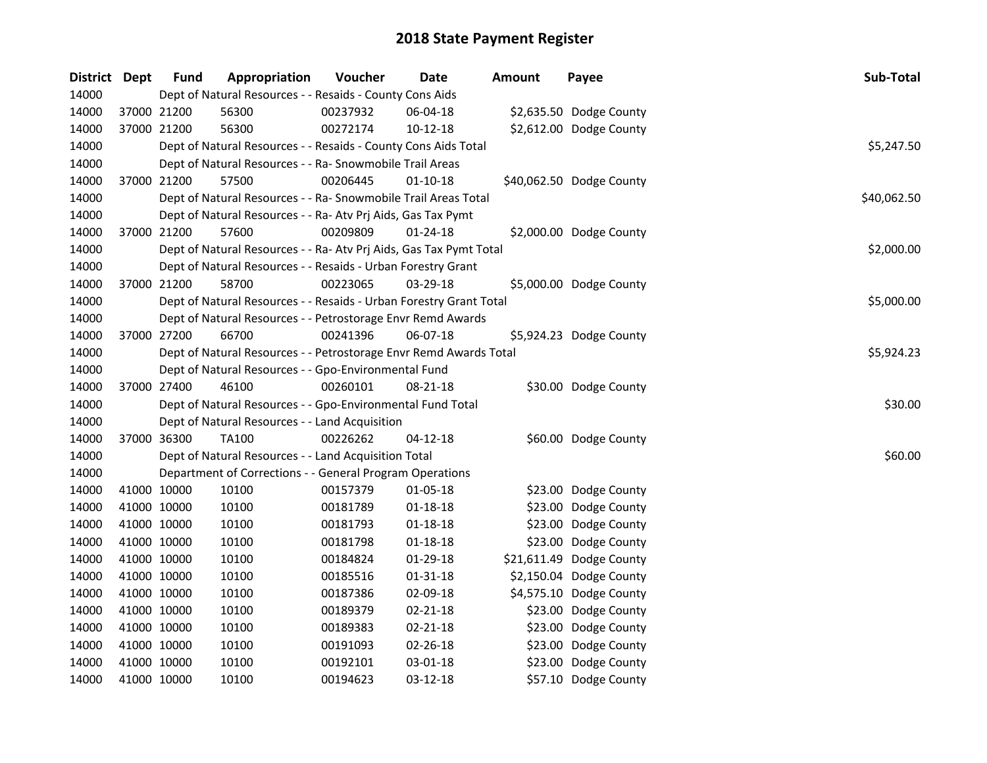| District Dept | <b>Fund</b> | Appropriation                                                      | Voucher  | <b>Date</b>    | <b>Amount</b> | Payee                    | Sub-Total   |
|---------------|-------------|--------------------------------------------------------------------|----------|----------------|---------------|--------------------------|-------------|
| 14000         |             | Dept of Natural Resources - - Resaids - County Cons Aids           |          |                |               |                          |             |
| 14000         | 37000 21200 | 56300                                                              | 00237932 | 06-04-18       |               | \$2,635.50 Dodge County  |             |
| 14000         | 37000 21200 | 56300                                                              | 00272174 | $10 - 12 - 18$ |               | \$2,612.00 Dodge County  |             |
| 14000         |             | Dept of Natural Resources - - Resaids - County Cons Aids Total     |          |                |               |                          | \$5,247.50  |
| 14000         |             | Dept of Natural Resources - - Ra- Snowmobile Trail Areas           |          |                |               |                          |             |
| 14000         | 37000 21200 | 57500                                                              | 00206445 | $01 - 10 - 18$ |               | \$40,062.50 Dodge County |             |
| 14000         |             | Dept of Natural Resources - - Ra- Snowmobile Trail Areas Total     |          |                |               |                          | \$40,062.50 |
| 14000         |             | Dept of Natural Resources - - Ra- Atv Prj Aids, Gas Tax Pymt       |          |                |               |                          |             |
| 14000         | 37000 21200 | 57600                                                              | 00209809 | 01-24-18       |               | \$2,000.00 Dodge County  |             |
| 14000         |             | Dept of Natural Resources - - Ra- Atv Prj Aids, Gas Tax Pymt Total |          |                |               |                          | \$2,000.00  |
| 14000         |             | Dept of Natural Resources - - Resaids - Urban Forestry Grant       |          |                |               |                          |             |
| 14000         | 37000 21200 | 58700                                                              | 00223065 | 03-29-18       |               | \$5,000.00 Dodge County  |             |
| 14000         |             | Dept of Natural Resources - - Resaids - Urban Forestry Grant Total |          |                |               |                          | \$5,000.00  |
| 14000         |             | Dept of Natural Resources - - Petrostorage Envr Remd Awards        |          |                |               |                          |             |
| 14000         | 37000 27200 | 66700                                                              | 00241396 | 06-07-18       |               | \$5,924.23 Dodge County  |             |
| 14000         |             | Dept of Natural Resources - - Petrostorage Envr Remd Awards Total  |          |                |               |                          | \$5,924.23  |
| 14000         |             | Dept of Natural Resources - - Gpo-Environmental Fund               |          |                |               |                          |             |
| 14000         | 37000 27400 | 46100                                                              | 00260101 | 08-21-18       |               | \$30.00 Dodge County     |             |
| 14000         |             | Dept of Natural Resources - - Gpo-Environmental Fund Total         |          |                |               |                          | \$30.00     |
| 14000         |             | Dept of Natural Resources - - Land Acquisition                     |          |                |               |                          |             |
| 14000         | 37000 36300 | <b>TA100</b>                                                       | 00226262 | $04 - 12 - 18$ |               | \$60.00 Dodge County     |             |
| 14000         |             | Dept of Natural Resources - - Land Acquisition Total               |          |                |               |                          | \$60.00     |
| 14000         |             | Department of Corrections - - General Program Operations           |          |                |               |                          |             |
| 14000         | 41000 10000 | 10100                                                              | 00157379 | 01-05-18       |               | \$23.00 Dodge County     |             |
| 14000         | 41000 10000 | 10100                                                              | 00181789 | $01 - 18 - 18$ |               | \$23.00 Dodge County     |             |
| 14000         | 41000 10000 | 10100                                                              | 00181793 | $01 - 18 - 18$ |               | \$23.00 Dodge County     |             |
| 14000         | 41000 10000 | 10100                                                              | 00181798 | $01 - 18 - 18$ |               | \$23.00 Dodge County     |             |
| 14000         | 41000 10000 | 10100                                                              | 00184824 | 01-29-18       |               | \$21,611.49 Dodge County |             |
| 14000         | 41000 10000 | 10100                                                              | 00185516 | $01 - 31 - 18$ |               | \$2,150.04 Dodge County  |             |
| 14000         | 41000 10000 | 10100                                                              | 00187386 | 02-09-18       |               | \$4,575.10 Dodge County  |             |
| 14000         | 41000 10000 | 10100                                                              | 00189379 | 02-21-18       |               | \$23.00 Dodge County     |             |
| 14000         | 41000 10000 | 10100                                                              | 00189383 | $02 - 21 - 18$ |               | \$23.00 Dodge County     |             |
| 14000         | 41000 10000 | 10100                                                              | 00191093 | 02-26-18       |               | \$23.00 Dodge County     |             |
| 14000         | 41000 10000 | 10100                                                              | 00192101 | 03-01-18       |               | \$23.00 Dodge County     |             |
| 14000         | 41000 10000 | 10100                                                              | 00194623 | 03-12-18       |               | \$57.10 Dodge County     |             |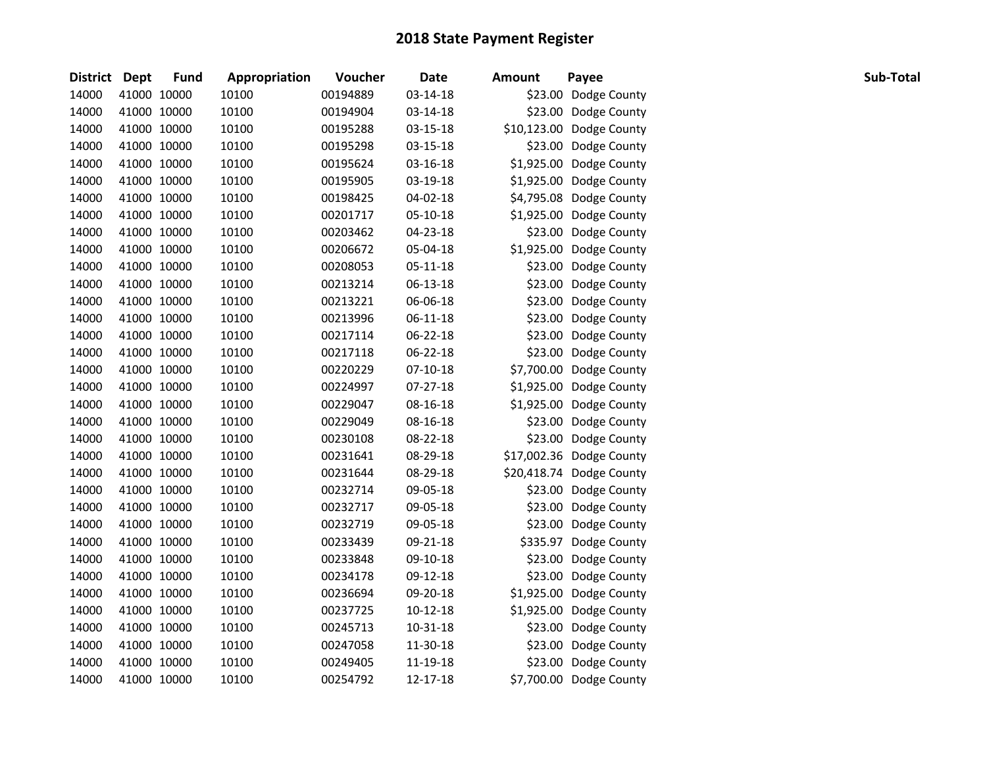| <b>District</b> | Dept        | <b>Fund</b> | Appropriation | Voucher  | <b>Date</b> | <b>Amount</b> | Payee                    | Sub-Total |
|-----------------|-------------|-------------|---------------|----------|-------------|---------------|--------------------------|-----------|
| 14000           |             | 41000 10000 | 10100         | 00194889 | 03-14-18    |               | \$23.00 Dodge County     |           |
| 14000           |             | 41000 10000 | 10100         | 00194904 | 03-14-18    |               | \$23.00 Dodge County     |           |
| 14000           | 41000 10000 |             | 10100         | 00195288 | 03-15-18    |               | \$10,123.00 Dodge County |           |
| 14000           |             | 41000 10000 | 10100         | 00195298 | 03-15-18    |               | \$23.00 Dodge County     |           |
| 14000           |             | 41000 10000 | 10100         | 00195624 | 03-16-18    |               | \$1,925.00 Dodge County  |           |
| 14000           |             | 41000 10000 | 10100         | 00195905 | 03-19-18    |               | \$1,925.00 Dodge County  |           |
| 14000           | 41000 10000 |             | 10100         | 00198425 | 04-02-18    |               | \$4,795.08 Dodge County  |           |
| 14000           |             | 41000 10000 | 10100         | 00201717 | 05-10-18    |               | \$1,925.00 Dodge County  |           |
| 14000           | 41000 10000 |             | 10100         | 00203462 | 04-23-18    |               | \$23.00 Dodge County     |           |
| 14000           | 41000 10000 |             | 10100         | 00206672 | 05-04-18    |               | \$1,925.00 Dodge County  |           |
| 14000           | 41000 10000 |             | 10100         | 00208053 | 05-11-18    |               | \$23.00 Dodge County     |           |
| 14000           | 41000 10000 |             | 10100         | 00213214 | 06-13-18    |               | \$23.00 Dodge County     |           |
| 14000           | 41000 10000 |             | 10100         | 00213221 | 06-06-18    |               | \$23.00 Dodge County     |           |
| 14000           | 41000 10000 |             | 10100         | 00213996 | 06-11-18    |               | \$23.00 Dodge County     |           |
| 14000           | 41000 10000 |             | 10100         | 00217114 | 06-22-18    |               | \$23.00 Dodge County     |           |
| 14000           | 41000 10000 |             | 10100         | 00217118 | 06-22-18    |               | \$23.00 Dodge County     |           |
| 14000           |             | 41000 10000 | 10100         | 00220229 | $07-10-18$  |               | \$7,700.00 Dodge County  |           |
| 14000           |             | 41000 10000 | 10100         | 00224997 | 07-27-18    |               | \$1,925.00 Dodge County  |           |
| 14000           |             | 41000 10000 | 10100         | 00229047 | 08-16-18    |               | \$1,925.00 Dodge County  |           |
| 14000           |             | 41000 10000 | 10100         | 00229049 | 08-16-18    |               | \$23.00 Dodge County     |           |
| 14000           | 41000 10000 |             | 10100         | 00230108 | 08-22-18    |               | \$23.00 Dodge County     |           |
| 14000           |             | 41000 10000 | 10100         | 00231641 | 08-29-18    |               | \$17,002.36 Dodge County |           |
| 14000           | 41000 10000 |             | 10100         | 00231644 | 08-29-18    |               | \$20,418.74 Dodge County |           |
| 14000           |             | 41000 10000 | 10100         | 00232714 | 09-05-18    |               | \$23.00 Dodge County     |           |
| 14000           |             | 41000 10000 | 10100         | 00232717 | 09-05-18    |               | \$23.00 Dodge County     |           |
| 14000           | 41000 10000 |             | 10100         | 00232719 | 09-05-18    |               | \$23.00 Dodge County     |           |
| 14000           | 41000 10000 |             | 10100         | 00233439 | 09-21-18    |               | \$335.97 Dodge County    |           |
| 14000           |             | 41000 10000 | 10100         | 00233848 | 09-10-18    |               | \$23.00 Dodge County     |           |
| 14000           |             | 41000 10000 | 10100         | 00234178 | 09-12-18    |               | \$23.00 Dodge County     |           |
| 14000           |             | 41000 10000 | 10100         | 00236694 | 09-20-18    |               | \$1,925.00 Dodge County  |           |
| 14000           |             | 41000 10000 | 10100         | 00237725 | 10-12-18    |               | \$1,925.00 Dodge County  |           |
| 14000           |             | 41000 10000 | 10100         | 00245713 | 10-31-18    |               | \$23.00 Dodge County     |           |
| 14000           | 41000 10000 |             | 10100         | 00247058 | 11-30-18    |               | \$23.00 Dodge County     |           |
| 14000           | 41000 10000 |             | 10100         | 00249405 | 11-19-18    |               | \$23.00 Dodge County     |           |
| 14000           | 41000 10000 |             | 10100         | 00254792 | 12-17-18    |               | \$7,700.00 Dodge County  |           |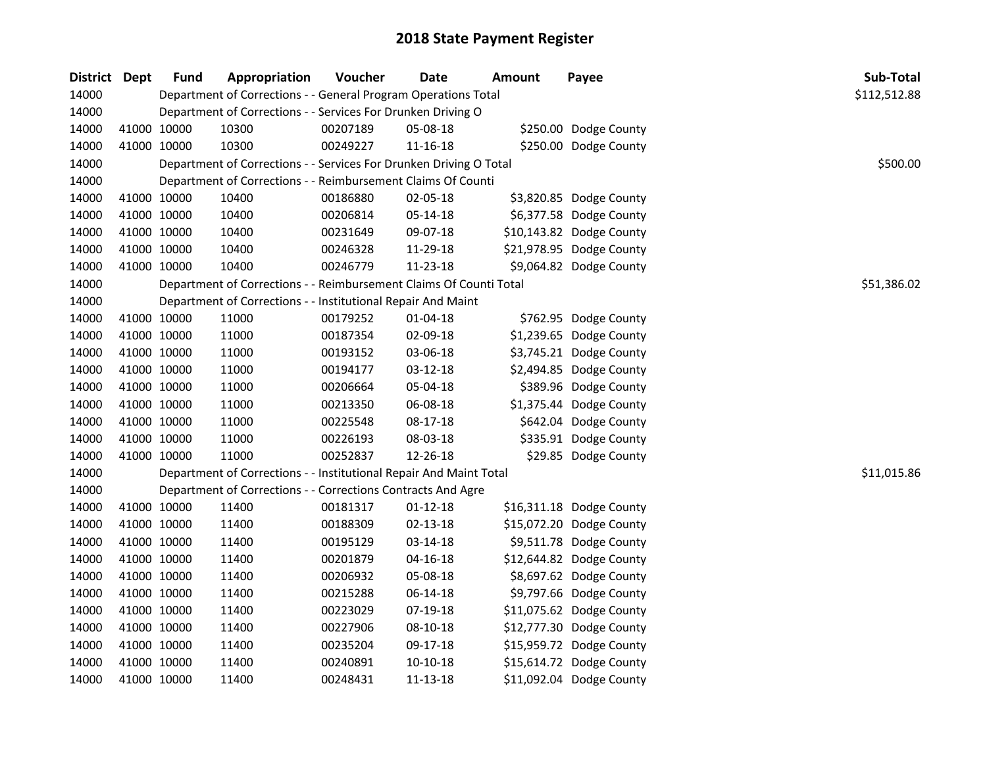| District Dept | <b>Fund</b> | Appropriation                                                      | Voucher  | <b>Date</b>    | <b>Amount</b> | Payee                    | Sub-Total    |
|---------------|-------------|--------------------------------------------------------------------|----------|----------------|---------------|--------------------------|--------------|
| 14000         |             | Department of Corrections - - General Program Operations Total     |          |                |               |                          | \$112,512.88 |
| 14000         |             | Department of Corrections - - Services For Drunken Driving O       |          |                |               |                          |              |
| 14000         | 41000 10000 | 10300                                                              | 00207189 | 05-08-18       |               | \$250.00 Dodge County    |              |
| 14000         | 41000 10000 | 10300                                                              | 00249227 | 11-16-18       |               | \$250.00 Dodge County    |              |
| 14000         |             | Department of Corrections - - Services For Drunken Driving O Total |          |                |               |                          | \$500.00     |
| 14000         |             | Department of Corrections - - Reimbursement Claims Of Counti       |          |                |               |                          |              |
| 14000         | 41000 10000 | 10400                                                              | 00186880 | 02-05-18       |               | \$3,820.85 Dodge County  |              |
| 14000         | 41000 10000 | 10400                                                              | 00206814 | 05-14-18       |               | \$6,377.58 Dodge County  |              |
| 14000         | 41000 10000 | 10400                                                              | 00231649 | 09-07-18       |               | \$10,143.82 Dodge County |              |
| 14000         | 41000 10000 | 10400                                                              | 00246328 | 11-29-18       |               | \$21,978.95 Dodge County |              |
| 14000         | 41000 10000 | 10400                                                              | 00246779 | 11-23-18       |               | \$9,064.82 Dodge County  |              |
| 14000         |             | Department of Corrections - - Reimbursement Claims Of Counti Total |          |                |               |                          | \$51,386.02  |
| 14000         |             | Department of Corrections - - Institutional Repair And Maint       |          |                |               |                          |              |
| 14000         | 41000 10000 | 11000                                                              | 00179252 | $01 - 04 - 18$ |               | \$762.95 Dodge County    |              |
| 14000         | 41000 10000 | 11000                                                              | 00187354 | 02-09-18       |               | \$1,239.65 Dodge County  |              |
| 14000         | 41000 10000 | 11000                                                              | 00193152 | 03-06-18       |               | \$3,745.21 Dodge County  |              |
| 14000         | 41000 10000 | 11000                                                              | 00194177 | 03-12-18       |               | \$2,494.85 Dodge County  |              |
| 14000         | 41000 10000 | 11000                                                              | 00206664 | 05-04-18       |               | \$389.96 Dodge County    |              |
| 14000         | 41000 10000 | 11000                                                              | 00213350 | 06-08-18       |               | \$1,375.44 Dodge County  |              |
| 14000         | 41000 10000 | 11000                                                              | 00225548 | 08-17-18       |               | \$642.04 Dodge County    |              |
| 14000         | 41000 10000 | 11000                                                              | 00226193 | 08-03-18       |               | \$335.91 Dodge County    |              |
| 14000         | 41000 10000 | 11000                                                              | 00252837 | 12-26-18       |               | \$29.85 Dodge County     |              |
| 14000         |             | Department of Corrections - - Institutional Repair And Maint Total |          |                |               |                          | \$11,015.86  |
| 14000         |             | Department of Corrections - - Corrections Contracts And Agre       |          |                |               |                          |              |
| 14000         | 41000 10000 | 11400                                                              | 00181317 | $01 - 12 - 18$ |               | \$16,311.18 Dodge County |              |
| 14000         | 41000 10000 | 11400                                                              | 00188309 | 02-13-18       |               | \$15,072.20 Dodge County |              |
| 14000         | 41000 10000 | 11400                                                              | 00195129 | 03-14-18       |               | \$9,511.78 Dodge County  |              |
| 14000         | 41000 10000 | 11400                                                              | 00201879 | $04 - 16 - 18$ |               | \$12,644.82 Dodge County |              |
| 14000         | 41000 10000 | 11400                                                              | 00206932 | 05-08-18       |               | \$8,697.62 Dodge County  |              |
| 14000         | 41000 10000 | 11400                                                              | 00215288 | 06-14-18       |               | \$9,797.66 Dodge County  |              |
| 14000         | 41000 10000 | 11400                                                              | 00223029 | 07-19-18       |               | \$11,075.62 Dodge County |              |
| 14000         | 41000 10000 | 11400                                                              | 00227906 | 08-10-18       |               | \$12,777.30 Dodge County |              |
| 14000         | 41000 10000 | 11400                                                              | 00235204 | 09-17-18       |               | \$15,959.72 Dodge County |              |
| 14000         | 41000 10000 | 11400                                                              | 00240891 | 10-10-18       |               | \$15,614.72 Dodge County |              |
| 14000         | 41000 10000 | 11400                                                              | 00248431 | 11-13-18       |               | \$11,092.04 Dodge County |              |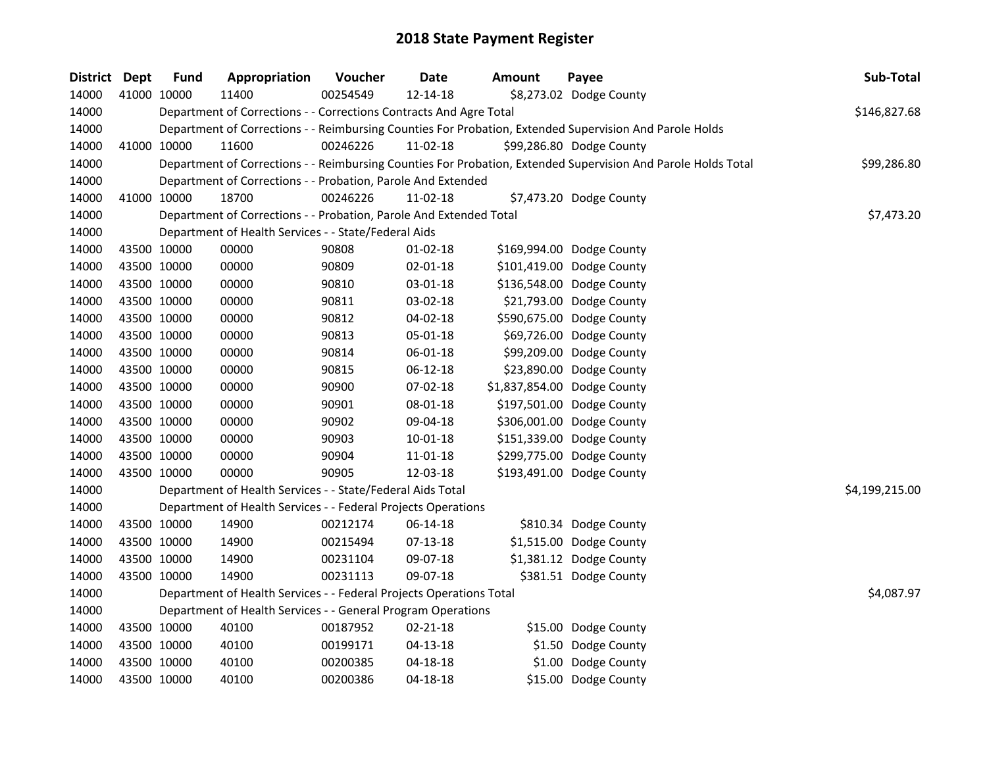| <b>District Dept</b> | <b>Fund</b> | Appropriation                                                       | Voucher  | Date           | <b>Amount</b> | Payee                                                                                                         | Sub-Total      |
|----------------------|-------------|---------------------------------------------------------------------|----------|----------------|---------------|---------------------------------------------------------------------------------------------------------------|----------------|
| 14000                | 41000 10000 | 11400                                                               | 00254549 | 12-14-18       |               | \$8,273.02 Dodge County                                                                                       |                |
| 14000                |             | Department of Corrections - - Corrections Contracts And Agre Total  |          |                |               |                                                                                                               | \$146,827.68   |
| 14000                |             |                                                                     |          |                |               | Department of Corrections - - Reimbursing Counties For Probation, Extended Supervision And Parole Holds       |                |
| 14000                | 41000 10000 | 11600                                                               | 00246226 | 11-02-18       |               | \$99,286.80 Dodge County                                                                                      |                |
| 14000                |             |                                                                     |          |                |               | Department of Corrections - - Reimbursing Counties For Probation, Extended Supervision And Parole Holds Total | \$99,286.80    |
| 14000                |             | Department of Corrections - - Probation, Parole And Extended        |          |                |               |                                                                                                               |                |
| 14000                | 41000 10000 | 18700                                                               | 00246226 | $11 - 02 - 18$ |               | \$7,473.20 Dodge County                                                                                       |                |
| 14000                |             | Department of Corrections - - Probation, Parole And Extended Total  |          |                |               |                                                                                                               | \$7,473.20     |
| 14000                |             | Department of Health Services - - State/Federal Aids                |          |                |               |                                                                                                               |                |
| 14000                | 43500 10000 | 00000                                                               | 90808    | 01-02-18       |               | \$169,994.00 Dodge County                                                                                     |                |
| 14000                | 43500 10000 | 00000                                                               | 90809    | 02-01-18       |               | \$101,419.00 Dodge County                                                                                     |                |
| 14000                | 43500 10000 | 00000                                                               | 90810    | 03-01-18       |               | \$136,548.00 Dodge County                                                                                     |                |
| 14000                | 43500 10000 | 00000                                                               | 90811    | 03-02-18       |               | \$21,793.00 Dodge County                                                                                      |                |
| 14000                | 43500 10000 | 00000                                                               | 90812    | 04-02-18       |               | \$590,675.00 Dodge County                                                                                     |                |
| 14000                | 43500 10000 | 00000                                                               | 90813    | 05-01-18       |               | \$69,726.00 Dodge County                                                                                      |                |
| 14000                | 43500 10000 | 00000                                                               | 90814    | 06-01-18       |               | \$99,209.00 Dodge County                                                                                      |                |
| 14000                | 43500 10000 | 00000                                                               | 90815    | 06-12-18       |               | \$23,890.00 Dodge County                                                                                      |                |
| 14000                | 43500 10000 | 00000                                                               | 90900    | 07-02-18       |               | \$1,837,854.00 Dodge County                                                                                   |                |
| 14000                | 43500 10000 | 00000                                                               | 90901    | 08-01-18       |               | \$197,501.00 Dodge County                                                                                     |                |
| 14000                | 43500 10000 | 00000                                                               | 90902    | 09-04-18       |               | \$306,001.00 Dodge County                                                                                     |                |
| 14000                | 43500 10000 | 00000                                                               | 90903    | $10 - 01 - 18$ |               | \$151,339.00 Dodge County                                                                                     |                |
| 14000                | 43500 10000 | 00000                                                               | 90904    | $11 - 01 - 18$ |               | \$299,775.00 Dodge County                                                                                     |                |
| 14000                | 43500 10000 | 00000                                                               | 90905    | 12-03-18       |               | \$193,491.00 Dodge County                                                                                     |                |
| 14000                |             | Department of Health Services - - State/Federal Aids Total          |          |                |               |                                                                                                               | \$4,199,215.00 |
| 14000                |             | Department of Health Services - - Federal Projects Operations       |          |                |               |                                                                                                               |                |
| 14000                | 43500 10000 | 14900                                                               | 00212174 | 06-14-18       |               | \$810.34 Dodge County                                                                                         |                |
| 14000                | 43500 10000 | 14900                                                               | 00215494 | $07-13-18$     |               | \$1,515.00 Dodge County                                                                                       |                |
| 14000                | 43500 10000 | 14900                                                               | 00231104 | 09-07-18       |               | \$1,381.12 Dodge County                                                                                       |                |
| 14000                | 43500 10000 | 14900                                                               | 00231113 | 09-07-18       |               | \$381.51 Dodge County                                                                                         |                |
| 14000                |             | Department of Health Services - - Federal Projects Operations Total |          |                |               |                                                                                                               | \$4,087.97     |
| 14000                |             | Department of Health Services - - General Program Operations        |          |                |               |                                                                                                               |                |
| 14000                | 43500 10000 | 40100                                                               | 00187952 | $02 - 21 - 18$ |               | \$15.00 Dodge County                                                                                          |                |
| 14000                | 43500 10000 | 40100                                                               | 00199171 | 04-13-18       |               | \$1.50 Dodge County                                                                                           |                |
| 14000                | 43500 10000 | 40100                                                               | 00200385 | 04-18-18       |               | \$1.00 Dodge County                                                                                           |                |
| 14000                | 43500 10000 | 40100                                                               | 00200386 | $04 - 18 - 18$ |               | \$15.00 Dodge County                                                                                          |                |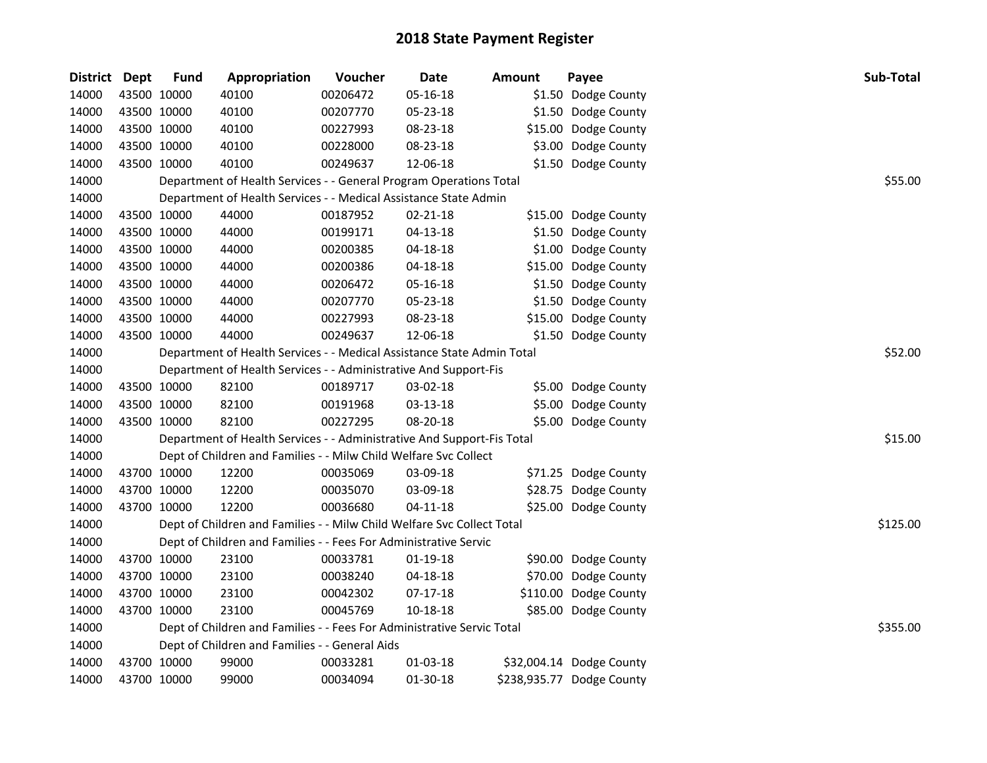| District Dept | <b>Fund</b> | Appropriation                                                          | Voucher  | <b>Date</b>    | <b>Amount</b> | Payee                     | Sub-Total |
|---------------|-------------|------------------------------------------------------------------------|----------|----------------|---------------|---------------------------|-----------|
| 14000         | 43500 10000 | 40100                                                                  | 00206472 | 05-16-18       |               | \$1.50 Dodge County       |           |
| 14000         | 43500 10000 | 40100                                                                  | 00207770 | 05-23-18       |               | \$1.50 Dodge County       |           |
| 14000         | 43500 10000 | 40100                                                                  | 00227993 | 08-23-18       |               | \$15.00 Dodge County      |           |
| 14000         | 43500 10000 | 40100                                                                  | 00228000 | 08-23-18       |               | \$3.00 Dodge County       |           |
| 14000         | 43500 10000 | 40100                                                                  | 00249637 | 12-06-18       |               | \$1.50 Dodge County       |           |
| 14000         |             | Department of Health Services - - General Program Operations Total     |          |                |               |                           | \$55.00   |
| 14000         |             | Department of Health Services - - Medical Assistance State Admin       |          |                |               |                           |           |
| 14000         | 43500 10000 | 44000                                                                  | 00187952 | $02 - 21 - 18$ |               | \$15.00 Dodge County      |           |
| 14000         | 43500 10000 | 44000                                                                  | 00199171 | 04-13-18       |               | \$1.50 Dodge County       |           |
| 14000         | 43500 10000 | 44000                                                                  | 00200385 | 04-18-18       |               | \$1.00 Dodge County       |           |
| 14000         | 43500 10000 | 44000                                                                  | 00200386 | 04-18-18       |               | \$15.00 Dodge County      |           |
| 14000         | 43500 10000 | 44000                                                                  | 00206472 | 05-16-18       |               | \$1.50 Dodge County       |           |
| 14000         | 43500 10000 | 44000                                                                  | 00207770 | 05-23-18       |               | \$1.50 Dodge County       |           |
| 14000         | 43500 10000 | 44000                                                                  | 00227993 | 08-23-18       |               | \$15.00 Dodge County      |           |
| 14000         | 43500 10000 | 44000                                                                  | 00249637 | 12-06-18       |               | \$1.50 Dodge County       |           |
| 14000         |             | Department of Health Services - - Medical Assistance State Admin Total |          |                |               |                           | \$52.00   |
| 14000         |             | Department of Health Services - - Administrative And Support-Fis       |          |                |               |                           |           |
| 14000         | 43500 10000 | 82100                                                                  | 00189717 | 03-02-18       |               | \$5.00 Dodge County       |           |
| 14000         | 43500 10000 | 82100                                                                  | 00191968 | 03-13-18       |               | \$5.00 Dodge County       |           |
| 14000         | 43500 10000 | 82100                                                                  | 00227295 | 08-20-18       |               | \$5.00 Dodge County       |           |
| 14000         |             | Department of Health Services - - Administrative And Support-Fis Total |          |                |               |                           | \$15.00   |
| 14000         |             | Dept of Children and Families - - Milw Child Welfare Svc Collect       |          |                |               |                           |           |
| 14000         | 43700 10000 | 12200                                                                  | 00035069 | 03-09-18       |               | \$71.25 Dodge County      |           |
| 14000         | 43700 10000 | 12200                                                                  | 00035070 | 03-09-18       |               | \$28.75 Dodge County      |           |
| 14000         | 43700 10000 | 12200                                                                  | 00036680 | $04 - 11 - 18$ |               | \$25.00 Dodge County      |           |
| 14000         |             | Dept of Children and Families - - Milw Child Welfare Svc Collect Total |          |                |               |                           | \$125.00  |
| 14000         |             | Dept of Children and Families - - Fees For Administrative Servic       |          |                |               |                           |           |
| 14000         | 43700 10000 | 23100                                                                  | 00033781 | $01-19-18$     |               | \$90.00 Dodge County      |           |
| 14000         | 43700 10000 | 23100                                                                  | 00038240 | $04 - 18 - 18$ |               | \$70.00 Dodge County      |           |
| 14000         | 43700 10000 | 23100                                                                  | 00042302 | 07-17-18       |               | \$110.00 Dodge County     |           |
| 14000         | 43700 10000 | 23100                                                                  | 00045769 | 10-18-18       |               | \$85.00 Dodge County      |           |
| 14000         |             | Dept of Children and Families - - Fees For Administrative Servic Total |          |                |               |                           | \$355.00  |
| 14000         |             | Dept of Children and Families - - General Aids                         |          |                |               |                           |           |
| 14000         | 43700 10000 | 99000                                                                  | 00033281 | 01-03-18       |               | \$32,004.14 Dodge County  |           |
| 14000         | 43700 10000 | 99000                                                                  | 00034094 | 01-30-18       |               | \$238,935.77 Dodge County |           |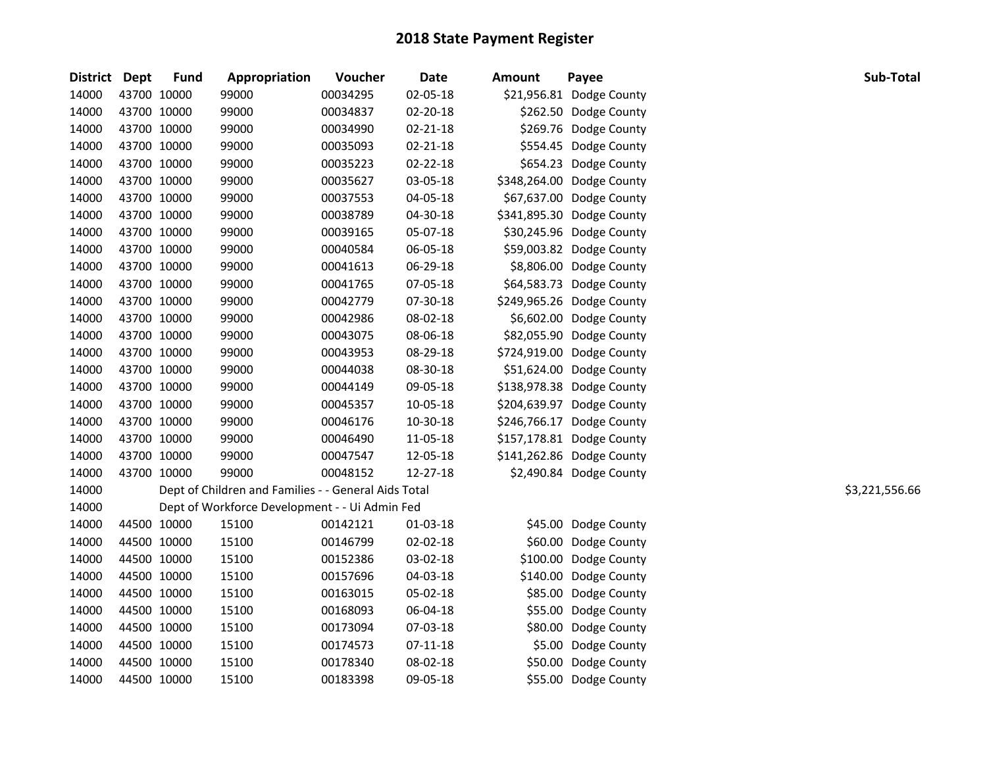| District Dept |             | <b>Fund</b> | Appropriation                                        | Voucher  | Date           | <b>Amount</b> | Payee                     | Sub-Total      |
|---------------|-------------|-------------|------------------------------------------------------|----------|----------------|---------------|---------------------------|----------------|
| 14000         | 43700 10000 |             | 99000                                                | 00034295 | 02-05-18       |               | \$21,956.81 Dodge County  |                |
| 14000         | 43700 10000 |             | 99000                                                | 00034837 | 02-20-18       |               | \$262.50 Dodge County     |                |
| 14000         | 43700 10000 |             | 99000                                                | 00034990 | $02 - 21 - 18$ |               | \$269.76 Dodge County     |                |
| 14000         |             | 43700 10000 | 99000                                                | 00035093 | $02 - 21 - 18$ |               | \$554.45 Dodge County     |                |
| 14000         |             | 43700 10000 | 99000                                                | 00035223 | 02-22-18       |               | \$654.23 Dodge County     |                |
| 14000         | 43700 10000 |             | 99000                                                | 00035627 | 03-05-18       |               | \$348,264.00 Dodge County |                |
| 14000         |             | 43700 10000 | 99000                                                | 00037553 | 04-05-18       |               | \$67,637.00 Dodge County  |                |
| 14000         |             | 43700 10000 | 99000                                                | 00038789 | 04-30-18       |               | \$341,895.30 Dodge County |                |
| 14000         |             | 43700 10000 | 99000                                                | 00039165 | 05-07-18       |               | \$30,245.96 Dodge County  |                |
| 14000         |             | 43700 10000 | 99000                                                | 00040584 | 06-05-18       |               | \$59,003.82 Dodge County  |                |
| 14000         |             | 43700 10000 | 99000                                                | 00041613 | 06-29-18       |               | \$8,806.00 Dodge County   |                |
| 14000         |             | 43700 10000 | 99000                                                | 00041765 | 07-05-18       |               | \$64,583.73 Dodge County  |                |
| 14000         | 43700 10000 |             | 99000                                                | 00042779 | 07-30-18       |               | \$249,965.26 Dodge County |                |
| 14000         | 43700 10000 |             | 99000                                                | 00042986 | 08-02-18       |               | \$6,602.00 Dodge County   |                |
| 14000         | 43700 10000 |             | 99000                                                | 00043075 | 08-06-18       |               | \$82,055.90 Dodge County  |                |
| 14000         |             | 43700 10000 | 99000                                                | 00043953 | 08-29-18       |               | \$724,919.00 Dodge County |                |
| 14000         |             | 43700 10000 | 99000                                                | 00044038 | 08-30-18       |               | \$51,624.00 Dodge County  |                |
| 14000         | 43700 10000 |             | 99000                                                | 00044149 | 09-05-18       |               | \$138,978.38 Dodge County |                |
| 14000         |             | 43700 10000 | 99000                                                | 00045357 | 10-05-18       |               | \$204,639.97 Dodge County |                |
| 14000         |             | 43700 10000 | 99000                                                | 00046176 | 10-30-18       |               | \$246,766.17 Dodge County |                |
| 14000         |             | 43700 10000 | 99000                                                | 00046490 | 11-05-18       |               | \$157,178.81 Dodge County |                |
| 14000         |             | 43700 10000 | 99000                                                | 00047547 | 12-05-18       |               | \$141,262.86 Dodge County |                |
| 14000         |             | 43700 10000 | 99000                                                | 00048152 | 12-27-18       |               | \$2,490.84 Dodge County   |                |
| 14000         |             |             | Dept of Children and Families - - General Aids Total |          |                |               |                           | \$3,221,556.66 |
| 14000         |             |             | Dept of Workforce Development - - Ui Admin Fed       |          |                |               |                           |                |
| 14000         |             | 44500 10000 | 15100                                                | 00142121 | 01-03-18       |               | \$45.00 Dodge County      |                |
| 14000         | 44500 10000 |             | 15100                                                | 00146799 | $02 - 02 - 18$ |               | \$60.00 Dodge County      |                |
| 14000         |             | 44500 10000 | 15100                                                | 00152386 | 03-02-18       |               | \$100.00 Dodge County     |                |
| 14000         |             | 44500 10000 | 15100                                                | 00157696 | 04-03-18       |               | \$140.00 Dodge County     |                |
| 14000         | 44500 10000 |             | 15100                                                | 00163015 | 05-02-18       |               | \$85.00 Dodge County      |                |
| 14000         |             | 44500 10000 | 15100                                                | 00168093 | 06-04-18       |               | \$55.00 Dodge County      |                |
| 14000         |             | 44500 10000 | 15100                                                | 00173094 | 07-03-18       |               | \$80.00 Dodge County      |                |
| 14000         |             | 44500 10000 | 15100                                                | 00174573 | $07 - 11 - 18$ |               | \$5.00 Dodge County       |                |
| 14000         |             | 44500 10000 | 15100                                                | 00178340 | 08-02-18       |               | \$50.00 Dodge County      |                |
| 14000         | 44500 10000 |             | 15100                                                | 00183398 | 09-05-18       |               | \$55.00 Dodge County      |                |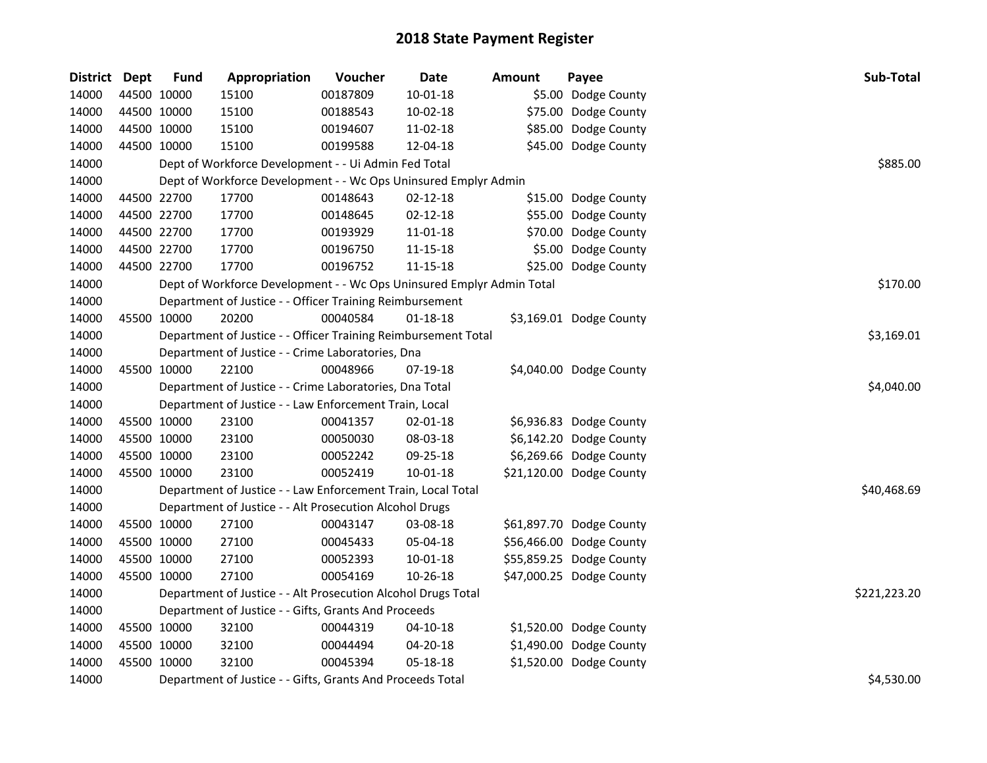| <b>District</b> | <b>Dept</b> | <b>Fund</b> | Appropriation                                                         | Voucher  | <b>Date</b>    | <b>Amount</b> | Payee                    | Sub-Total    |
|-----------------|-------------|-------------|-----------------------------------------------------------------------|----------|----------------|---------------|--------------------------|--------------|
| 14000           |             | 44500 10000 | 15100                                                                 | 00187809 | $10 - 01 - 18$ |               | \$5.00 Dodge County      |              |
| 14000           |             | 44500 10000 | 15100                                                                 | 00188543 | 10-02-18       |               | \$75.00 Dodge County     |              |
| 14000           |             | 44500 10000 | 15100                                                                 | 00194607 | 11-02-18       |               | \$85.00 Dodge County     |              |
| 14000           | 44500 10000 |             | 15100                                                                 | 00199588 | 12-04-18       |               | \$45.00 Dodge County     |              |
| 14000           |             |             | Dept of Workforce Development - - Ui Admin Fed Total                  |          |                |               |                          | \$885.00     |
| 14000           |             |             | Dept of Workforce Development - - Wc Ops Uninsured Emplyr Admin       |          |                |               |                          |              |
| 14000           |             | 44500 22700 | 17700                                                                 | 00148643 | $02 - 12 - 18$ |               | \$15.00 Dodge County     |              |
| 14000           |             | 44500 22700 | 17700                                                                 | 00148645 | 02-12-18       |               | \$55.00 Dodge County     |              |
| 14000           |             | 44500 22700 | 17700                                                                 | 00193929 | 11-01-18       |               | \$70.00 Dodge County     |              |
| 14000           |             | 44500 22700 | 17700                                                                 | 00196750 | $11 - 15 - 18$ |               | \$5.00 Dodge County      |              |
| 14000           |             | 44500 22700 | 17700                                                                 | 00196752 | 11-15-18       |               | \$25.00 Dodge County     |              |
| 14000           |             |             | Dept of Workforce Development - - Wc Ops Uninsured Emplyr Admin Total |          |                |               |                          | \$170.00     |
| 14000           |             |             | Department of Justice - - Officer Training Reimbursement              |          |                |               |                          |              |
| 14000           |             | 45500 10000 | 20200                                                                 | 00040584 | $01 - 18 - 18$ |               | \$3,169.01 Dodge County  |              |
| 14000           |             |             | Department of Justice - - Officer Training Reimbursement Total        |          |                |               |                          | \$3,169.01   |
| 14000           |             |             | Department of Justice - - Crime Laboratories, Dna                     |          |                |               |                          |              |
| 14000           |             | 45500 10000 | 22100                                                                 | 00048966 | 07-19-18       |               | \$4,040.00 Dodge County  |              |
| 14000           |             |             | Department of Justice - - Crime Laboratories, Dna Total               |          |                |               |                          | \$4,040.00   |
| 14000           |             |             | Department of Justice - - Law Enforcement Train, Local                |          |                |               |                          |              |
| 14000           |             | 45500 10000 | 23100                                                                 | 00041357 | 02-01-18       |               | \$6,936.83 Dodge County  |              |
| 14000           |             | 45500 10000 | 23100                                                                 | 00050030 | 08-03-18       |               | \$6,142.20 Dodge County  |              |
| 14000           |             | 45500 10000 | 23100                                                                 | 00052242 | 09-25-18       |               | \$6,269.66 Dodge County  |              |
| 14000           |             | 45500 10000 | 23100                                                                 | 00052419 | $10 - 01 - 18$ |               | \$21,120.00 Dodge County |              |
| 14000           |             |             | Department of Justice - - Law Enforcement Train, Local Total          |          |                |               |                          | \$40,468.69  |
| 14000           |             |             | Department of Justice - - Alt Prosecution Alcohol Drugs               |          |                |               |                          |              |
| 14000           |             | 45500 10000 | 27100                                                                 | 00043147 | 03-08-18       |               | \$61,897.70 Dodge County |              |
| 14000           |             | 45500 10000 | 27100                                                                 | 00045433 | 05-04-18       |               | \$56,466.00 Dodge County |              |
| 14000           |             | 45500 10000 | 27100                                                                 | 00052393 | $10 - 01 - 18$ |               | \$55,859.25 Dodge County |              |
| 14000           | 45500 10000 |             | 27100                                                                 | 00054169 | 10-26-18       |               | \$47,000.25 Dodge County |              |
| 14000           |             |             | Department of Justice - - Alt Prosecution Alcohol Drugs Total         |          |                |               |                          | \$221,223.20 |
| 14000           |             |             | Department of Justice - - Gifts, Grants And Proceeds                  |          |                |               |                          |              |
| 14000           |             | 45500 10000 | 32100                                                                 | 00044319 | $04 - 10 - 18$ |               | \$1,520.00 Dodge County  |              |
| 14000           |             | 45500 10000 | 32100                                                                 | 00044494 | 04-20-18       |               | \$1,490.00 Dodge County  |              |
| 14000           |             | 45500 10000 | 32100                                                                 | 00045394 | 05-18-18       |               | \$1,520.00 Dodge County  |              |
| 14000           |             |             | Department of Justice - - Gifts, Grants And Proceeds Total            |          |                |               |                          | \$4,530.00   |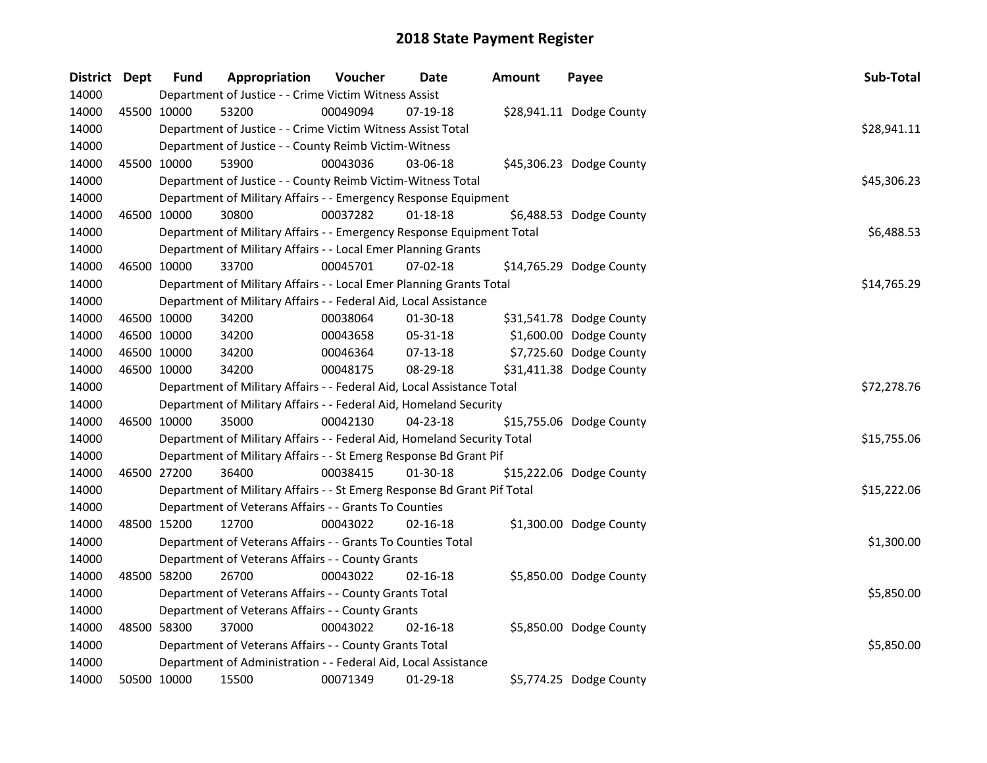| District Dept |             | <b>Fund</b> | Appropriation                                                           | Voucher  | Date           | Amount | Payee                    | Sub-Total   |
|---------------|-------------|-------------|-------------------------------------------------------------------------|----------|----------------|--------|--------------------------|-------------|
| 14000         |             |             | Department of Justice - - Crime Victim Witness Assist                   |          |                |        |                          |             |
| 14000         | 45500 10000 |             | 53200                                                                   | 00049094 | $07-19-18$     |        | \$28,941.11 Dodge County |             |
| 14000         |             |             | Department of Justice - - Crime Victim Witness Assist Total             |          |                |        |                          | \$28,941.11 |
| 14000         |             |             | Department of Justice - - County Reimb Victim-Witness                   |          |                |        |                          |             |
| 14000         |             | 45500 10000 | 53900                                                                   | 00043036 | $03 - 06 - 18$ |        | \$45,306.23 Dodge County |             |
| 14000         |             |             | Department of Justice - - County Reimb Victim-Witness Total             |          |                |        |                          | \$45,306.23 |
| 14000         |             |             | Department of Military Affairs - - Emergency Response Equipment         |          |                |        |                          |             |
| 14000         |             | 46500 10000 | 30800                                                                   | 00037282 | $01 - 18 - 18$ |        | \$6,488.53 Dodge County  |             |
| 14000         |             |             | Department of Military Affairs - - Emergency Response Equipment Total   |          |                |        |                          | \$6,488.53  |
| 14000         |             |             | Department of Military Affairs - - Local Emer Planning Grants           |          |                |        |                          |             |
| 14000         |             | 46500 10000 | 33700                                                                   | 00045701 | 07-02-18       |        | \$14,765.29 Dodge County |             |
| 14000         |             |             | Department of Military Affairs - - Local Emer Planning Grants Total     |          |                |        |                          | \$14,765.29 |
| 14000         |             |             | Department of Military Affairs - - Federal Aid, Local Assistance        |          |                |        |                          |             |
| 14000         |             | 46500 10000 | 34200                                                                   | 00038064 | 01-30-18       |        | \$31,541.78 Dodge County |             |
| 14000         |             | 46500 10000 | 34200                                                                   | 00043658 | 05-31-18       |        | \$1,600.00 Dodge County  |             |
| 14000         |             | 46500 10000 | 34200                                                                   | 00046364 | $07-13-18$     |        | \$7,725.60 Dodge County  |             |
| 14000         |             | 46500 10000 | 34200                                                                   | 00048175 | 08-29-18       |        | \$31,411.38 Dodge County |             |
| 14000         |             |             | Department of Military Affairs - - Federal Aid, Local Assistance Total  |          |                |        |                          | \$72,278.76 |
| 14000         |             |             | Department of Military Affairs - - Federal Aid, Homeland Security       |          |                |        |                          |             |
| 14000         |             | 46500 10000 | 35000                                                                   | 00042130 | 04-23-18       |        | \$15,755.06 Dodge County |             |
| 14000         |             |             | Department of Military Affairs - - Federal Aid, Homeland Security Total |          |                |        |                          | \$15,755.06 |
| 14000         |             |             | Department of Military Affairs - - St Emerg Response Bd Grant Pif       |          |                |        |                          |             |
| 14000         |             | 46500 27200 | 36400                                                                   | 00038415 | 01-30-18       |        | \$15,222.06 Dodge County |             |
| 14000         |             |             | Department of Military Affairs - - St Emerg Response Bd Grant Pif Total |          |                |        |                          | \$15,222.06 |
| 14000         |             |             | Department of Veterans Affairs - - Grants To Counties                   |          |                |        |                          |             |
| 14000         | 48500 15200 |             | 12700                                                                   | 00043022 | $02 - 16 - 18$ |        | \$1,300.00 Dodge County  |             |
| 14000         |             |             | Department of Veterans Affairs - - Grants To Counties Total             |          |                |        |                          | \$1,300.00  |
| 14000         |             |             | Department of Veterans Affairs - - County Grants                        |          |                |        |                          |             |
| 14000         |             | 48500 58200 | 26700                                                                   | 00043022 | $02 - 16 - 18$ |        | \$5,850.00 Dodge County  |             |
| 14000         |             |             | Department of Veterans Affairs - - County Grants Total                  |          |                |        |                          | \$5,850.00  |
| 14000         |             |             | Department of Veterans Affairs - - County Grants                        |          |                |        |                          |             |
| 14000         |             | 48500 58300 | 37000                                                                   | 00043022 | $02 - 16 - 18$ |        | \$5,850.00 Dodge County  |             |
| 14000         |             |             | Department of Veterans Affairs - - County Grants Total                  |          |                |        |                          | \$5,850.00  |
| 14000         |             |             | Department of Administration - - Federal Aid, Local Assistance          |          |                |        |                          |             |
| 14000         |             | 50500 10000 | 15500                                                                   | 00071349 | 01-29-18       |        | \$5,774.25 Dodge County  |             |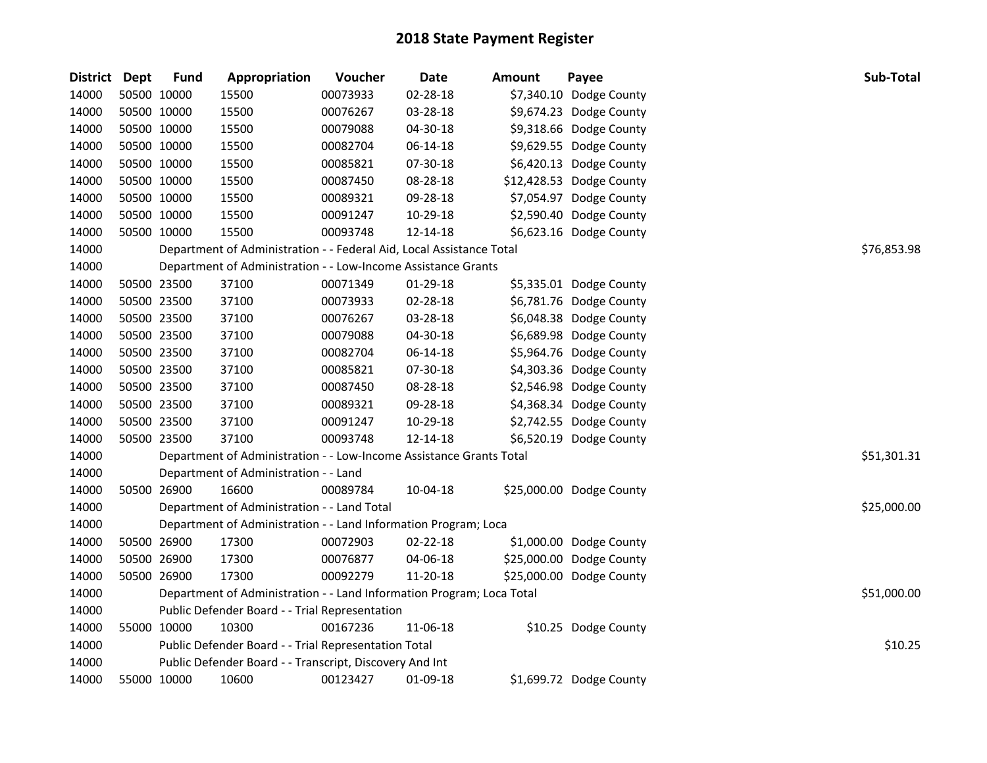| District Dept | <b>Fund</b> | Appropriation                                                         | Voucher  | <b>Date</b> | <b>Amount</b> | Payee                    | Sub-Total   |
|---------------|-------------|-----------------------------------------------------------------------|----------|-------------|---------------|--------------------------|-------------|
| 14000         | 50500 10000 | 15500                                                                 | 00073933 | 02-28-18    |               | \$7,340.10 Dodge County  |             |
| 14000         | 50500 10000 | 15500                                                                 | 00076267 | 03-28-18    |               | \$9,674.23 Dodge County  |             |
| 14000         | 50500 10000 | 15500                                                                 | 00079088 | 04-30-18    |               | \$9,318.66 Dodge County  |             |
| 14000         | 50500 10000 | 15500                                                                 | 00082704 | 06-14-18    |               | \$9,629.55 Dodge County  |             |
| 14000         | 50500 10000 | 15500                                                                 | 00085821 | 07-30-18    |               | \$6,420.13 Dodge County  |             |
| 14000         | 50500 10000 | 15500                                                                 | 00087450 | 08-28-18    |               | \$12,428.53 Dodge County |             |
| 14000         | 50500 10000 | 15500                                                                 | 00089321 | 09-28-18    |               | \$7,054.97 Dodge County  |             |
| 14000         | 50500 10000 | 15500                                                                 | 00091247 | 10-29-18    |               | \$2,590.40 Dodge County  |             |
| 14000         | 50500 10000 | 15500                                                                 | 00093748 | 12-14-18    |               | \$6,623.16 Dodge County  |             |
| 14000         |             | Department of Administration - - Federal Aid, Local Assistance Total  |          |             |               |                          | \$76,853.98 |
| 14000         |             | Department of Administration - - Low-Income Assistance Grants         |          |             |               |                          |             |
| 14000         | 50500 23500 | 37100                                                                 | 00071349 | 01-29-18    |               | \$5,335.01 Dodge County  |             |
| 14000         | 50500 23500 | 37100                                                                 | 00073933 | 02-28-18    |               | \$6,781.76 Dodge County  |             |
| 14000         | 50500 23500 | 37100                                                                 | 00076267 | 03-28-18    |               | \$6,048.38 Dodge County  |             |
| 14000         | 50500 23500 | 37100                                                                 | 00079088 | 04-30-18    |               | \$6,689.98 Dodge County  |             |
| 14000         | 50500 23500 | 37100                                                                 | 00082704 | 06-14-18    |               | \$5,964.76 Dodge County  |             |
| 14000         | 50500 23500 | 37100                                                                 | 00085821 | 07-30-18    |               | \$4,303.36 Dodge County  |             |
| 14000         | 50500 23500 | 37100                                                                 | 00087450 | 08-28-18    |               | \$2,546.98 Dodge County  |             |
| 14000         | 50500 23500 | 37100                                                                 | 00089321 | 09-28-18    |               | \$4,368.34 Dodge County  |             |
| 14000         | 50500 23500 | 37100                                                                 | 00091247 | 10-29-18    |               | \$2,742.55 Dodge County  |             |
| 14000         | 50500 23500 | 37100                                                                 | 00093748 | 12-14-18    |               | \$6,520.19 Dodge County  |             |
| 14000         |             | Department of Administration - - Low-Income Assistance Grants Total   |          |             |               |                          | \$51,301.31 |
| 14000         |             | Department of Administration - - Land                                 |          |             |               |                          |             |
| 14000         | 50500 26900 | 16600                                                                 | 00089784 | 10-04-18    |               | \$25,000.00 Dodge County |             |
| 14000         |             | Department of Administration - - Land Total                           |          |             |               |                          | \$25,000.00 |
| 14000         |             | Department of Administration - - Land Information Program; Loca       |          |             |               |                          |             |
| 14000         | 50500 26900 | 17300                                                                 | 00072903 | 02-22-18    |               | \$1,000.00 Dodge County  |             |
| 14000         | 50500 26900 | 17300                                                                 | 00076877 | 04-06-18    |               | \$25,000.00 Dodge County |             |
| 14000         | 50500 26900 | 17300                                                                 | 00092279 | 11-20-18    |               | \$25,000.00 Dodge County |             |
| 14000         |             | Department of Administration - - Land Information Program; Loca Total |          |             |               |                          | \$51,000.00 |
| 14000         |             | Public Defender Board - - Trial Representation                        |          |             |               |                          |             |
| 14000         | 55000 10000 | 10300                                                                 | 00167236 | 11-06-18    |               | \$10.25 Dodge County     |             |
| 14000         |             | Public Defender Board - - Trial Representation Total                  |          |             |               |                          | \$10.25     |
| 14000         |             | Public Defender Board - - Transcript, Discovery And Int               |          |             |               |                          |             |
| 14000         | 55000 10000 | 10600                                                                 | 00123427 | 01-09-18    |               | \$1,699.72 Dodge County  |             |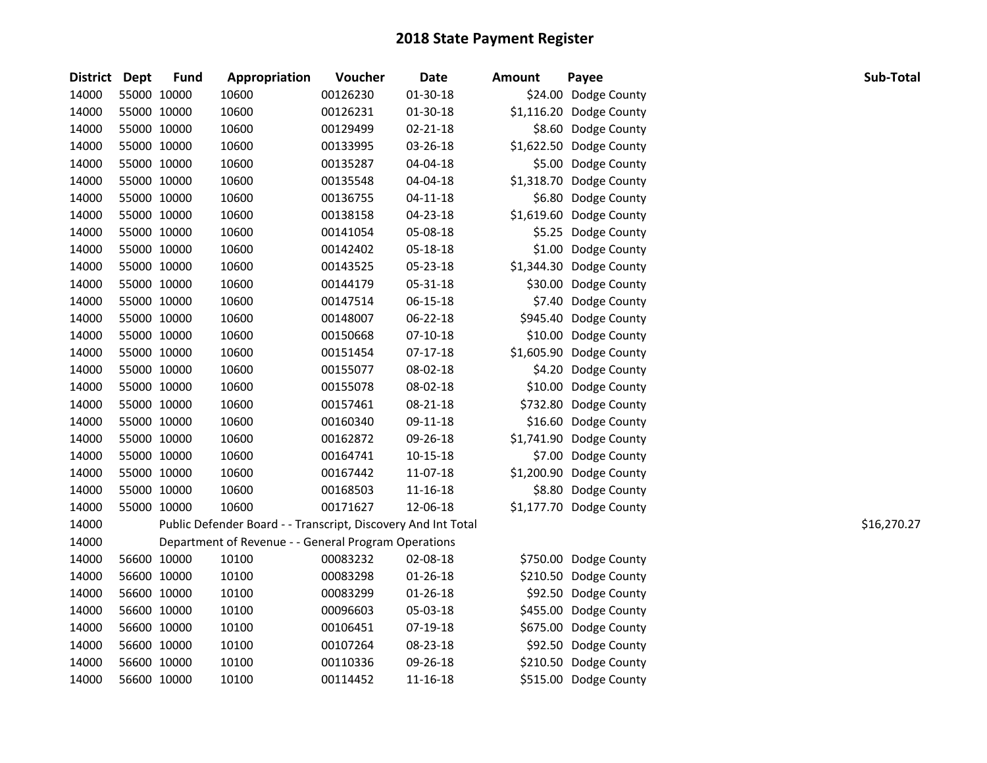| District Dept | <b>Fund</b> | Appropriation                                                 | Voucher  | <b>Date</b>    | <b>Amount</b> | Payee                   | Sub-Total   |
|---------------|-------------|---------------------------------------------------------------|----------|----------------|---------------|-------------------------|-------------|
| 14000         | 55000 10000 | 10600                                                         | 00126230 | 01-30-18       |               | \$24.00 Dodge County    |             |
| 14000         | 55000 10000 | 10600                                                         | 00126231 | 01-30-18       |               | \$1,116.20 Dodge County |             |
| 14000         | 55000 10000 | 10600                                                         | 00129499 | 02-21-18       |               | \$8.60 Dodge County     |             |
| 14000         | 55000 10000 | 10600                                                         | 00133995 | 03-26-18       |               | \$1,622.50 Dodge County |             |
| 14000         | 55000 10000 | 10600                                                         | 00135287 | 04-04-18       |               | \$5.00 Dodge County     |             |
| 14000         | 55000 10000 | 10600                                                         | 00135548 | 04-04-18       |               | \$1,318.70 Dodge County |             |
| 14000         | 55000 10000 | 10600                                                         | 00136755 | $04 - 11 - 18$ |               | \$6.80 Dodge County     |             |
| 14000         | 55000 10000 | 10600                                                         | 00138158 | 04-23-18       |               | \$1,619.60 Dodge County |             |
| 14000         | 55000 10000 | 10600                                                         | 00141054 | 05-08-18       |               | \$5.25 Dodge County     |             |
| 14000         | 55000 10000 | 10600                                                         | 00142402 | 05-18-18       |               | \$1.00 Dodge County     |             |
| 14000         | 55000 10000 | 10600                                                         | 00143525 | 05-23-18       |               | \$1,344.30 Dodge County |             |
| 14000         | 55000 10000 | 10600                                                         | 00144179 | 05-31-18       |               | \$30.00 Dodge County    |             |
| 14000         | 55000 10000 | 10600                                                         | 00147514 | 06-15-18       |               | \$7.40 Dodge County     |             |
| 14000         | 55000 10000 | 10600                                                         | 00148007 | 06-22-18       |               | \$945.40 Dodge County   |             |
| 14000         | 55000 10000 | 10600                                                         | 00150668 | $07-10-18$     |               | \$10.00 Dodge County    |             |
| 14000         | 55000 10000 | 10600                                                         | 00151454 | 07-17-18       |               | \$1,605.90 Dodge County |             |
| 14000         | 55000 10000 | 10600                                                         | 00155077 | 08-02-18       |               | \$4.20 Dodge County     |             |
| 14000         | 55000 10000 | 10600                                                         | 00155078 | 08-02-18       |               | \$10.00 Dodge County    |             |
| 14000         | 55000 10000 | 10600                                                         | 00157461 | 08-21-18       |               | \$732.80 Dodge County   |             |
| 14000         | 55000 10000 | 10600                                                         | 00160340 | 09-11-18       |               | \$16.60 Dodge County    |             |
| 14000         | 55000 10000 | 10600                                                         | 00162872 | 09-26-18       |               | \$1,741.90 Dodge County |             |
| 14000         | 55000 10000 | 10600                                                         | 00164741 | 10-15-18       |               | \$7.00 Dodge County     |             |
| 14000         | 55000 10000 | 10600                                                         | 00167442 | 11-07-18       |               | \$1,200.90 Dodge County |             |
| 14000         | 55000 10000 | 10600                                                         | 00168503 | 11-16-18       |               | \$8.80 Dodge County     |             |
| 14000         | 55000 10000 | 10600                                                         | 00171627 | 12-06-18       |               | \$1,177.70 Dodge County |             |
| 14000         |             | Public Defender Board - - Transcript, Discovery And Int Total |          |                |               |                         | \$16,270.27 |
| 14000         |             | Department of Revenue - - General Program Operations          |          |                |               |                         |             |
| 14000         | 56600 10000 | 10100                                                         | 00083232 | 02-08-18       |               | \$750.00 Dodge County   |             |
| 14000         | 56600 10000 | 10100                                                         | 00083298 | $01 - 26 - 18$ |               | \$210.50 Dodge County   |             |
| 14000         | 56600 10000 | 10100                                                         | 00083299 | 01-26-18       |               | \$92.50 Dodge County    |             |
| 14000         | 56600 10000 | 10100                                                         | 00096603 | 05-03-18       |               | \$455.00 Dodge County   |             |
| 14000         | 56600 10000 | 10100                                                         | 00106451 | 07-19-18       |               | \$675.00 Dodge County   |             |
| 14000         | 56600 10000 | 10100                                                         | 00107264 | 08-23-18       |               | \$92.50 Dodge County    |             |
| 14000         | 56600 10000 | 10100                                                         | 00110336 | 09-26-18       |               | \$210.50 Dodge County   |             |
| 14000         | 56600 10000 | 10100                                                         | 00114452 | 11-16-18       |               | \$515.00 Dodge County   |             |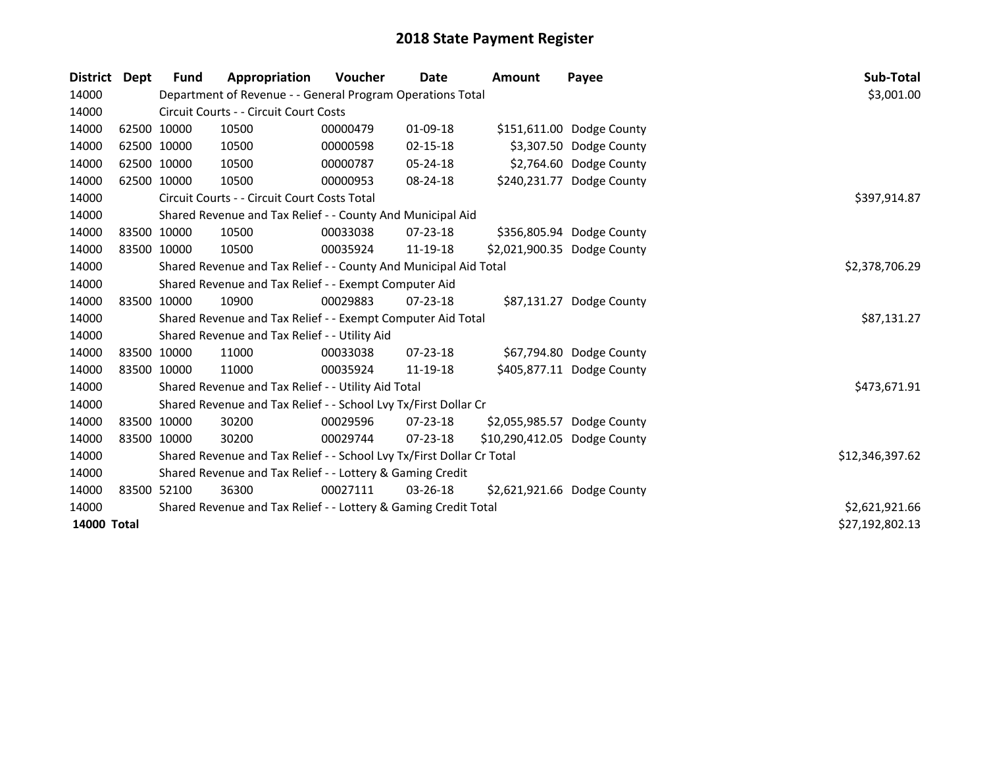| <b>District</b> | <b>Dept</b> | <b>Fund</b> | Appropriation                                                         | <b>Voucher</b> | Date           | <b>Amount</b>                | Payee                       | Sub-Total       |
|-----------------|-------------|-------------|-----------------------------------------------------------------------|----------------|----------------|------------------------------|-----------------------------|-----------------|
| 14000           |             |             | Department of Revenue - - General Program Operations Total            |                |                |                              |                             | \$3,001.00      |
| 14000           |             |             | Circuit Courts - - Circuit Court Costs                                |                |                |                              |                             |                 |
| 14000           |             | 62500 10000 | 10500                                                                 | 00000479       | 01-09-18       |                              | \$151,611.00 Dodge County   |                 |
| 14000           |             | 62500 10000 | 10500                                                                 | 00000598       | $02 - 15 - 18$ |                              | \$3,307.50 Dodge County     |                 |
| 14000           |             | 62500 10000 | 10500                                                                 | 00000787       | 05-24-18       |                              | \$2,764.60 Dodge County     |                 |
| 14000           |             | 62500 10000 | 10500                                                                 | 00000953       | 08-24-18       |                              | \$240,231.77 Dodge County   |                 |
| 14000           |             |             | Circuit Courts - - Circuit Court Costs Total                          | \$397,914.87   |                |                              |                             |                 |
| 14000           |             |             | Shared Revenue and Tax Relief - - County And Municipal Aid            |                |                |                              |                             |                 |
| 14000           | 83500 10000 |             | 10500                                                                 | 00033038       | $07 - 23 - 18$ |                              | \$356,805.94 Dodge County   |                 |
| 14000           | 83500 10000 |             | 10500                                                                 | 00035924       | 11-19-18       |                              | \$2,021,900.35 Dodge County |                 |
| 14000           |             |             | Shared Revenue and Tax Relief - - County And Municipal Aid Total      | \$2,378,706.29 |                |                              |                             |                 |
| 14000           |             |             | Shared Revenue and Tax Relief - - Exempt Computer Aid                 |                |                |                              |                             |                 |
| 14000           | 83500 10000 |             | 10900                                                                 | 00029883       | $07 - 23 - 18$ |                              | \$87,131.27 Dodge County    |                 |
| 14000           |             |             | Shared Revenue and Tax Relief - - Exempt Computer Aid Total           |                |                |                              |                             | \$87,131.27     |
| 14000           |             |             | Shared Revenue and Tax Relief - - Utility Aid                         |                |                |                              |                             |                 |
| 14000           |             | 83500 10000 | 11000                                                                 | 00033038       | $07 - 23 - 18$ |                              | \$67,794.80 Dodge County    |                 |
| 14000           |             | 83500 10000 | 11000                                                                 | 00035924       | 11-19-18       |                              | \$405,877.11 Dodge County   |                 |
| 14000           |             |             | Shared Revenue and Tax Relief - - Utility Aid Total                   |                |                |                              |                             | \$473,671.91    |
| 14000           |             |             | Shared Revenue and Tax Relief - - School Lvy Tx/First Dollar Cr       |                |                |                              |                             |                 |
| 14000           |             | 83500 10000 | 30200                                                                 | 00029596       | $07 - 23 - 18$ |                              | \$2,055,985.57 Dodge County |                 |
| 14000           | 83500 10000 |             | 30200                                                                 | 00029744       | $07 - 23 - 18$ | \$10,290,412.05 Dodge County |                             |                 |
| 14000           |             |             | Shared Revenue and Tax Relief - - School Lvy Tx/First Dollar Cr Total |                |                |                              |                             | \$12,346,397.62 |
| 14000           |             |             | Shared Revenue and Tax Relief - - Lottery & Gaming Credit             |                |                |                              |                             |                 |
| 14000           | 83500 52100 |             | 36300                                                                 | 00027111       | $03 - 26 - 18$ |                              | \$2,621,921.66 Dodge County |                 |
| 14000           |             |             | Shared Revenue and Tax Relief - - Lottery & Gaming Credit Total       |                |                |                              |                             | \$2,621,921.66  |
| 14000 Total     |             |             |                                                                       |                |                |                              |                             | \$27,192,802.13 |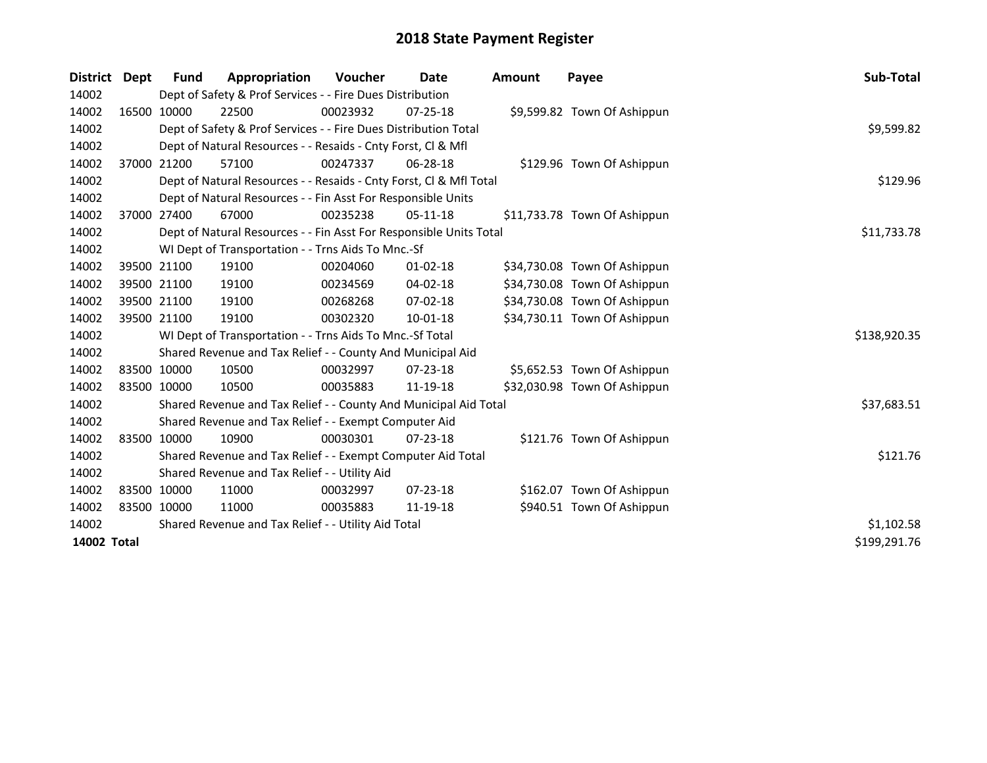| <b>District</b> | <b>Dept</b> | Fund        | Appropriation                                                      | <b>Voucher</b> | Date           | <b>Amount</b> | Payee                        | Sub-Total    |
|-----------------|-------------|-------------|--------------------------------------------------------------------|----------------|----------------|---------------|------------------------------|--------------|
| 14002           |             |             | Dept of Safety & Prof Services - - Fire Dues Distribution          |                |                |               |                              |              |
| 14002           |             | 16500 10000 | 22500                                                              | 00023932       | $07 - 25 - 18$ |               | \$9,599.82 Town Of Ashippun  |              |
| 14002           |             |             | Dept of Safety & Prof Services - - Fire Dues Distribution Total    |                |                |               |                              | \$9,599.82   |
| 14002           |             |             | Dept of Natural Resources - - Resaids - Cnty Forst, Cl & Mfl       |                |                |               |                              |              |
| 14002           |             | 37000 21200 | 57100                                                              | 00247337       | 06-28-18       |               | \$129.96 Town Of Ashippun    |              |
| 14002           |             |             | Dept of Natural Resources - - Resaids - Cnty Forst, Cl & Mfl Total |                |                |               |                              | \$129.96     |
| 14002           |             |             | Dept of Natural Resources - - Fin Asst For Responsible Units       |                |                |               |                              |              |
| 14002           |             | 37000 27400 | 67000                                                              | 00235238       | $05-11-18$     |               | \$11,733.78 Town Of Ashippun |              |
| 14002           |             |             | Dept of Natural Resources - - Fin Asst For Responsible Units Total | \$11,733.78    |                |               |                              |              |
| 14002           |             |             | WI Dept of Transportation - - Trns Aids To Mnc.-Sf                 |                |                |               |                              |              |
| 14002           |             | 39500 21100 | 19100                                                              | 00204060       | $01 - 02 - 18$ |               | \$34,730.08 Town Of Ashippun |              |
| 14002           |             | 39500 21100 | 19100                                                              | 00234569       | $04 - 02 - 18$ |               | \$34,730.08 Town Of Ashippun |              |
| 14002           |             | 39500 21100 | 19100                                                              | 00268268       | 07-02-18       |               | \$34,730.08 Town Of Ashippun |              |
| 14002           |             | 39500 21100 | 19100                                                              | 00302320       | $10 - 01 - 18$ |               | \$34,730.11 Town Of Ashippun |              |
| 14002           |             |             | WI Dept of Transportation - - Trns Aids To Mnc.-Sf Total           |                |                |               |                              | \$138,920.35 |
| 14002           |             |             | Shared Revenue and Tax Relief - - County And Municipal Aid         |                |                |               |                              |              |
| 14002           |             | 83500 10000 | 10500                                                              | 00032997       | $07 - 23 - 18$ |               | \$5,652.53 Town Of Ashippun  |              |
| 14002           |             | 83500 10000 | 10500                                                              | 00035883       | 11-19-18       |               | \$32,030.98 Town Of Ashippun |              |
| 14002           |             |             | Shared Revenue and Tax Relief - - County And Municipal Aid Total   |                |                |               |                              | \$37,683.51  |
| 14002           |             |             | Shared Revenue and Tax Relief - - Exempt Computer Aid              |                |                |               |                              |              |
| 14002           |             | 83500 10000 | 10900                                                              | 00030301       | $07 - 23 - 18$ |               | \$121.76 Town Of Ashippun    |              |
| 14002           |             |             | Shared Revenue and Tax Relief - - Exempt Computer Aid Total        |                |                |               |                              | \$121.76     |
| 14002           |             |             | Shared Revenue and Tax Relief - - Utility Aid                      |                |                |               |                              |              |
| 14002           |             | 83500 10000 | 11000                                                              | 00032997       | $07 - 23 - 18$ |               | \$162.07 Town Of Ashippun    |              |
| 14002           |             | 83500 10000 | 11000                                                              | 00035883       | 11-19-18       |               | \$940.51 Town Of Ashippun    |              |
| 14002           |             |             | Shared Revenue and Tax Relief - - Utility Aid Total                | \$1,102.58     |                |               |                              |              |
| 14002 Total     |             |             |                                                                    |                |                |               |                              | \$199,291.76 |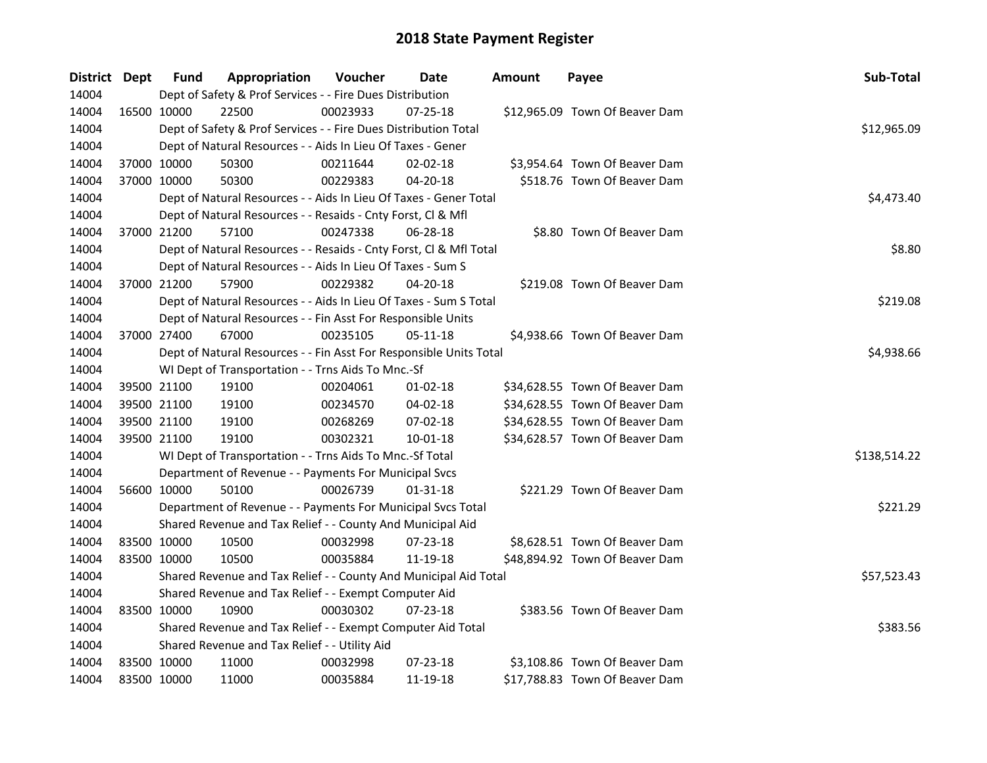| District Dept |             | <b>Fund</b> | Appropriation                                                      | Voucher  | Date           | Amount | Payee                          | Sub-Total    |
|---------------|-------------|-------------|--------------------------------------------------------------------|----------|----------------|--------|--------------------------------|--------------|
| 14004         |             |             | Dept of Safety & Prof Services - - Fire Dues Distribution          |          |                |        |                                |              |
| 14004         | 16500 10000 |             | 22500                                                              | 00023933 | 07-25-18       |        | \$12,965.09 Town Of Beaver Dam |              |
| 14004         |             |             | Dept of Safety & Prof Services - - Fire Dues Distribution Total    |          |                |        |                                | \$12,965.09  |
| 14004         |             |             | Dept of Natural Resources - - Aids In Lieu Of Taxes - Gener        |          |                |        |                                |              |
| 14004         |             | 37000 10000 | 50300                                                              | 00211644 | $02 - 02 - 18$ |        | \$3,954.64 Town Of Beaver Dam  |              |
| 14004         |             | 37000 10000 | 50300                                                              | 00229383 | $04 - 20 - 18$ |        | \$518.76 Town Of Beaver Dam    |              |
| 14004         |             |             | Dept of Natural Resources - - Aids In Lieu Of Taxes - Gener Total  |          |                |        |                                | \$4,473.40   |
| 14004         |             |             | Dept of Natural Resources - - Resaids - Cnty Forst, Cl & Mfl       |          |                |        |                                |              |
| 14004         |             | 37000 21200 | 57100                                                              | 00247338 | 06-28-18       |        | \$8.80 Town Of Beaver Dam      |              |
| 14004         |             |             | Dept of Natural Resources - - Resaids - Cnty Forst, Cl & Mfl Total |          |                |        |                                | \$8.80       |
| 14004         |             |             | Dept of Natural Resources - - Aids In Lieu Of Taxes - Sum S        |          |                |        |                                |              |
| 14004         |             | 37000 21200 | 57900                                                              | 00229382 | 04-20-18       |        | \$219.08 Town Of Beaver Dam    |              |
| 14004         |             |             | Dept of Natural Resources - - Aids In Lieu Of Taxes - Sum S Total  |          |                |        |                                | \$219.08     |
| 14004         |             |             | Dept of Natural Resources - - Fin Asst For Responsible Units       |          |                |        |                                |              |
| 14004         | 37000 27400 |             | 67000                                                              | 00235105 | 05-11-18       |        | \$4,938.66 Town Of Beaver Dam  |              |
| 14004         |             |             | Dept of Natural Resources - - Fin Asst For Responsible Units Total |          | \$4,938.66     |        |                                |              |
| 14004         |             |             | WI Dept of Transportation - - Trns Aids To Mnc.-Sf                 |          |                |        |                                |              |
| 14004         |             | 39500 21100 | 19100                                                              | 00204061 | $01-02-18$     |        | \$34,628.55 Town Of Beaver Dam |              |
| 14004         |             | 39500 21100 | 19100                                                              | 00234570 | $04 - 02 - 18$ |        | \$34,628.55 Town Of Beaver Dam |              |
| 14004         |             | 39500 21100 | 19100                                                              | 00268269 | 07-02-18       |        | \$34,628.55 Town Of Beaver Dam |              |
| 14004         |             | 39500 21100 | 19100                                                              | 00302321 | $10 - 01 - 18$ |        | \$34,628.57 Town Of Beaver Dam |              |
| 14004         |             |             | WI Dept of Transportation - - Trns Aids To Mnc.-Sf Total           |          |                |        |                                | \$138,514.22 |
| 14004         |             |             | Department of Revenue - - Payments For Municipal Svcs              |          |                |        |                                |              |
| 14004         | 56600 10000 |             | 50100                                                              | 00026739 | 01-31-18       |        | \$221.29 Town Of Beaver Dam    |              |
| 14004         |             |             | Department of Revenue - - Payments For Municipal Svcs Total        |          |                |        |                                | \$221.29     |
| 14004         |             |             | Shared Revenue and Tax Relief - - County And Municipal Aid         |          |                |        |                                |              |
| 14004         |             | 83500 10000 | 10500                                                              | 00032998 | 07-23-18       |        | \$8,628.51 Town Of Beaver Dam  |              |
| 14004         |             | 83500 10000 | 10500                                                              | 00035884 | 11-19-18       |        | \$48,894.92 Town Of Beaver Dam |              |
| 14004         |             |             | Shared Revenue and Tax Relief - - County And Municipal Aid Total   |          |                |        |                                | \$57,523.43  |
| 14004         |             |             | Shared Revenue and Tax Relief - - Exempt Computer Aid              |          |                |        |                                |              |
| 14004         |             | 83500 10000 | 10900                                                              | 00030302 | 07-23-18       |        | \$383.56 Town Of Beaver Dam    |              |
| 14004         |             |             | Shared Revenue and Tax Relief - - Exempt Computer Aid Total        |          |                |        |                                | \$383.56     |
| 14004         |             |             | Shared Revenue and Tax Relief - - Utility Aid                      |          |                |        |                                |              |
| 14004         |             | 83500 10000 | 11000                                                              | 00032998 | 07-23-18       |        | \$3,108.86 Town Of Beaver Dam  |              |
| 14004         | 83500 10000 |             | 11000                                                              | 00035884 | 11-19-18       |        | \$17,788.83 Town Of Beaver Dam |              |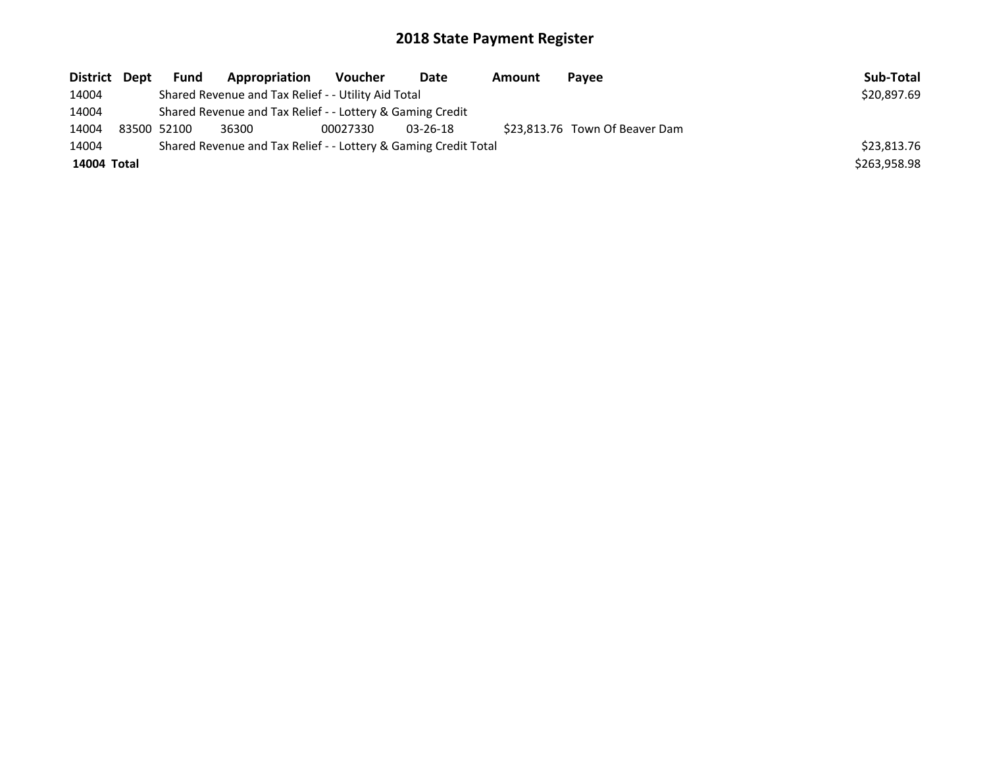| District Dept |                                                                 | <b>Fund</b>                                               | Appropriation                                       | Voucher  | Date           | Amount | Payee                          | Sub-Total    |
|---------------|-----------------------------------------------------------------|-----------------------------------------------------------|-----------------------------------------------------|----------|----------------|--------|--------------------------------|--------------|
| 14004         |                                                                 |                                                           | Shared Revenue and Tax Relief - - Utility Aid Total |          |                |        |                                | \$20,897.69  |
| 14004         |                                                                 | Shared Revenue and Tax Relief - - Lottery & Gaming Credit |                                                     |          |                |        |                                |              |
| 14004         |                                                                 | 83500 52100                                               | 36300                                               | 00027330 | $03 - 26 - 18$ |        | \$23,813.76 Town Of Beaver Dam |              |
| 14004         | Shared Revenue and Tax Relief - - Lottery & Gaming Credit Total |                                                           | \$23,813.76                                         |          |                |        |                                |              |
| 14004 Total   |                                                                 |                                                           |                                                     |          |                |        |                                | \$263,958.98 |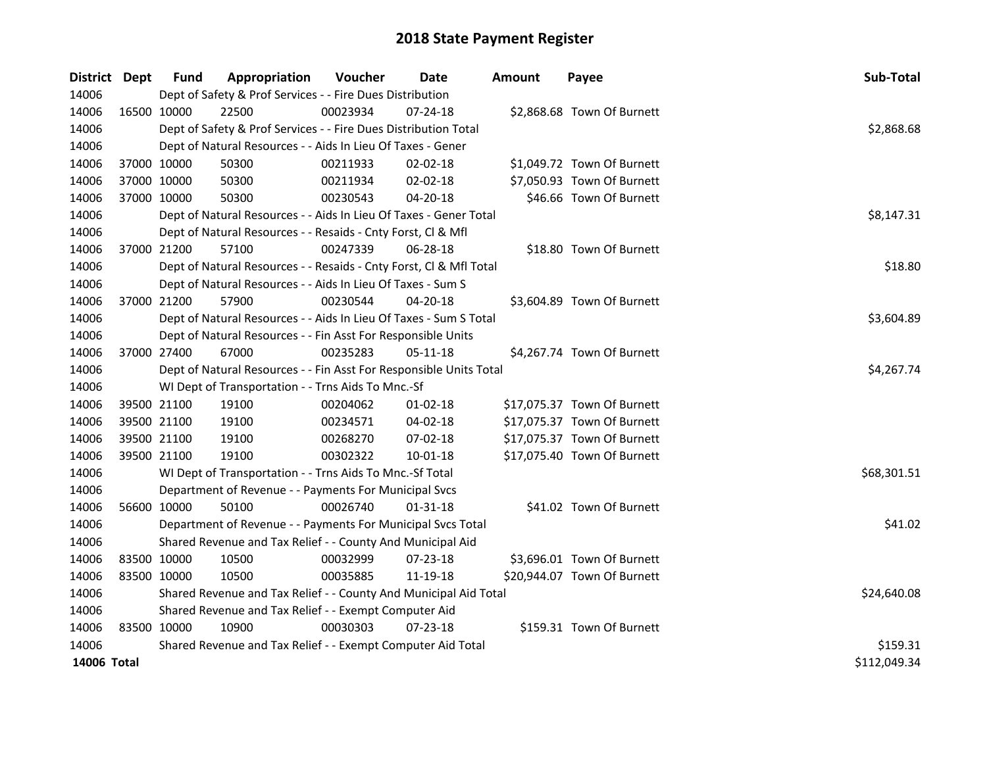| <b>District</b> | Dept         | <b>Fund</b> | Appropriation                                                      | Voucher     | <b>Date</b>    | <b>Amount</b> | Payee                       | Sub-Total   |
|-----------------|--------------|-------------|--------------------------------------------------------------------|-------------|----------------|---------------|-----------------------------|-------------|
| 14006           |              |             | Dept of Safety & Prof Services - - Fire Dues Distribution          |             |                |               |                             |             |
| 14006           |              | 16500 10000 | 22500                                                              | 00023934    | $07 - 24 - 18$ |               | \$2,868.68 Town Of Burnett  |             |
| 14006           |              |             | Dept of Safety & Prof Services - - Fire Dues Distribution Total    |             |                |               |                             | \$2,868.68  |
| 14006           |              |             | Dept of Natural Resources - - Aids In Lieu Of Taxes - Gener        |             |                |               |                             |             |
| 14006           |              | 37000 10000 | 50300                                                              | 00211933    | 02-02-18       |               | \$1,049.72 Town Of Burnett  |             |
| 14006           |              | 37000 10000 | 50300                                                              | 00211934    | 02-02-18       |               | \$7,050.93 Town Of Burnett  |             |
| 14006           |              | 37000 10000 | 50300                                                              | 00230543    | 04-20-18       |               | \$46.66 Town Of Burnett     |             |
| 14006           |              |             | Dept of Natural Resources - - Aids In Lieu Of Taxes - Gener Total  |             |                |               |                             | \$8,147.31  |
| 14006           |              |             | Dept of Natural Resources - - Resaids - Cnty Forst, Cl & Mfl       |             |                |               |                             |             |
| 14006           |              | 37000 21200 | 57100                                                              | 00247339    | 06-28-18       |               | \$18.80 Town Of Burnett     |             |
| 14006           |              |             | Dept of Natural Resources - - Resaids - Cnty Forst, Cl & Mfl Total | \$18.80     |                |               |                             |             |
| 14006           |              |             | Dept of Natural Resources - - Aids In Lieu Of Taxes - Sum S        |             |                |               |                             |             |
| 14006           |              | 37000 21200 | 57900                                                              | 00230544    | 04-20-18       |               | \$3,604.89 Town Of Burnett  |             |
| 14006           |              |             | Dept of Natural Resources - - Aids In Lieu Of Taxes - Sum S Total  | \$3,604.89  |                |               |                             |             |
| 14006           |              |             | Dept of Natural Resources - - Fin Asst For Responsible Units       |             |                |               |                             |             |
| 14006           |              | 37000 27400 | 67000                                                              | 00235283    | 05-11-18       |               | \$4,267.74 Town Of Burnett  |             |
| 14006           |              |             | Dept of Natural Resources - - Fin Asst For Responsible Units Total | \$4,267.74  |                |               |                             |             |
| 14006           |              |             | WI Dept of Transportation - - Trns Aids To Mnc.-Sf                 |             |                |               |                             |             |
| 14006           |              | 39500 21100 | 19100                                                              | 00204062    | $01 - 02 - 18$ |               | \$17,075.37 Town Of Burnett |             |
| 14006           |              | 39500 21100 | 19100                                                              | 00234571    | 04-02-18       |               | \$17,075.37 Town Of Burnett |             |
| 14006           |              | 39500 21100 | 19100                                                              | 00268270    | 07-02-18       |               | \$17,075.37 Town Of Burnett |             |
| 14006           |              | 39500 21100 | 19100                                                              | 00302322    | 10-01-18       |               | \$17,075.40 Town Of Burnett |             |
| 14006           |              |             | WI Dept of Transportation - - Trns Aids To Mnc.-Sf Total           |             |                |               |                             | \$68,301.51 |
| 14006           |              |             | Department of Revenue - - Payments For Municipal Svcs              |             |                |               |                             |             |
| 14006           |              | 56600 10000 | 50100                                                              | 00026740    | $01 - 31 - 18$ |               | \$41.02 Town Of Burnett     |             |
| 14006           |              |             | Department of Revenue - - Payments For Municipal Svcs Total        |             |                |               |                             | \$41.02     |
| 14006           |              |             | Shared Revenue and Tax Relief - - County And Municipal Aid         |             |                |               |                             |             |
| 14006           |              | 83500 10000 | 10500                                                              | 00032999    | 07-23-18       |               | \$3,696.01 Town Of Burnett  |             |
| 14006           |              | 83500 10000 | 10500                                                              | 00035885    | 11-19-18       |               | \$20,944.07 Town Of Burnett |             |
| 14006           |              |             | Shared Revenue and Tax Relief - - County And Municipal Aid Total   | \$24,640.08 |                |               |                             |             |
| 14006           |              |             | Shared Revenue and Tax Relief - - Exempt Computer Aid              |             |                |               |                             |             |
| 14006           |              | 83500 10000 | 10900                                                              | 00030303    | 07-23-18       |               | \$159.31 Town Of Burnett    |             |
| 14006           |              |             | Shared Revenue and Tax Relief - - Exempt Computer Aid Total        |             |                |               |                             | \$159.31    |
| 14006 Total     | \$112,049.34 |             |                                                                    |             |                |               |                             |             |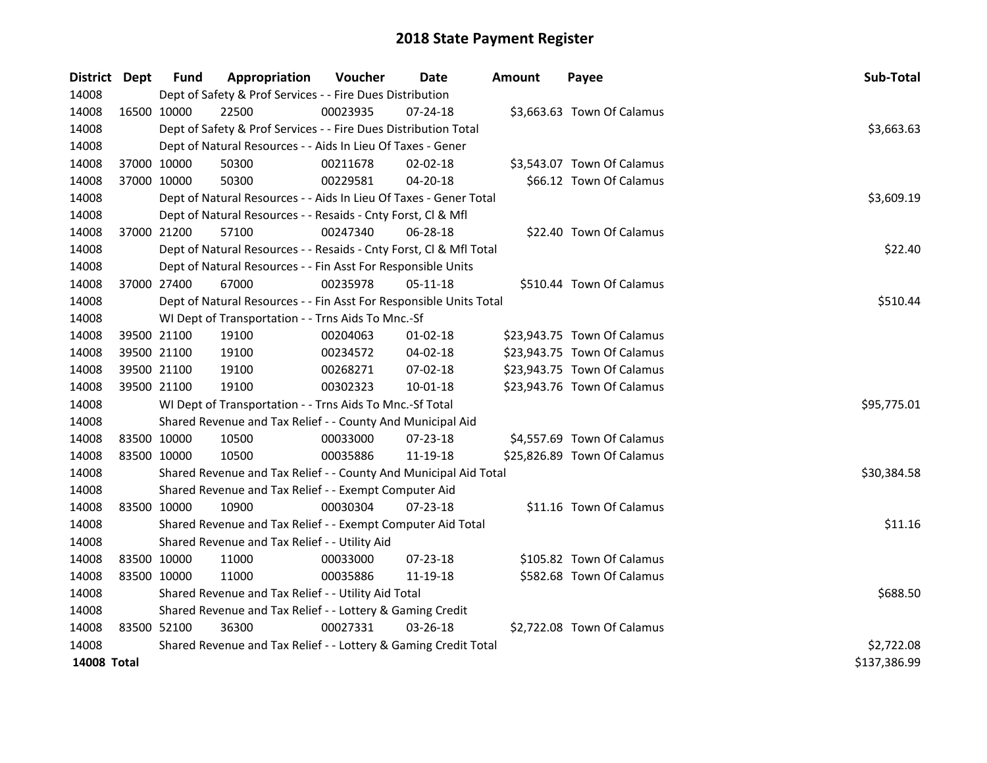| <b>District</b> | Dept        | <b>Fund</b> | Appropriation                                                      | Voucher  | Date           | Amount | Payee                       | Sub-Total    |
|-----------------|-------------|-------------|--------------------------------------------------------------------|----------|----------------|--------|-----------------------------|--------------|
| 14008           |             |             | Dept of Safety & Prof Services - - Fire Dues Distribution          |          |                |        |                             |              |
| 14008           |             | 16500 10000 | 22500                                                              | 00023935 | $07 - 24 - 18$ |        | \$3,663.63 Town Of Calamus  |              |
| 14008           |             |             | Dept of Safety & Prof Services - - Fire Dues Distribution Total    |          |                |        |                             | \$3,663.63   |
| 14008           |             |             | Dept of Natural Resources - - Aids In Lieu Of Taxes - Gener        |          |                |        |                             |              |
| 14008           |             | 37000 10000 | 50300                                                              | 00211678 | $02 - 02 - 18$ |        | \$3,543.07 Town Of Calamus  |              |
| 14008           |             | 37000 10000 | 50300                                                              | 00229581 | $04 - 20 - 18$ |        | \$66.12 Town Of Calamus     |              |
| 14008           |             |             | Dept of Natural Resources - - Aids In Lieu Of Taxes - Gener Total  |          |                |        |                             | \$3,609.19   |
| 14008           |             |             | Dept of Natural Resources - - Resaids - Cnty Forst, Cl & Mfl       |          |                |        |                             |              |
| 14008           |             | 37000 21200 | 57100                                                              | 00247340 | 06-28-18       |        | \$22.40 Town Of Calamus     |              |
| 14008           |             |             | Dept of Natural Resources - - Resaids - Cnty Forst, Cl & Mfl Total |          |                |        |                             | \$22.40      |
| 14008           |             |             | Dept of Natural Resources - - Fin Asst For Responsible Units       |          |                |        |                             |              |
| 14008           |             | 37000 27400 | 67000                                                              | 00235978 | 05-11-18       |        | \$510.44 Town Of Calamus    |              |
| 14008           |             |             | Dept of Natural Resources - - Fin Asst For Responsible Units Total | \$510.44 |                |        |                             |              |
| 14008           |             |             | WI Dept of Transportation - - Trns Aids To Mnc.-Sf                 |          |                |        |                             |              |
| 14008           |             | 39500 21100 | 19100                                                              | 00204063 | $01 - 02 - 18$ |        | \$23,943.75 Town Of Calamus |              |
| 14008           |             | 39500 21100 | 19100                                                              | 00234572 | 04-02-18       |        | \$23,943.75 Town Of Calamus |              |
| 14008           |             | 39500 21100 | 19100                                                              | 00268271 | 07-02-18       |        | \$23,943.75 Town Of Calamus |              |
| 14008           |             | 39500 21100 | 19100                                                              | 00302323 | 10-01-18       |        | \$23,943.76 Town Of Calamus |              |
| 14008           |             |             | WI Dept of Transportation - - Trns Aids To Mnc.-Sf Total           |          |                |        |                             | \$95,775.01  |
| 14008           |             |             | Shared Revenue and Tax Relief - - County And Municipal Aid         |          |                |        |                             |              |
| 14008           |             | 83500 10000 | 10500                                                              | 00033000 | 07-23-18       |        | \$4,557.69 Town Of Calamus  |              |
| 14008           | 83500 10000 |             | 10500                                                              | 00035886 | 11-19-18       |        | \$25,826.89 Town Of Calamus |              |
| 14008           |             |             | Shared Revenue and Tax Relief - - County And Municipal Aid Total   |          |                |        |                             | \$30,384.58  |
| 14008           |             |             | Shared Revenue and Tax Relief - - Exempt Computer Aid              |          |                |        |                             |              |
| 14008           |             | 83500 10000 | 10900                                                              | 00030304 | 07-23-18       |        | \$11.16 Town Of Calamus     |              |
| 14008           |             |             | Shared Revenue and Tax Relief - - Exempt Computer Aid Total        |          |                |        |                             | \$11.16      |
| 14008           |             |             | Shared Revenue and Tax Relief - - Utility Aid                      |          |                |        |                             |              |
| 14008           | 83500 10000 |             | 11000                                                              | 00033000 | 07-23-18       |        | \$105.82 Town Of Calamus    |              |
| 14008           | 83500 10000 |             | 11000                                                              | 00035886 | 11-19-18       |        | \$582.68 Town Of Calamus    |              |
| 14008           |             |             | Shared Revenue and Tax Relief - - Utility Aid Total                |          |                |        |                             | \$688.50     |
| 14008           |             |             | Shared Revenue and Tax Relief - - Lottery & Gaming Credit          |          |                |        |                             |              |
| 14008           | 83500 52100 |             | 36300                                                              | 00027331 | 03-26-18       |        | \$2,722.08 Town Of Calamus  |              |
| 14008           |             |             | Shared Revenue and Tax Relief - - Lottery & Gaming Credit Total    |          |                |        |                             | \$2,722.08   |
| 14008 Total     |             |             |                                                                    |          |                |        |                             | \$137,386.99 |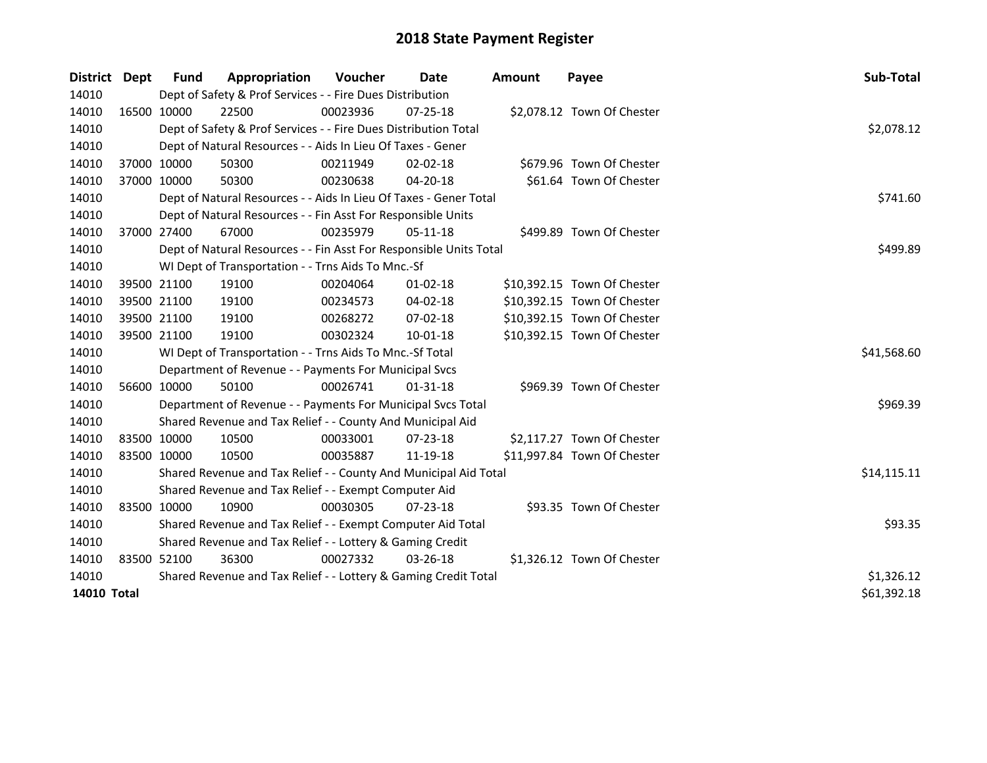| District    | <b>Dept</b> | <b>Fund</b>                                                     | Appropriation                                                      | <b>Voucher</b> | Date           | Amount | Payee                       | Sub-Total   |
|-------------|-------------|-----------------------------------------------------------------|--------------------------------------------------------------------|----------------|----------------|--------|-----------------------------|-------------|
| 14010       |             |                                                                 | Dept of Safety & Prof Services - - Fire Dues Distribution          |                |                |        |                             |             |
| 14010       | 16500 10000 |                                                                 | 22500                                                              | 00023936       | $07 - 25 - 18$ |        | \$2,078.12 Town Of Chester  |             |
| 14010       |             |                                                                 | Dept of Safety & Prof Services - - Fire Dues Distribution Total    |                |                |        |                             | \$2,078.12  |
| 14010       |             |                                                                 | Dept of Natural Resources - - Aids In Lieu Of Taxes - Gener        |                |                |        |                             |             |
| 14010       |             | 37000 10000                                                     | 50300                                                              | 00211949       | $02 - 02 - 18$ |        | \$679.96 Town Of Chester    |             |
| 14010       | 37000 10000 |                                                                 | 50300                                                              | 00230638       | 04-20-18       |        | \$61.64 Town Of Chester     |             |
| 14010       |             |                                                                 | Dept of Natural Resources - - Aids In Lieu Of Taxes - Gener Total  |                |                |        |                             | \$741.60    |
| 14010       |             |                                                                 | Dept of Natural Resources - - Fin Asst For Responsible Units       |                |                |        |                             |             |
| 14010       | 37000 27400 |                                                                 | 67000                                                              | 00235979       | 05-11-18       |        | \$499.89 Town Of Chester    |             |
| 14010       |             |                                                                 | Dept of Natural Resources - - Fin Asst For Responsible Units Total | \$499.89       |                |        |                             |             |
| 14010       |             |                                                                 | WI Dept of Transportation - - Trns Aids To Mnc.-Sf                 |                |                |        |                             |             |
| 14010       | 39500 21100 |                                                                 | 19100                                                              | 00204064       | $01 - 02 - 18$ |        | \$10,392.15 Town Of Chester |             |
| 14010       | 39500 21100 |                                                                 | 19100                                                              | 00234573       | $04 - 02 - 18$ |        | \$10,392.15 Town Of Chester |             |
| 14010       | 39500 21100 |                                                                 | 19100                                                              | 00268272       | 07-02-18       |        | \$10,392.15 Town Of Chester |             |
| 14010       | 39500 21100 |                                                                 | 19100                                                              | 00302324       | $10 - 01 - 18$ |        | \$10,392.15 Town Of Chester |             |
| 14010       |             |                                                                 | WI Dept of Transportation - - Trns Aids To Mnc.-Sf Total           |                |                |        |                             | \$41,568.60 |
| 14010       |             |                                                                 | Department of Revenue - - Payments For Municipal Svcs              |                |                |        |                             |             |
| 14010       | 56600 10000 |                                                                 | 50100                                                              | 00026741       | $01-31-18$     |        | \$969.39 Town Of Chester    |             |
| 14010       |             |                                                                 | Department of Revenue - - Payments For Municipal Svcs Total        |                |                |        |                             | \$969.39    |
| 14010       |             |                                                                 | Shared Revenue and Tax Relief - - County And Municipal Aid         |                |                |        |                             |             |
| 14010       |             | 83500 10000                                                     | 10500                                                              | 00033001       | 07-23-18       |        | \$2,117.27 Town Of Chester  |             |
| 14010       | 83500 10000 |                                                                 | 10500                                                              | 00035887       | 11-19-18       |        | \$11,997.84 Town Of Chester |             |
| 14010       |             |                                                                 | Shared Revenue and Tax Relief - - County And Municipal Aid Total   |                |                |        |                             | \$14,115.11 |
| 14010       |             |                                                                 | Shared Revenue and Tax Relief - - Exempt Computer Aid              |                |                |        |                             |             |
| 14010       | 83500 10000 |                                                                 | 10900                                                              | 00030305       | $07 - 23 - 18$ |        | \$93.35 Town Of Chester     |             |
| 14010       |             |                                                                 | Shared Revenue and Tax Relief - - Exempt Computer Aid Total        | \$93.35        |                |        |                             |             |
| 14010       |             | Shared Revenue and Tax Relief - - Lottery & Gaming Credit       |                                                                    |                |                |        |                             |             |
| 14010       |             | 83500 52100                                                     | 36300                                                              | 00027332       | 03-26-18       |        | \$1,326.12 Town Of Chester  |             |
| 14010       |             | Shared Revenue and Tax Relief - - Lottery & Gaming Credit Total | \$1,326.12                                                         |                |                |        |                             |             |
| 14010 Total |             |                                                                 |                                                                    |                |                |        |                             | \$61,392.18 |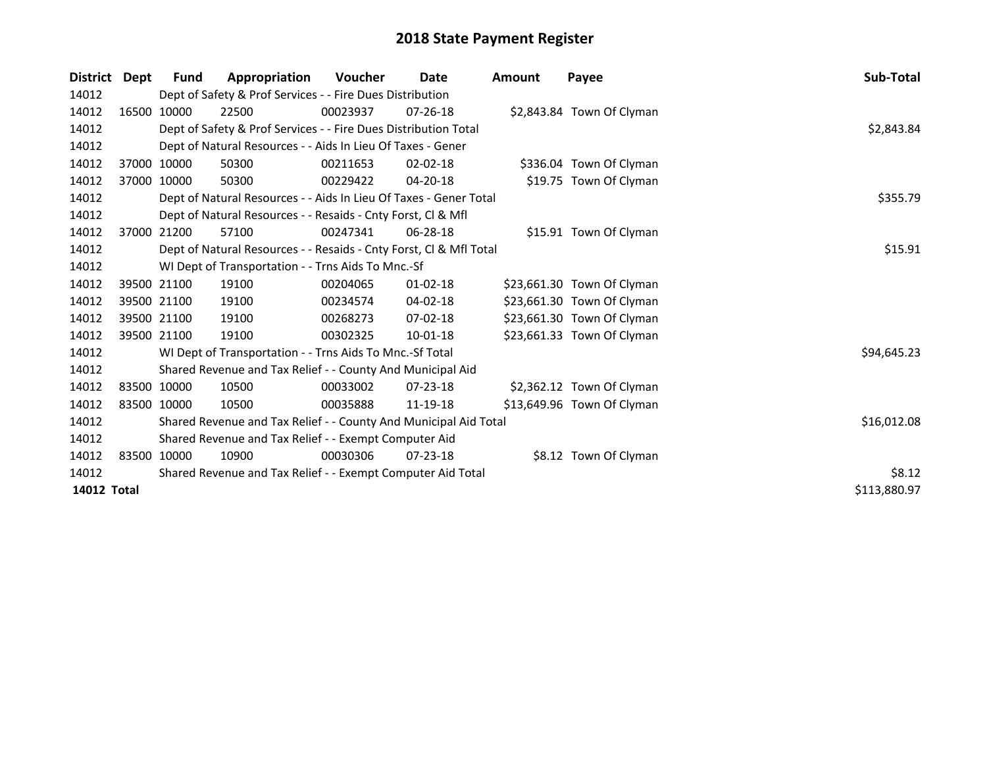| <b>District</b>    | Dept        | <b>Fund</b> | Appropriation                                                      | <b>Voucher</b> | Date           | <b>Amount</b> | Payee                      | Sub-Total    |
|--------------------|-------------|-------------|--------------------------------------------------------------------|----------------|----------------|---------------|----------------------------|--------------|
| 14012              |             |             | Dept of Safety & Prof Services - - Fire Dues Distribution          |                |                |               |                            |              |
| 14012              |             | 16500 10000 | 22500                                                              | 00023937       | $07 - 26 - 18$ |               | \$2,843.84 Town Of Clyman  |              |
| 14012              |             |             | Dept of Safety & Prof Services - - Fire Dues Distribution Total    |                |                |               |                            | \$2,843.84   |
| 14012              |             |             | Dept of Natural Resources - - Aids In Lieu Of Taxes - Gener        |                |                |               |                            |              |
| 14012              |             | 37000 10000 | 50300                                                              | 00211653       | $02 - 02 - 18$ |               | \$336.04 Town Of Clyman    |              |
| 14012              |             | 37000 10000 | 50300                                                              | 00229422       | 04-20-18       |               | \$19.75 Town Of Clyman     |              |
| 14012              |             |             | Dept of Natural Resources - - Aids In Lieu Of Taxes - Gener Total  |                |                |               |                            | \$355.79     |
| 14012              |             |             | Dept of Natural Resources - - Resaids - Cnty Forst, CI & Mfl       |                |                |               |                            |              |
| 14012              |             | 37000 21200 | 57100                                                              | 00247341       | 06-28-18       |               | \$15.91 Town Of Clyman     |              |
| 14012              |             |             | Dept of Natural Resources - - Resaids - Cnty Forst, Cl & Mfl Total | \$15.91        |                |               |                            |              |
| 14012              |             |             | WI Dept of Transportation - - Trns Aids To Mnc.-Sf                 |                |                |               |                            |              |
| 14012              |             | 39500 21100 | 19100                                                              | 00204065       | 01-02-18       |               | \$23,661.30 Town Of Clyman |              |
| 14012              |             | 39500 21100 | 19100                                                              | 00234574       | 04-02-18       |               | \$23,661.30 Town Of Clyman |              |
| 14012              |             | 39500 21100 | 19100                                                              | 00268273       | 07-02-18       |               | \$23,661.30 Town Of Clyman |              |
| 14012              | 39500 21100 |             | 19100                                                              | 00302325       | 10-01-18       |               | \$23,661.33 Town Of Clyman |              |
| 14012              |             |             | WI Dept of Transportation - - Trns Aids To Mnc.-Sf Total           |                |                |               |                            | \$94,645.23  |
| 14012              |             |             | Shared Revenue and Tax Relief - - County And Municipal Aid         |                |                |               |                            |              |
| 14012              |             | 83500 10000 | 10500                                                              | 00033002       | $07 - 23 - 18$ |               | \$2,362.12 Town Of Clyman  |              |
| 14012              |             | 83500 10000 | 10500                                                              | 00035888       | 11-19-18       |               | \$13,649.96 Town Of Clyman |              |
| 14012              |             |             | Shared Revenue and Tax Relief - - County And Municipal Aid Total   | \$16,012.08    |                |               |                            |              |
| 14012              |             |             | Shared Revenue and Tax Relief - - Exempt Computer Aid              |                |                |               |                            |              |
| 14012              |             | 83500 10000 | 10900                                                              | 00030306       | $07 - 23 - 18$ |               | \$8.12 Town Of Clyman      |              |
| 14012              |             |             | Shared Revenue and Tax Relief - - Exempt Computer Aid Total        | \$8.12         |                |               |                            |              |
| <b>14012 Total</b> |             |             |                                                                    |                |                |               |                            | \$113,880.97 |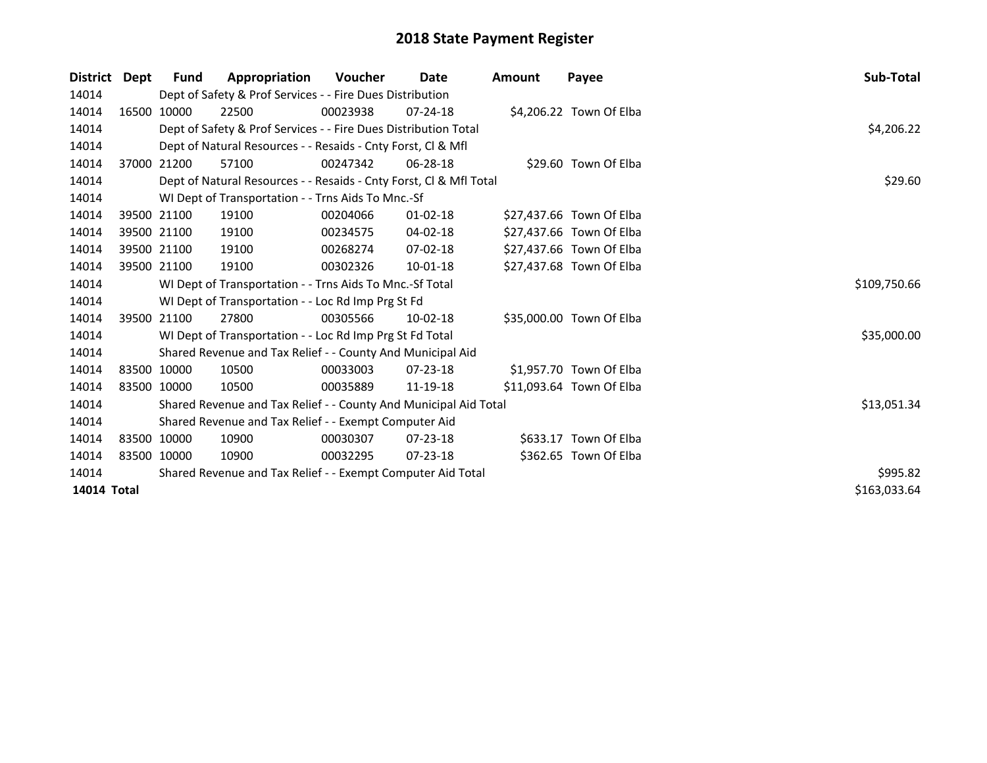| <b>District</b> | Dept | <b>Fund</b>                                                 | Appropriation                                                      | <b>Voucher</b> | Date           | <b>Amount</b> | Payee                    | Sub-Total    |
|-----------------|------|-------------------------------------------------------------|--------------------------------------------------------------------|----------------|----------------|---------------|--------------------------|--------------|
| 14014           |      |                                                             | Dept of Safety & Prof Services - - Fire Dues Distribution          |                |                |               |                          |              |
| 14014           |      | 16500 10000                                                 | 22500                                                              | 00023938       | 07-24-18       |               | \$4,206.22 Town Of Elba  |              |
| 14014           |      |                                                             | Dept of Safety & Prof Services - - Fire Dues Distribution Total    |                |                |               |                          | \$4,206.22   |
| 14014           |      |                                                             | Dept of Natural Resources - - Resaids - Cnty Forst, CI & Mfl       |                |                |               |                          |              |
| 14014           |      | 37000 21200                                                 | 57100                                                              | 00247342       | $06 - 28 - 18$ |               | \$29.60 Town Of Elba     |              |
| 14014           |      |                                                             | Dept of Natural Resources - - Resaids - Cnty Forst, Cl & Mfl Total |                |                |               |                          | \$29.60      |
| 14014           |      |                                                             | WI Dept of Transportation - - Trns Aids To Mnc.-Sf                 |                |                |               |                          |              |
| 14014           |      | 39500 21100                                                 | 19100                                                              | 00204066       | $01 - 02 - 18$ |               | \$27,437.66 Town Of Elba |              |
| 14014           |      | 39500 21100                                                 | 19100                                                              | 00234575       | 04-02-18       |               | \$27,437.66 Town Of Elba |              |
| 14014           |      | 39500 21100                                                 | 19100                                                              | 00268274       | 07-02-18       |               | \$27,437.66 Town Of Elba |              |
| 14014           |      | 39500 21100                                                 | 19100                                                              | 00302326       | $10-01-18$     |               | \$27,437.68 Town Of Elba |              |
| 14014           |      |                                                             | WI Dept of Transportation - - Trns Aids To Mnc.-Sf Total           | \$109,750.66   |                |               |                          |              |
| 14014           |      |                                                             | WI Dept of Transportation - - Loc Rd Imp Prg St Fd                 |                |                |               |                          |              |
| 14014           |      | 39500 21100                                                 | 27800                                                              | 00305566       | $10-02-18$     |               | \$35,000.00 Town Of Elba |              |
| 14014           |      |                                                             | WI Dept of Transportation - - Loc Rd Imp Prg St Fd Total           |                |                |               |                          | \$35,000.00  |
| 14014           |      |                                                             | Shared Revenue and Tax Relief - - County And Municipal Aid         |                |                |               |                          |              |
| 14014           |      | 83500 10000                                                 | 10500                                                              | 00033003       | $07 - 23 - 18$ |               | \$1,957.70 Town Of Elba  |              |
| 14014           |      | 83500 10000                                                 | 10500                                                              | 00035889       | 11-19-18       |               | \$11,093.64 Town Of Elba |              |
| 14014           |      |                                                             | Shared Revenue and Tax Relief - - County And Municipal Aid Total   |                |                |               |                          | \$13,051.34  |
| 14014           |      |                                                             | Shared Revenue and Tax Relief - - Exempt Computer Aid              |                |                |               |                          |              |
| 14014           |      | 83500 10000                                                 | 10900                                                              | 00030307       | 07-23-18       |               | \$633.17 Town Of Elba    |              |
| 14014           |      | 83500 10000                                                 | 10900                                                              | 00032295       | $07 - 23 - 18$ |               | \$362.65 Town Of Elba    |              |
| 14014           |      | Shared Revenue and Tax Relief - - Exempt Computer Aid Total | \$995.82                                                           |                |                |               |                          |              |
| 14014 Total     |      |                                                             |                                                                    |                |                |               |                          | \$163,033.64 |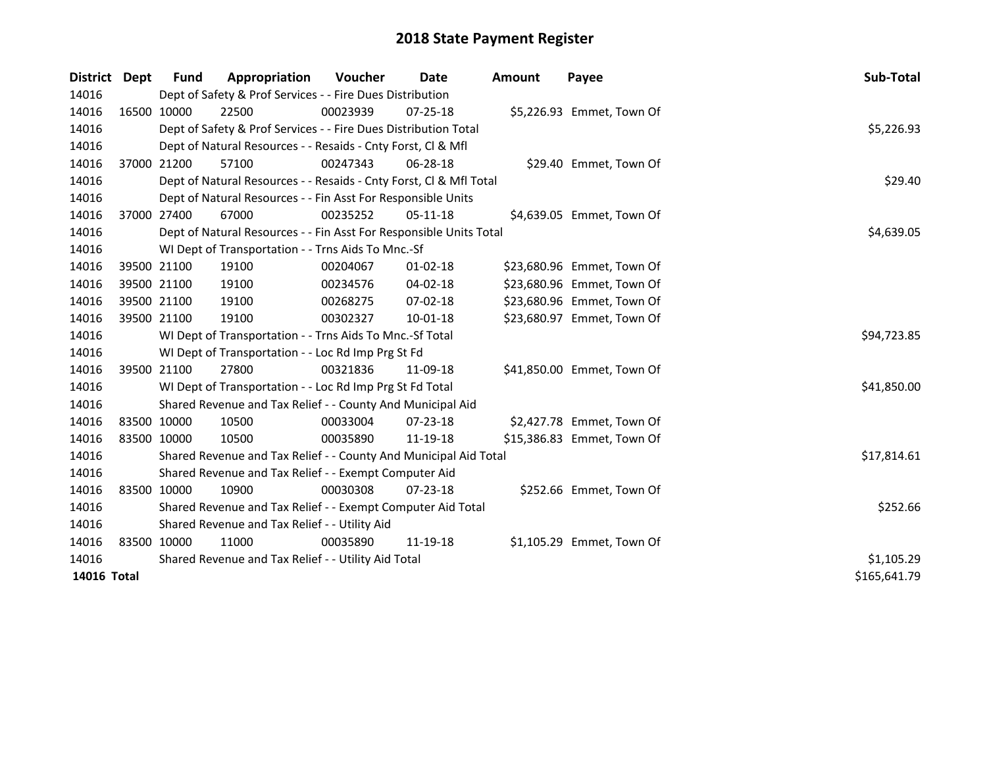| <b>District</b> | <b>Dept</b> | <b>Fund</b> | Appropriation                                                      | Voucher    | Date           | <b>Amount</b> | Payee                      | Sub-Total    |
|-----------------|-------------|-------------|--------------------------------------------------------------------|------------|----------------|---------------|----------------------------|--------------|
| 14016           |             |             | Dept of Safety & Prof Services - - Fire Dues Distribution          |            |                |               |                            |              |
| 14016           | 16500 10000 |             | 22500                                                              | 00023939   | $07 - 25 - 18$ |               | \$5,226.93 Emmet, Town Of  |              |
| 14016           |             |             | Dept of Safety & Prof Services - - Fire Dues Distribution Total    |            |                |               |                            | \$5,226.93   |
| 14016           |             |             | Dept of Natural Resources - - Resaids - Cnty Forst, Cl & Mfl       |            |                |               |                            |              |
| 14016           |             | 37000 21200 | 57100                                                              | 00247343   | 06-28-18       |               | \$29.40 Emmet, Town Of     |              |
| 14016           |             |             | Dept of Natural Resources - - Resaids - Cnty Forst, Cl & Mfl Total | \$29.40    |                |               |                            |              |
| 14016           |             |             | Dept of Natural Resources - - Fin Asst For Responsible Units       |            |                |               |                            |              |
| 14016           | 37000 27400 |             | 67000                                                              | 00235252   | 05-11-18       |               | \$4,639.05 Emmet, Town Of  |              |
| 14016           |             |             | Dept of Natural Resources - - Fin Asst For Responsible Units Total | \$4,639.05 |                |               |                            |              |
| 14016           |             |             | WI Dept of Transportation - - Trns Aids To Mnc.-Sf                 |            |                |               |                            |              |
| 14016           |             | 39500 21100 | 19100                                                              | 00204067   | 01-02-18       |               | \$23,680.96 Emmet, Town Of |              |
| 14016           | 39500 21100 |             | 19100                                                              | 00234576   | 04-02-18       |               | \$23,680.96 Emmet, Town Of |              |
| 14016           | 39500 21100 |             | 19100                                                              | 00268275   | $07 - 02 - 18$ |               | \$23,680.96 Emmet, Town Of |              |
| 14016           | 39500 21100 |             | 19100                                                              | 00302327   | $10 - 01 - 18$ |               | \$23,680.97 Emmet, Town Of |              |
| 14016           |             |             | WI Dept of Transportation - - Trns Aids To Mnc.-Sf Total           |            |                |               |                            | \$94,723.85  |
| 14016           |             |             | WI Dept of Transportation - - Loc Rd Imp Prg St Fd                 |            |                |               |                            |              |
| 14016           |             | 39500 21100 | 27800                                                              | 00321836   | 11-09-18       |               | \$41,850.00 Emmet, Town Of |              |
| 14016           |             |             | WI Dept of Transportation - - Loc Rd Imp Prg St Fd Total           |            |                |               |                            | \$41,850.00  |
| 14016           |             |             | Shared Revenue and Tax Relief - - County And Municipal Aid         |            |                |               |                            |              |
| 14016           | 83500 10000 |             | 10500                                                              | 00033004   | 07-23-18       |               | \$2,427.78 Emmet, Town Of  |              |
| 14016           | 83500 10000 |             | 10500                                                              | 00035890   | 11-19-18       |               | \$15,386.83 Emmet, Town Of |              |
| 14016           |             |             | Shared Revenue and Tax Relief - - County And Municipal Aid Total   |            |                |               |                            | \$17,814.61  |
| 14016           |             |             | Shared Revenue and Tax Relief - - Exempt Computer Aid              |            |                |               |                            |              |
| 14016           |             | 83500 10000 | 10900                                                              | 00030308   | $07 - 23 - 18$ |               | \$252.66 Emmet, Town Of    |              |
| 14016           |             |             | Shared Revenue and Tax Relief - - Exempt Computer Aid Total        |            |                |               |                            | \$252.66     |
| 14016           |             |             | Shared Revenue and Tax Relief - - Utility Aid                      |            |                |               |                            |              |
| 14016           |             | 83500 10000 | 11000                                                              | 00035890   | 11-19-18       |               | \$1,105.29 Emmet, Town Of  |              |
| 14016           |             |             | Shared Revenue and Tax Relief - - Utility Aid Total                | \$1,105.29 |                |               |                            |              |
| 14016 Total     |             |             |                                                                    |            |                |               |                            | \$165,641.79 |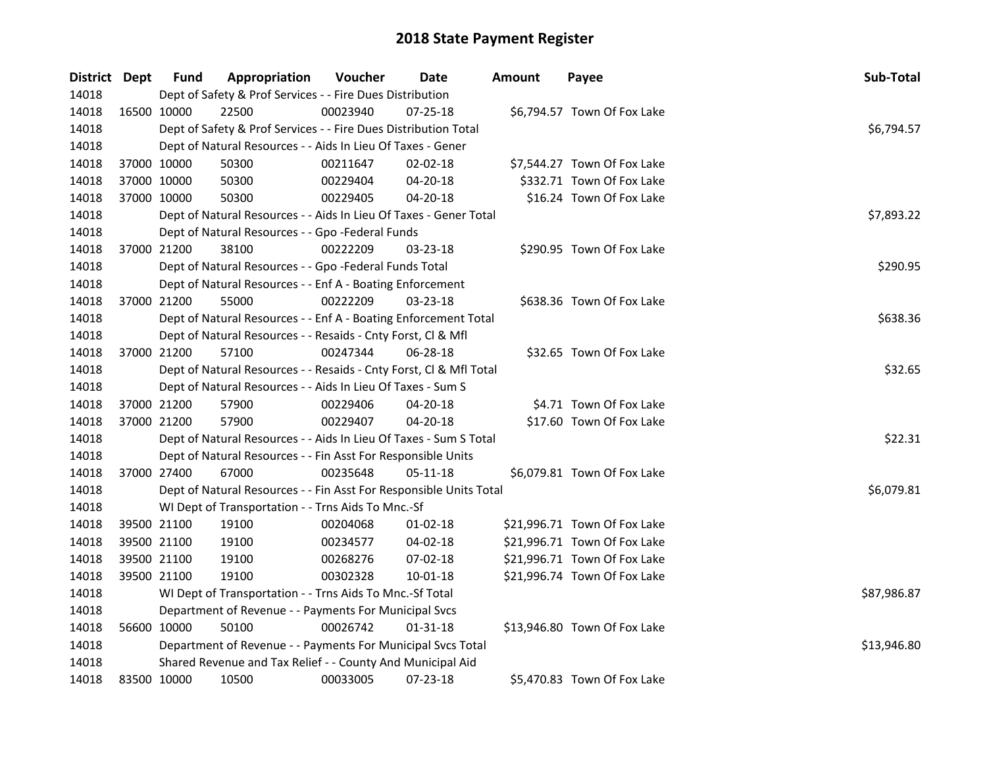| District Dept |             | <b>Fund</b> | Appropriation                                                      | Voucher    | Date           | Amount | Payee                        | Sub-Total   |
|---------------|-------------|-------------|--------------------------------------------------------------------|------------|----------------|--------|------------------------------|-------------|
| 14018         |             |             | Dept of Safety & Prof Services - - Fire Dues Distribution          |            |                |        |                              |             |
| 14018         |             | 16500 10000 | 22500                                                              | 00023940   | 07-25-18       |        | \$6,794.57 Town Of Fox Lake  |             |
| 14018         |             |             | Dept of Safety & Prof Services - - Fire Dues Distribution Total    |            |                |        |                              | \$6,794.57  |
| 14018         |             |             | Dept of Natural Resources - - Aids In Lieu Of Taxes - Gener        |            |                |        |                              |             |
| 14018         |             | 37000 10000 | 50300                                                              | 00211647   | 02-02-18       |        | \$7,544.27 Town Of Fox Lake  |             |
| 14018         |             | 37000 10000 | 50300                                                              | 00229404   | $04 - 20 - 18$ |        | \$332.71 Town Of Fox Lake    |             |
| 14018         | 37000 10000 |             | 50300                                                              | 00229405   | 04-20-18       |        | \$16.24 Town Of Fox Lake     |             |
| 14018         |             |             | Dept of Natural Resources - - Aids In Lieu Of Taxes - Gener Total  | \$7,893.22 |                |        |                              |             |
| 14018         |             |             | Dept of Natural Resources - - Gpo -Federal Funds                   |            |                |        |                              |             |
| 14018         |             | 37000 21200 | 38100                                                              | 00222209   | 03-23-18       |        | \$290.95 Town Of Fox Lake    |             |
| 14018         |             |             | Dept of Natural Resources - - Gpo -Federal Funds Total             |            |                |        |                              | \$290.95    |
| 14018         |             |             | Dept of Natural Resources - - Enf A - Boating Enforcement          |            |                |        |                              |             |
| 14018         | 37000 21200 |             | 55000                                                              | 00222209   | 03-23-18       |        | \$638.36 Town Of Fox Lake    |             |
| 14018         |             |             | Dept of Natural Resources - - Enf A - Boating Enforcement Total    |            |                |        |                              | \$638.36    |
| 14018         |             |             | Dept of Natural Resources - - Resaids - Cnty Forst, Cl & Mfl       |            |                |        |                              |             |
| 14018         |             | 37000 21200 | 57100                                                              | 00247344   | 06-28-18       |        | \$32.65 Town Of Fox Lake     |             |
| 14018         |             |             | Dept of Natural Resources - - Resaids - Cnty Forst, Cl & Mfl Total |            |                |        |                              | \$32.65     |
| 14018         |             |             | Dept of Natural Resources - - Aids In Lieu Of Taxes - Sum S        |            |                |        |                              |             |
| 14018         |             | 37000 21200 | 57900                                                              | 00229406   | 04-20-18       |        | \$4.71 Town Of Fox Lake      |             |
| 14018         | 37000 21200 |             | 57900                                                              | 00229407   | 04-20-18       |        | \$17.60 Town Of Fox Lake     |             |
| 14018         |             |             | Dept of Natural Resources - - Aids In Lieu Of Taxes - Sum S Total  |            |                |        |                              | \$22.31     |
| 14018         |             |             | Dept of Natural Resources - - Fin Asst For Responsible Units       |            |                |        |                              |             |
| 14018         | 37000 27400 |             | 67000                                                              | 00235648   | $05 - 11 - 18$ |        | \$6,079.81 Town Of Fox Lake  |             |
| 14018         |             |             | Dept of Natural Resources - - Fin Asst For Responsible Units Total |            |                |        |                              | \$6,079.81  |
| 14018         |             |             | WI Dept of Transportation - - Trns Aids To Mnc.-Sf                 |            |                |        |                              |             |
| 14018         |             | 39500 21100 | 19100                                                              | 00204068   | 01-02-18       |        | \$21,996.71 Town Of Fox Lake |             |
| 14018         |             | 39500 21100 | 19100                                                              | 00234577   | 04-02-18       |        | \$21,996.71 Town Of Fox Lake |             |
| 14018         |             | 39500 21100 | 19100                                                              | 00268276   | 07-02-18       |        | \$21,996.71 Town Of Fox Lake |             |
| 14018         | 39500 21100 |             | 19100                                                              | 00302328   | $10 - 01 - 18$ |        | \$21,996.74 Town Of Fox Lake |             |
| 14018         |             |             | WI Dept of Transportation - - Trns Aids To Mnc.-Sf Total           |            |                |        |                              | \$87,986.87 |
| 14018         |             |             | Department of Revenue - - Payments For Municipal Svcs              |            |                |        |                              |             |
| 14018         |             | 56600 10000 | 50100                                                              | 00026742   | $01 - 31 - 18$ |        | \$13,946.80 Town Of Fox Lake |             |
| 14018         |             |             | Department of Revenue - - Payments For Municipal Svcs Total        |            |                |        |                              | \$13,946.80 |
| 14018         |             |             | Shared Revenue and Tax Relief - - County And Municipal Aid         |            |                |        |                              |             |
| 14018         | 83500 10000 |             | 10500                                                              | 00033005   | 07-23-18       |        | \$5,470.83 Town Of Fox Lake  |             |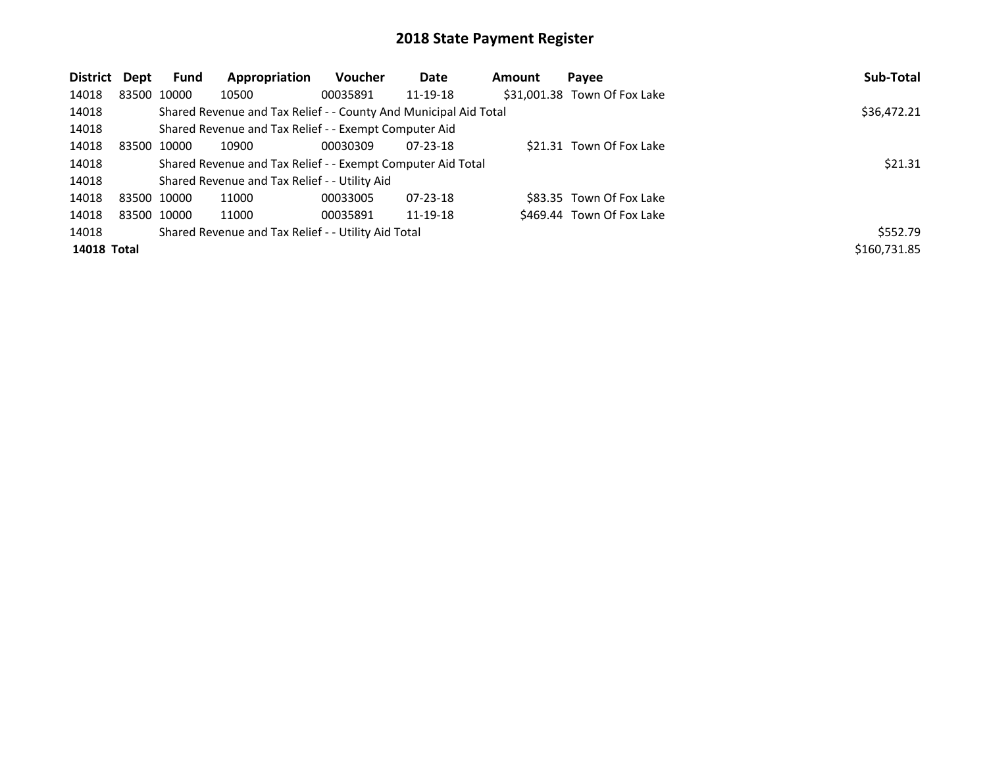| District           | Dept | Fund        | Appropriation                                                    | Voucher  | Date           | Amount | Payee                        | Sub-Total    |
|--------------------|------|-------------|------------------------------------------------------------------|----------|----------------|--------|------------------------------|--------------|
| 14018              |      | 83500 10000 | 10500                                                            | 00035891 | 11-19-18       |        | \$31,001.38 Town Of Fox Lake |              |
| 14018              |      |             | Shared Revenue and Tax Relief - - County And Municipal Aid Total |          |                |        |                              | \$36,472.21  |
| 14018              |      |             | Shared Revenue and Tax Relief - - Exempt Computer Aid            |          |                |        |                              |              |
| 14018              |      | 83500 10000 | 10900                                                            | 00030309 | 07-23-18       |        | \$21.31 Town Of Fox Lake     |              |
| 14018              |      |             | Shared Revenue and Tax Relief - - Exempt Computer Aid Total      |          |                |        |                              | \$21.31      |
| 14018              |      |             | Shared Revenue and Tax Relief - - Utility Aid                    |          |                |        |                              |              |
| 14018              |      | 83500 10000 | 11000                                                            | 00033005 | $07 - 23 - 18$ |        | \$83.35 Town Of Fox Lake     |              |
| 14018              |      | 83500 10000 | 11000                                                            | 00035891 | 11-19-18       |        | \$469.44 Town Of Fox Lake    |              |
| 14018              |      |             | Shared Revenue and Tax Relief - - Utility Aid Total              |          |                |        |                              | \$552.79     |
| <b>14018 Total</b> |      |             |                                                                  |          |                |        |                              | \$160,731.85 |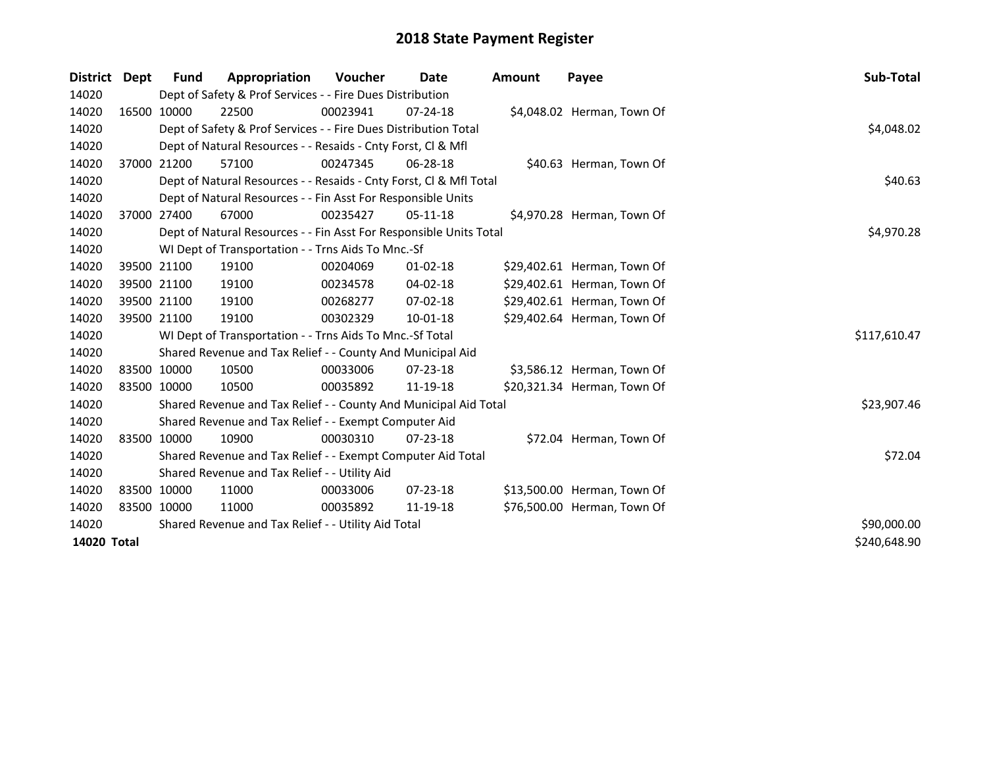| District Dept | <b>Fund</b>  | Appropriation                                                      | <b>Voucher</b> | Date           | <b>Amount</b> | Payee                       | <b>Sub-Total</b> |
|---------------|--------------|--------------------------------------------------------------------|----------------|----------------|---------------|-----------------------------|------------------|
| 14020         |              | Dept of Safety & Prof Services - - Fire Dues Distribution          |                |                |               |                             |                  |
| 14020         | 16500 10000  | 22500                                                              | 00023941       | $07 - 24 - 18$ |               | \$4,048.02 Herman, Town Of  |                  |
| 14020         |              | Dept of Safety & Prof Services - - Fire Dues Distribution Total    |                |                |               |                             | \$4,048.02       |
| 14020         |              | Dept of Natural Resources - - Resaids - Cnty Forst, CI & Mfl       |                |                |               |                             |                  |
| 14020         | 37000 21200  | 57100                                                              | 00247345       | 06-28-18       |               | \$40.63 Herman, Town Of     |                  |
| 14020         |              | Dept of Natural Resources - - Resaids - Cnty Forst, Cl & Mfl Total |                |                |               |                             | \$40.63          |
| 14020         |              | Dept of Natural Resources - - Fin Asst For Responsible Units       |                |                |               |                             |                  |
| 14020         | 37000 27400  | 67000                                                              | 00235427       | $05-11-18$     |               | \$4,970.28 Herman, Town Of  |                  |
| 14020         |              | Dept of Natural Resources - - Fin Asst For Responsible Units Total |                |                |               |                             | \$4,970.28       |
| 14020         |              | WI Dept of Transportation - - Trns Aids To Mnc.-Sf                 |                |                |               |                             |                  |
| 14020         | 39500 21100  | 19100                                                              | 00204069       | $01 - 02 - 18$ |               | \$29,402.61 Herman, Town Of |                  |
| 14020         | 39500 21100  | 19100                                                              | 00234578       | 04-02-18       |               | \$29,402.61 Herman, Town Of |                  |
| 14020         | 39500 21100  | 19100                                                              | 00268277       | 07-02-18       |               | \$29,402.61 Herman, Town Of |                  |
| 14020         | 39500 21100  | 19100                                                              | 00302329       | 10-01-18       |               | \$29,402.64 Herman, Town Of |                  |
| 14020         |              | WI Dept of Transportation - - Trns Aids To Mnc.-Sf Total           |                |                |               |                             | \$117,610.47     |
| 14020         |              | Shared Revenue and Tax Relief - - County And Municipal Aid         |                |                |               |                             |                  |
| 14020         | 83500 10000  | 10500                                                              | 00033006       | $07 - 23 - 18$ |               | \$3,586.12 Herman, Town Of  |                  |
| 14020         | 83500 10000  | 10500                                                              | 00035892       | 11-19-18       |               | \$20,321.34 Herman, Town Of |                  |
| 14020         |              | Shared Revenue and Tax Relief - - County And Municipal Aid Total   |                |                |               |                             | \$23,907.46      |
| 14020         |              | Shared Revenue and Tax Relief - - Exempt Computer Aid              |                |                |               |                             |                  |
| 14020         | 83500 10000  | 10900                                                              | 00030310       | $07 - 23 - 18$ |               | \$72.04 Herman, Town Of     |                  |
| 14020         |              | Shared Revenue and Tax Relief - - Exempt Computer Aid Total        |                |                |               |                             | \$72.04          |
| 14020         |              | Shared Revenue and Tax Relief - - Utility Aid                      |                |                |               |                             |                  |
| 14020         | 83500 10000  | 11000                                                              | 00033006       | $07 - 23 - 18$ |               | \$13,500.00 Herman, Town Of |                  |
| 14020         | 83500 10000  | 11000                                                              | 00035892       | 11-19-18       |               | \$76,500.00 Herman, Town Of |                  |
| 14020         |              | Shared Revenue and Tax Relief - - Utility Aid Total                |                |                |               |                             | \$90,000.00      |
| 14020 Total   | \$240,648.90 |                                                                    |                |                |               |                             |                  |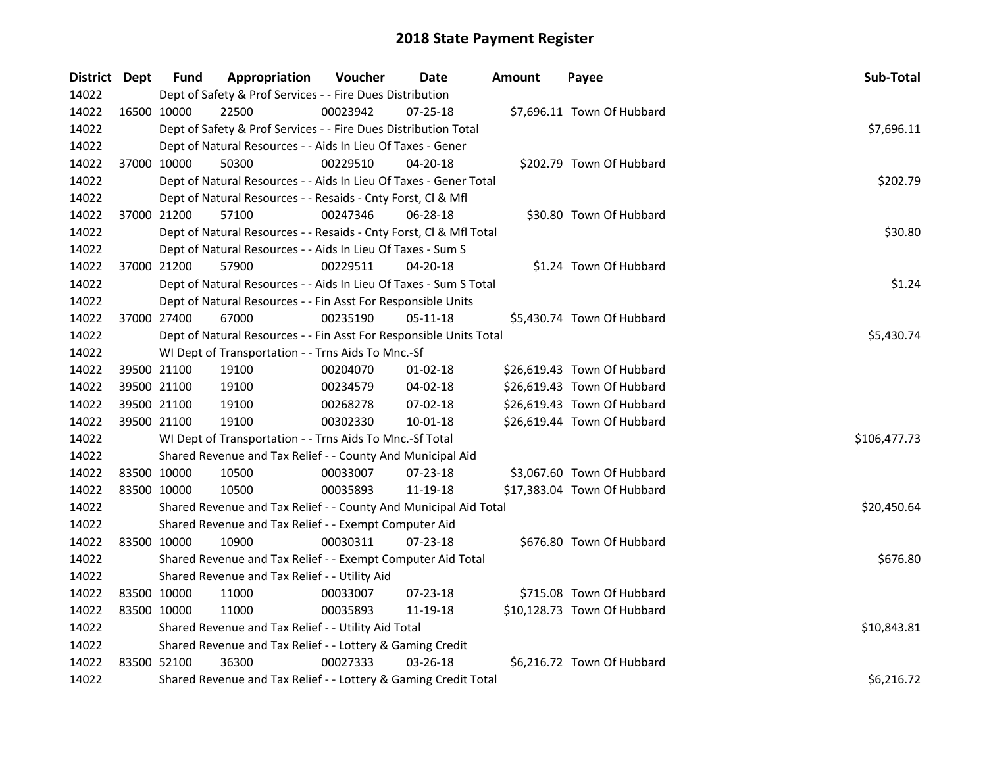| District Dept |             | <b>Fund</b> | Appropriation                                                      | Voucher  | Date           | Amount | Payee                       | Sub-Total    |
|---------------|-------------|-------------|--------------------------------------------------------------------|----------|----------------|--------|-----------------------------|--------------|
| 14022         |             |             | Dept of Safety & Prof Services - - Fire Dues Distribution          |          |                |        |                             |              |
| 14022         |             | 16500 10000 | 22500                                                              | 00023942 | $07 - 25 - 18$ |        | \$7,696.11 Town Of Hubbard  |              |
| 14022         |             |             | Dept of Safety & Prof Services - - Fire Dues Distribution Total    |          |                |        |                             | \$7,696.11   |
| 14022         |             |             | Dept of Natural Resources - - Aids In Lieu Of Taxes - Gener        |          |                |        |                             |              |
| 14022         | 37000 10000 |             | 50300                                                              | 00229510 | $04 - 20 - 18$ |        | \$202.79 Town Of Hubbard    |              |
| 14022         |             |             | Dept of Natural Resources - - Aids In Lieu Of Taxes - Gener Total  |          |                |        |                             | \$202.79     |
| 14022         |             |             | Dept of Natural Resources - - Resaids - Cnty Forst, Cl & Mfl       |          |                |        |                             |              |
| 14022         |             | 37000 21200 | 57100                                                              | 00247346 | 06-28-18       |        | \$30.80 Town Of Hubbard     |              |
| 14022         |             |             | Dept of Natural Resources - - Resaids - Cnty Forst, Cl & Mfl Total |          |                |        |                             | \$30.80      |
| 14022         |             |             | Dept of Natural Resources - - Aids In Lieu Of Taxes - Sum S        |          |                |        |                             |              |
| 14022         | 37000 21200 |             | 57900                                                              | 00229511 | 04-20-18       |        | \$1.24 Town Of Hubbard      |              |
| 14022         |             |             | Dept of Natural Resources - - Aids In Lieu Of Taxes - Sum S Total  |          |                |        |                             | \$1.24       |
| 14022         |             |             | Dept of Natural Resources - - Fin Asst For Responsible Units       |          |                |        |                             |              |
| 14022         |             | 37000 27400 | 67000                                                              | 00235190 | 05-11-18       |        | \$5,430.74 Town Of Hubbard  |              |
| 14022         |             |             | Dept of Natural Resources - - Fin Asst For Responsible Units Total |          |                |        |                             | \$5,430.74   |
| 14022         |             |             | WI Dept of Transportation - - Trns Aids To Mnc.-Sf                 |          |                |        |                             |              |
| 14022         |             | 39500 21100 | 19100                                                              | 00204070 | $01 - 02 - 18$ |        | \$26,619.43 Town Of Hubbard |              |
| 14022         |             | 39500 21100 | 19100                                                              | 00234579 | $04 - 02 - 18$ |        | \$26,619.43 Town Of Hubbard |              |
| 14022         |             | 39500 21100 | 19100                                                              | 00268278 | 07-02-18       |        | \$26,619.43 Town Of Hubbard |              |
| 14022         |             | 39500 21100 | 19100                                                              | 00302330 | $10 - 01 - 18$ |        | \$26,619.44 Town Of Hubbard |              |
| 14022         |             |             | WI Dept of Transportation - - Trns Aids To Mnc.-Sf Total           |          |                |        |                             | \$106,477.73 |
| 14022         |             |             | Shared Revenue and Tax Relief - - County And Municipal Aid         |          |                |        |                             |              |
| 14022         |             | 83500 10000 | 10500                                                              | 00033007 | 07-23-18       |        | \$3,067.60 Town Of Hubbard  |              |
| 14022         | 83500 10000 |             | 10500                                                              | 00035893 | 11-19-18       |        | \$17,383.04 Town Of Hubbard |              |
| 14022         |             |             | Shared Revenue and Tax Relief - - County And Municipal Aid Total   |          |                |        |                             | \$20,450.64  |
| 14022         |             |             | Shared Revenue and Tax Relief - - Exempt Computer Aid              |          |                |        |                             |              |
| 14022         |             | 83500 10000 | 10900                                                              | 00030311 | 07-23-18       |        | \$676.80 Town Of Hubbard    |              |
| 14022         |             |             | Shared Revenue and Tax Relief - - Exempt Computer Aid Total        |          |                |        |                             | \$676.80     |
| 14022         |             |             | Shared Revenue and Tax Relief - - Utility Aid                      |          |                |        |                             |              |
| 14022         | 83500 10000 |             | 11000                                                              | 00033007 | 07-23-18       |        | \$715.08 Town Of Hubbard    |              |
| 14022         | 83500 10000 |             | 11000                                                              | 00035893 | 11-19-18       |        | \$10,128.73 Town Of Hubbard |              |
| 14022         |             |             | Shared Revenue and Tax Relief - - Utility Aid Total                |          |                |        |                             | \$10,843.81  |
| 14022         |             |             | Shared Revenue and Tax Relief - - Lottery & Gaming Credit          |          |                |        |                             |              |
| 14022         | 83500 52100 |             | 36300                                                              | 00027333 | 03-26-18       |        | \$6,216.72 Town Of Hubbard  |              |
| 14022         |             |             | Shared Revenue and Tax Relief - - Lottery & Gaming Credit Total    |          |                |        |                             | \$6,216.72   |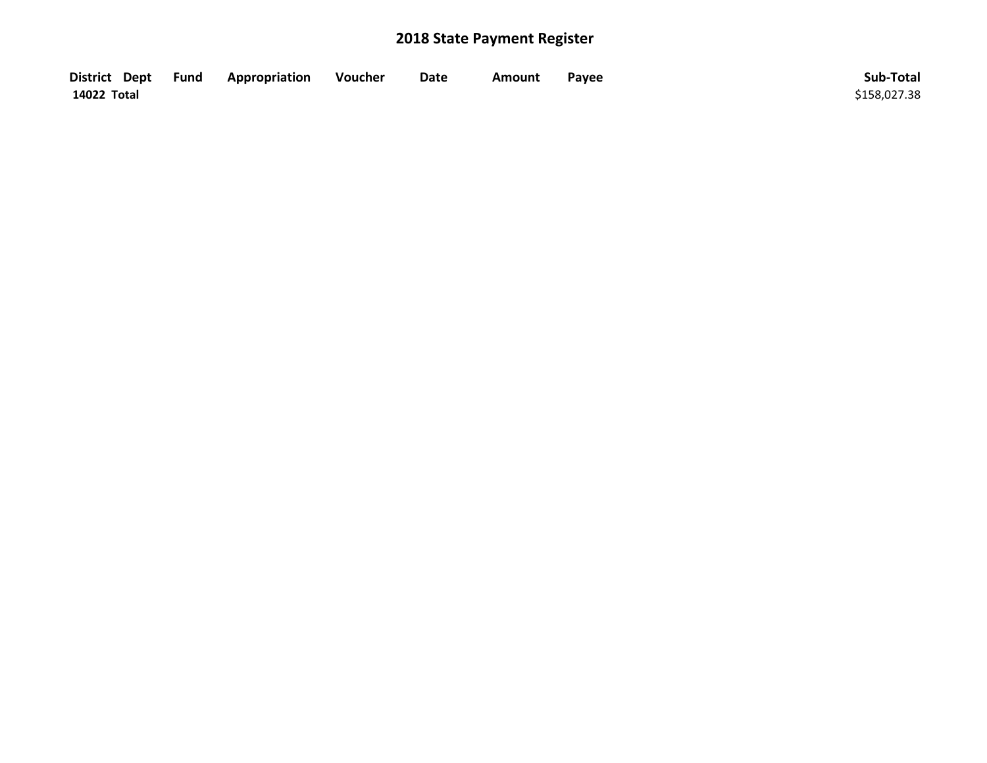| District Dept Fund | <b>Appropriation</b> | Voucher | Date | Amount | Payee | Sub-Total    |
|--------------------|----------------------|---------|------|--------|-------|--------------|
| 14022 Total        |                      |         |      |        |       | \$158,027.38 |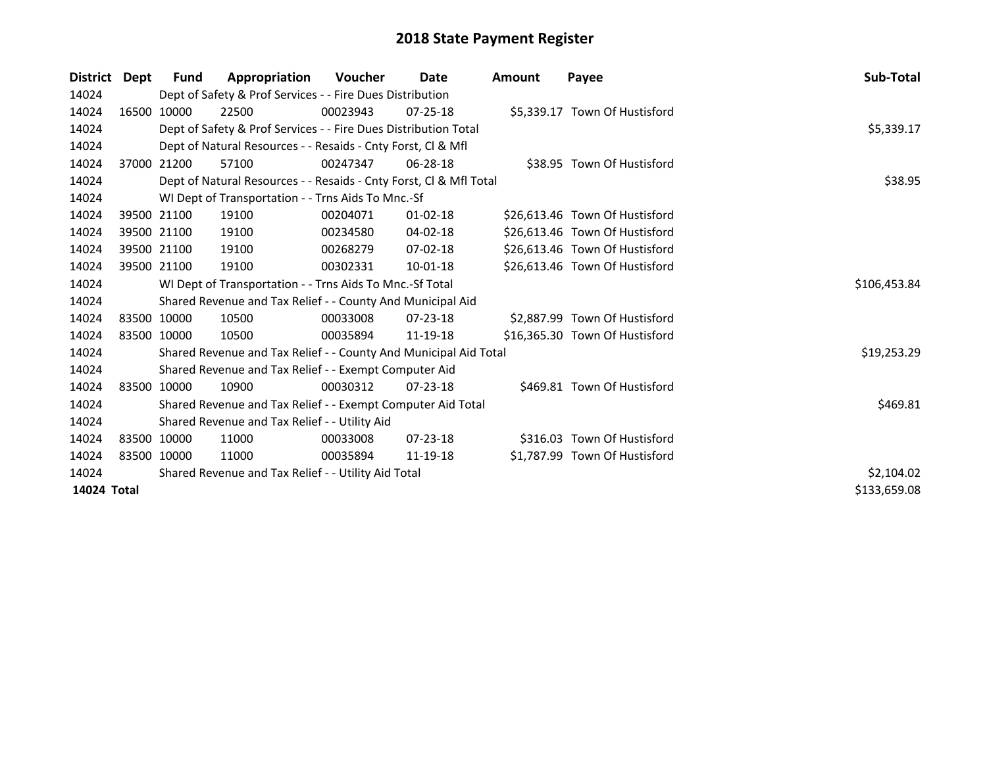| <b>District</b> | Dept | Fund        | Appropriation                                                      | Voucher  | Date           | <b>Amount</b> | Payee                          | Sub-Total    |
|-----------------|------|-------------|--------------------------------------------------------------------|----------|----------------|---------------|--------------------------------|--------------|
| 14024           |      |             | Dept of Safety & Prof Services - - Fire Dues Distribution          |          |                |               |                                |              |
| 14024           |      | 16500 10000 | 22500                                                              | 00023943 | $07 - 25 - 18$ |               | \$5,339.17 Town Of Hustisford  |              |
| 14024           |      |             | Dept of Safety & Prof Services - - Fire Dues Distribution Total    |          |                |               |                                | \$5,339.17   |
| 14024           |      |             | Dept of Natural Resources - - Resaids - Cnty Forst, CI & Mfl       |          |                |               |                                |              |
| 14024           |      | 37000 21200 | 57100                                                              | 00247347 | $06 - 28 - 18$ |               | \$38.95 Town Of Hustisford     |              |
| 14024           |      |             | Dept of Natural Resources - - Resaids - Cnty Forst, CI & Mfl Total | \$38.95  |                |               |                                |              |
| 14024           |      |             | WI Dept of Transportation - - Trns Aids To Mnc.-Sf                 |          |                |               |                                |              |
| 14024           |      | 39500 21100 | 19100                                                              | 00204071 | $01 - 02 - 18$ |               | \$26,613.46 Town Of Hustisford |              |
| 14024           |      | 39500 21100 | 19100                                                              | 00234580 | 04-02-18       |               | \$26,613.46 Town Of Hustisford |              |
| 14024           |      | 39500 21100 | 19100                                                              | 00268279 | $07 - 02 - 18$ |               | \$26,613.46 Town Of Hustisford |              |
| 14024           |      | 39500 21100 | 19100                                                              | 00302331 | $10-01-18$     |               | \$26,613.46 Town Of Hustisford |              |
| 14024           |      |             | WI Dept of Transportation - - Trns Aids To Mnc.-Sf Total           |          |                |               |                                | \$106,453.84 |
| 14024           |      |             | Shared Revenue and Tax Relief - - County And Municipal Aid         |          |                |               |                                |              |
| 14024           |      | 83500 10000 | 10500                                                              | 00033008 | 07-23-18       |               | \$2,887.99 Town Of Hustisford  |              |
| 14024           |      | 83500 10000 | 10500                                                              | 00035894 | 11-19-18       |               | \$16,365.30 Town Of Hustisford |              |
| 14024           |      |             | Shared Revenue and Tax Relief - - County And Municipal Aid Total   |          |                |               |                                | \$19,253.29  |
| 14024           |      |             | Shared Revenue and Tax Relief - - Exempt Computer Aid              |          |                |               |                                |              |
| 14024           |      | 83500 10000 | 10900                                                              | 00030312 | $07 - 23 - 18$ |               | \$469.81 Town Of Hustisford    |              |
| 14024           |      |             | Shared Revenue and Tax Relief - - Exempt Computer Aid Total        |          |                |               |                                | \$469.81     |
| 14024           |      |             | Shared Revenue and Tax Relief - - Utility Aid                      |          |                |               |                                |              |
| 14024           |      | 83500 10000 | 11000                                                              | 00033008 | $07 - 23 - 18$ |               | \$316.03 Town Of Hustisford    |              |
| 14024           |      | 83500 10000 | 11000                                                              | 00035894 | 11-19-18       |               | \$1,787.99 Town Of Hustisford  |              |
| 14024           |      |             | Shared Revenue and Tax Relief - - Utility Aid Total                |          |                |               |                                | \$2,104.02   |
| 14024 Total     |      |             |                                                                    |          |                |               |                                | \$133,659.08 |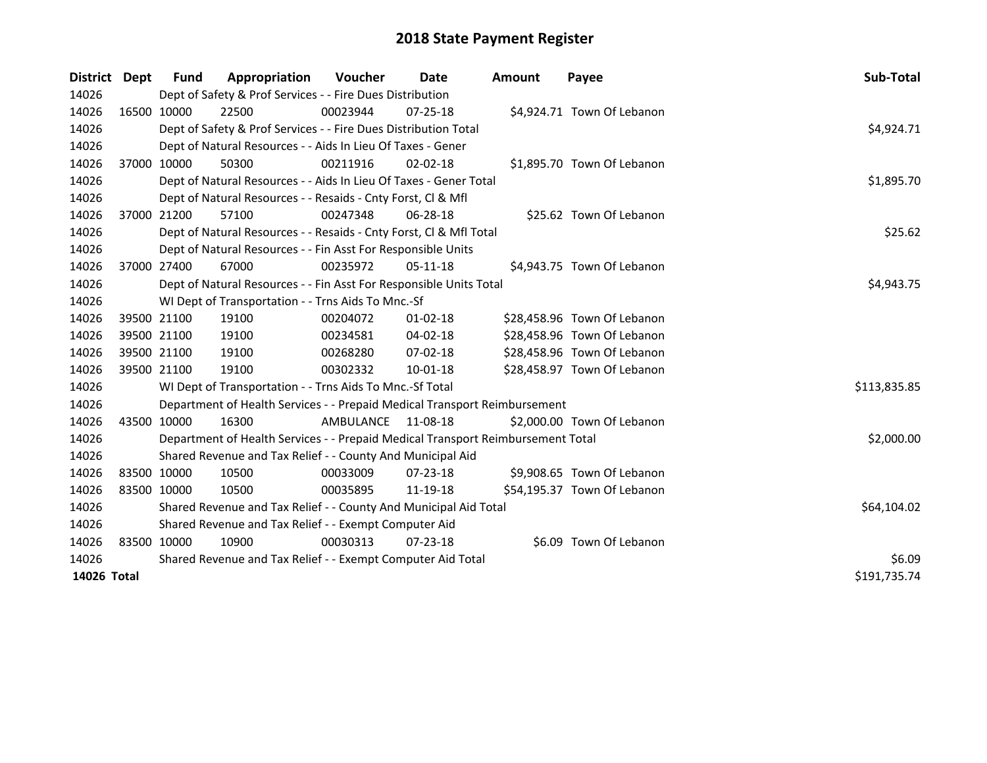| <b>District</b> | <b>Dept</b> | <b>Fund</b>  | Appropriation                                                                   | Voucher            | Date           | <b>Amount</b> | Payee                       | Sub-Total    |
|-----------------|-------------|--------------|---------------------------------------------------------------------------------|--------------------|----------------|---------------|-----------------------------|--------------|
| 14026           |             |              | Dept of Safety & Prof Services - - Fire Dues Distribution                       |                    |                |               |                             |              |
| 14026           |             | 16500 10000  | 22500                                                                           | 00023944           | 07-25-18       |               | \$4,924.71 Town Of Lebanon  |              |
| 14026           |             |              | Dept of Safety & Prof Services - - Fire Dues Distribution Total                 |                    |                |               |                             | \$4,924.71   |
| 14026           |             |              | Dept of Natural Resources - - Aids In Lieu Of Taxes - Gener                     |                    |                |               |                             |              |
| 14026           |             | 37000 10000  | 50300                                                                           | 00211916           | 02-02-18       |               | \$1,895.70 Town Of Lebanon  |              |
| 14026           |             |              | Dept of Natural Resources - - Aids In Lieu Of Taxes - Gener Total               |                    |                |               |                             | \$1,895.70   |
| 14026           |             |              | Dept of Natural Resources - - Resaids - Cnty Forst, Cl & Mfl                    |                    |                |               |                             |              |
| 14026           |             | 37000 21200  | 57100                                                                           | 00247348           | 06-28-18       |               | \$25.62 Town Of Lebanon     |              |
| 14026           |             |              | Dept of Natural Resources - - Resaids - Cnty Forst, Cl & Mfl Total              |                    |                |               |                             | \$25.62      |
| 14026           |             |              | Dept of Natural Resources - - Fin Asst For Responsible Units                    |                    |                |               |                             |              |
| 14026           |             | 37000 27400  | 67000                                                                           | 00235972           | 05-11-18       |               | \$4,943.75 Town Of Lebanon  |              |
| 14026           |             |              | Dept of Natural Resources - - Fin Asst For Responsible Units Total              |                    |                |               |                             | \$4,943.75   |
| 14026           |             |              | WI Dept of Transportation - - Trns Aids To Mnc.-Sf                              |                    |                |               |                             |              |
| 14026           |             | 39500 21100  | 19100                                                                           | 00204072           | $01-02-18$     |               | \$28,458.96 Town Of Lebanon |              |
| 14026           |             | 39500 21100  | 19100                                                                           | 00234581           | $04 - 02 - 18$ |               | \$28,458.96 Town Of Lebanon |              |
| 14026           |             | 39500 21100  | 19100                                                                           | 00268280           | $07 - 02 - 18$ |               | \$28,458.96 Town Of Lebanon |              |
| 14026           |             | 39500 21100  | 19100                                                                           | 00302332           | $10-01-18$     |               | \$28,458.97 Town Of Lebanon |              |
| 14026           |             |              | WI Dept of Transportation - - Trns Aids To Mnc.-Sf Total                        |                    |                |               |                             | \$113,835.85 |
| 14026           |             |              | Department of Health Services - - Prepaid Medical Transport Reimbursement       |                    |                |               |                             |              |
| 14026           |             | 43500 10000  | 16300                                                                           | AMBULANCE 11-08-18 |                |               | \$2,000.00 Town Of Lebanon  |              |
| 14026           |             |              | Department of Health Services - - Prepaid Medical Transport Reimbursement Total |                    |                |               |                             | \$2,000.00   |
| 14026           |             |              | Shared Revenue and Tax Relief - - County And Municipal Aid                      |                    |                |               |                             |              |
| 14026           | 83500 10000 |              | 10500                                                                           | 00033009           | $07 - 23 - 18$ |               | \$9,908.65 Town Of Lebanon  |              |
| 14026           | 83500 10000 |              | 10500                                                                           | 00035895           | 11-19-18       |               | \$54,195.37 Town Of Lebanon |              |
| 14026           |             |              | Shared Revenue and Tax Relief - - County And Municipal Aid Total                | \$64,104.02        |                |               |                             |              |
| 14026           |             |              | Shared Revenue and Tax Relief - - Exempt Computer Aid                           |                    |                |               |                             |              |
| 14026           | 83500 10000 |              | 10900                                                                           | 00030313           | $07 - 23 - 18$ |               | \$6.09 Town Of Lebanon      |              |
| 14026           |             |              | Shared Revenue and Tax Relief - - Exempt Computer Aid Total                     |                    |                |               |                             | \$6.09       |
| 14026 Total     |             | \$191,735.74 |                                                                                 |                    |                |               |                             |              |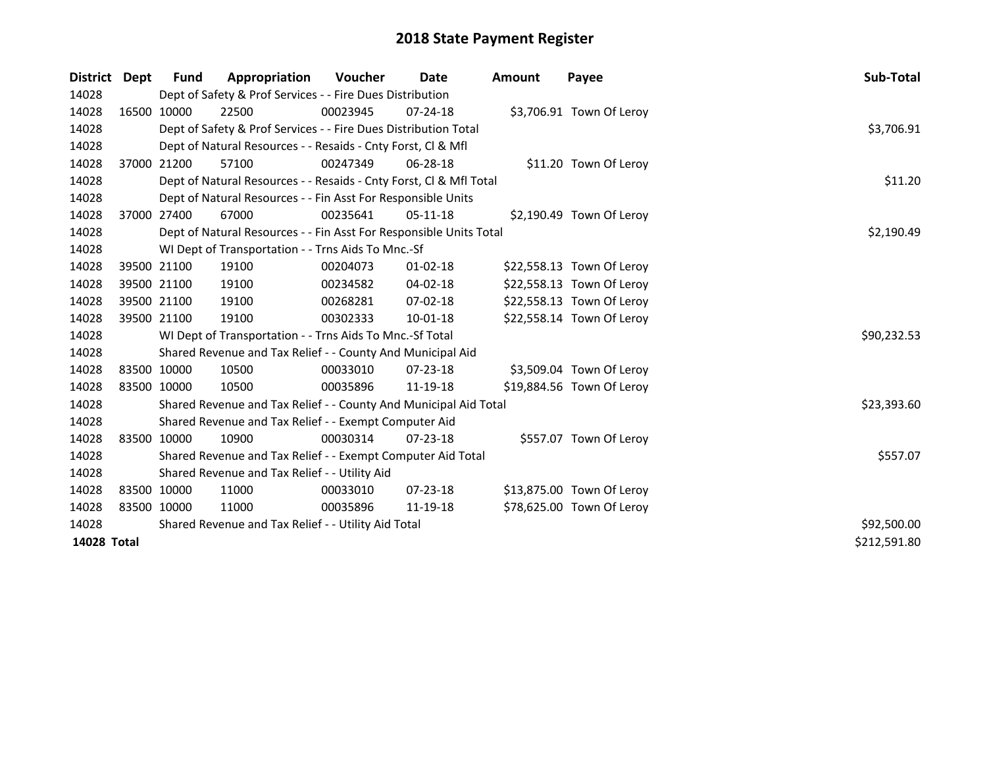| <b>District</b> | Dept        | <b>Fund</b> | Appropriation                                                      | Voucher     | Date           | <b>Amount</b> | Payee                     | Sub-Total    |
|-----------------|-------------|-------------|--------------------------------------------------------------------|-------------|----------------|---------------|---------------------------|--------------|
| 14028           |             |             | Dept of Safety & Prof Services - - Fire Dues Distribution          |             |                |               |                           |              |
| 14028           |             | 16500 10000 | 22500                                                              | 00023945    | $07 - 24 - 18$ |               | \$3,706.91 Town Of Leroy  |              |
| 14028           |             |             | Dept of Safety & Prof Services - - Fire Dues Distribution Total    |             |                |               |                           | \$3,706.91   |
| 14028           |             |             | Dept of Natural Resources - - Resaids - Cnty Forst, CI & Mfl       |             |                |               |                           |              |
| 14028           |             | 37000 21200 | 57100                                                              | 00247349    | 06-28-18       |               | \$11.20 Town Of Leroy     |              |
| 14028           |             |             | Dept of Natural Resources - - Resaids - Cnty Forst, Cl & Mfl Total |             |                |               |                           | \$11.20      |
| 14028           |             |             | Dept of Natural Resources - - Fin Asst For Responsible Units       |             |                |               |                           |              |
| 14028           |             | 37000 27400 | 67000                                                              | 00235641    | $05-11-18$     |               | \$2,190.49 Town Of Leroy  |              |
| 14028           |             |             | Dept of Natural Resources - - Fin Asst For Responsible Units Total |             |                |               |                           | \$2,190.49   |
| 14028           |             |             | WI Dept of Transportation - - Trns Aids To Mnc.-Sf                 |             |                |               |                           |              |
| 14028           |             | 39500 21100 | 19100                                                              | 00204073    | $01 - 02 - 18$ |               | \$22,558.13 Town Of Leroy |              |
| 14028           |             | 39500 21100 | 19100                                                              | 00234582    | $04 - 02 - 18$ |               | \$22,558.13 Town Of Leroy |              |
| 14028           |             | 39500 21100 | 19100                                                              | 00268281    | $07 - 02 - 18$ |               | \$22,558.13 Town Of Leroy |              |
| 14028           |             | 39500 21100 | 19100                                                              | 00302333    | 10-01-18       |               | \$22,558.14 Town Of Leroy |              |
| 14028           |             |             | WI Dept of Transportation - - Trns Aids To Mnc.-Sf Total           |             |                |               |                           | \$90,232.53  |
| 14028           |             |             | Shared Revenue and Tax Relief - - County And Municipal Aid         |             |                |               |                           |              |
| 14028           |             | 83500 10000 | 10500                                                              | 00033010    | 07-23-18       |               | \$3,509.04 Town Of Leroy  |              |
| 14028           |             | 83500 10000 | 10500                                                              | 00035896    | 11-19-18       |               | \$19,884.56 Town Of Leroy |              |
| 14028           |             |             | Shared Revenue and Tax Relief - - County And Municipal Aid Total   |             |                |               |                           | \$23,393.60  |
| 14028           |             |             | Shared Revenue and Tax Relief - - Exempt Computer Aid              |             |                |               |                           |              |
| 14028           |             | 83500 10000 | 10900                                                              | 00030314    | $07 - 23 - 18$ |               | \$557.07 Town Of Leroy    |              |
| 14028           |             |             | Shared Revenue and Tax Relief - - Exempt Computer Aid Total        |             |                |               |                           | \$557.07     |
| 14028           |             |             | Shared Revenue and Tax Relief - - Utility Aid                      |             |                |               |                           |              |
| 14028           | 83500 10000 |             | 11000                                                              | 00033010    | $07 - 23 - 18$ |               | \$13,875.00 Town Of Leroy |              |
| 14028           |             | 83500 10000 | 11000                                                              | 00035896    | 11-19-18       |               | \$78,625.00 Town Of Leroy |              |
| 14028           |             |             | Shared Revenue and Tax Relief - - Utility Aid Total                | \$92,500.00 |                |               |                           |              |
| 14028 Total     |             |             |                                                                    |             |                |               |                           | \$212,591.80 |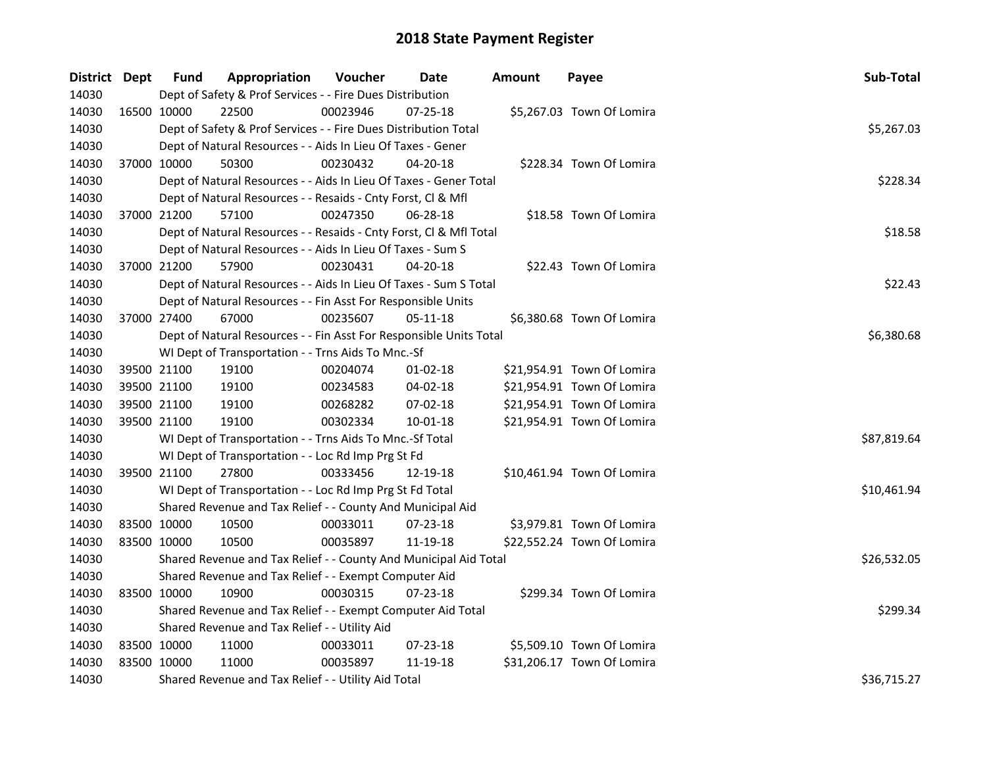| District Dept |             | <b>Fund</b> | Appropriation                                                      | Voucher  | Date           | <b>Amount</b> | Payee                      | Sub-Total   |
|---------------|-------------|-------------|--------------------------------------------------------------------|----------|----------------|---------------|----------------------------|-------------|
| 14030         |             |             | Dept of Safety & Prof Services - - Fire Dues Distribution          |          |                |               |                            |             |
| 14030         | 16500 10000 |             | 22500                                                              | 00023946 | $07 - 25 - 18$ |               | \$5,267.03 Town Of Lomira  |             |
| 14030         |             |             | Dept of Safety & Prof Services - - Fire Dues Distribution Total    |          |                |               |                            | \$5,267.03  |
| 14030         |             |             | Dept of Natural Resources - - Aids In Lieu Of Taxes - Gener        |          |                |               |                            |             |
| 14030         | 37000 10000 |             | 50300                                                              | 00230432 | $04 - 20 - 18$ |               | \$228.34 Town Of Lomira    |             |
| 14030         |             |             | Dept of Natural Resources - - Aids In Lieu Of Taxes - Gener Total  |          |                |               |                            | \$228.34    |
| 14030         |             |             | Dept of Natural Resources - - Resaids - Cnty Forst, Cl & Mfl       |          |                |               |                            |             |
| 14030         |             | 37000 21200 | 57100                                                              | 00247350 | 06-28-18       |               | \$18.58 Town Of Lomira     |             |
| 14030         |             |             | Dept of Natural Resources - - Resaids - Cnty Forst, Cl & Mfl Total |          |                |               |                            | \$18.58     |
| 14030         |             |             | Dept of Natural Resources - - Aids In Lieu Of Taxes - Sum S        |          |                |               |                            |             |
| 14030         | 37000 21200 |             | 57900                                                              | 00230431 | 04-20-18       |               | \$22.43 Town Of Lomira     |             |
| 14030         |             |             | Dept of Natural Resources - - Aids In Lieu Of Taxes - Sum S Total  |          |                |               |                            | \$22.43     |
| 14030         |             |             | Dept of Natural Resources - - Fin Asst For Responsible Units       |          |                |               |                            |             |
| 14030         | 37000 27400 |             | 67000                                                              | 00235607 | 05-11-18       |               | \$6,380.68 Town Of Lomira  |             |
| 14030         |             |             | Dept of Natural Resources - - Fin Asst For Responsible Units Total |          |                |               |                            | \$6,380.68  |
| 14030         |             |             | WI Dept of Transportation - - Trns Aids To Mnc.-Sf                 |          |                |               |                            |             |
| 14030         | 39500 21100 |             | 19100                                                              | 00204074 | $01 - 02 - 18$ |               | \$21,954.91 Town Of Lomira |             |
| 14030         | 39500 21100 |             | 19100                                                              | 00234583 | 04-02-18       |               | \$21,954.91 Town Of Lomira |             |
| 14030         |             | 39500 21100 | 19100                                                              | 00268282 | 07-02-18       |               | \$21,954.91 Town Of Lomira |             |
| 14030         | 39500 21100 |             | 19100                                                              | 00302334 | $10 - 01 - 18$ |               | \$21,954.91 Town Of Lomira |             |
| 14030         |             |             | WI Dept of Transportation - - Trns Aids To Mnc.-Sf Total           |          |                |               |                            | \$87,819.64 |
| 14030         |             |             | WI Dept of Transportation - - Loc Rd Imp Prg St Fd                 |          |                |               |                            |             |
| 14030         | 39500 21100 |             | 27800                                                              | 00333456 | 12-19-18       |               | \$10,461.94 Town Of Lomira |             |
| 14030         |             |             | WI Dept of Transportation - - Loc Rd Imp Prg St Fd Total           |          |                |               |                            | \$10,461.94 |
| 14030         |             |             | Shared Revenue and Tax Relief - - County And Municipal Aid         |          |                |               |                            |             |
| 14030         | 83500 10000 |             | 10500                                                              | 00033011 | 07-23-18       |               | \$3,979.81 Town Of Lomira  |             |
| 14030         | 83500 10000 |             | 10500                                                              | 00035897 | 11-19-18       |               | \$22,552.24 Town Of Lomira |             |
| 14030         |             |             | Shared Revenue and Tax Relief - - County And Municipal Aid Total   |          |                |               |                            | \$26,532.05 |
| 14030         |             |             | Shared Revenue and Tax Relief - - Exempt Computer Aid              |          |                |               |                            |             |
| 14030         | 83500 10000 |             | 10900                                                              | 00030315 | 07-23-18       |               | \$299.34 Town Of Lomira    |             |
| 14030         |             |             | Shared Revenue and Tax Relief - - Exempt Computer Aid Total        |          |                |               |                            | \$299.34    |
| 14030         |             |             | Shared Revenue and Tax Relief - - Utility Aid                      |          |                |               |                            |             |
| 14030         | 83500 10000 |             | 11000                                                              | 00033011 | 07-23-18       |               | \$5,509.10 Town Of Lomira  |             |
| 14030         | 83500 10000 |             | 11000                                                              | 00035897 | 11-19-18       |               | \$31,206.17 Town Of Lomira |             |
| 14030         |             |             | Shared Revenue and Tax Relief - - Utility Aid Total                |          |                |               |                            | \$36,715.27 |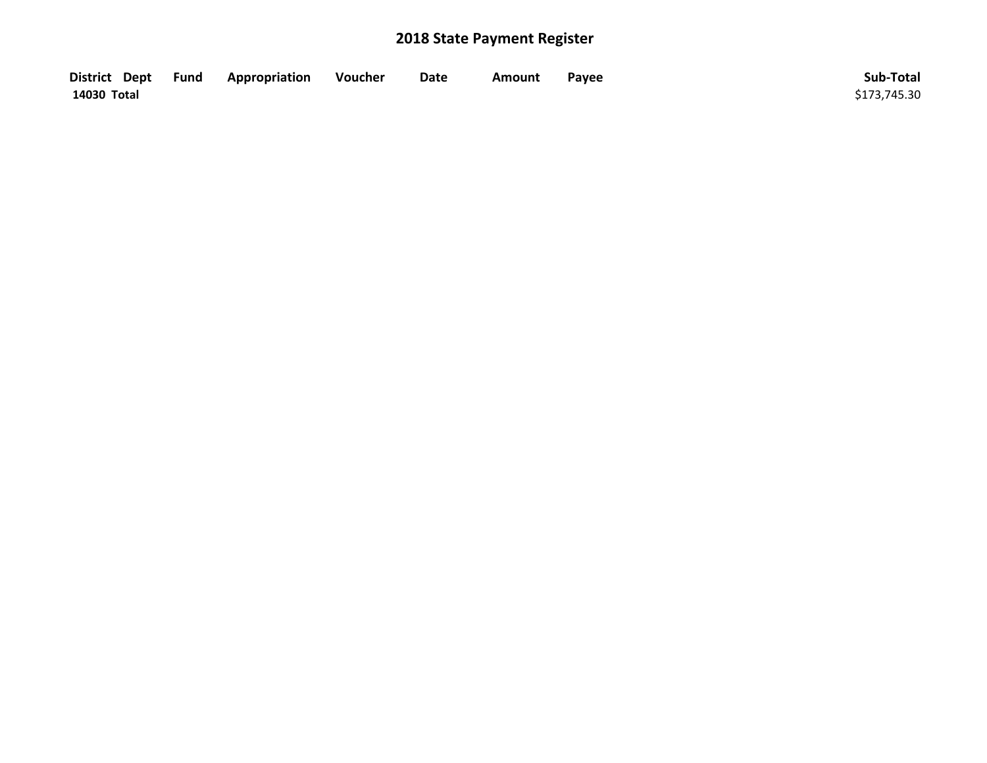| District Dept Fund | Appropriation | Voucher | Date | Amount | Payee | Sub-Total    |
|--------------------|---------------|---------|------|--------|-------|--------------|
| 14030 Total        |               |         |      |        |       | \$173,745.30 |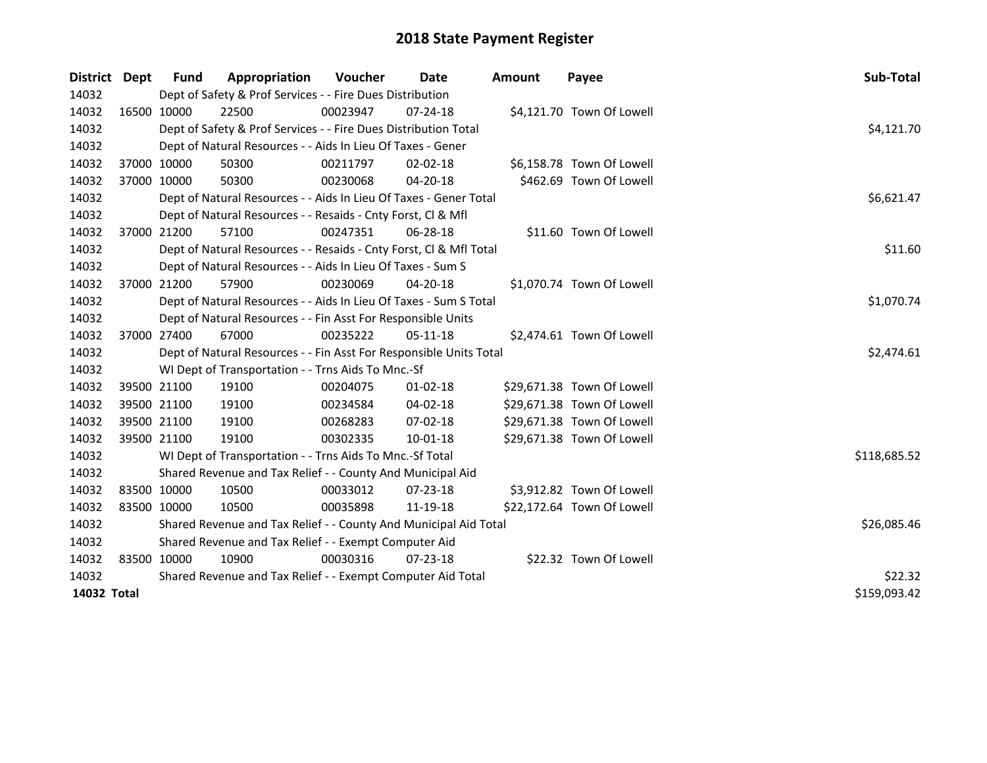| District    | Dept         | <b>Fund</b> | Appropriation                                                      | Voucher     | Date           | <b>Amount</b> | Payee                      | Sub-Total    |
|-------------|--------------|-------------|--------------------------------------------------------------------|-------------|----------------|---------------|----------------------------|--------------|
| 14032       |              |             | Dept of Safety & Prof Services - - Fire Dues Distribution          |             |                |               |                            |              |
| 14032       |              | 16500 10000 | 22500                                                              | 00023947    | $07 - 24 - 18$ |               | \$4,121.70 Town Of Lowell  |              |
| 14032       |              |             | Dept of Safety & Prof Services - - Fire Dues Distribution Total    |             |                |               |                            | \$4,121.70   |
| 14032       |              |             | Dept of Natural Resources - - Aids In Lieu Of Taxes - Gener        |             |                |               |                            |              |
| 14032       |              | 37000 10000 | 50300                                                              | 00211797    | $02 - 02 - 18$ |               | \$6,158.78 Town Of Lowell  |              |
| 14032       |              | 37000 10000 | 50300                                                              | 00230068    | 04-20-18       |               | \$462.69 Town Of Lowell    |              |
| 14032       |              |             | Dept of Natural Resources - - Aids In Lieu Of Taxes - Gener Total  |             |                |               |                            | \$6,621.47   |
| 14032       |              |             | Dept of Natural Resources - - Resaids - Cnty Forst, Cl & Mfl       |             |                |               |                            |              |
| 14032       |              | 37000 21200 | 57100                                                              | 00247351    | 06-28-18       |               | \$11.60 Town Of Lowell     |              |
| 14032       |              |             | Dept of Natural Resources - - Resaids - Cnty Forst, CI & Mfl Total |             |                |               |                            | \$11.60      |
| 14032       |              |             | Dept of Natural Resources - - Aids In Lieu Of Taxes - Sum S        |             |                |               |                            |              |
| 14032       |              | 37000 21200 | 57900                                                              | 00230069    | 04-20-18       |               | \$1,070.74 Town Of Lowell  |              |
| 14032       |              |             | Dept of Natural Resources - - Aids In Lieu Of Taxes - Sum S Total  |             |                |               |                            | \$1,070.74   |
| 14032       |              |             | Dept of Natural Resources - - Fin Asst For Responsible Units       |             |                |               |                            |              |
| 14032       |              | 37000 27400 | 67000                                                              | 00235222    | $05-11-18$     |               | \$2,474.61 Town Of Lowell  |              |
| 14032       |              |             | Dept of Natural Resources - - Fin Asst For Responsible Units Total |             |                |               |                            | \$2,474.61   |
| 14032       |              |             | WI Dept of Transportation - - Trns Aids To Mnc.-Sf                 |             |                |               |                            |              |
| 14032       |              | 39500 21100 | 19100                                                              | 00204075    | $01 - 02 - 18$ |               | \$29,671.38 Town Of Lowell |              |
| 14032       |              | 39500 21100 | 19100                                                              | 00234584    | 04-02-18       |               | \$29,671.38 Town Of Lowell |              |
| 14032       |              | 39500 21100 | 19100                                                              | 00268283    | 07-02-18       |               | \$29,671.38 Town Of Lowell |              |
| 14032       |              | 39500 21100 | 19100                                                              | 00302335    | $10 - 01 - 18$ |               | \$29,671.38 Town Of Lowell |              |
| 14032       |              |             | WI Dept of Transportation - - Trns Aids To Mnc.-Sf Total           |             |                |               |                            | \$118,685.52 |
| 14032       |              |             | Shared Revenue and Tax Relief - - County And Municipal Aid         |             |                |               |                            |              |
| 14032       |              | 83500 10000 | 10500                                                              | 00033012    | 07-23-18       |               | \$3,912.82 Town Of Lowell  |              |
| 14032       |              | 83500 10000 | 10500                                                              | 00035898    | 11-19-18       |               | \$22,172.64 Town Of Lowell |              |
| 14032       |              |             | Shared Revenue and Tax Relief - - County And Municipal Aid Total   | \$26,085.46 |                |               |                            |              |
| 14032       |              |             | Shared Revenue and Tax Relief - - Exempt Computer Aid              |             |                |               |                            |              |
| 14032       |              | 83500 10000 | 10900                                                              | 00030316    | 07-23-18       |               | \$22.32 Town Of Lowell     |              |
| 14032       |              |             | Shared Revenue and Tax Relief - - Exempt Computer Aid Total        |             |                |               |                            | \$22.32      |
| 14032 Total | \$159,093.42 |             |                                                                    |             |                |               |                            |              |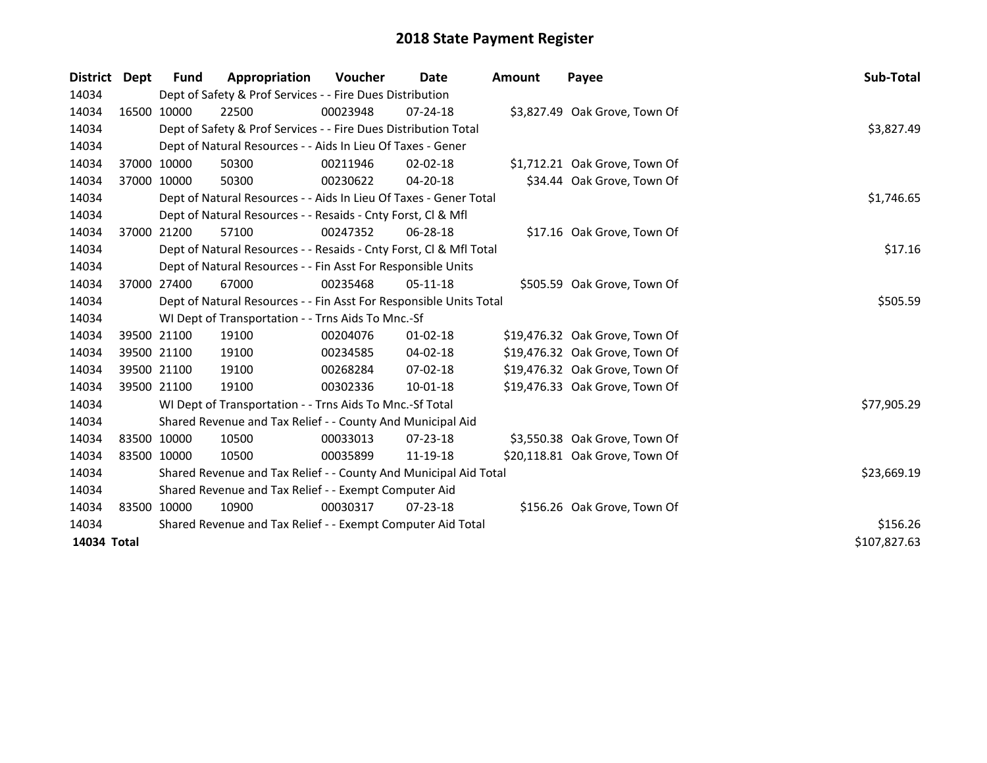| <b>District</b> | Dept        | Fund        | Appropriation                                                      | Voucher  | Date           | Amount   | Payee                          | Sub-Total    |
|-----------------|-------------|-------------|--------------------------------------------------------------------|----------|----------------|----------|--------------------------------|--------------|
| 14034           |             |             | Dept of Safety & Prof Services - - Fire Dues Distribution          |          |                |          |                                |              |
| 14034           |             | 16500 10000 | 22500                                                              | 00023948 | $07 - 24 - 18$ |          | \$3,827.49 Oak Grove, Town Of  |              |
| 14034           |             |             | Dept of Safety & Prof Services - - Fire Dues Distribution Total    |          |                |          |                                | \$3,827.49   |
| 14034           |             |             | Dept of Natural Resources - - Aids In Lieu Of Taxes - Gener        |          |                |          |                                |              |
| 14034           |             | 37000 10000 | 50300                                                              | 00211946 | $02 - 02 - 18$ |          | \$1,712.21 Oak Grove, Town Of  |              |
| 14034           |             | 37000 10000 | 50300                                                              | 00230622 | 04-20-18       |          | \$34.44 Oak Grove, Town Of     |              |
| 14034           |             |             | Dept of Natural Resources - - Aids In Lieu Of Taxes - Gener Total  |          |                |          |                                | \$1,746.65   |
| 14034           |             |             | Dept of Natural Resources - - Resaids - Cnty Forst, Cl & Mfl       |          |                |          |                                |              |
| 14034           |             | 37000 21200 | 57100                                                              | 00247352 | 06-28-18       |          | \$17.16 Oak Grove, Town Of     |              |
| 14034           |             |             | Dept of Natural Resources - - Resaids - Cnty Forst, Cl & Mfl Total |          |                |          |                                | \$17.16      |
| 14034           |             |             | Dept of Natural Resources - - Fin Asst For Responsible Units       |          |                |          |                                |              |
| 14034           |             | 37000 27400 | 67000                                                              | 00235468 | $05-11-18$     |          | \$505.59 Oak Grove, Town Of    |              |
| 14034           |             |             | Dept of Natural Resources - - Fin Asst For Responsible Units Total |          |                | \$505.59 |                                |              |
| 14034           |             |             | WI Dept of Transportation - - Trns Aids To Mnc.-Sf                 |          |                |          |                                |              |
| 14034           |             | 39500 21100 | 19100                                                              | 00204076 | $01 - 02 - 18$ |          | \$19,476.32 Oak Grove, Town Of |              |
| 14034           |             | 39500 21100 | 19100                                                              | 00234585 | 04-02-18       |          | \$19,476.32 Oak Grove, Town Of |              |
| 14034           |             | 39500 21100 | 19100                                                              | 00268284 | $07-02-18$     |          | \$19,476.32 Oak Grove, Town Of |              |
| 14034           |             | 39500 21100 | 19100                                                              | 00302336 | 10-01-18       |          | \$19,476.33 Oak Grove, Town Of |              |
| 14034           |             |             | WI Dept of Transportation - - Trns Aids To Mnc.-Sf Total           |          |                |          |                                | \$77,905.29  |
| 14034           |             |             | Shared Revenue and Tax Relief - - County And Municipal Aid         |          |                |          |                                |              |
| 14034           | 83500 10000 |             | 10500                                                              | 00033013 | 07-23-18       |          | \$3,550.38 Oak Grove, Town Of  |              |
| 14034           | 83500 10000 |             | 10500                                                              | 00035899 | 11-19-18       |          | \$20,118.81 Oak Grove, Town Of |              |
| 14034           |             |             | Shared Revenue and Tax Relief - - County And Municipal Aid Total   |          | \$23,669.19    |          |                                |              |
| 14034           |             |             | Shared Revenue and Tax Relief - - Exempt Computer Aid              |          |                |          |                                |              |
| 14034           |             | 83500 10000 | 10900                                                              | 00030317 | $07 - 23 - 18$ |          | \$156.26 Oak Grove, Town Of    |              |
| 14034           |             |             | Shared Revenue and Tax Relief - - Exempt Computer Aid Total        |          |                |          |                                | \$156.26     |
| 14034 Total     |             |             |                                                                    |          |                |          |                                | \$107,827.63 |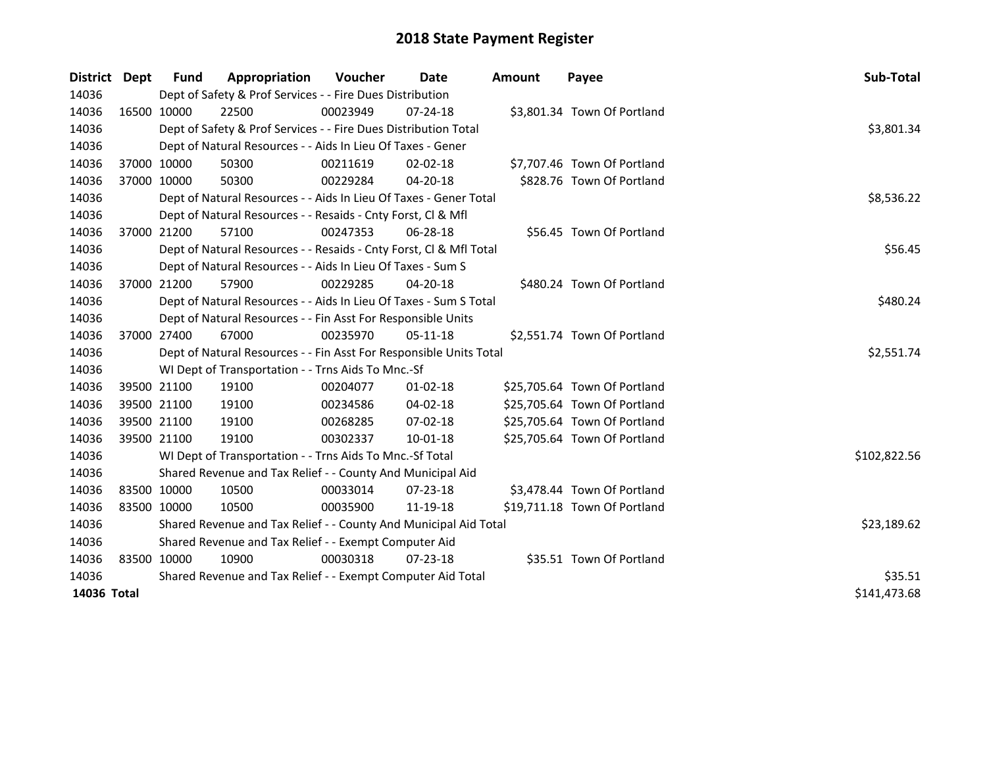| <b>District</b> | <b>Dept</b> | <b>Fund</b> | Appropriation                                                      | <b>Voucher</b> | Date           | <b>Amount</b> | Payee                        | Sub-Total    |  |  |  |  |
|-----------------|-------------|-------------|--------------------------------------------------------------------|----------------|----------------|---------------|------------------------------|--------------|--|--|--|--|
| 14036           |             |             | Dept of Safety & Prof Services - - Fire Dues Distribution          |                |                |               |                              |              |  |  |  |  |
| 14036           |             | 16500 10000 | 22500                                                              | 00023949       | $07 - 24 - 18$ |               | \$3,801.34 Town Of Portland  |              |  |  |  |  |
| 14036           |             |             | Dept of Safety & Prof Services - - Fire Dues Distribution Total    |                |                |               |                              | \$3,801.34   |  |  |  |  |
| 14036           |             |             | Dept of Natural Resources - - Aids In Lieu Of Taxes - Gener        |                |                |               |                              |              |  |  |  |  |
| 14036           |             | 37000 10000 | 50300                                                              | 00211619       | $02 - 02 - 18$ |               | \$7,707.46 Town Of Portland  |              |  |  |  |  |
| 14036           |             | 37000 10000 | 50300                                                              | 00229284       | 04-20-18       |               | \$828.76 Town Of Portland    |              |  |  |  |  |
| 14036           |             |             | Dept of Natural Resources - - Aids In Lieu Of Taxes - Gener Total  |                |                |               |                              | \$8,536.22   |  |  |  |  |
| 14036           |             |             | Dept of Natural Resources - - Resaids - Cnty Forst, Cl & Mfl       |                |                |               |                              |              |  |  |  |  |
| 14036           |             | 37000 21200 | 57100                                                              | 00247353       | 06-28-18       |               | \$56.45 Town Of Portland     |              |  |  |  |  |
| 14036           |             |             | Dept of Natural Resources - - Resaids - Cnty Forst, CI & Mfl Total |                |                |               |                              | \$56.45      |  |  |  |  |
| 14036           |             |             | Dept of Natural Resources - - Aids In Lieu Of Taxes - Sum S        |                |                |               |                              |              |  |  |  |  |
| 14036           |             | 37000 21200 | 57900                                                              | 00229285       | 04-20-18       |               | \$480.24 Town Of Portland    |              |  |  |  |  |
| 14036           |             |             | Dept of Natural Resources - - Aids In Lieu Of Taxes - Sum S Total  | \$480.24       |                |               |                              |              |  |  |  |  |
| 14036           |             |             | Dept of Natural Resources - - Fin Asst For Responsible Units       |                |                |               |                              |              |  |  |  |  |
| 14036           |             | 37000 27400 | 67000                                                              | 00235970       | $05-11-18$     |               | \$2,551.74 Town Of Portland  |              |  |  |  |  |
| 14036           |             |             | Dept of Natural Resources - - Fin Asst For Responsible Units Total |                |                |               |                              | \$2,551.74   |  |  |  |  |
| 14036           |             |             | WI Dept of Transportation - - Trns Aids To Mnc.-Sf                 |                |                |               |                              |              |  |  |  |  |
| 14036           |             | 39500 21100 | 19100                                                              | 00204077       | $01 - 02 - 18$ |               | \$25,705.64 Town Of Portland |              |  |  |  |  |
| 14036           |             | 39500 21100 | 19100                                                              | 00234586       | 04-02-18       |               | \$25,705.64 Town Of Portland |              |  |  |  |  |
| 14036           |             | 39500 21100 | 19100                                                              | 00268285       | 07-02-18       |               | \$25,705.64 Town Of Portland |              |  |  |  |  |
| 14036           |             | 39500 21100 | 19100                                                              | 00302337       | $10 - 01 - 18$ |               | \$25,705.64 Town Of Portland |              |  |  |  |  |
| 14036           |             |             | WI Dept of Transportation - - Trns Aids To Mnc.-Sf Total           |                |                |               |                              | \$102,822.56 |  |  |  |  |
| 14036           |             |             | Shared Revenue and Tax Relief - - County And Municipal Aid         |                |                |               |                              |              |  |  |  |  |
| 14036           |             | 83500 10000 | 10500                                                              | 00033014       | 07-23-18       |               | \$3,478.44 Town Of Portland  |              |  |  |  |  |
| 14036           | 83500 10000 |             | 10500                                                              | 00035900       | 11-19-18       |               | \$19,711.18 Town Of Portland |              |  |  |  |  |
| 14036           |             |             | Shared Revenue and Tax Relief - - County And Municipal Aid Total   | \$23,189.62    |                |               |                              |              |  |  |  |  |
| 14036           |             |             | Shared Revenue and Tax Relief - - Exempt Computer Aid              |                |                |               |                              |              |  |  |  |  |
| 14036           | 83500 10000 |             | 10900                                                              | 00030318       | 07-23-18       |               | \$35.51 Town Of Portland     |              |  |  |  |  |
| 14036           |             |             | Shared Revenue and Tax Relief - - Exempt Computer Aid Total        | \$35.51        |                |               |                              |              |  |  |  |  |
| 14036 Total     |             |             |                                                                    |                |                |               |                              | \$141,473.68 |  |  |  |  |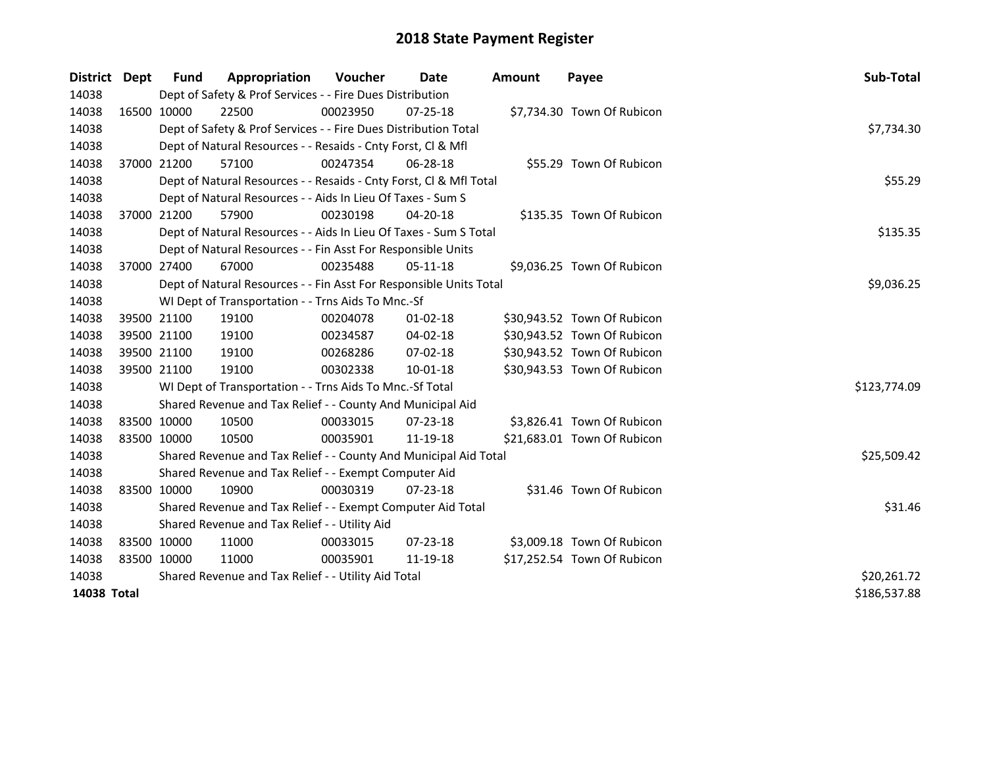| <b>District</b> | <b>Dept</b> | <b>Fund</b> | Appropriation                                                      | <b>Voucher</b> | Date           | <b>Amount</b> | Payee                       | Sub-Total    |
|-----------------|-------------|-------------|--------------------------------------------------------------------|----------------|----------------|---------------|-----------------------------|--------------|
| 14038           |             |             | Dept of Safety & Prof Services - - Fire Dues Distribution          |                |                |               |                             |              |
| 14038           |             | 16500 10000 | 22500                                                              | 00023950       | $07 - 25 - 18$ |               | \$7,734.30 Town Of Rubicon  |              |
| 14038           |             |             | Dept of Safety & Prof Services - - Fire Dues Distribution Total    |                |                |               |                             | \$7,734.30   |
| 14038           |             |             | Dept of Natural Resources - - Resaids - Cnty Forst, Cl & Mfl       |                |                |               |                             |              |
| 14038           |             | 37000 21200 | 57100                                                              | 00247354       | 06-28-18       |               | \$55.29 Town Of Rubicon     |              |
| 14038           |             |             | Dept of Natural Resources - - Resaids - Cnty Forst, Cl & Mfl Total |                |                |               |                             | \$55.29      |
| 14038           |             |             | Dept of Natural Resources - - Aids In Lieu Of Taxes - Sum S        |                |                |               |                             |              |
| 14038           |             | 37000 21200 | 57900                                                              | 00230198       | 04-20-18       |               | \$135.35 Town Of Rubicon    |              |
| 14038           |             |             | Dept of Natural Resources - - Aids In Lieu Of Taxes - Sum S Total  | \$135.35       |                |               |                             |              |
| 14038           |             |             | Dept of Natural Resources - - Fin Asst For Responsible Units       |                |                |               |                             |              |
| 14038           |             | 37000 27400 | 67000                                                              | 00235488       | 05-11-18       |               | \$9,036.25 Town Of Rubicon  |              |
| 14038           |             |             | Dept of Natural Resources - - Fin Asst For Responsible Units Total |                |                |               |                             | \$9,036.25   |
| 14038           |             |             | WI Dept of Transportation - - Trns Aids To Mnc.-Sf                 |                |                |               |                             |              |
| 14038           |             | 39500 21100 | 19100                                                              | 00204078       | 01-02-18       |               | \$30,943.52 Town Of Rubicon |              |
| 14038           |             | 39500 21100 | 19100                                                              | 00234587       | 04-02-18       |               | \$30,943.52 Town Of Rubicon |              |
| 14038           |             | 39500 21100 | 19100                                                              | 00268286       | 07-02-18       |               | \$30,943.52 Town Of Rubicon |              |
| 14038           | 39500 21100 |             | 19100                                                              | 00302338       | 10-01-18       |               | \$30,943.53 Town Of Rubicon |              |
| 14038           |             |             | WI Dept of Transportation - - Trns Aids To Mnc.-Sf Total           |                |                |               |                             | \$123,774.09 |
| 14038           |             |             | Shared Revenue and Tax Relief - - County And Municipal Aid         |                |                |               |                             |              |
| 14038           | 83500 10000 |             | 10500                                                              | 00033015       | 07-23-18       |               | \$3,826.41 Town Of Rubicon  |              |
| 14038           | 83500 10000 |             | 10500                                                              | 00035901       | 11-19-18       |               | \$21,683.01 Town Of Rubicon |              |
| 14038           |             |             | Shared Revenue and Tax Relief - - County And Municipal Aid Total   |                |                |               |                             | \$25,509.42  |
| 14038           |             |             | Shared Revenue and Tax Relief - - Exempt Computer Aid              |                |                |               |                             |              |
| 14038           | 83500 10000 |             | 10900                                                              | 00030319       | 07-23-18       |               | \$31.46 Town Of Rubicon     |              |
| 14038           |             |             | Shared Revenue and Tax Relief - - Exempt Computer Aid Total        |                |                |               |                             | \$31.46      |
| 14038           |             |             | Shared Revenue and Tax Relief - - Utility Aid                      |                |                |               |                             |              |
| 14038           | 83500 10000 |             | 11000                                                              | 00033015       | 07-23-18       |               | \$3,009.18 Town Of Rubicon  |              |
| 14038           | 83500 10000 |             | 11000                                                              | 00035901       | 11-19-18       |               | \$17,252.54 Town Of Rubicon |              |
| 14038           |             |             | Shared Revenue and Tax Relief - - Utility Aid Total                |                |                |               |                             | \$20,261.72  |
| 14038 Total     |             |             |                                                                    |                |                |               |                             | \$186,537.88 |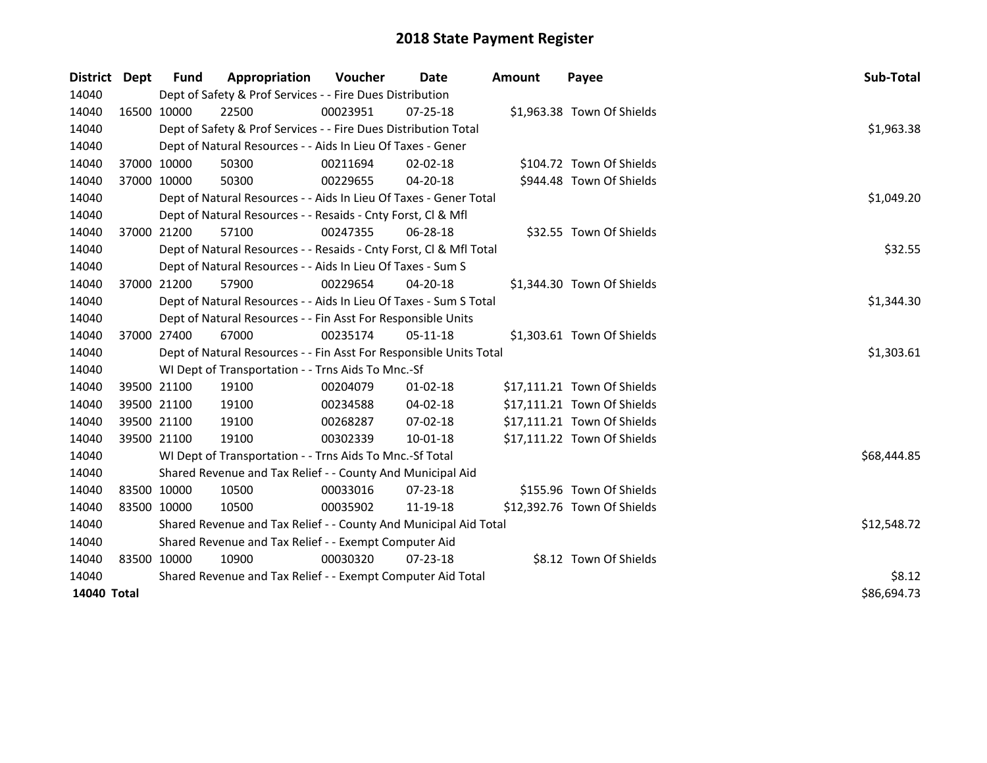| District    | Dept | <b>Fund</b>                                                 | Appropriation                                                      | Voucher  | Date           | <b>Amount</b> | Payee                       | Sub-Total   |
|-------------|------|-------------------------------------------------------------|--------------------------------------------------------------------|----------|----------------|---------------|-----------------------------|-------------|
| 14040       |      |                                                             | Dept of Safety & Prof Services - - Fire Dues Distribution          |          |                |               |                             |             |
| 14040       |      | 16500 10000                                                 | 22500                                                              | 00023951 | $07 - 25 - 18$ |               | \$1,963.38 Town Of Shields  |             |
| 14040       |      |                                                             | Dept of Safety & Prof Services - - Fire Dues Distribution Total    |          |                |               |                             | \$1,963.38  |
| 14040       |      |                                                             | Dept of Natural Resources - - Aids In Lieu Of Taxes - Gener        |          |                |               |                             |             |
| 14040       |      | 37000 10000                                                 | 50300                                                              | 00211694 | $02 - 02 - 18$ |               | \$104.72 Town Of Shields    |             |
| 14040       |      | 37000 10000                                                 | 50300                                                              | 00229655 | 04-20-18       |               | \$944.48 Town Of Shields    |             |
| 14040       |      |                                                             | Dept of Natural Resources - - Aids In Lieu Of Taxes - Gener Total  |          |                |               |                             | \$1,049.20  |
| 14040       |      |                                                             | Dept of Natural Resources - - Resaids - Cnty Forst, Cl & Mfl       |          |                |               |                             |             |
| 14040       |      | 37000 21200                                                 | 57100                                                              | 00247355 | 06-28-18       |               | \$32.55 Town Of Shields     |             |
| 14040       |      |                                                             | Dept of Natural Resources - - Resaids - Cnty Forst, Cl & Mfl Total |          |                |               |                             | \$32.55     |
| 14040       |      |                                                             | Dept of Natural Resources - - Aids In Lieu Of Taxes - Sum S        |          |                |               |                             |             |
| 14040       |      | 37000 21200                                                 | 57900                                                              | 00229654 | 04-20-18       |               | \$1,344.30 Town Of Shields  |             |
| 14040       |      |                                                             | Dept of Natural Resources - - Aids In Lieu Of Taxes - Sum S Total  |          |                |               |                             | \$1,344.30  |
| 14040       |      |                                                             | Dept of Natural Resources - - Fin Asst For Responsible Units       |          |                |               |                             |             |
| 14040       |      | 37000 27400                                                 | 67000                                                              | 00235174 | $05-11-18$     |               | \$1,303.61 Town Of Shields  |             |
| 14040       |      |                                                             | Dept of Natural Resources - - Fin Asst For Responsible Units Total |          |                |               |                             | \$1,303.61  |
| 14040       |      |                                                             | WI Dept of Transportation - - Trns Aids To Mnc.-Sf                 |          |                |               |                             |             |
| 14040       |      | 39500 21100                                                 | 19100                                                              | 00204079 | $01-02-18$     |               | \$17,111.21 Town Of Shields |             |
| 14040       |      | 39500 21100                                                 | 19100                                                              | 00234588 | 04-02-18       |               | \$17,111.21 Town Of Shields |             |
| 14040       |      | 39500 21100                                                 | 19100                                                              | 00268287 | 07-02-18       |               | \$17,111.21 Town Of Shields |             |
| 14040       |      | 39500 21100                                                 | 19100                                                              | 00302339 | 10-01-18       |               | \$17,111.22 Town Of Shields |             |
| 14040       |      |                                                             | WI Dept of Transportation - - Trns Aids To Mnc.-Sf Total           |          |                |               |                             | \$68,444.85 |
| 14040       |      |                                                             | Shared Revenue and Tax Relief - - County And Municipal Aid         |          |                |               |                             |             |
| 14040       |      | 83500 10000                                                 | 10500                                                              | 00033016 | 07-23-18       |               | \$155.96 Town Of Shields    |             |
| 14040       |      | 83500 10000                                                 | 10500                                                              | 00035902 | 11-19-18       |               | \$12,392.76 Town Of Shields |             |
| 14040       |      |                                                             | Shared Revenue and Tax Relief - - County And Municipal Aid Total   |          |                |               |                             | \$12,548.72 |
| 14040       |      | Shared Revenue and Tax Relief - - Exempt Computer Aid       |                                                                    |          |                |               |                             |             |
| 14040       |      | 83500 10000                                                 | 10900                                                              | 00030320 | $07 - 23 - 18$ |               | \$8.12 Town Of Shields      |             |
| 14040       |      | Shared Revenue and Tax Relief - - Exempt Computer Aid Total | \$8.12                                                             |          |                |               |                             |             |
| 14040 Total |      |                                                             |                                                                    |          |                |               |                             | \$86,694.73 |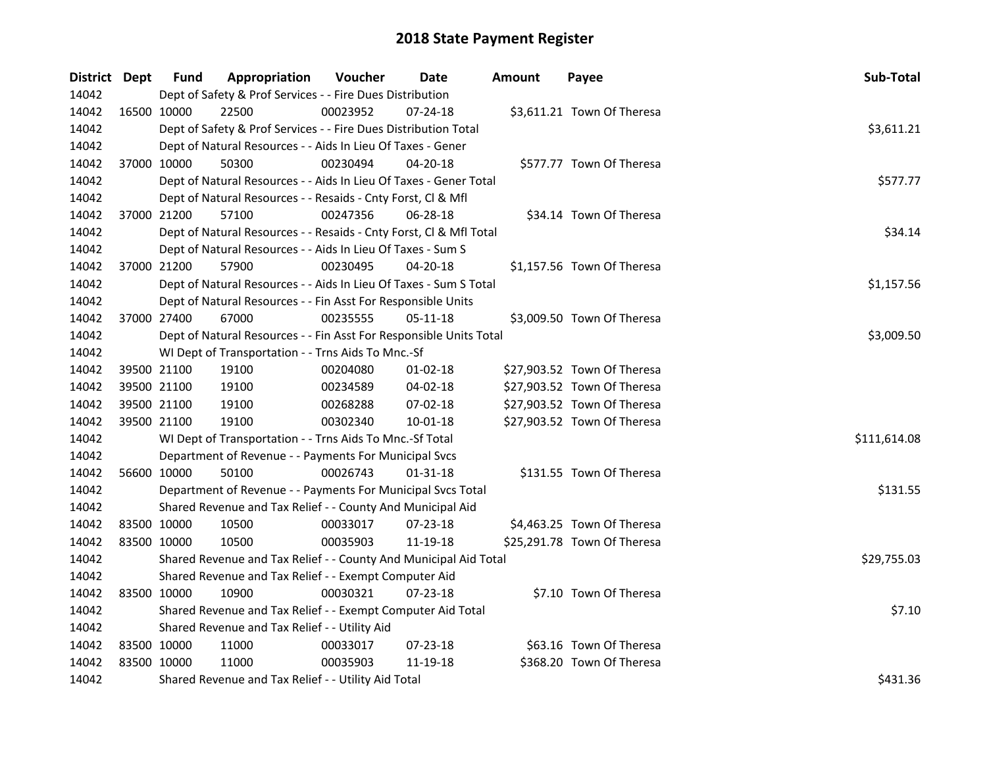| District Dept |             | Fund                                          | Appropriation                                                      | Voucher  | Date           | Amount | Payee                       | Sub-Total    |  |  |  |  |
|---------------|-------------|-----------------------------------------------|--------------------------------------------------------------------|----------|----------------|--------|-----------------------------|--------------|--|--|--|--|
| 14042         |             |                                               | Dept of Safety & Prof Services - - Fire Dues Distribution          |          |                |        |                             |              |  |  |  |  |
| 14042         | 16500 10000 |                                               | 22500                                                              | 00023952 | $07 - 24 - 18$ |        | \$3,611.21 Town Of Theresa  |              |  |  |  |  |
| 14042         |             |                                               | Dept of Safety & Prof Services - - Fire Dues Distribution Total    |          |                |        |                             | \$3,611.21   |  |  |  |  |
| 14042         |             |                                               | Dept of Natural Resources - - Aids In Lieu Of Taxes - Gener        |          |                |        |                             |              |  |  |  |  |
| 14042         |             | 37000 10000                                   | 50300                                                              | 00230494 | $04 - 20 - 18$ |        | \$577.77 Town Of Theresa    |              |  |  |  |  |
| 14042         |             |                                               | Dept of Natural Resources - - Aids In Lieu Of Taxes - Gener Total  |          |                |        |                             | \$577.77     |  |  |  |  |
| 14042         |             |                                               | Dept of Natural Resources - - Resaids - Cnty Forst, Cl & Mfl       |          |                |        |                             |              |  |  |  |  |
| 14042         |             | 37000 21200                                   | 57100                                                              | 00247356 | $06 - 28 - 18$ |        | \$34.14 Town Of Theresa     |              |  |  |  |  |
| 14042         |             |                                               | Dept of Natural Resources - - Resaids - Cnty Forst, Cl & Mfl Total |          |                |        |                             | \$34.14      |  |  |  |  |
| 14042         |             |                                               | Dept of Natural Resources - - Aids In Lieu Of Taxes - Sum S        |          |                |        |                             |              |  |  |  |  |
| 14042         |             | 37000 21200                                   | 57900                                                              | 00230495 | $04 - 20 - 18$ |        | \$1,157.56 Town Of Theresa  |              |  |  |  |  |
| 14042         |             |                                               | Dept of Natural Resources - - Aids In Lieu Of Taxes - Sum S Total  |          |                |        |                             | \$1,157.56   |  |  |  |  |
| 14042         |             |                                               | Dept of Natural Resources - - Fin Asst For Responsible Units       |          |                |        |                             |              |  |  |  |  |
| 14042         |             | 37000 27400                                   | 67000                                                              | 00235555 | 05-11-18       |        | \$3,009.50 Town Of Theresa  |              |  |  |  |  |
| 14042         |             |                                               | Dept of Natural Resources - - Fin Asst For Responsible Units Total |          |                |        |                             | \$3,009.50   |  |  |  |  |
| 14042         |             |                                               | WI Dept of Transportation - - Trns Aids To Mnc.-Sf                 |          |                |        |                             |              |  |  |  |  |
| 14042         |             | 39500 21100                                   | 19100                                                              | 00204080 | $01-02-18$     |        | \$27,903.52 Town Of Theresa |              |  |  |  |  |
| 14042         |             | 39500 21100                                   | 19100                                                              | 00234589 | 04-02-18       |        | \$27,903.52 Town Of Theresa |              |  |  |  |  |
| 14042         |             | 39500 21100                                   | 19100                                                              | 00268288 | 07-02-18       |        | \$27,903.52 Town Of Theresa |              |  |  |  |  |
| 14042         |             | 39500 21100                                   | 19100                                                              | 00302340 | $10 - 01 - 18$ |        | \$27,903.52 Town Of Theresa |              |  |  |  |  |
| 14042         |             |                                               | WI Dept of Transportation - - Trns Aids To Mnc.-Sf Total           |          |                |        |                             | \$111,614.08 |  |  |  |  |
| 14042         |             |                                               | Department of Revenue - - Payments For Municipal Svcs              |          |                |        |                             |              |  |  |  |  |
| 14042         |             | 56600 10000                                   | 50100                                                              | 00026743 | $01 - 31 - 18$ |        | \$131.55 Town Of Theresa    |              |  |  |  |  |
| 14042         |             |                                               | Department of Revenue - - Payments For Municipal Svcs Total        |          |                |        |                             | \$131.55     |  |  |  |  |
| 14042         |             |                                               | Shared Revenue and Tax Relief - - County And Municipal Aid         |          |                |        |                             |              |  |  |  |  |
| 14042         |             | 83500 10000                                   | 10500                                                              | 00033017 | 07-23-18       |        | \$4,463.25 Town Of Theresa  |              |  |  |  |  |
| 14042         |             | 83500 10000                                   | 10500                                                              | 00035903 | 11-19-18       |        | \$25,291.78 Town Of Theresa |              |  |  |  |  |
| 14042         |             |                                               | Shared Revenue and Tax Relief - - County And Municipal Aid Total   |          |                |        |                             | \$29,755.03  |  |  |  |  |
| 14042         |             |                                               | Shared Revenue and Tax Relief - - Exempt Computer Aid              |          |                |        |                             |              |  |  |  |  |
| 14042         |             | 83500 10000                                   | 10900                                                              | 00030321 | 07-23-18       |        | \$7.10 Town Of Theresa      |              |  |  |  |  |
| 14042         |             |                                               | Shared Revenue and Tax Relief - - Exempt Computer Aid Total        |          |                |        |                             | \$7.10       |  |  |  |  |
| 14042         |             | Shared Revenue and Tax Relief - - Utility Aid |                                                                    |          |                |        |                             |              |  |  |  |  |
| 14042         |             | 83500 10000                                   | 11000                                                              | 00033017 | 07-23-18       |        | \$63.16 Town Of Theresa     |              |  |  |  |  |
| 14042         |             | 83500 10000                                   | 11000                                                              | 00035903 | 11-19-18       |        | \$368.20 Town Of Theresa    |              |  |  |  |  |
| 14042         |             |                                               | Shared Revenue and Tax Relief - - Utility Aid Total                |          |                |        |                             | \$431.36     |  |  |  |  |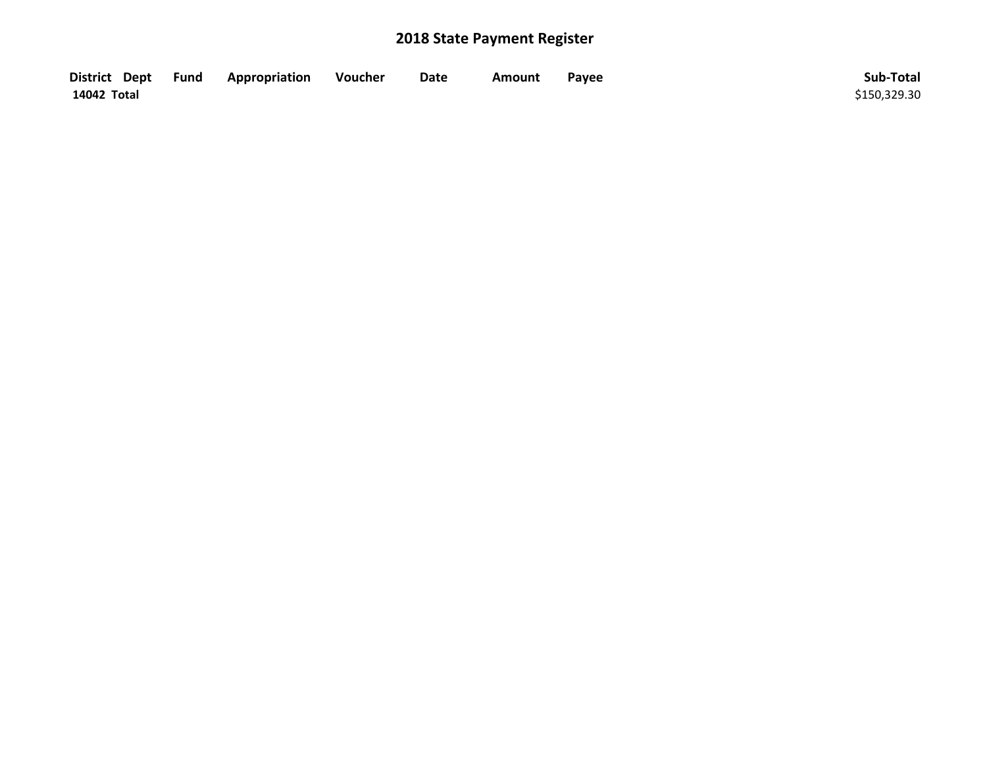| District Dept Fund | Appropriation | Voucher | Date | Amount | Payee | Sub-Total    |
|--------------------|---------------|---------|------|--------|-------|--------------|
| 14042 Total        |               |         |      |        |       | \$150,329.30 |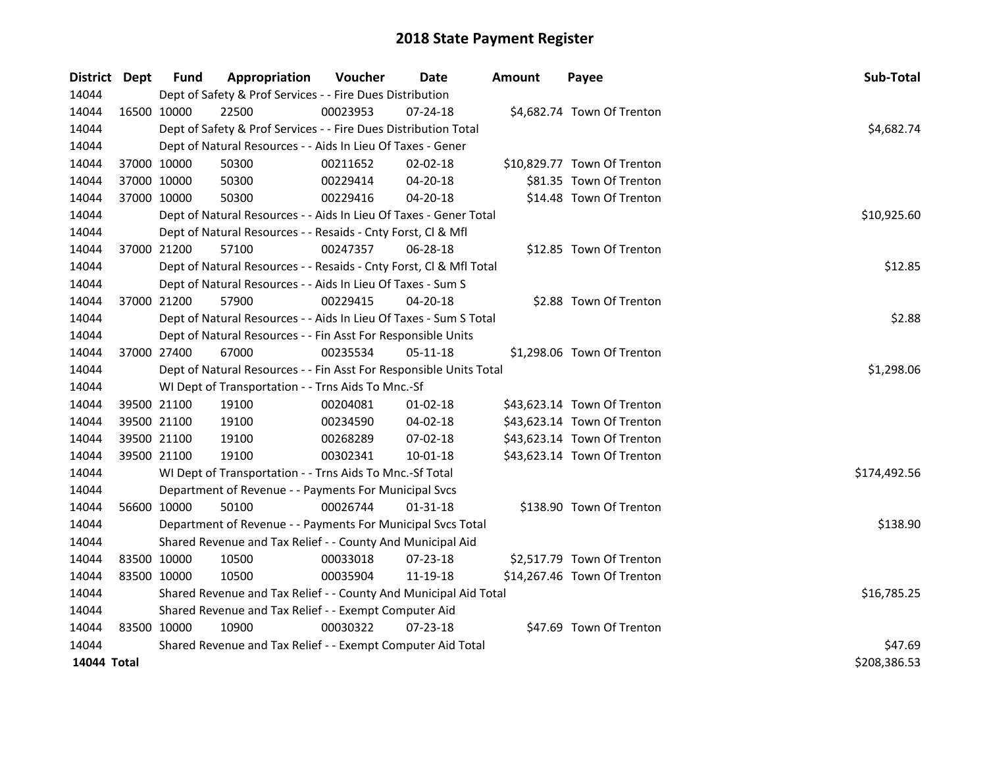| District Dept | Fund        | Appropriation                                                      | Voucher    | Date           | <b>Amount</b> | Payee                       | Sub-Total    |  |  |  |
|---------------|-------------|--------------------------------------------------------------------|------------|----------------|---------------|-----------------------------|--------------|--|--|--|
| 14044         |             | Dept of Safety & Prof Services - - Fire Dues Distribution          |            |                |               |                             |              |  |  |  |
| 14044         | 16500 10000 | 22500                                                              | 00023953   | 07-24-18       |               | \$4,682.74 Town Of Trenton  |              |  |  |  |
| 14044         |             | Dept of Safety & Prof Services - - Fire Dues Distribution Total    |            |                |               |                             | \$4,682.74   |  |  |  |
| 14044         |             | Dept of Natural Resources - - Aids In Lieu Of Taxes - Gener        |            |                |               |                             |              |  |  |  |
| 14044         | 37000 10000 | 50300                                                              | 00211652   | 02-02-18       |               | \$10,829.77 Town Of Trenton |              |  |  |  |
| 14044         | 37000 10000 | 50300                                                              | 00229414   | 04-20-18       |               | \$81.35 Town Of Trenton     |              |  |  |  |
| 14044         | 37000 10000 | 50300                                                              | 00229416   | 04-20-18       |               | \$14.48 Town Of Trenton     |              |  |  |  |
| 14044         |             | Dept of Natural Resources - - Aids In Lieu Of Taxes - Gener Total  |            |                |               |                             | \$10,925.60  |  |  |  |
| 14044         |             | Dept of Natural Resources - - Resaids - Cnty Forst, Cl & Mfl       |            |                |               |                             |              |  |  |  |
| 14044         | 37000 21200 | 57100                                                              | 00247357   | 06-28-18       |               | \$12.85 Town Of Trenton     |              |  |  |  |
| 14044         |             | Dept of Natural Resources - - Resaids - Cnty Forst, Cl & Mfl Total |            |                |               |                             | \$12.85      |  |  |  |
| 14044         |             | Dept of Natural Resources - - Aids In Lieu Of Taxes - Sum S        |            |                |               |                             |              |  |  |  |
| 14044         | 37000 21200 | 57900                                                              | 00229415   | $04 - 20 - 18$ |               | \$2.88 Town Of Trenton      |              |  |  |  |
| 14044         |             | Dept of Natural Resources - - Aids In Lieu Of Taxes - Sum S Total  |            |                |               |                             | \$2.88       |  |  |  |
| 14044         |             | Dept of Natural Resources - - Fin Asst For Responsible Units       |            |                |               |                             |              |  |  |  |
| 14044         | 37000 27400 | 67000                                                              | 00235534   | 05-11-18       |               | \$1,298.06 Town Of Trenton  |              |  |  |  |
| 14044         |             | Dept of Natural Resources - - Fin Asst For Responsible Units Total | \$1,298.06 |                |               |                             |              |  |  |  |
| 14044         |             | WI Dept of Transportation - - Trns Aids To Mnc.-Sf                 |            |                |               |                             |              |  |  |  |
| 14044         | 39500 21100 | 19100                                                              | 00204081   | $01 - 02 - 18$ |               | \$43,623.14 Town Of Trenton |              |  |  |  |
| 14044         | 39500 21100 | 19100                                                              | 00234590   | 04-02-18       |               | \$43,623.14 Town Of Trenton |              |  |  |  |
| 14044         | 39500 21100 | 19100                                                              | 00268289   | 07-02-18       |               | \$43,623.14 Town Of Trenton |              |  |  |  |
| 14044         | 39500 21100 | 19100                                                              | 00302341   | 10-01-18       |               | \$43,623.14 Town Of Trenton |              |  |  |  |
| 14044         |             | WI Dept of Transportation - - Trns Aids To Mnc.-Sf Total           |            |                |               |                             | \$174,492.56 |  |  |  |
| 14044         |             | Department of Revenue - - Payments For Municipal Svcs              |            |                |               |                             |              |  |  |  |
| 14044         | 56600 10000 | 50100                                                              | 00026744   | $01 - 31 - 18$ |               | \$138.90 Town Of Trenton    |              |  |  |  |
| 14044         |             | Department of Revenue - - Payments For Municipal Svcs Total        |            |                |               |                             | \$138.90     |  |  |  |
| 14044         |             | Shared Revenue and Tax Relief - - County And Municipal Aid         |            |                |               |                             |              |  |  |  |
| 14044         | 83500 10000 | 10500                                                              | 00033018   | $07 - 23 - 18$ |               | \$2,517.79 Town Of Trenton  |              |  |  |  |
| 14044         | 83500 10000 | 10500                                                              | 00035904   | 11-19-18       |               | \$14,267.46 Town Of Trenton |              |  |  |  |
| 14044         |             | Shared Revenue and Tax Relief - - County And Municipal Aid Total   |            |                |               |                             | \$16,785.25  |  |  |  |
| 14044         |             | Shared Revenue and Tax Relief - - Exempt Computer Aid              |            |                |               |                             |              |  |  |  |
| 14044         | 83500 10000 | 10900                                                              | 00030322   | $07 - 23 - 18$ |               | \$47.69 Town Of Trenton     |              |  |  |  |
| 14044         |             | Shared Revenue and Tax Relief - - Exempt Computer Aid Total        |            |                |               |                             | \$47.69      |  |  |  |
| 14044 Total   |             |                                                                    |            |                |               |                             | \$208,386.53 |  |  |  |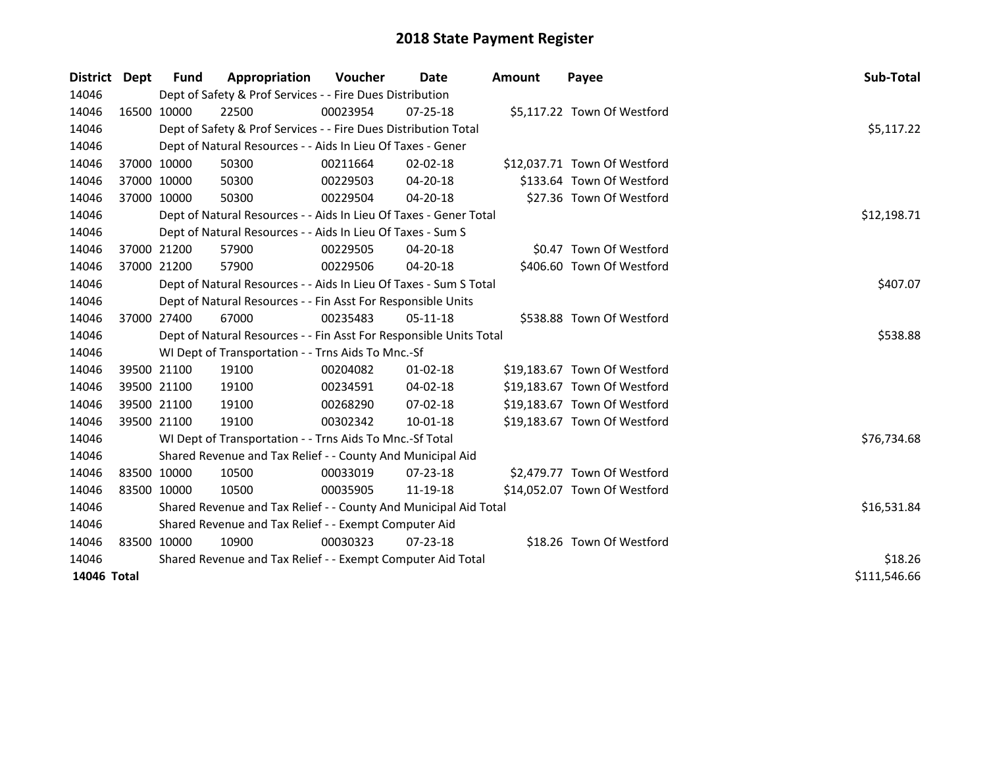| District    | Dept | <b>Fund</b>  | Appropriation                                                      | Voucher     | Date           | Amount | Payee                        | Sub-Total   |
|-------------|------|--------------|--------------------------------------------------------------------|-------------|----------------|--------|------------------------------|-------------|
| 14046       |      |              | Dept of Safety & Prof Services - - Fire Dues Distribution          |             |                |        |                              |             |
| 14046       |      | 16500 10000  | 22500                                                              | 00023954    | $07 - 25 - 18$ |        | \$5,117.22 Town Of Westford  |             |
| 14046       |      |              | Dept of Safety & Prof Services - - Fire Dues Distribution Total    |             |                |        |                              | \$5,117.22  |
| 14046       |      |              | Dept of Natural Resources - - Aids In Lieu Of Taxes - Gener        |             |                |        |                              |             |
| 14046       |      | 37000 10000  | 50300                                                              | 00211664    | $02 - 02 - 18$ |        | \$12,037.71 Town Of Westford |             |
| 14046       |      | 37000 10000  | 50300                                                              | 00229503    | 04-20-18       |        | \$133.64 Town Of Westford    |             |
| 14046       |      | 37000 10000  | 50300                                                              | 00229504    | 04-20-18       |        | \$27.36 Town Of Westford     |             |
| 14046       |      |              | Dept of Natural Resources - - Aids In Lieu Of Taxes - Gener Total  |             |                |        |                              | \$12,198.71 |
| 14046       |      |              | Dept of Natural Resources - - Aids In Lieu Of Taxes - Sum S        |             |                |        |                              |             |
| 14046       |      | 37000 21200  | 57900                                                              | 00229505    | 04-20-18       |        | \$0.47 Town Of Westford      |             |
| 14046       |      | 37000 21200  | 57900                                                              | 00229506    | 04-20-18       |        | \$406.60 Town Of Westford    |             |
| 14046       |      |              | Dept of Natural Resources - - Aids In Lieu Of Taxes - Sum S Total  |             |                |        |                              | \$407.07    |
| 14046       |      |              | Dept of Natural Resources - - Fin Asst For Responsible Units       |             |                |        |                              |             |
| 14046       |      | 37000 27400  | 67000                                                              | 00235483    | $05-11-18$     |        | \$538.88 Town Of Westford    |             |
| 14046       |      |              | Dept of Natural Resources - - Fin Asst For Responsible Units Total |             |                |        |                              | \$538.88    |
| 14046       |      |              | WI Dept of Transportation - - Trns Aids To Mnc.-Sf                 |             |                |        |                              |             |
| 14046       |      | 39500 21100  | 19100                                                              | 00204082    | $01 - 02 - 18$ |        | \$19,183.67 Town Of Westford |             |
| 14046       |      | 39500 21100  | 19100                                                              | 00234591    | 04-02-18       |        | \$19,183.67 Town Of Westford |             |
| 14046       |      | 39500 21100  | 19100                                                              | 00268290    | 07-02-18       |        | \$19,183.67 Town Of Westford |             |
| 14046       |      | 39500 21100  | 19100                                                              | 00302342    | 10-01-18       |        | \$19,183.67 Town Of Westford |             |
| 14046       |      |              | WI Dept of Transportation - - Trns Aids To Mnc.-Sf Total           |             |                |        |                              | \$76,734.68 |
| 14046       |      |              | Shared Revenue and Tax Relief - - County And Municipal Aid         |             |                |        |                              |             |
| 14046       |      | 83500 10000  | 10500                                                              | 00033019    | 07-23-18       |        | \$2,479.77 Town Of Westford  |             |
| 14046       |      | 83500 10000  | 10500                                                              | 00035905    | 11-19-18       |        | \$14,052.07 Town Of Westford |             |
| 14046       |      |              | Shared Revenue and Tax Relief - - County And Municipal Aid Total   | \$16,531.84 |                |        |                              |             |
| 14046       |      |              | Shared Revenue and Tax Relief - - Exempt Computer Aid              |             |                |        |                              |             |
| 14046       |      | 83500 10000  | 10900                                                              | 00030323    | $07 - 23 - 18$ |        | \$18.26 Town Of Westford     |             |
| 14046       |      |              | Shared Revenue and Tax Relief - - Exempt Computer Aid Total        | \$18.26     |                |        |                              |             |
| 14046 Total |      | \$111,546.66 |                                                                    |             |                |        |                              |             |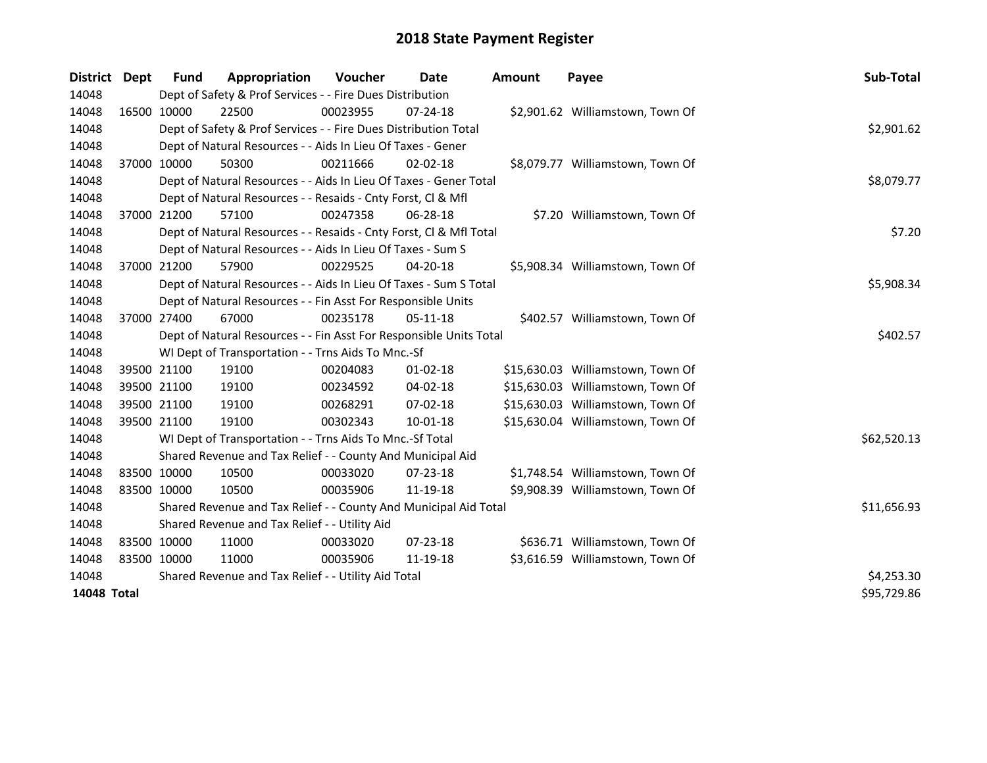| <b>District</b> | Dept        | <b>Fund</b>                                   | Appropriation                                                      | <b>Voucher</b> | Date           | Amount | Payee                             | Sub-Total   |
|-----------------|-------------|-----------------------------------------------|--------------------------------------------------------------------|----------------|----------------|--------|-----------------------------------|-------------|
| 14048           |             |                                               | Dept of Safety & Prof Services - - Fire Dues Distribution          |                |                |        |                                   |             |
| 14048           |             | 16500 10000                                   | 22500                                                              | 00023955       | 07-24-18       |        | \$2,901.62 Williamstown, Town Of  |             |
| 14048           |             |                                               | Dept of Safety & Prof Services - - Fire Dues Distribution Total    |                |                |        |                                   | \$2,901.62  |
| 14048           |             |                                               | Dept of Natural Resources - - Aids In Lieu Of Taxes - Gener        |                |                |        |                                   |             |
| 14048           |             | 37000 10000                                   | 50300                                                              | 00211666       | $02 - 02 - 18$ |        | \$8,079.77 Williamstown, Town Of  |             |
| 14048           |             |                                               | Dept of Natural Resources - - Aids In Lieu Of Taxes - Gener Total  |                |                |        |                                   | \$8,079.77  |
| 14048           |             |                                               | Dept of Natural Resources - - Resaids - Cnty Forst, Cl & Mfl       |                |                |        |                                   |             |
| 14048           |             | 37000 21200                                   | 57100                                                              | 00247358       | 06-28-18       |        | \$7.20 Williamstown, Town Of      |             |
| 14048           |             |                                               | Dept of Natural Resources - - Resaids - Cnty Forst, CI & Mfl Total |                |                |        |                                   | \$7.20      |
| 14048           |             |                                               | Dept of Natural Resources - - Aids In Lieu Of Taxes - Sum S        |                |                |        |                                   |             |
| 14048           |             | 37000 21200                                   | 57900                                                              | 00229525       | 04-20-18       |        | \$5,908.34 Williamstown, Town Of  |             |
| 14048           |             |                                               | Dept of Natural Resources - - Aids In Lieu Of Taxes - Sum S Total  |                |                |        |                                   | \$5,908.34  |
| 14048           |             |                                               | Dept of Natural Resources - - Fin Asst For Responsible Units       |                |                |        |                                   |             |
| 14048           | 37000 27400 |                                               | 67000                                                              | 00235178       | 05-11-18       |        | \$402.57 Williamstown, Town Of    |             |
| 14048           |             |                                               | Dept of Natural Resources - - Fin Asst For Responsible Units Total |                |                |        |                                   | \$402.57    |
| 14048           |             |                                               | WI Dept of Transportation - - Trns Aids To Mnc.-Sf                 |                |                |        |                                   |             |
| 14048           |             | 39500 21100                                   | 19100                                                              | 00204083       | 01-02-18       |        | \$15,630.03 Williamstown, Town Of |             |
| 14048           |             | 39500 21100                                   | 19100                                                              | 00234592       | 04-02-18       |        | \$15,630.03 Williamstown, Town Of |             |
| 14048           |             | 39500 21100                                   | 19100                                                              | 00268291       | 07-02-18       |        | \$15,630.03 Williamstown, Town Of |             |
| 14048           |             | 39500 21100                                   | 19100                                                              | 00302343       | $10 - 01 - 18$ |        | \$15,630.04 Williamstown, Town Of |             |
| 14048           |             |                                               | WI Dept of Transportation - - Trns Aids To Mnc.-Sf Total           |                |                |        |                                   | \$62,520.13 |
| 14048           |             |                                               | Shared Revenue and Tax Relief - - County And Municipal Aid         |                |                |        |                                   |             |
| 14048           | 83500 10000 |                                               | 10500                                                              | 00033020       | 07-23-18       |        | \$1,748.54 Williamstown, Town Of  |             |
| 14048           | 83500 10000 |                                               | 10500                                                              | 00035906       | 11-19-18       |        | \$9,908.39 Williamstown, Town Of  |             |
| 14048           |             |                                               | Shared Revenue and Tax Relief - - County And Municipal Aid Total   |                |                |        |                                   | \$11,656.93 |
| 14048           |             | Shared Revenue and Tax Relief - - Utility Aid |                                                                    |                |                |        |                                   |             |
| 14048           | 83500 10000 |                                               | 11000                                                              | 00033020       | 07-23-18       |        | \$636.71 Williamstown, Town Of    |             |
| 14048           | 83500 10000 |                                               | 11000                                                              | 00035906       | 11-19-18       |        | \$3,616.59 Williamstown, Town Of  |             |
| 14048           |             |                                               | Shared Revenue and Tax Relief - - Utility Aid Total                |                |                |        |                                   | \$4,253.30  |
| 14048 Total     |             |                                               |                                                                    |                |                |        |                                   | \$95,729.86 |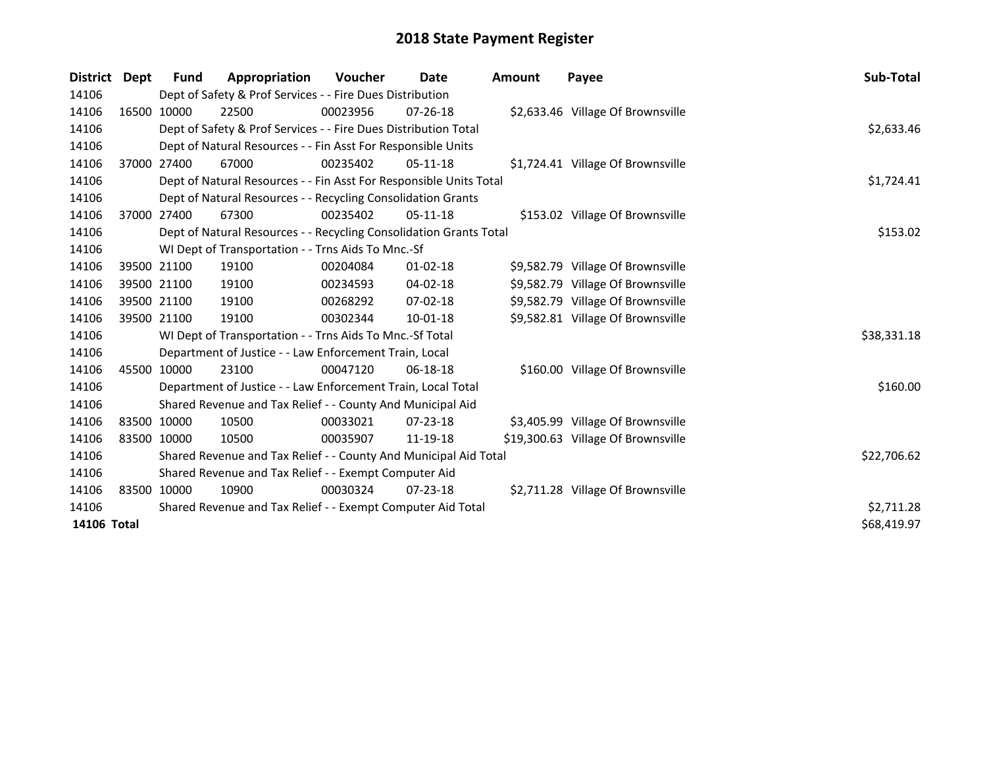| District    | Dept        | Fund                                                        | Appropriation                                                      | <b>Voucher</b> | Date           | <b>Amount</b> | Payee                              | Sub-Total   |  |  |
|-------------|-------------|-------------------------------------------------------------|--------------------------------------------------------------------|----------------|----------------|---------------|------------------------------------|-------------|--|--|
| 14106       |             |                                                             | Dept of Safety & Prof Services - - Fire Dues Distribution          |                |                |               |                                    |             |  |  |
| 14106       | 16500 10000 |                                                             | 22500                                                              | 00023956       | $07 - 26 - 18$ |               | \$2,633.46 Village Of Brownsville  |             |  |  |
| 14106       |             |                                                             | Dept of Safety & Prof Services - - Fire Dues Distribution Total    |                |                |               |                                    | \$2,633.46  |  |  |
| 14106       |             |                                                             | Dept of Natural Resources - - Fin Asst For Responsible Units       |                |                |               |                                    |             |  |  |
| 14106       |             | 37000 27400                                                 | 67000                                                              | 00235402       | $05-11-18$     |               | \$1,724.41 Village Of Brownsville  |             |  |  |
| 14106       |             |                                                             | Dept of Natural Resources - - Fin Asst For Responsible Units Total |                |                |               |                                    | \$1,724.41  |  |  |
| 14106       |             |                                                             | Dept of Natural Resources - - Recycling Consolidation Grants       |                |                |               |                                    |             |  |  |
| 14106       |             | 37000 27400                                                 | 67300                                                              | 00235402       | $05-11-18$     |               | \$153.02 Village Of Brownsville    |             |  |  |
| 14106       |             |                                                             | Dept of Natural Resources - - Recycling Consolidation Grants Total |                |                |               |                                    | \$153.02    |  |  |
| 14106       |             |                                                             | WI Dept of Transportation - - Trns Aids To Mnc.-Sf                 |                |                |               |                                    |             |  |  |
| 14106       |             | 39500 21100                                                 | 19100                                                              | 00204084       | $01 - 02 - 18$ |               | \$9,582.79 Village Of Brownsville  |             |  |  |
| 14106       | 39500 21100 |                                                             | 19100                                                              | 00234593       | 04-02-18       |               | \$9,582.79 Village Of Brownsville  |             |  |  |
| 14106       |             | 39500 21100                                                 | 19100                                                              | 00268292       | 07-02-18       |               | \$9,582.79 Village Of Brownsville  |             |  |  |
| 14106       | 39500 21100 |                                                             | 19100                                                              | 00302344       | 10-01-18       |               | \$9,582.81 Village Of Brownsville  |             |  |  |
| 14106       |             |                                                             | WI Dept of Transportation - - Trns Aids To Mnc.-Sf Total           |                |                |               |                                    | \$38,331.18 |  |  |
| 14106       |             |                                                             | Department of Justice - - Law Enforcement Train, Local             |                |                |               |                                    |             |  |  |
| 14106       |             | 45500 10000                                                 | 23100                                                              | 00047120       | $06-18-18$     |               | \$160.00 Village Of Brownsville    |             |  |  |
| 14106       |             |                                                             | Department of Justice - - Law Enforcement Train, Local Total       |                |                |               |                                    | \$160.00    |  |  |
| 14106       |             |                                                             | Shared Revenue and Tax Relief - - County And Municipal Aid         |                |                |               |                                    |             |  |  |
| 14106       | 83500 10000 |                                                             | 10500                                                              | 00033021       | $07 - 23 - 18$ |               | \$3,405.99 Village Of Brownsville  |             |  |  |
| 14106       | 83500 10000 |                                                             | 10500                                                              | 00035907       | 11-19-18       |               | \$19,300.63 Village Of Brownsville |             |  |  |
| 14106       |             |                                                             | Shared Revenue and Tax Relief - - County And Municipal Aid Total   |                |                |               |                                    | \$22,706.62 |  |  |
| 14106       |             | Shared Revenue and Tax Relief - - Exempt Computer Aid       |                                                                    |                |                |               |                                    |             |  |  |
| 14106       | 83500 10000 |                                                             | 10900                                                              | 00030324       | $07 - 23 - 18$ |               | \$2,711.28 Village Of Brownsville  |             |  |  |
| 14106       |             | Shared Revenue and Tax Relief - - Exempt Computer Aid Total |                                                                    |                |                |               |                                    |             |  |  |
| 14106 Total |             |                                                             |                                                                    |                |                |               |                                    |             |  |  |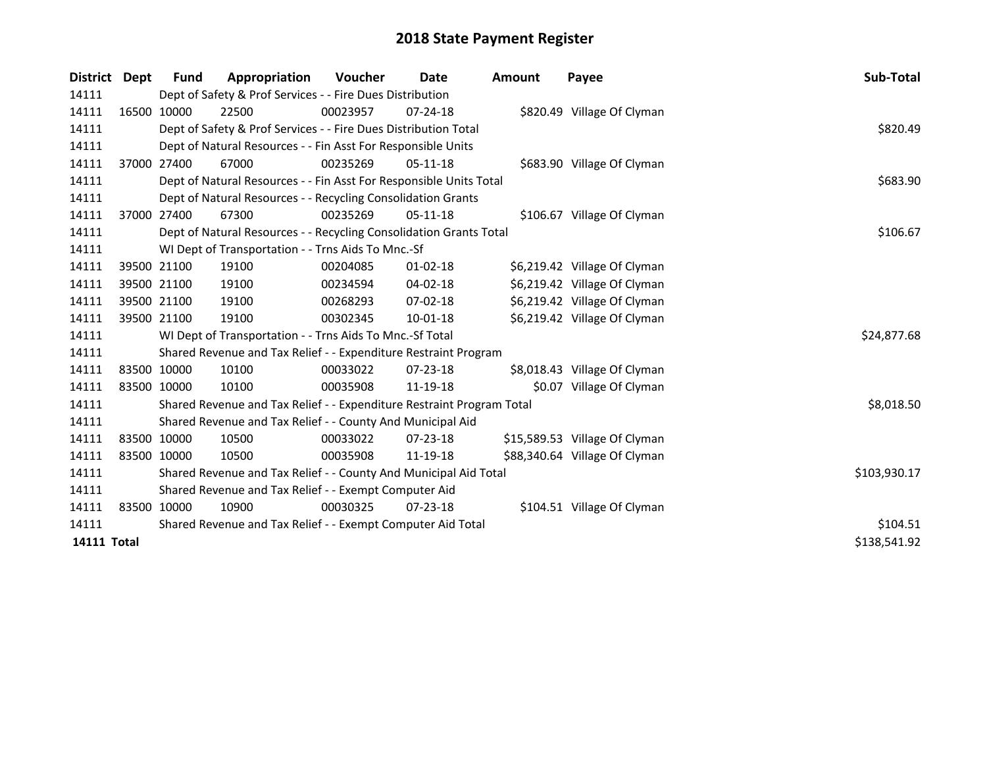| <b>District</b> | <b>Dept</b> | Fund        | Appropriation                                                         | <b>Voucher</b> | Date           | <b>Amount</b> | Payee                         | Sub-Total    |
|-----------------|-------------|-------------|-----------------------------------------------------------------------|----------------|----------------|---------------|-------------------------------|--------------|
| 14111           |             |             | Dept of Safety & Prof Services - - Fire Dues Distribution             |                |                |               |                               |              |
| 14111           |             | 16500 10000 | 22500                                                                 | 00023957       | $07 - 24 - 18$ |               | \$820.49 Village Of Clyman    |              |
| 14111           |             |             | Dept of Safety & Prof Services - - Fire Dues Distribution Total       |                |                |               |                               | \$820.49     |
| 14111           |             |             | Dept of Natural Resources - - Fin Asst For Responsible Units          |                |                |               |                               |              |
| 14111           |             | 37000 27400 | 67000                                                                 | 00235269       | $05-11-18$     |               | \$683.90 Village Of Clyman    |              |
| 14111           |             |             | Dept of Natural Resources - - Fin Asst For Responsible Units Total    |                |                |               |                               | \$683.90     |
| 14111           |             |             | Dept of Natural Resources - - Recycling Consolidation Grants          |                |                |               |                               |              |
| 14111           |             | 37000 27400 | 67300                                                                 | 00235269       | $05-11-18$     |               | \$106.67 Village Of Clyman    |              |
| 14111           |             |             | Dept of Natural Resources - - Recycling Consolidation Grants Total    |                |                |               |                               | \$106.67     |
| 14111           |             |             | WI Dept of Transportation - - Trns Aids To Mnc.-Sf                    |                |                |               |                               |              |
| 14111           |             | 39500 21100 | 19100                                                                 | 00204085       | $01 - 02 - 18$ |               | \$6,219.42 Village Of Clyman  |              |
| 14111           |             | 39500 21100 | 19100                                                                 | 00234594       | 04-02-18       |               | \$6,219.42 Village Of Clyman  |              |
| 14111           |             | 39500 21100 | 19100                                                                 | 00268293       | $07 - 02 - 18$ |               | \$6,219.42 Village Of Clyman  |              |
| 14111           |             | 39500 21100 | 19100                                                                 | 00302345       | $10 - 01 - 18$ |               | \$6,219.42 Village Of Clyman  |              |
| 14111           |             |             | WI Dept of Transportation - - Trns Aids To Mnc.-Sf Total              |                |                |               |                               | \$24,877.68  |
| 14111           |             |             | Shared Revenue and Tax Relief - - Expenditure Restraint Program       |                |                |               |                               |              |
| 14111           |             | 83500 10000 | 10100                                                                 | 00033022       | 07-23-18       |               | \$8,018.43 Village Of Clyman  |              |
| 14111           |             | 83500 10000 | 10100                                                                 | 00035908       | 11-19-18       |               | \$0.07 Village Of Clyman      |              |
| 14111           |             |             | Shared Revenue and Tax Relief - - Expenditure Restraint Program Total |                |                |               |                               | \$8,018.50   |
| 14111           |             |             | Shared Revenue and Tax Relief - - County And Municipal Aid            |                |                |               |                               |              |
| 14111           |             | 83500 10000 | 10500                                                                 | 00033022       | $07 - 23 - 18$ |               | \$15,589.53 Village Of Clyman |              |
| 14111           |             | 83500 10000 | 10500                                                                 | 00035908       | 11-19-18       |               | \$88,340.64 Village Of Clyman |              |
| 14111           |             |             | Shared Revenue and Tax Relief - - County And Municipal Aid Total      |                |                |               |                               | \$103,930.17 |
| 14111           |             |             | Shared Revenue and Tax Relief - - Exempt Computer Aid                 |                |                |               |                               |              |
| 14111           |             | 83500 10000 | 10900                                                                 | 00030325       | $07 - 23 - 18$ |               | \$104.51 Village Of Clyman    |              |
| 14111           |             |             | Shared Revenue and Tax Relief - - Exempt Computer Aid Total           | \$104.51       |                |               |                               |              |
| 14111 Total     |             |             |                                                                       |                |                |               |                               | \$138,541.92 |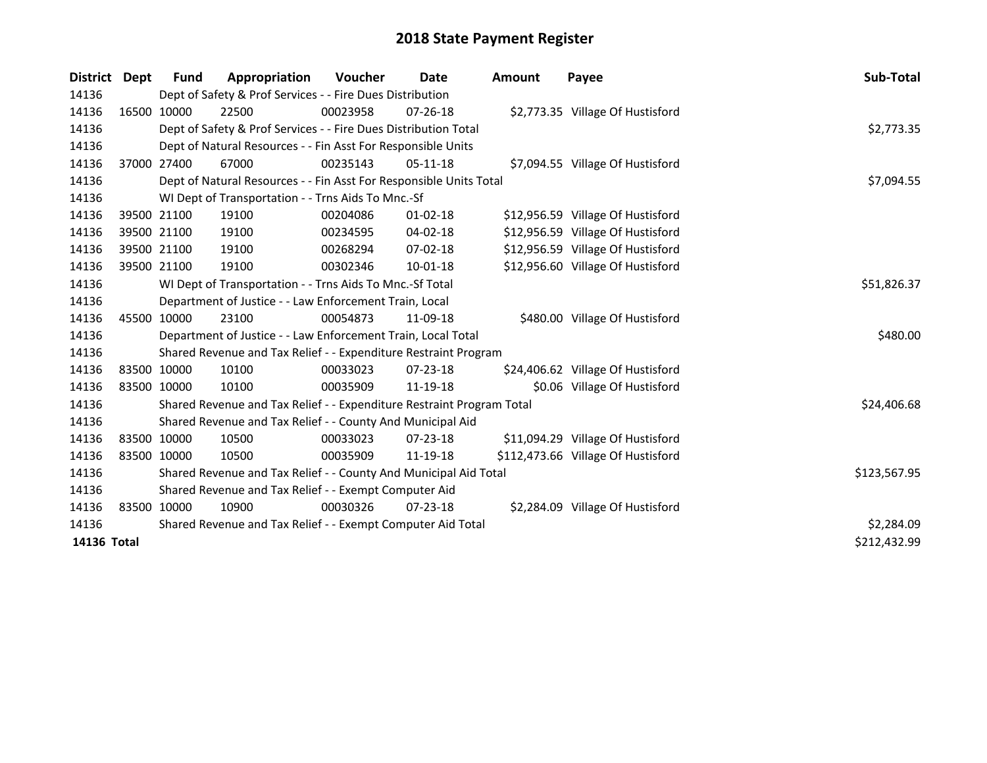| <b>District</b> | Dept | <b>Fund</b>                                                 | Appropriation                                                         | <b>Voucher</b> | Date           | <b>Amount</b> | Payee                              | Sub-Total    |
|-----------------|------|-------------------------------------------------------------|-----------------------------------------------------------------------|----------------|----------------|---------------|------------------------------------|--------------|
| 14136           |      |                                                             | Dept of Safety & Prof Services - - Fire Dues Distribution             |                |                |               |                                    |              |
| 14136           |      | 16500 10000                                                 | 22500                                                                 | 00023958       | $07 - 26 - 18$ |               | \$2,773.35 Village Of Hustisford   |              |
| 14136           |      |                                                             | Dept of Safety & Prof Services - - Fire Dues Distribution Total       |                |                |               |                                    | \$2,773.35   |
| 14136           |      |                                                             | Dept of Natural Resources - - Fin Asst For Responsible Units          |                |                |               |                                    |              |
| 14136           |      | 37000 27400                                                 | 67000                                                                 | 00235143       | $05-11-18$     |               | \$7,094.55 Village Of Hustisford   |              |
| 14136           |      |                                                             | Dept of Natural Resources - - Fin Asst For Responsible Units Total    |                |                |               |                                    | \$7,094.55   |
| 14136           |      |                                                             | WI Dept of Transportation - - Trns Aids To Mnc.-Sf                    |                |                |               |                                    |              |
| 14136           |      | 39500 21100                                                 | 19100                                                                 | 00204086       | $01 - 02 - 18$ |               | \$12,956.59 Village Of Hustisford  |              |
| 14136           |      | 39500 21100                                                 | 19100                                                                 | 00234595       | 04-02-18       |               | \$12,956.59 Village Of Hustisford  |              |
| 14136           |      | 39500 21100                                                 | 19100                                                                 | 00268294       | $07 - 02 - 18$ |               | \$12,956.59 Village Of Hustisford  |              |
| 14136           |      | 39500 21100                                                 | 19100                                                                 | 00302346       | 10-01-18       |               | \$12,956.60 Village Of Hustisford  |              |
| 14136           |      |                                                             | WI Dept of Transportation - - Trns Aids To Mnc.-Sf Total              |                |                |               |                                    | \$51,826.37  |
| 14136           |      |                                                             | Department of Justice - - Law Enforcement Train, Local                |                |                |               |                                    |              |
| 14136           |      | 45500 10000                                                 | 23100                                                                 | 00054873       | 11-09-18       |               | \$480.00 Village Of Hustisford     |              |
| 14136           |      |                                                             | Department of Justice - - Law Enforcement Train, Local Total          |                |                |               |                                    | \$480.00     |
| 14136           |      |                                                             | Shared Revenue and Tax Relief - - Expenditure Restraint Program       |                |                |               |                                    |              |
| 14136           |      | 83500 10000                                                 | 10100                                                                 | 00033023       | $07 - 23 - 18$ |               | \$24,406.62 Village Of Hustisford  |              |
| 14136           |      | 83500 10000                                                 | 10100                                                                 | 00035909       | 11-19-18       |               | \$0.06 Village Of Hustisford       |              |
| 14136           |      |                                                             | Shared Revenue and Tax Relief - - Expenditure Restraint Program Total |                |                |               |                                    | \$24,406.68  |
| 14136           |      |                                                             | Shared Revenue and Tax Relief - - County And Municipal Aid            |                |                |               |                                    |              |
| 14136           |      | 83500 10000                                                 | 10500                                                                 | 00033023       | 07-23-18       |               | \$11,094.29 Village Of Hustisford  |              |
| 14136           |      | 83500 10000                                                 | 10500                                                                 | 00035909       | 11-19-18       |               | \$112,473.66 Village Of Hustisford |              |
| 14136           |      |                                                             | Shared Revenue and Tax Relief - - County And Municipal Aid Total      |                |                |               |                                    | \$123,567.95 |
| 14136           |      | Shared Revenue and Tax Relief - - Exempt Computer Aid       |                                                                       |                |                |               |                                    |              |
| 14136           |      | 83500 10000                                                 | 10900                                                                 | 00030326       | $07 - 23 - 18$ |               | \$2,284.09 Village Of Hustisford   |              |
| 14136           |      | Shared Revenue and Tax Relief - - Exempt Computer Aid Total |                                                                       |                |                |               |                                    |              |
| 14136 Total     |      |                                                             |                                                                       |                |                |               |                                    | \$212,432.99 |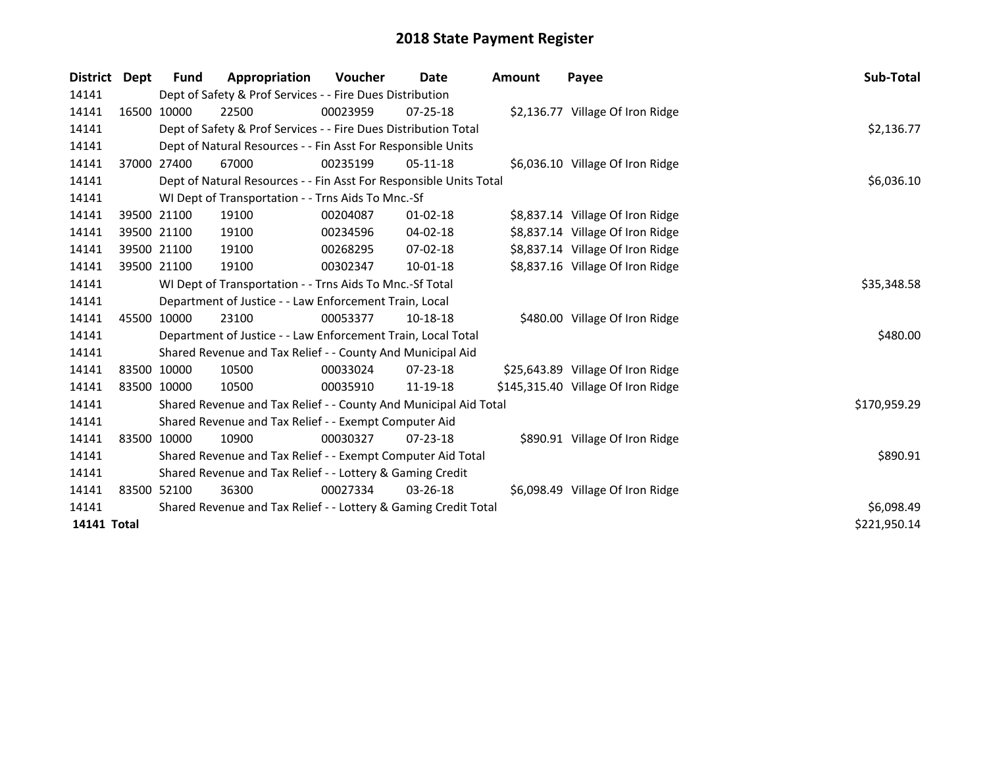| District    | Dept | <b>Fund</b>                                               | Appropriation                                                      | Voucher  | Date           | <b>Amount</b> | Payee                              | Sub-Total    |  |
|-------------|------|-----------------------------------------------------------|--------------------------------------------------------------------|----------|----------------|---------------|------------------------------------|--------------|--|
| 14141       |      |                                                           | Dept of Safety & Prof Services - - Fire Dues Distribution          |          |                |               |                                    |              |  |
| 14141       |      | 16500 10000                                               | 22500                                                              | 00023959 | $07 - 25 - 18$ |               | \$2,136.77 Village Of Iron Ridge   |              |  |
| 14141       |      |                                                           | Dept of Safety & Prof Services - - Fire Dues Distribution Total    |          |                |               |                                    | \$2,136.77   |  |
| 14141       |      |                                                           | Dept of Natural Resources - - Fin Asst For Responsible Units       |          |                |               |                                    |              |  |
| 14141       |      | 37000 27400                                               | 67000                                                              | 00235199 | $05-11-18$     |               | \$6,036.10 Village Of Iron Ridge   |              |  |
| 14141       |      |                                                           | Dept of Natural Resources - - Fin Asst For Responsible Units Total |          |                |               |                                    | \$6,036.10   |  |
| 14141       |      | WI Dept of Transportation - - Trns Aids To Mnc.-Sf        |                                                                    |          |                |               |                                    |              |  |
| 14141       |      | 39500 21100                                               | 19100                                                              | 00204087 | $01 - 02 - 18$ |               | \$8,837.14 Village Of Iron Ridge   |              |  |
| 14141       |      | 39500 21100                                               | 19100                                                              | 00234596 | 04-02-18       |               | \$8,837.14 Village Of Iron Ridge   |              |  |
| 14141       |      | 39500 21100                                               | 19100                                                              | 00268295 | 07-02-18       |               | \$8,837.14 Village Of Iron Ridge   |              |  |
| 14141       |      | 39500 21100                                               | 19100                                                              | 00302347 | 10-01-18       |               | \$8,837.16 Village Of Iron Ridge   |              |  |
| 14141       |      |                                                           | WI Dept of Transportation - - Trns Aids To Mnc.-Sf Total           |          |                |               |                                    | \$35,348.58  |  |
| 14141       |      |                                                           | Department of Justice - - Law Enforcement Train, Local             |          |                |               |                                    |              |  |
| 14141       |      | 45500 10000                                               | 23100                                                              | 00053377 | 10-18-18       |               | \$480.00 Village Of Iron Ridge     |              |  |
| 14141       |      |                                                           | Department of Justice - - Law Enforcement Train, Local Total       |          |                |               |                                    | \$480.00     |  |
| 14141       |      |                                                           | Shared Revenue and Tax Relief - - County And Municipal Aid         |          |                |               |                                    |              |  |
| 14141       |      | 83500 10000                                               | 10500                                                              | 00033024 | $07 - 23 - 18$ |               | \$25,643.89 Village Of Iron Ridge  |              |  |
| 14141       |      | 83500 10000                                               | 10500                                                              | 00035910 | 11-19-18       |               | \$145,315.40 Village Of Iron Ridge |              |  |
| 14141       |      |                                                           | Shared Revenue and Tax Relief - - County And Municipal Aid Total   |          |                |               |                                    | \$170,959.29 |  |
| 14141       |      |                                                           | Shared Revenue and Tax Relief - - Exempt Computer Aid              |          |                |               |                                    |              |  |
| 14141       |      | 83500 10000                                               | 10900                                                              | 00030327 | $07 - 23 - 18$ |               | \$890.91 Village Of Iron Ridge     |              |  |
| 14141       |      |                                                           | Shared Revenue and Tax Relief - - Exempt Computer Aid Total        |          |                |               |                                    | \$890.91     |  |
| 14141       |      | Shared Revenue and Tax Relief - - Lottery & Gaming Credit |                                                                    |          |                |               |                                    |              |  |
| 14141       |      | 83500 52100                                               | 36300                                                              | 00027334 | $03 - 26 - 18$ |               | \$6,098.49 Village Of Iron Ridge   |              |  |
| 14141       |      |                                                           | Shared Revenue and Tax Relief - - Lottery & Gaming Credit Total    |          |                |               |                                    | \$6,098.49   |  |
| 14141 Total |      |                                                           |                                                                    |          |                |               |                                    | \$221,950.14 |  |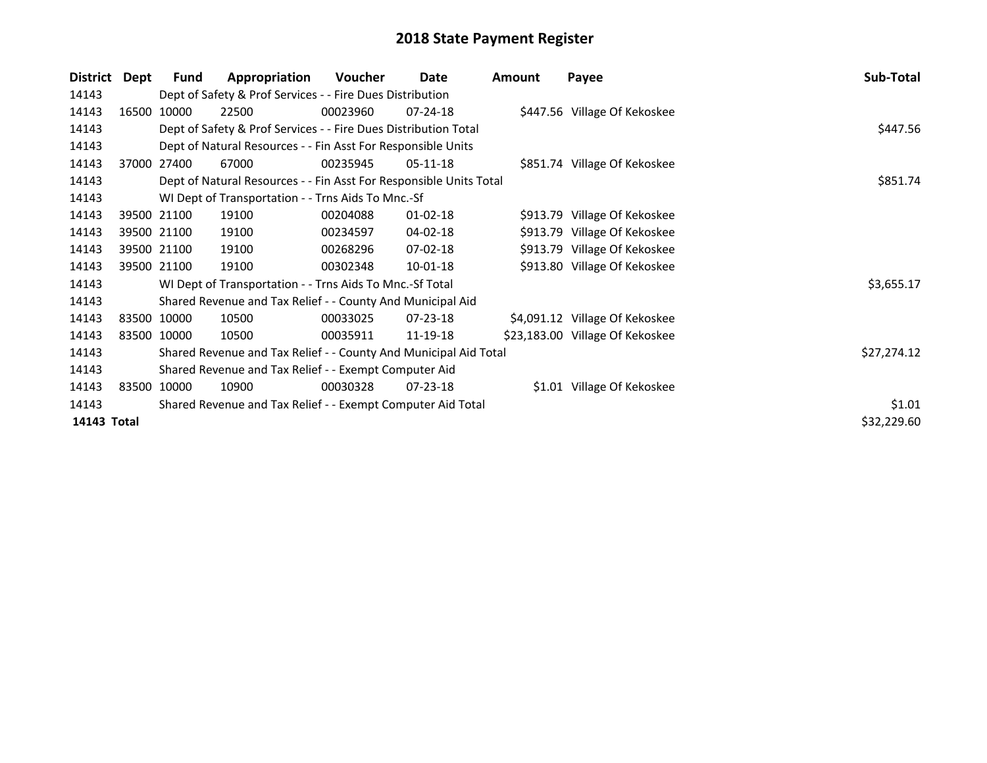| District    | Dept        | <b>Fund</b> | Appropriation                                                      | <b>Voucher</b> | Date           | <b>Amount</b> | Payee                           | Sub-Total   |
|-------------|-------------|-------------|--------------------------------------------------------------------|----------------|----------------|---------------|---------------------------------|-------------|
| 14143       |             |             | Dept of Safety & Prof Services - - Fire Dues Distribution          |                |                |               |                                 |             |
| 14143       |             | 16500 10000 | 22500                                                              | 00023960       | $07 - 24 - 18$ |               | \$447.56 Village Of Kekoskee    |             |
| 14143       |             |             | Dept of Safety & Prof Services - - Fire Dues Distribution Total    |                |                |               |                                 | \$447.56    |
| 14143       |             |             | Dept of Natural Resources - - Fin Asst For Responsible Units       |                |                |               |                                 |             |
| 14143       |             | 37000 27400 | 67000                                                              | 00235945       | $05-11-18$     |               | \$851.74 Village Of Kekoskee    |             |
| 14143       |             |             | Dept of Natural Resources - - Fin Asst For Responsible Units Total |                |                |               |                                 | \$851.74    |
| 14143       |             |             | WI Dept of Transportation - - Trns Aids To Mnc.-Sf                 |                |                |               |                                 |             |
| 14143       |             | 39500 21100 | 19100                                                              | 00204088       | $01 - 02 - 18$ |               | \$913.79 Village Of Kekoskee    |             |
| 14143       |             | 39500 21100 | 19100                                                              | 00234597       | $04 - 02 - 18$ |               | \$913.79 Village Of Kekoskee    |             |
| 14143       |             | 39500 21100 | 19100                                                              | 00268296       | $07 - 02 - 18$ |               | \$913.79 Village Of Kekoskee    |             |
| 14143       | 39500 21100 |             | 19100                                                              | 00302348       | $10 - 01 - 18$ |               | \$913.80 Village Of Kekoskee    |             |
| 14143       |             |             | WI Dept of Transportation - - Trns Aids To Mnc.-Sf Total           |                |                |               |                                 | \$3,655.17  |
| 14143       |             |             | Shared Revenue and Tax Relief - - County And Municipal Aid         |                |                |               |                                 |             |
| 14143       |             | 83500 10000 | 10500                                                              | 00033025       | $07 - 23 - 18$ |               | \$4,091.12 Village Of Kekoskee  |             |
| 14143       | 83500 10000 |             | 10500                                                              | 00035911       | 11-19-18       |               | \$23,183.00 Village Of Kekoskee |             |
| 14143       |             |             | Shared Revenue and Tax Relief - - County And Municipal Aid Total   |                |                |               |                                 | \$27,274.12 |
| 14143       |             |             | Shared Revenue and Tax Relief - - Exempt Computer Aid              |                |                |               |                                 |             |
| 14143       |             | 83500 10000 | 10900                                                              | 00030328       | $07 - 23 - 18$ |               | \$1.01 Village Of Kekoskee      |             |
| 14143       |             |             | Shared Revenue and Tax Relief - - Exempt Computer Aid Total        |                |                |               |                                 | \$1.01      |
| 14143 Total |             |             |                                                                    |                |                |               |                                 | \$32,229.60 |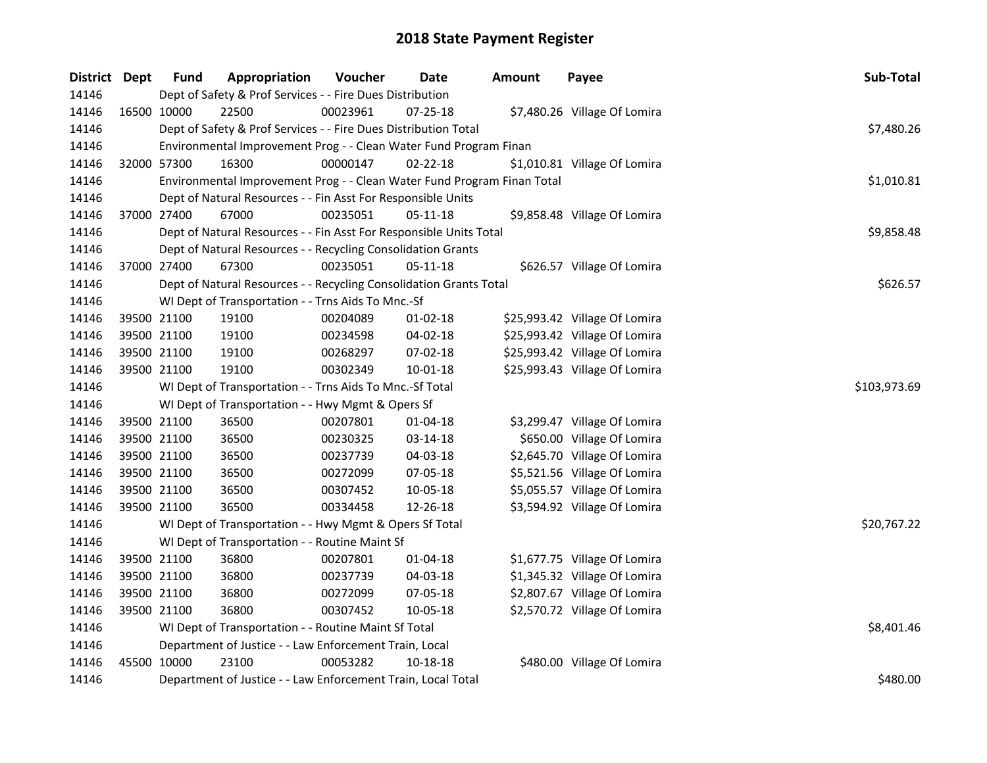| District Dept | <b>Fund</b> | Appropriation                                                           | Voucher  | Date           | <b>Amount</b> | Payee                         | Sub-Total    |
|---------------|-------------|-------------------------------------------------------------------------|----------|----------------|---------------|-------------------------------|--------------|
| 14146         |             | Dept of Safety & Prof Services - - Fire Dues Distribution               |          |                |               |                               |              |
| 14146         | 16500 10000 | 22500                                                                   | 00023961 | 07-25-18       |               | \$7,480.26 Village Of Lomira  |              |
| 14146         |             | Dept of Safety & Prof Services - - Fire Dues Distribution Total         |          |                |               |                               | \$7,480.26   |
| 14146         |             | Environmental Improvement Prog - - Clean Water Fund Program Finan       |          |                |               |                               |              |
| 14146         | 32000 57300 | 16300                                                                   | 00000147 | $02 - 22 - 18$ |               | \$1,010.81 Village Of Lomira  |              |
| 14146         |             | Environmental Improvement Prog - - Clean Water Fund Program Finan Total |          |                |               |                               | \$1,010.81   |
| 14146         |             | Dept of Natural Resources - - Fin Asst For Responsible Units            |          |                |               |                               |              |
| 14146         | 37000 27400 | 67000                                                                   | 00235051 | 05-11-18       |               | \$9,858.48 Village Of Lomira  |              |
| 14146         |             | Dept of Natural Resources - - Fin Asst For Responsible Units Total      |          |                |               |                               | \$9,858.48   |
| 14146         |             | Dept of Natural Resources - - Recycling Consolidation Grants            |          |                |               |                               |              |
| 14146         | 37000 27400 | 67300                                                                   | 00235051 | 05-11-18       |               | \$626.57 Village Of Lomira    |              |
| 14146         |             | Dept of Natural Resources - - Recycling Consolidation Grants Total      |          |                |               |                               | \$626.57     |
| 14146         |             | WI Dept of Transportation - - Trns Aids To Mnc.-Sf                      |          |                |               |                               |              |
| 14146         | 39500 21100 | 19100                                                                   | 00204089 | $01-02-18$     |               | \$25,993.42 Village Of Lomira |              |
| 14146         | 39500 21100 | 19100                                                                   | 00234598 | 04-02-18       |               | \$25,993.42 Village Of Lomira |              |
| 14146         | 39500 21100 | 19100                                                                   | 00268297 | 07-02-18       |               | \$25,993.42 Village Of Lomira |              |
| 14146         | 39500 21100 | 19100                                                                   | 00302349 | $10 - 01 - 18$ |               | \$25,993.43 Village Of Lomira |              |
| 14146         |             | WI Dept of Transportation - - Trns Aids To Mnc.-Sf Total                |          |                |               |                               | \$103,973.69 |
| 14146         |             | WI Dept of Transportation - - Hwy Mgmt & Opers Sf                       |          |                |               |                               |              |
| 14146         | 39500 21100 | 36500                                                                   | 00207801 | $01 - 04 - 18$ |               | \$3,299.47 Village Of Lomira  |              |
| 14146         | 39500 21100 | 36500                                                                   | 00230325 | 03-14-18       |               | \$650.00 Village Of Lomira    |              |
| 14146         | 39500 21100 | 36500                                                                   | 00237739 | 04-03-18       |               | \$2,645.70 Village Of Lomira  |              |
| 14146         | 39500 21100 | 36500                                                                   | 00272099 | 07-05-18       |               | \$5,521.56 Village Of Lomira  |              |
| 14146         | 39500 21100 | 36500                                                                   | 00307452 | 10-05-18       |               | \$5,055.57 Village Of Lomira  |              |
| 14146         | 39500 21100 | 36500                                                                   | 00334458 | 12-26-18       |               | \$3,594.92 Village Of Lomira  |              |
| 14146         |             | WI Dept of Transportation - - Hwy Mgmt & Opers Sf Total                 |          |                |               |                               | \$20,767.22  |
| 14146         |             | WI Dept of Transportation - - Routine Maint Sf                          |          |                |               |                               |              |
| 14146         | 39500 21100 | 36800                                                                   | 00207801 | $01 - 04 - 18$ |               | \$1,677.75 Village Of Lomira  |              |
| 14146         | 39500 21100 | 36800                                                                   | 00237739 | 04-03-18       |               | \$1,345.32 Village Of Lomira  |              |
| 14146         | 39500 21100 | 36800                                                                   | 00272099 | 07-05-18       |               | \$2,807.67 Village Of Lomira  |              |
| 14146         | 39500 21100 | 36800                                                                   | 00307452 | 10-05-18       |               | \$2,570.72 Village Of Lomira  |              |
| 14146         |             | WI Dept of Transportation - - Routine Maint Sf Total                    |          |                |               |                               | \$8,401.46   |
| 14146         |             | Department of Justice - - Law Enforcement Train, Local                  |          |                |               |                               |              |
| 14146         | 45500 10000 | 23100                                                                   | 00053282 | 10-18-18       |               | \$480.00 Village Of Lomira    |              |
| 14146         |             | Department of Justice - - Law Enforcement Train, Local Total            |          |                |               |                               | \$480.00     |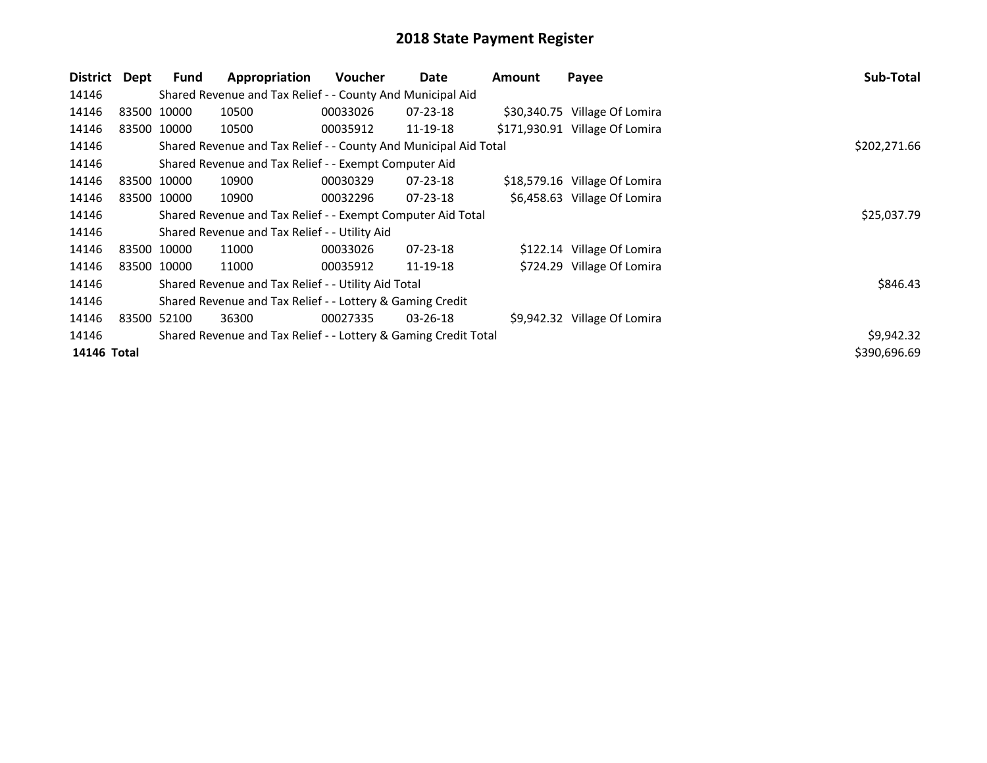| District    | Dept        | <b>Fund</b> | Appropriation                                                    | <b>Voucher</b> | Date           | Amount | Payee                          | Sub-Total    |
|-------------|-------------|-------------|------------------------------------------------------------------|----------------|----------------|--------|--------------------------------|--------------|
| 14146       |             |             | Shared Revenue and Tax Relief - - County And Municipal Aid       |                |                |        |                                |              |
| 14146       |             | 83500 10000 | 10500                                                            | 00033026       | $07 - 23 - 18$ |        | \$30,340.75 Village Of Lomira  |              |
| 14146       | 83500 10000 |             | 10500                                                            | 00035912       | 11-19-18       |        | \$171,930.91 Village Of Lomira |              |
| 14146       |             |             | Shared Revenue and Tax Relief - - County And Municipal Aid Total | \$202,271.66   |                |        |                                |              |
| 14146       |             |             | Shared Revenue and Tax Relief - - Exempt Computer Aid            |                |                |        |                                |              |
| 14146       | 83500 10000 |             | 10900                                                            | 00030329       | 07-23-18       |        | \$18,579.16 Village Of Lomira  |              |
| 14146       |             | 83500 10000 | 10900                                                            | 00032296       | $07 - 23 - 18$ |        | \$6,458.63 Village Of Lomira   |              |
| 14146       |             |             | Shared Revenue and Tax Relief - - Exempt Computer Aid Total      |                |                |        |                                | \$25,037.79  |
| 14146       |             |             | Shared Revenue and Tax Relief - - Utility Aid                    |                |                |        |                                |              |
| 14146       |             | 83500 10000 | 11000                                                            | 00033026       | $07 - 23 - 18$ |        | \$122.14 Village Of Lomira     |              |
| 14146       |             | 83500 10000 | 11000                                                            | 00035912       | 11-19-18       |        | \$724.29 Village Of Lomira     |              |
| 14146       |             |             | Shared Revenue and Tax Relief - - Utility Aid Total              |                |                |        |                                | \$846.43     |
| 14146       |             |             | Shared Revenue and Tax Relief - - Lottery & Gaming Credit        |                |                |        |                                |              |
| 14146       | 83500 52100 |             | 36300                                                            | 00027335       | $03 - 26 - 18$ |        | \$9,942.32 Village Of Lomira   |              |
| 14146       |             |             | Shared Revenue and Tax Relief - - Lottery & Gaming Credit Total  | \$9,942.32     |                |        |                                |              |
| 14146 Total |             |             |                                                                  |                |                |        |                                | \$390,696.69 |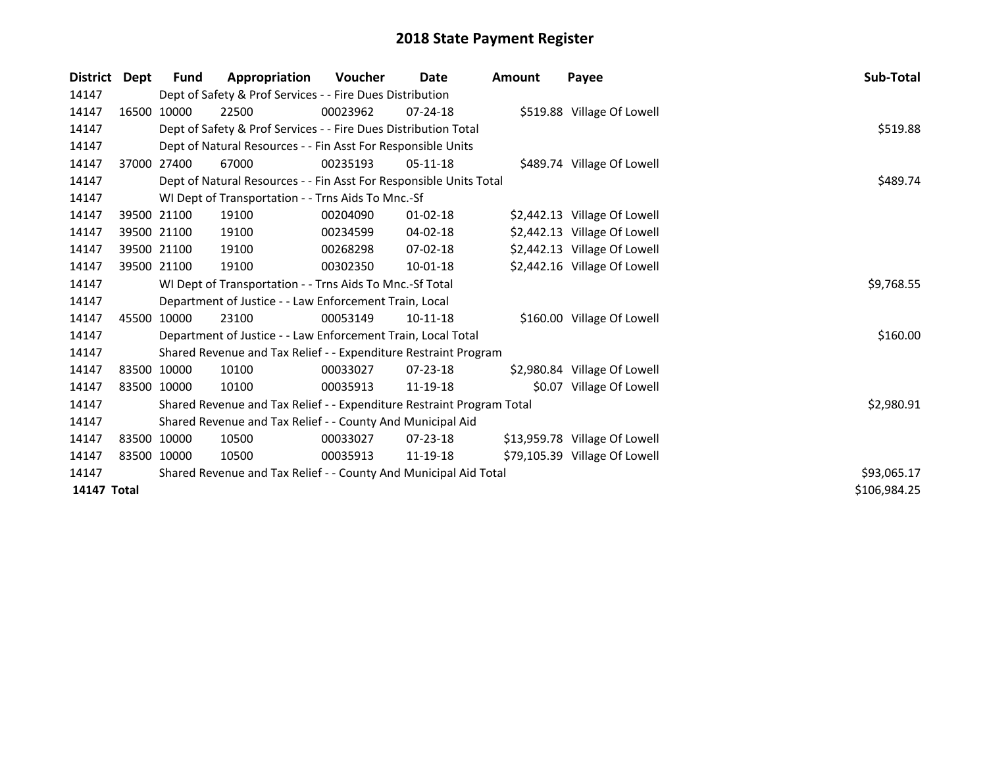| <b>District</b> | Dept  | <b>Fund</b>                                                      | Appropriation                                                         | Voucher  | Date           | <b>Amount</b> | Payee                         | Sub-Total    |
|-----------------|-------|------------------------------------------------------------------|-----------------------------------------------------------------------|----------|----------------|---------------|-------------------------------|--------------|
| 14147           |       |                                                                  | Dept of Safety & Prof Services - - Fire Dues Distribution             |          |                |               |                               |              |
| 14147           |       | 16500 10000                                                      | 22500                                                                 | 00023962 | $07 - 24 - 18$ |               | \$519.88 Village Of Lowell    |              |
| 14147           |       |                                                                  | Dept of Safety & Prof Services - - Fire Dues Distribution Total       |          |                |               |                               | \$519.88     |
| 14147           |       |                                                                  | Dept of Natural Resources - - Fin Asst For Responsible Units          |          |                |               |                               |              |
| 14147           | 37000 | 27400                                                            | 67000                                                                 | 00235193 | $05-11-18$     |               | \$489.74 Village Of Lowell    |              |
| 14147           |       |                                                                  | Dept of Natural Resources - - Fin Asst For Responsible Units Total    |          |                |               |                               | \$489.74     |
| 14147           |       |                                                                  | WI Dept of Transportation - - Trns Aids To Mnc.-Sf                    |          |                |               |                               |              |
| 14147           |       | 39500 21100                                                      | 19100                                                                 | 00204090 | $01 - 02 - 18$ |               | \$2,442.13 Village Of Lowell  |              |
| 14147           |       | 39500 21100                                                      | 19100                                                                 | 00234599 | 04-02-18       |               | \$2,442.13 Village Of Lowell  |              |
| 14147           |       | 39500 21100                                                      | 19100                                                                 | 00268298 | $07 - 02 - 18$ |               | \$2,442.13 Village Of Lowell  |              |
| 14147           |       | 39500 21100                                                      | 19100                                                                 | 00302350 | 10-01-18       |               | \$2,442.16 Village Of Lowell  |              |
| 14147           |       |                                                                  | WI Dept of Transportation - - Trns Aids To Mnc.-Sf Total              |          |                |               |                               | \$9,768.55   |
| 14147           |       |                                                                  | Department of Justice - - Law Enforcement Train, Local                |          |                |               |                               |              |
| 14147           |       | 45500 10000                                                      | 23100                                                                 | 00053149 | $10-11-18$     |               | \$160.00 Village Of Lowell    |              |
| 14147           |       |                                                                  | Department of Justice - - Law Enforcement Train, Local Total          |          |                |               |                               | \$160.00     |
| 14147           |       |                                                                  | Shared Revenue and Tax Relief - - Expenditure Restraint Program       |          |                |               |                               |              |
| 14147           |       | 83500 10000                                                      | 10100                                                                 | 00033027 | $07 - 23 - 18$ |               | \$2,980.84 Village Of Lowell  |              |
| 14147           |       | 83500 10000                                                      | 10100                                                                 | 00035913 | 11-19-18       |               | \$0.07 Village Of Lowell      |              |
| 14147           |       |                                                                  | Shared Revenue and Tax Relief - - Expenditure Restraint Program Total |          |                |               |                               | \$2,980.91   |
| 14147           |       |                                                                  | Shared Revenue and Tax Relief - - County And Municipal Aid            |          |                |               |                               |              |
| 14147           |       | 83500 10000                                                      | 10500                                                                 | 00033027 | $07 - 23 - 18$ |               | \$13,959.78 Village Of Lowell |              |
| 14147           |       | 83500 10000                                                      | 10500                                                                 | 00035913 | 11-19-18       |               | \$79,105.39 Village Of Lowell |              |
| 14147           |       | Shared Revenue and Tax Relief - - County And Municipal Aid Total |                                                                       |          |                |               |                               |              |
| 14147 Total     |       |                                                                  |                                                                       |          |                |               |                               | \$106,984.25 |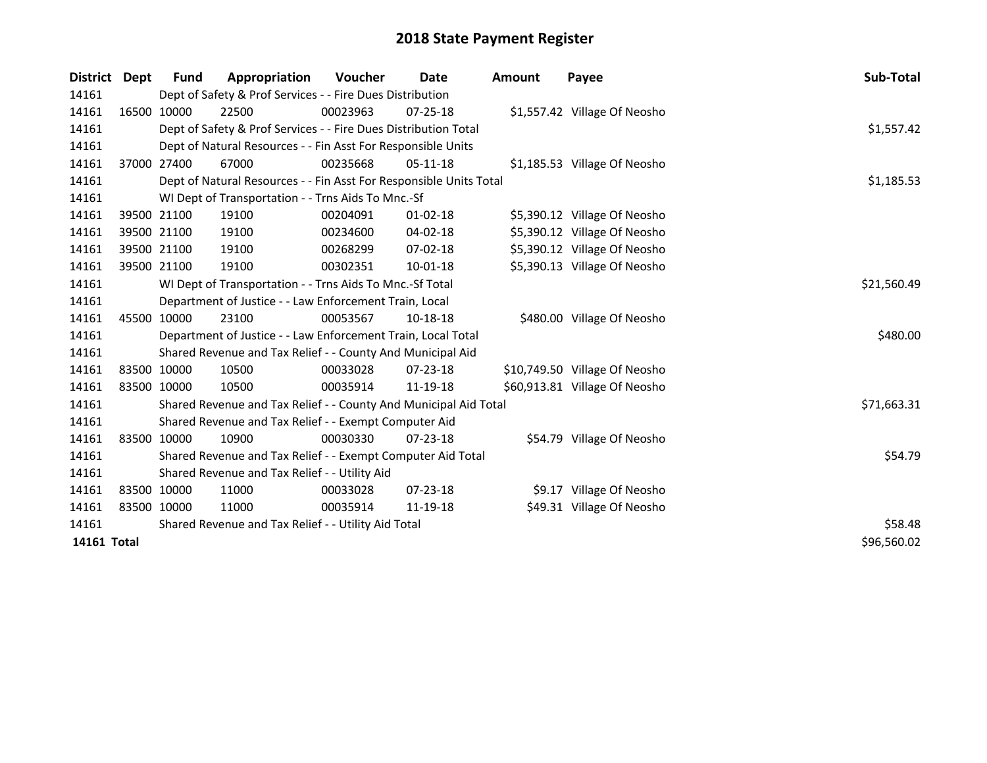| <b>District</b> | <b>Dept</b> | <b>Fund</b> | Appropriation                                                      | <b>Voucher</b> | Date           | <b>Amount</b> | Payee                         | Sub-Total   |  |  |  |
|-----------------|-------------|-------------|--------------------------------------------------------------------|----------------|----------------|---------------|-------------------------------|-------------|--|--|--|
| 14161           |             |             | Dept of Safety & Prof Services - - Fire Dues Distribution          |                |                |               |                               |             |  |  |  |
| 14161           |             | 16500 10000 | 22500                                                              | 00023963       | $07 - 25 - 18$ |               | \$1,557.42 Village Of Neosho  |             |  |  |  |
| 14161           |             |             | Dept of Safety & Prof Services - - Fire Dues Distribution Total    |                |                |               |                               | \$1,557.42  |  |  |  |
| 14161           |             |             | Dept of Natural Resources - - Fin Asst For Responsible Units       |                |                |               |                               |             |  |  |  |
| 14161           |             | 37000 27400 | 67000                                                              | 00235668       | $05-11-18$     |               | \$1,185.53 Village Of Neosho  |             |  |  |  |
| 14161           |             |             | Dept of Natural Resources - - Fin Asst For Responsible Units Total |                |                |               |                               | \$1,185.53  |  |  |  |
| 14161           |             |             | WI Dept of Transportation - - Trns Aids To Mnc.-Sf                 |                |                |               |                               |             |  |  |  |
| 14161           |             | 39500 21100 | 19100                                                              | 00204091       | $01 - 02 - 18$ |               | \$5,390.12 Village Of Neosho  |             |  |  |  |
| 14161           |             | 39500 21100 | 19100                                                              | 00234600       | $04 - 02 - 18$ |               | \$5,390.12 Village Of Neosho  |             |  |  |  |
| 14161           |             | 39500 21100 | 19100                                                              | 00268299       | 07-02-18       |               | \$5,390.12 Village Of Neosho  |             |  |  |  |
| 14161           |             | 39500 21100 | 19100                                                              | 00302351       | 10-01-18       |               | \$5,390.13 Village Of Neosho  |             |  |  |  |
| 14161           |             |             | WI Dept of Transportation - - Trns Aids To Mnc.-Sf Total           |                |                |               |                               | \$21,560.49 |  |  |  |
| 14161           |             |             | Department of Justice - - Law Enforcement Train, Local             |                |                |               |                               |             |  |  |  |
| 14161           |             | 45500 10000 | 23100                                                              | 00053567       | 10-18-18       |               | \$480.00 Village Of Neosho    |             |  |  |  |
| 14161           |             |             | Department of Justice - - Law Enforcement Train, Local Total       |                |                |               |                               | \$480.00    |  |  |  |
| 14161           |             |             | Shared Revenue and Tax Relief - - County And Municipal Aid         |                |                |               |                               |             |  |  |  |
| 14161           |             | 83500 10000 | 10500                                                              | 00033028       | $07 - 23 - 18$ |               | \$10,749.50 Village Of Neosho |             |  |  |  |
| 14161           |             | 83500 10000 | 10500                                                              | 00035914       | 11-19-18       |               | \$60,913.81 Village Of Neosho |             |  |  |  |
| 14161           |             |             | Shared Revenue and Tax Relief - - County And Municipal Aid Total   |                |                |               |                               | \$71,663.31 |  |  |  |
| 14161           |             |             | Shared Revenue and Tax Relief - - Exempt Computer Aid              |                |                |               |                               |             |  |  |  |
| 14161           |             | 83500 10000 | 10900                                                              | 00030330       | $07 - 23 - 18$ |               | \$54.79 Village Of Neosho     |             |  |  |  |
| 14161           |             |             | Shared Revenue and Tax Relief - - Exempt Computer Aid Total        |                |                |               |                               | \$54.79     |  |  |  |
| 14161           |             |             | Shared Revenue and Tax Relief - - Utility Aid                      |                |                |               |                               |             |  |  |  |
| 14161           |             | 83500 10000 | 11000                                                              | 00033028       | $07 - 23 - 18$ |               | \$9.17 Village Of Neosho      |             |  |  |  |
| 14161           |             | 83500 10000 | 11000                                                              | 00035914       | 11-19-18       |               | \$49.31 Village Of Neosho     |             |  |  |  |
| 14161           |             |             | Shared Revenue and Tax Relief - - Utility Aid Total                |                |                |               |                               | \$58.48     |  |  |  |
| 14161 Total     |             |             |                                                                    |                |                |               |                               | \$96,560.02 |  |  |  |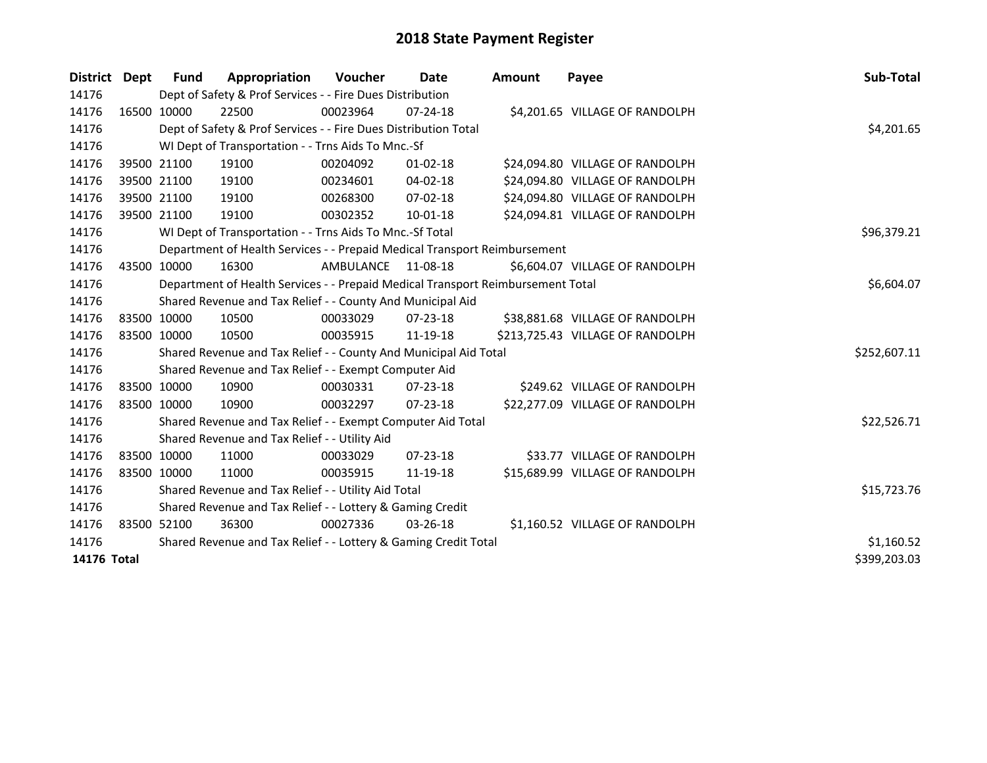| District    | <b>Dept</b> | Fund                                                            | Appropriation                                                                   | <b>Voucher</b> | Date           | Amount | Payee                            | Sub-Total    |  |
|-------------|-------------|-----------------------------------------------------------------|---------------------------------------------------------------------------------|----------------|----------------|--------|----------------------------------|--------------|--|
| 14176       |             |                                                                 | Dept of Safety & Prof Services - - Fire Dues Distribution                       |                |                |        |                                  |              |  |
| 14176       |             | 16500 10000                                                     | 22500                                                                           | 00023964       | 07-24-18       |        | \$4,201.65 VILLAGE OF RANDOLPH   |              |  |
| 14176       |             |                                                                 | Dept of Safety & Prof Services - - Fire Dues Distribution Total                 |                |                |        |                                  | \$4,201.65   |  |
| 14176       |             |                                                                 | WI Dept of Transportation - - Trns Aids To Mnc.-Sf                              |                |                |        |                                  |              |  |
| 14176       |             | 39500 21100                                                     | 19100                                                                           | 00204092       | $01 - 02 - 18$ |        | \$24,094.80 VILLAGE OF RANDOLPH  |              |  |
| 14176       |             | 39500 21100                                                     | 19100                                                                           | 00234601       | 04-02-18       |        | \$24,094.80 VILLAGE OF RANDOLPH  |              |  |
| 14176       |             | 39500 21100                                                     | 19100                                                                           | 00268300       | 07-02-18       |        | \$24,094.80 VILLAGE OF RANDOLPH  |              |  |
| 14176       |             | 39500 21100                                                     | 19100                                                                           | 00302352       | 10-01-18       |        | \$24,094.81 VILLAGE OF RANDOLPH  |              |  |
| 14176       |             |                                                                 | WI Dept of Transportation - - Trns Aids To Mnc.-Sf Total                        |                | \$96,379.21    |        |                                  |              |  |
| 14176       |             |                                                                 | Department of Health Services - - Prepaid Medical Transport Reimbursement       |                |                |        |                                  |              |  |
| 14176       |             | 43500 10000                                                     | 16300                                                                           | AMBULANCE      | 11-08-18       |        | \$6,604.07 VILLAGE OF RANDOLPH   |              |  |
| 14176       |             |                                                                 | Department of Health Services - - Prepaid Medical Transport Reimbursement Total |                |                |        |                                  | \$6,604.07   |  |
| 14176       |             |                                                                 | Shared Revenue and Tax Relief - - County And Municipal Aid                      |                |                |        |                                  |              |  |
| 14176       |             | 83500 10000                                                     | 10500                                                                           | 00033029       | 07-23-18       |        | \$38,881.68 VILLAGE OF RANDOLPH  |              |  |
| 14176       |             | 83500 10000                                                     | 10500                                                                           | 00035915       | 11-19-18       |        | \$213,725.43 VILLAGE OF RANDOLPH |              |  |
| 14176       |             |                                                                 | Shared Revenue and Tax Relief - - County And Municipal Aid Total                |                |                |        |                                  | \$252,607.11 |  |
| 14176       |             |                                                                 | Shared Revenue and Tax Relief - - Exempt Computer Aid                           |                |                |        |                                  |              |  |
| 14176       |             | 83500 10000                                                     | 10900                                                                           | 00030331       | $07 - 23 - 18$ |        | \$249.62 VILLAGE OF RANDOLPH     |              |  |
| 14176       |             | 83500 10000                                                     | 10900                                                                           | 00032297       | $07 - 23 - 18$ |        | \$22,277.09 VILLAGE OF RANDOLPH  |              |  |
| 14176       |             |                                                                 | Shared Revenue and Tax Relief - - Exempt Computer Aid Total                     |                |                |        |                                  | \$22,526.71  |  |
| 14176       |             |                                                                 | Shared Revenue and Tax Relief - - Utility Aid                                   |                |                |        |                                  |              |  |
| 14176       |             | 83500 10000                                                     | 11000                                                                           | 00033029       | 07-23-18       |        | \$33.77 VILLAGE OF RANDOLPH      |              |  |
| 14176       |             | 83500 10000                                                     | 11000                                                                           | 00035915       | 11-19-18       |        | \$15,689.99 VILLAGE OF RANDOLPH  |              |  |
| 14176       |             |                                                                 | Shared Revenue and Tax Relief - - Utility Aid Total                             |                |                |        |                                  | \$15,723.76  |  |
| 14176       |             | Shared Revenue and Tax Relief - - Lottery & Gaming Credit       |                                                                                 |                |                |        |                                  |              |  |
| 14176       |             | 83500 52100                                                     | 36300                                                                           | 00027336       | $03 - 26 - 18$ |        | \$1,160.52 VILLAGE OF RANDOLPH   |              |  |
| 14176       |             | Shared Revenue and Tax Relief - - Lottery & Gaming Credit Total | \$1,160.52                                                                      |                |                |        |                                  |              |  |
| 14176 Total |             |                                                                 |                                                                                 |                |                |        |                                  | \$399,203.03 |  |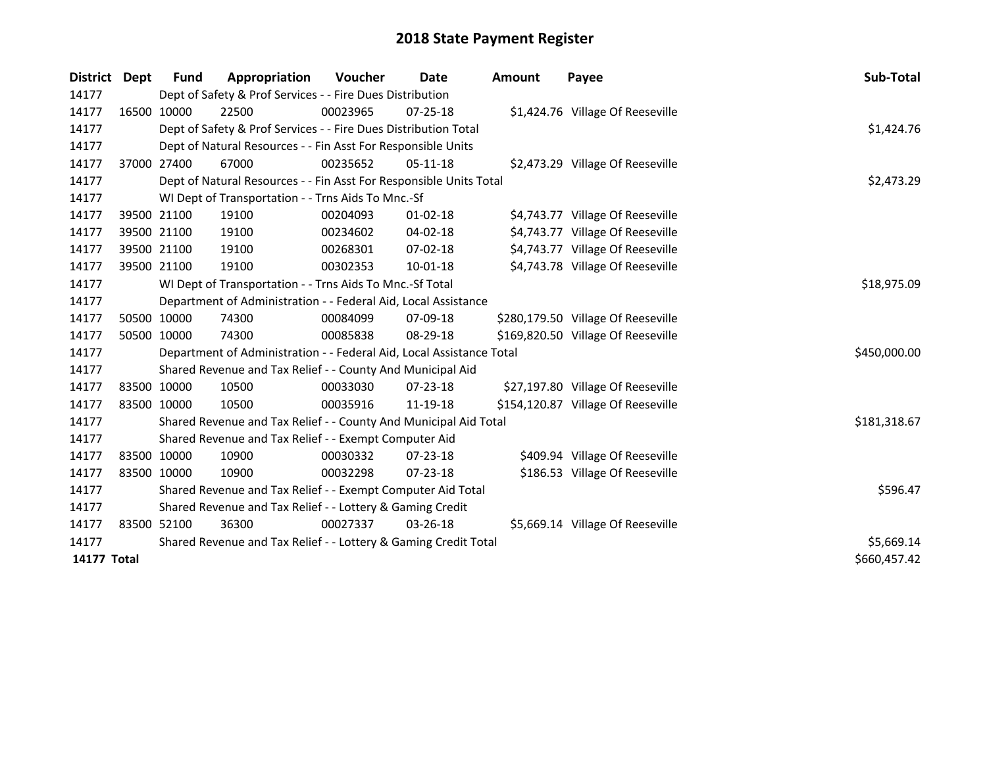| District           | <b>Dept</b> | <b>Fund</b> | Appropriation                                                        | Voucher  | <b>Date</b>    | <b>Amount</b> | Payee                              | Sub-Total    |  |  |  |
|--------------------|-------------|-------------|----------------------------------------------------------------------|----------|----------------|---------------|------------------------------------|--------------|--|--|--|
| 14177              |             |             | Dept of Safety & Prof Services - - Fire Dues Distribution            |          |                |               |                                    |              |  |  |  |
| 14177              |             | 16500 10000 | 22500                                                                | 00023965 | $07 - 25 - 18$ |               | \$1,424.76 Village Of Reeseville   |              |  |  |  |
| 14177              |             |             | Dept of Safety & Prof Services - - Fire Dues Distribution Total      |          |                |               |                                    | \$1,424.76   |  |  |  |
| 14177              |             |             | Dept of Natural Resources - - Fin Asst For Responsible Units         |          |                |               |                                    |              |  |  |  |
| 14177              |             | 37000 27400 | 67000                                                                | 00235652 | $05-11-18$     |               | \$2,473.29 Village Of Reeseville   |              |  |  |  |
| 14177              |             |             | Dept of Natural Resources - - Fin Asst For Responsible Units Total   |          |                |               |                                    | \$2,473.29   |  |  |  |
| 14177              |             |             | WI Dept of Transportation - - Trns Aids To Mnc.-Sf                   |          |                |               |                                    |              |  |  |  |
| 14177              |             | 39500 21100 | 19100                                                                | 00204093 | $01 - 02 - 18$ |               | \$4,743.77 Village Of Reeseville   |              |  |  |  |
| 14177              |             | 39500 21100 | 19100                                                                | 00234602 | 04-02-18       |               | \$4,743.77 Village Of Reeseville   |              |  |  |  |
| 14177              |             | 39500 21100 | 19100                                                                | 00268301 | $07 - 02 - 18$ |               | \$4,743.77 Village Of Reeseville   |              |  |  |  |
| 14177              |             | 39500 21100 | 19100                                                                | 00302353 | 10-01-18       |               | \$4,743.78 Village Of Reeseville   |              |  |  |  |
| 14177              |             |             | WI Dept of Transportation - - Trns Aids To Mnc.-Sf Total             |          |                |               |                                    | \$18,975.09  |  |  |  |
| 14177              |             |             | Department of Administration - - Federal Aid, Local Assistance       |          |                |               |                                    |              |  |  |  |
| 14177              |             | 50500 10000 | 74300                                                                | 00084099 | 07-09-18       |               | \$280,179.50 Village Of Reeseville |              |  |  |  |
| 14177              | 50500 10000 |             | 74300                                                                | 00085838 | 08-29-18       |               | \$169,820.50 Village Of Reeseville |              |  |  |  |
| 14177              |             |             | Department of Administration - - Federal Aid, Local Assistance Total |          |                |               |                                    | \$450,000.00 |  |  |  |
| 14177              |             |             | Shared Revenue and Tax Relief - - County And Municipal Aid           |          |                |               |                                    |              |  |  |  |
| 14177              |             | 83500 10000 | 10500                                                                | 00033030 | $07 - 23 - 18$ |               | \$27,197.80 Village Of Reeseville  |              |  |  |  |
| 14177              | 83500 10000 |             | 10500                                                                | 00035916 | 11-19-18       |               | \$154,120.87 Village Of Reeseville |              |  |  |  |
| 14177              |             |             | Shared Revenue and Tax Relief - - County And Municipal Aid Total     |          |                |               |                                    | \$181,318.67 |  |  |  |
| 14177              |             |             | Shared Revenue and Tax Relief - - Exempt Computer Aid                |          |                |               |                                    |              |  |  |  |
| 14177              |             | 83500 10000 | 10900                                                                | 00030332 | $07 - 23 - 18$ |               | \$409.94 Village Of Reeseville     |              |  |  |  |
| 14177              |             | 83500 10000 | 10900                                                                | 00032298 | $07 - 23 - 18$ |               | \$186.53 Village Of Reeseville     |              |  |  |  |
| 14177              |             |             | Shared Revenue and Tax Relief - - Exempt Computer Aid Total          |          |                |               |                                    | \$596.47     |  |  |  |
| 14177              |             |             | Shared Revenue and Tax Relief - - Lottery & Gaming Credit            |          |                |               |                                    |              |  |  |  |
| 14177              |             | 83500 52100 | 36300                                                                | 00027337 | $03 - 26 - 18$ |               | \$5,669.14 Village Of Reeseville   |              |  |  |  |
| 14177              |             |             | Shared Revenue and Tax Relief - - Lottery & Gaming Credit Total      |          |                |               |                                    |              |  |  |  |
| <b>14177 Total</b> |             |             |                                                                      |          |                |               |                                    | \$660,457.42 |  |  |  |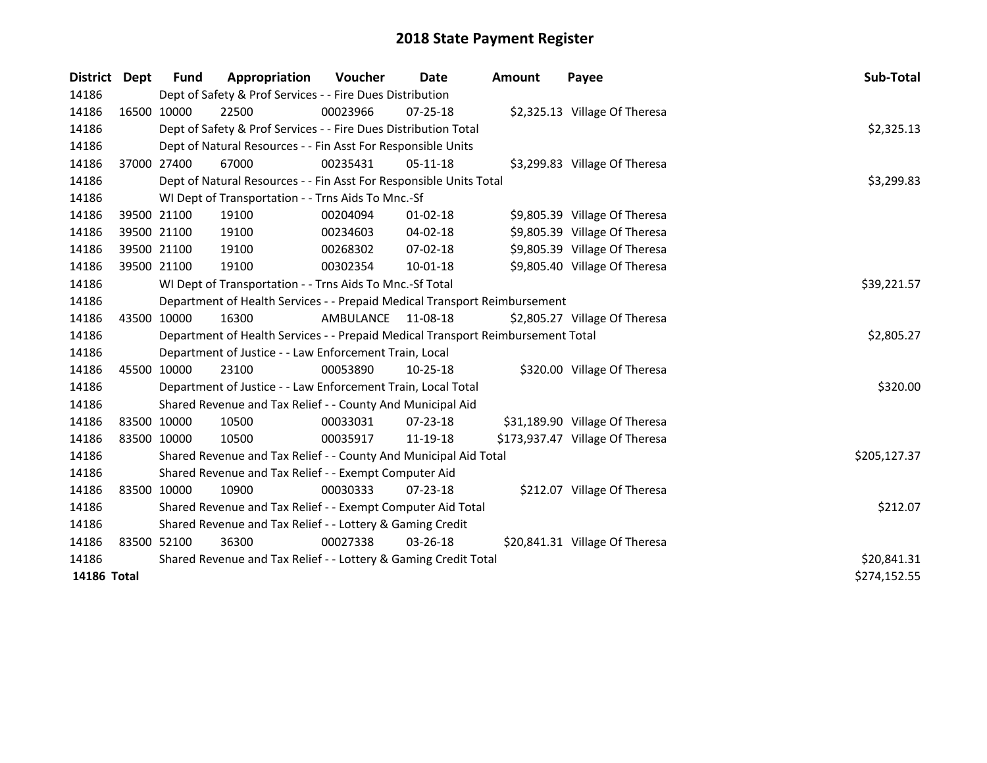| <b>District</b> | Dept        | <b>Fund</b> | Appropriation                                                                   | Voucher   | <b>Date</b>    | Amount | Payee                           | Sub-Total    |
|-----------------|-------------|-------------|---------------------------------------------------------------------------------|-----------|----------------|--------|---------------------------------|--------------|
| 14186           |             |             | Dept of Safety & Prof Services - - Fire Dues Distribution                       |           |                |        |                                 |              |
| 14186           |             | 16500 10000 | 22500                                                                           | 00023966  | $07 - 25 - 18$ |        | \$2,325.13 Village Of Theresa   |              |
| 14186           |             |             | Dept of Safety & Prof Services - - Fire Dues Distribution Total                 |           |                |        |                                 | \$2,325.13   |
| 14186           |             |             | Dept of Natural Resources - - Fin Asst For Responsible Units                    |           |                |        |                                 |              |
| 14186           |             | 37000 27400 | 67000                                                                           | 00235431  | 05-11-18       |        | \$3,299.83 Village Of Theresa   |              |
| 14186           |             |             | Dept of Natural Resources - - Fin Asst For Responsible Units Total              |           |                |        |                                 | \$3,299.83   |
| 14186           |             |             | WI Dept of Transportation - - Trns Aids To Mnc.-Sf                              |           |                |        |                                 |              |
| 14186           |             | 39500 21100 | 19100                                                                           | 00204094  | $01 - 02 - 18$ |        | \$9,805.39 Village Of Theresa   |              |
| 14186           |             | 39500 21100 | 19100                                                                           | 00234603  | 04-02-18       |        | \$9,805.39 Village Of Theresa   |              |
| 14186           |             | 39500 21100 | 19100                                                                           | 00268302  | $07 - 02 - 18$ |        | \$9,805.39 Village Of Theresa   |              |
| 14186           |             | 39500 21100 | 19100                                                                           | 00302354  | 10-01-18       |        | \$9,805.40 Village Of Theresa   |              |
| 14186           |             |             | WI Dept of Transportation - - Trns Aids To Mnc.-Sf Total                        |           |                |        |                                 | \$39,221.57  |
| 14186           |             |             | Department of Health Services - - Prepaid Medical Transport Reimbursement       |           |                |        |                                 |              |
| 14186           |             | 43500 10000 | 16300                                                                           | AMBULANCE | 11-08-18       |        | \$2,805.27 Village Of Theresa   |              |
| 14186           |             |             | Department of Health Services - - Prepaid Medical Transport Reimbursement Total |           |                |        |                                 | \$2,805.27   |
| 14186           |             |             | Department of Justice - - Law Enforcement Train, Local                          |           |                |        |                                 |              |
| 14186           |             | 45500 10000 | 23100                                                                           | 00053890  | $10 - 25 - 18$ |        | \$320.00 Village Of Theresa     |              |
| 14186           |             |             | Department of Justice - - Law Enforcement Train, Local Total                    |           |                |        |                                 | \$320.00     |
| 14186           |             |             | Shared Revenue and Tax Relief - - County And Municipal Aid                      |           |                |        |                                 |              |
| 14186           | 83500 10000 |             | 10500                                                                           | 00033031  | $07 - 23 - 18$ |        | \$31,189.90 Village Of Theresa  |              |
| 14186           | 83500 10000 |             | 10500                                                                           | 00035917  | 11-19-18       |        | \$173,937.47 Village Of Theresa |              |
| 14186           |             |             | Shared Revenue and Tax Relief - - County And Municipal Aid Total                |           |                |        |                                 | \$205,127.37 |
| 14186           |             |             | Shared Revenue and Tax Relief - - Exempt Computer Aid                           |           |                |        |                                 |              |
| 14186           | 83500 10000 |             | 10900                                                                           | 00030333  | $07 - 23 - 18$ |        | \$212.07 Village Of Theresa     |              |
| 14186           |             |             | Shared Revenue and Tax Relief - - Exempt Computer Aid Total                     |           |                |        |                                 | \$212.07     |
| 14186           |             |             | Shared Revenue and Tax Relief - - Lottery & Gaming Credit                       |           |                |        |                                 |              |
| 14186           |             | 83500 52100 | 36300                                                                           | 00027338  | 03-26-18       |        | \$20,841.31 Village Of Theresa  |              |
| 14186           |             |             | Shared Revenue and Tax Relief - - Lottery & Gaming Credit Total                 |           |                |        |                                 | \$20,841.31  |
| 14186 Total     |             |             |                                                                                 |           |                |        |                                 | \$274,152.55 |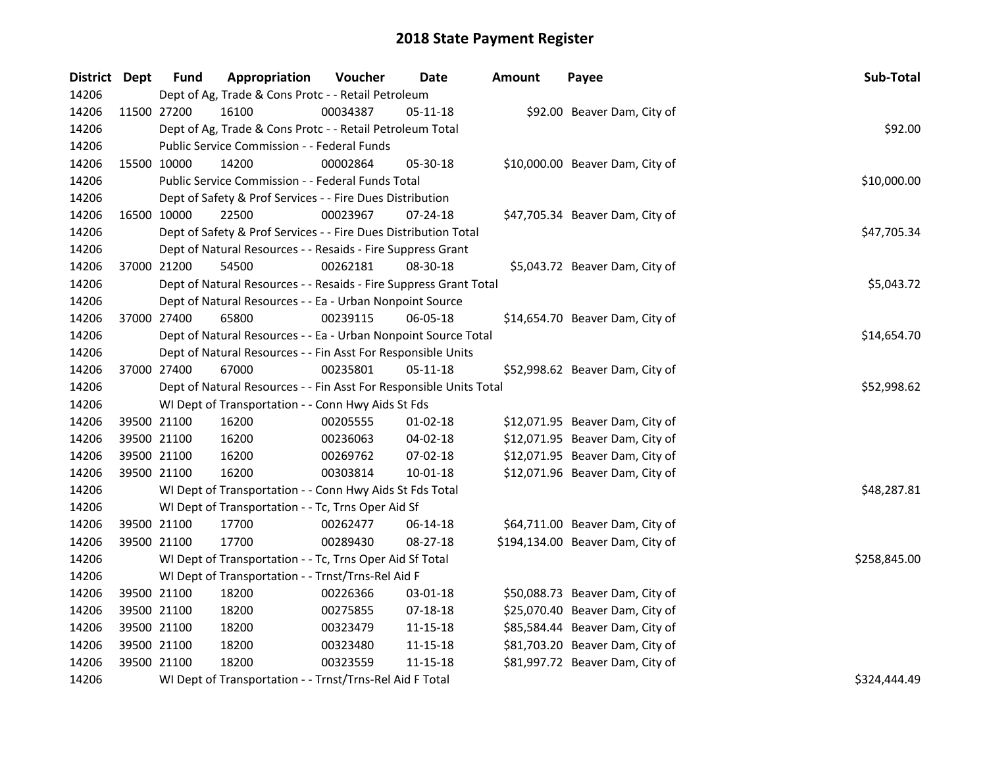| District Dept |             | <b>Fund</b> | Appropriation                                                      | Voucher  | Date           | <b>Amount</b> | Payee                            | Sub-Total    |
|---------------|-------------|-------------|--------------------------------------------------------------------|----------|----------------|---------------|----------------------------------|--------------|
| 14206         |             |             | Dept of Ag, Trade & Cons Protc - - Retail Petroleum                |          |                |               |                                  |              |
| 14206         |             | 11500 27200 | 16100                                                              | 00034387 | 05-11-18       |               | \$92.00 Beaver Dam, City of      |              |
| 14206         |             |             | Dept of Ag, Trade & Cons Protc - - Retail Petroleum Total          |          |                |               |                                  | \$92.00      |
| 14206         |             |             | Public Service Commission - - Federal Funds                        |          |                |               |                                  |              |
| 14206         | 15500 10000 |             | 14200                                                              | 00002864 | 05-30-18       |               | \$10,000.00 Beaver Dam, City of  |              |
| 14206         |             |             | Public Service Commission - - Federal Funds Total                  |          |                |               |                                  | \$10,000.00  |
| 14206         |             |             | Dept of Safety & Prof Services - - Fire Dues Distribution          |          |                |               |                                  |              |
| 14206         | 16500 10000 |             | 22500                                                              | 00023967 | 07-24-18       |               | \$47,705.34 Beaver Dam, City of  |              |
| 14206         |             |             | Dept of Safety & Prof Services - - Fire Dues Distribution Total    |          |                |               |                                  | \$47,705.34  |
| 14206         |             |             | Dept of Natural Resources - - Resaids - Fire Suppress Grant        |          |                |               |                                  |              |
| 14206         | 37000 21200 |             | 54500                                                              | 00262181 | 08-30-18       |               | \$5,043.72 Beaver Dam, City of   |              |
| 14206         |             |             | Dept of Natural Resources - - Resaids - Fire Suppress Grant Total  |          |                |               |                                  | \$5,043.72   |
| 14206         |             |             | Dept of Natural Resources - - Ea - Urban Nonpoint Source           |          |                |               |                                  |              |
| 14206         | 37000 27400 |             | 65800                                                              | 00239115 | 06-05-18       |               | \$14,654.70 Beaver Dam, City of  |              |
| 14206         |             |             | Dept of Natural Resources - - Ea - Urban Nonpoint Source Total     |          |                |               |                                  | \$14,654.70  |
| 14206         |             |             | Dept of Natural Resources - - Fin Asst For Responsible Units       |          |                |               |                                  |              |
| 14206         | 37000 27400 |             | 67000                                                              | 00235801 | $05 - 11 - 18$ |               | \$52,998.62 Beaver Dam, City of  |              |
| 14206         |             |             | Dept of Natural Resources - - Fin Asst For Responsible Units Total |          |                |               |                                  | \$52,998.62  |
| 14206         |             |             | WI Dept of Transportation - - Conn Hwy Aids St Fds                 |          |                |               |                                  |              |
| 14206         |             | 39500 21100 | 16200                                                              | 00205555 | $01-02-18$     |               | \$12,071.95 Beaver Dam, City of  |              |
| 14206         |             | 39500 21100 | 16200                                                              | 00236063 | 04-02-18       |               | \$12,071.95 Beaver Dam, City of  |              |
| 14206         | 39500 21100 |             | 16200                                                              | 00269762 | 07-02-18       |               | \$12,071.95 Beaver Dam, City of  |              |
| 14206         | 39500 21100 |             | 16200                                                              | 00303814 | $10 - 01 - 18$ |               | \$12,071.96 Beaver Dam, City of  |              |
| 14206         |             |             | WI Dept of Transportation - - Conn Hwy Aids St Fds Total           |          |                |               |                                  | \$48,287.81  |
| 14206         |             |             | WI Dept of Transportation - - Tc, Trns Oper Aid Sf                 |          |                |               |                                  |              |
| 14206         |             | 39500 21100 | 17700                                                              | 00262477 | 06-14-18       |               | \$64,711.00 Beaver Dam, City of  |              |
| 14206         | 39500 21100 |             | 17700                                                              | 00289430 | 08-27-18       |               | \$194,134.00 Beaver Dam, City of |              |
| 14206         |             |             | WI Dept of Transportation - - Tc, Trns Oper Aid Sf Total           |          |                |               |                                  | \$258,845.00 |
| 14206         |             |             | WI Dept of Transportation - - Trnst/Trns-Rel Aid F                 |          |                |               |                                  |              |
| 14206         |             | 39500 21100 | 18200                                                              | 00226366 | 03-01-18       |               | \$50,088.73 Beaver Dam, City of  |              |
| 14206         |             | 39500 21100 | 18200                                                              | 00275855 | 07-18-18       |               | \$25,070.40 Beaver Dam, City of  |              |
| 14206         | 39500 21100 |             | 18200                                                              | 00323479 | 11-15-18       |               | \$85,584.44 Beaver Dam, City of  |              |
| 14206         | 39500 21100 |             | 18200                                                              | 00323480 | 11-15-18       |               | \$81,703.20 Beaver Dam, City of  |              |
| 14206         | 39500 21100 |             | 18200                                                              | 00323559 | 11-15-18       |               | \$81,997.72 Beaver Dam, City of  |              |
| 14206         |             |             | WI Dept of Transportation - - Trnst/Trns-Rel Aid F Total           |          |                |               |                                  | \$324,444.49 |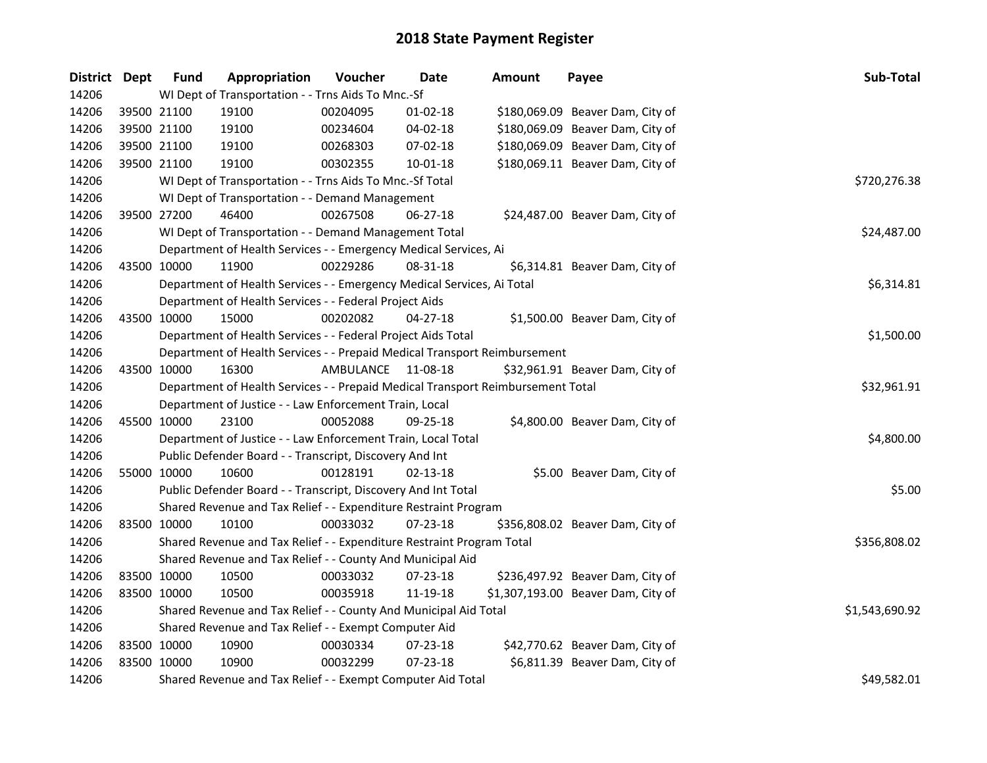| <b>District Dept</b> |             | <b>Fund</b> | Appropriation                                                                   | Voucher   | <b>Date</b>    | <b>Amount</b> | Payee                              | Sub-Total      |
|----------------------|-------------|-------------|---------------------------------------------------------------------------------|-----------|----------------|---------------|------------------------------------|----------------|
| 14206                |             |             | WI Dept of Transportation - - Trns Aids To Mnc.-Sf                              |           |                |               |                                    |                |
| 14206                | 39500 21100 |             | 19100                                                                           | 00204095  | $01 - 02 - 18$ |               | \$180,069.09 Beaver Dam, City of   |                |
| 14206                | 39500 21100 |             | 19100                                                                           | 00234604  | 04-02-18       |               | \$180,069.09 Beaver Dam, City of   |                |
| 14206                | 39500 21100 |             | 19100                                                                           | 00268303  | 07-02-18       |               | \$180,069.09 Beaver Dam, City of   |                |
| 14206                | 39500 21100 |             | 19100                                                                           | 00302355  | $10 - 01 - 18$ |               | \$180,069.11 Beaver Dam, City of   |                |
| 14206                |             |             | WI Dept of Transportation - - Trns Aids To Mnc.-Sf Total                        |           |                |               |                                    | \$720,276.38   |
| 14206                |             |             | WI Dept of Transportation - - Demand Management                                 |           |                |               |                                    |                |
| 14206                | 39500 27200 |             | 46400                                                                           | 00267508  | 06-27-18       |               | \$24,487.00 Beaver Dam, City of    |                |
| 14206                |             |             | WI Dept of Transportation - - Demand Management Total                           |           |                |               |                                    | \$24,487.00    |
| 14206                |             |             | Department of Health Services - - Emergency Medical Services, Ai                |           |                |               |                                    |                |
| 14206                | 43500 10000 |             | 11900                                                                           | 00229286  | 08-31-18       |               | \$6,314.81 Beaver Dam, City of     |                |
| 14206                |             |             | Department of Health Services - - Emergency Medical Services, Ai Total          |           |                |               |                                    | \$6,314.81     |
| 14206                |             |             | Department of Health Services - - Federal Project Aids                          |           |                |               |                                    |                |
| 14206                |             | 43500 10000 | 15000                                                                           | 00202082  | $04 - 27 - 18$ |               | \$1,500.00 Beaver Dam, City of     |                |
| 14206                |             |             | Department of Health Services - - Federal Project Aids Total                    |           |                |               |                                    | \$1,500.00     |
| 14206                |             |             | Department of Health Services - - Prepaid Medical Transport Reimbursement       |           |                |               |                                    |                |
| 14206                | 43500 10000 |             | 16300                                                                           | AMBULANCE | 11-08-18       |               | \$32,961.91 Beaver Dam, City of    |                |
| 14206                |             |             | Department of Health Services - - Prepaid Medical Transport Reimbursement Total |           |                |               |                                    | \$32,961.91    |
| 14206                |             |             | Department of Justice - - Law Enforcement Train, Local                          |           |                |               |                                    |                |
| 14206                | 45500 10000 |             | 23100                                                                           | 00052088  | $09 - 25 - 18$ |               | \$4,800.00 Beaver Dam, City of     |                |
| 14206                |             |             | Department of Justice - - Law Enforcement Train, Local Total                    |           |                |               |                                    | \$4,800.00     |
| 14206                |             |             | Public Defender Board - - Transcript, Discovery And Int                         |           |                |               |                                    |                |
| 14206                | 55000 10000 |             | 10600                                                                           | 00128191  | 02-13-18       |               | \$5.00 Beaver Dam, City of         |                |
| 14206                |             |             | Public Defender Board - - Transcript, Discovery And Int Total                   |           |                |               |                                    | \$5.00         |
| 14206                |             |             | Shared Revenue and Tax Relief - - Expenditure Restraint Program                 |           |                |               |                                    |                |
| 14206                | 83500 10000 |             | 10100                                                                           | 00033032  | 07-23-18       |               | \$356,808.02 Beaver Dam, City of   |                |
| 14206                |             |             | Shared Revenue and Tax Relief - - Expenditure Restraint Program Total           |           |                |               |                                    | \$356,808.02   |
| 14206                |             |             | Shared Revenue and Tax Relief - - County And Municipal Aid                      |           |                |               |                                    |                |
| 14206                | 83500 10000 |             | 10500                                                                           | 00033032  | 07-23-18       |               | \$236,497.92 Beaver Dam, City of   |                |
| 14206                | 83500 10000 |             | 10500                                                                           | 00035918  | 11-19-18       |               | \$1,307,193.00 Beaver Dam, City of |                |
| 14206                |             |             | Shared Revenue and Tax Relief - - County And Municipal Aid Total                |           |                |               |                                    | \$1,543,690.92 |
| 14206                |             |             | Shared Revenue and Tax Relief - - Exempt Computer Aid                           |           |                |               |                                    |                |
| 14206                | 83500 10000 |             | 10900                                                                           | 00030334  | 07-23-18       |               | \$42,770.62 Beaver Dam, City of    |                |
| 14206                | 83500 10000 |             | 10900                                                                           | 00032299  | $07 - 23 - 18$ |               | \$6,811.39 Beaver Dam, City of     |                |
| 14206                |             |             | Shared Revenue and Tax Relief - - Exempt Computer Aid Total                     |           |                |               |                                    | \$49,582.01    |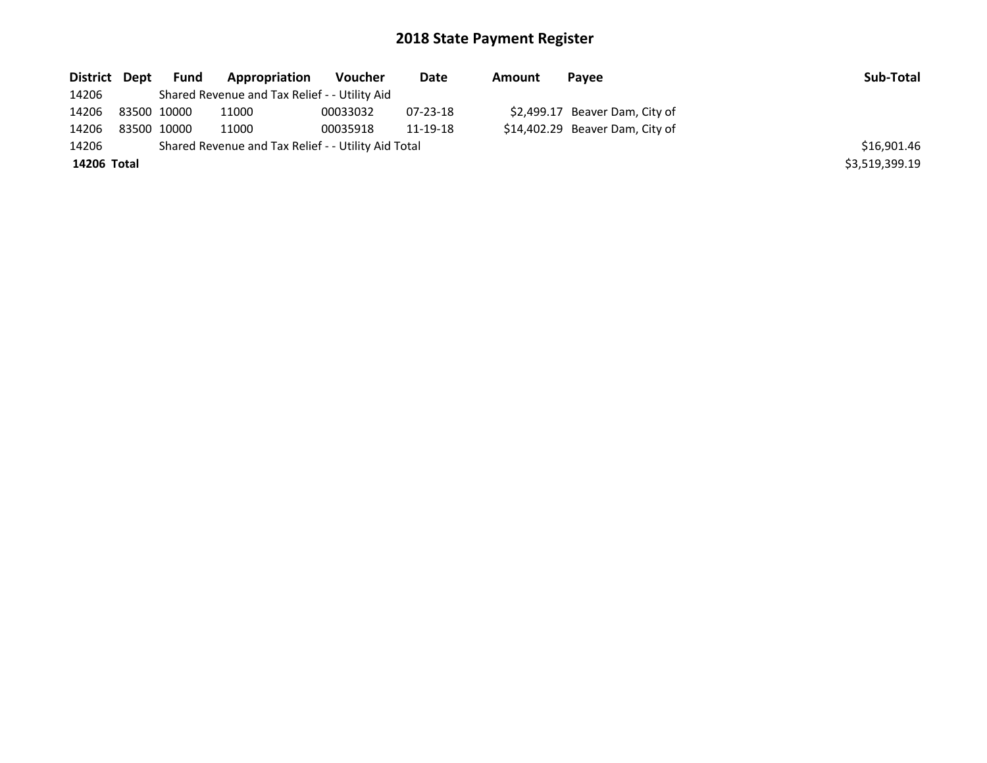| District Dept | Fund        | Appropriation                                       | Voucher  | Date     | Amount | Pavee                           | Sub-Total      |
|---------------|-------------|-----------------------------------------------------|----------|----------|--------|---------------------------------|----------------|
| 14206         |             | Shared Revenue and Tax Relief - - Utility Aid       |          |          |        |                                 |                |
| 14206         | 83500 10000 | 11000                                               | 00033032 | 07-23-18 |        | \$2,499.17 Beaver Dam, City of  |                |
| 14206         | 83500 10000 | 11000                                               | 00035918 | 11-19-18 |        | \$14,402.29 Beaver Dam, City of |                |
| 14206         |             | Shared Revenue and Tax Relief - - Utility Aid Total |          |          |        |                                 | \$16,901.46    |
| 14206 Total   |             |                                                     |          |          |        |                                 | \$3,519,399.19 |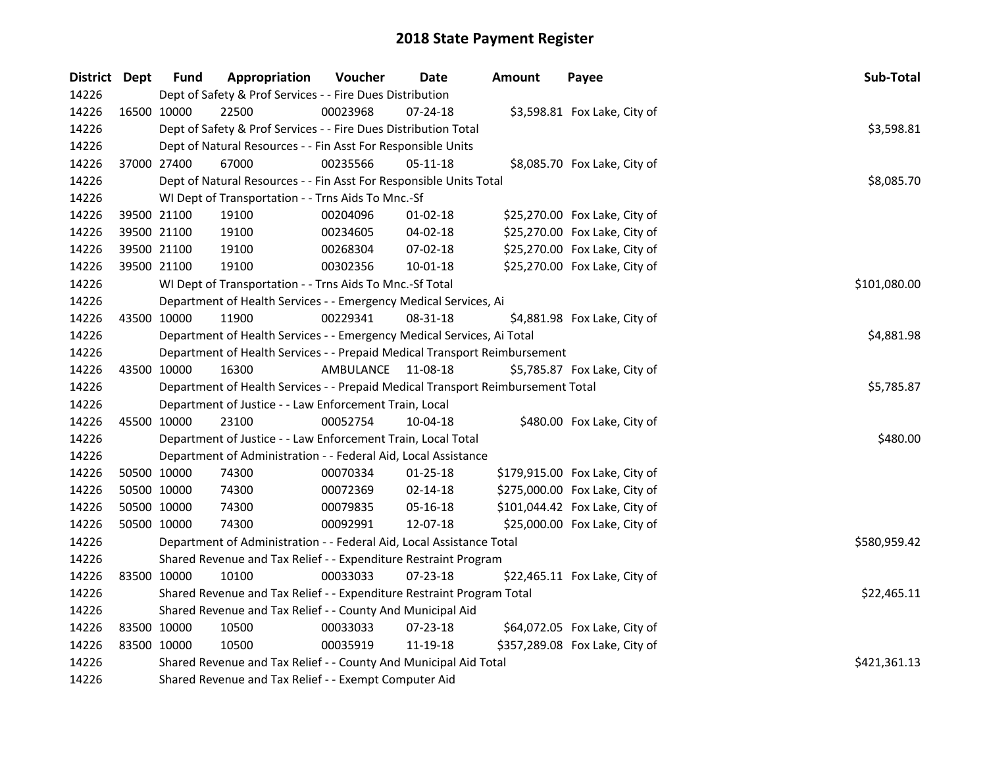| District Dept |             | <b>Fund</b> | Appropriation                                                                   | Voucher            | <b>Date</b>    | <b>Amount</b> | Payee                          | Sub-Total    |
|---------------|-------------|-------------|---------------------------------------------------------------------------------|--------------------|----------------|---------------|--------------------------------|--------------|
| 14226         |             |             | Dept of Safety & Prof Services - - Fire Dues Distribution                       |                    |                |               |                                |              |
| 14226         | 16500 10000 |             | 22500                                                                           | 00023968           | 07-24-18       |               | \$3,598.81 Fox Lake, City of   |              |
| 14226         |             |             | Dept of Safety & Prof Services - - Fire Dues Distribution Total                 |                    |                |               |                                | \$3,598.81   |
| 14226         |             |             | Dept of Natural Resources - - Fin Asst For Responsible Units                    |                    |                |               |                                |              |
| 14226         |             | 37000 27400 | 67000                                                                           | 00235566           | $05 - 11 - 18$ |               | \$8,085.70 Fox Lake, City of   |              |
| 14226         |             |             | Dept of Natural Resources - - Fin Asst For Responsible Units Total              |                    |                |               |                                | \$8,085.70   |
| 14226         |             |             | WI Dept of Transportation - - Trns Aids To Mnc.-Sf                              |                    |                |               |                                |              |
| 14226         |             | 39500 21100 | 19100                                                                           | 00204096           | 01-02-18       |               | \$25,270.00 Fox Lake, City of  |              |
| 14226         |             | 39500 21100 | 19100                                                                           | 00234605           | 04-02-18       |               | \$25,270.00 Fox Lake, City of  |              |
| 14226         |             | 39500 21100 | 19100                                                                           | 00268304           | 07-02-18       |               | \$25,270.00 Fox Lake, City of  |              |
| 14226         |             | 39500 21100 | 19100                                                                           | 00302356           | 10-01-18       |               | \$25,270.00 Fox Lake, City of  |              |
| 14226         |             |             | WI Dept of Transportation - - Trns Aids To Mnc.-Sf Total                        |                    | \$101,080.00   |               |                                |              |
| 14226         |             |             | Department of Health Services - - Emergency Medical Services, Ai                |                    |                |               |                                |              |
| 14226         |             | 43500 10000 | 11900                                                                           | 00229341           | 08-31-18       |               | \$4,881.98 Fox Lake, City of   |              |
| 14226         |             |             | Department of Health Services - - Emergency Medical Services, Ai Total          |                    |                |               |                                | \$4,881.98   |
| 14226         |             |             | Department of Health Services - - Prepaid Medical Transport Reimbursement       |                    |                |               |                                |              |
| 14226         |             | 43500 10000 | 16300                                                                           | AMBULANCE 11-08-18 |                |               | \$5,785.87 Fox Lake, City of   |              |
| 14226         |             |             | Department of Health Services - - Prepaid Medical Transport Reimbursement Total |                    |                |               |                                | \$5,785.87   |
| 14226         |             |             | Department of Justice - - Law Enforcement Train, Local                          |                    |                |               |                                |              |
| 14226         |             | 45500 10000 | 23100                                                                           | 00052754           | 10-04-18       |               | \$480.00 Fox Lake, City of     |              |
| 14226         |             |             | Department of Justice - - Law Enforcement Train, Local Total                    |                    |                |               |                                | \$480.00     |
| 14226         |             |             | Department of Administration - - Federal Aid, Local Assistance                  |                    |                |               |                                |              |
| 14226         |             | 50500 10000 | 74300                                                                           | 00070334           | $01 - 25 - 18$ |               | \$179,915.00 Fox Lake, City of |              |
| 14226         |             | 50500 10000 | 74300                                                                           | 00072369           | 02-14-18       |               | \$275,000.00 Fox Lake, City of |              |
| 14226         |             | 50500 10000 | 74300                                                                           | 00079835           | 05-16-18       |               | \$101,044.42 Fox Lake, City of |              |
| 14226         |             | 50500 10000 | 74300                                                                           | 00092991           | 12-07-18       |               | \$25,000.00 Fox Lake, City of  |              |
| 14226         |             |             | Department of Administration - - Federal Aid, Local Assistance Total            |                    |                |               |                                | \$580,959.42 |
| 14226         |             |             | Shared Revenue and Tax Relief - - Expenditure Restraint Program                 |                    |                |               |                                |              |
| 14226         | 83500 10000 |             | 10100                                                                           | 00033033           | 07-23-18       |               | \$22,465.11 Fox Lake, City of  |              |
| 14226         |             |             | Shared Revenue and Tax Relief - - Expenditure Restraint Program Total           |                    |                |               |                                | \$22,465.11  |
| 14226         |             |             | Shared Revenue and Tax Relief - - County And Municipal Aid                      |                    |                |               |                                |              |
| 14226         |             | 83500 10000 | 10500                                                                           | 00033033           | 07-23-18       |               | \$64,072.05 Fox Lake, City of  |              |
| 14226         | 83500 10000 |             | 10500                                                                           | 00035919           | 11-19-18       |               | \$357,289.08 Fox Lake, City of |              |
| 14226         |             |             | Shared Revenue and Tax Relief - - County And Municipal Aid Total                | \$421,361.13       |                |               |                                |              |
| 14226         |             |             | Shared Revenue and Tax Relief - - Exempt Computer Aid                           |                    |                |               |                                |              |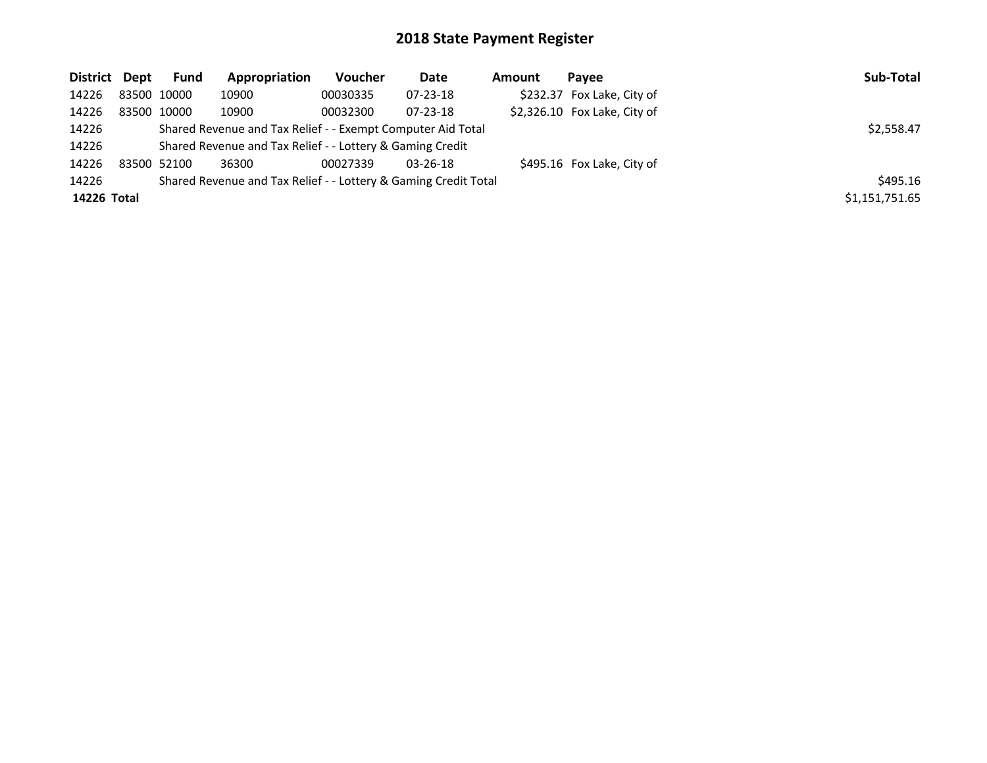| District Dept |             | <b>Fund</b> | Appropriation                                                   | Voucher  | Date           | Amount | Pavee                         | Sub-Total      |
|---------------|-------------|-------------|-----------------------------------------------------------------|----------|----------------|--------|-------------------------------|----------------|
| 14226         |             | 83500 10000 | 10900                                                           | 00030335 | $07 - 23 - 18$ |        | \$232.37 Fox Lake, City of    |                |
| 14226         | 83500 10000 |             | 10900                                                           | 00032300 | $07 - 23 - 18$ |        | $$2,326.10$ Fox Lake, City of |                |
| 14226         |             |             | Shared Revenue and Tax Relief - - Exempt Computer Aid Total     |          |                |        |                               | \$2,558.47     |
| 14226         |             |             | Shared Revenue and Tax Relief - - Lottery & Gaming Credit       |          |                |        |                               |                |
| 14226         | 83500 52100 |             | 36300                                                           | 00027339 | $03 - 26 - 18$ |        | \$495.16 Fox Lake, City of    |                |
| 14226         |             |             | Shared Revenue and Tax Relief - - Lottery & Gaming Credit Total |          |                |        |                               | \$495.16       |
| 14226 Total   |             |             |                                                                 |          |                |        |                               | \$1,151,751.65 |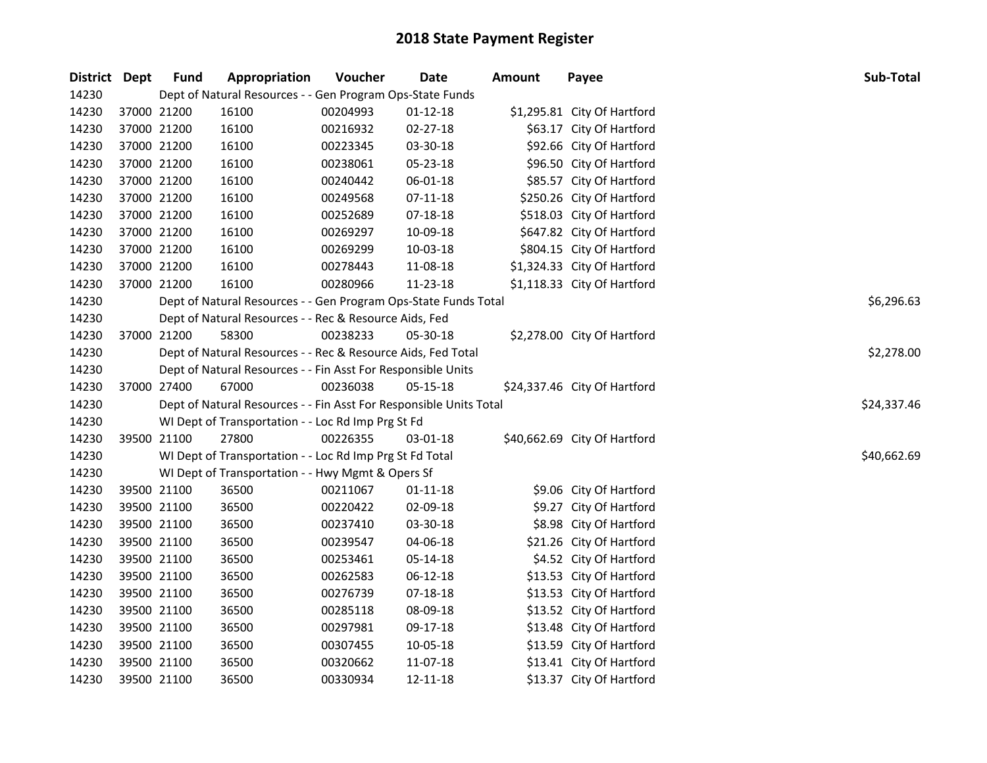| <b>District</b> | Dept        | <b>Fund</b> | Appropriation                                                              | Voucher  | <b>Date</b>    | <b>Amount</b> | Payee                        | Sub-Total   |  |  |  |  |
|-----------------|-------------|-------------|----------------------------------------------------------------------------|----------|----------------|---------------|------------------------------|-------------|--|--|--|--|
| 14230           |             |             | Dept of Natural Resources - - Gen Program Ops-State Funds                  |          |                |               |                              |             |  |  |  |  |
| 14230           | 37000 21200 |             | 16100                                                                      | 00204993 | $01 - 12 - 18$ |               | \$1,295.81 City Of Hartford  |             |  |  |  |  |
| 14230           | 37000 21200 |             | 16100                                                                      | 00216932 | 02-27-18       |               | \$63.17 City Of Hartford     |             |  |  |  |  |
| 14230           | 37000 21200 |             | 16100                                                                      | 00223345 | 03-30-18       |               | \$92.66 City Of Hartford     |             |  |  |  |  |
| 14230           | 37000 21200 |             | 16100                                                                      | 00238061 | 05-23-18       |               | \$96.50 City Of Hartford     |             |  |  |  |  |
| 14230           | 37000 21200 |             | 16100                                                                      | 00240442 | 06-01-18       |               | \$85.57 City Of Hartford     |             |  |  |  |  |
| 14230           | 37000 21200 |             | 16100                                                                      | 00249568 | $07 - 11 - 18$ |               | \$250.26 City Of Hartford    |             |  |  |  |  |
| 14230           | 37000 21200 |             | 16100                                                                      | 00252689 | 07-18-18       |               | \$518.03 City Of Hartford    |             |  |  |  |  |
| 14230           | 37000 21200 |             | 16100                                                                      | 00269297 | 10-09-18       |               | \$647.82 City Of Hartford    |             |  |  |  |  |
| 14230           | 37000 21200 |             | 16100                                                                      | 00269299 | 10-03-18       |               | \$804.15 City Of Hartford    |             |  |  |  |  |
| 14230           | 37000 21200 |             | 16100                                                                      | 00278443 | 11-08-18       |               | \$1,324.33 City Of Hartford  |             |  |  |  |  |
| 14230           | 37000 21200 |             | 16100                                                                      | 00280966 | 11-23-18       |               | \$1,118.33 City Of Hartford  |             |  |  |  |  |
| 14230           |             |             | Dept of Natural Resources - - Gen Program Ops-State Funds Total            |          |                |               |                              | \$6,296.63  |  |  |  |  |
| 14230           |             |             | Dept of Natural Resources - - Rec & Resource Aids, Fed                     |          |                |               |                              |             |  |  |  |  |
| 14230           | 37000 21200 |             | 58300                                                                      | 00238233 | 05-30-18       |               | \$2,278.00 City Of Hartford  |             |  |  |  |  |
| 14230           |             |             | Dept of Natural Resources - - Rec & Resource Aids, Fed Total<br>\$2,278.00 |          |                |               |                              |             |  |  |  |  |
| 14230           |             |             | Dept of Natural Resources - - Fin Asst For Responsible Units               |          |                |               |                              |             |  |  |  |  |
| 14230           | 37000 27400 |             | 67000                                                                      | 00236038 | 05-15-18       |               | \$24,337.46 City Of Hartford |             |  |  |  |  |
| 14230           |             |             | Dept of Natural Resources - - Fin Asst For Responsible Units Total         |          |                |               |                              | \$24,337.46 |  |  |  |  |
| 14230           |             |             | WI Dept of Transportation - - Loc Rd Imp Prg St Fd                         |          |                |               |                              |             |  |  |  |  |
| 14230           | 39500 21100 |             | 27800                                                                      | 00226355 | 03-01-18       |               | \$40,662.69 City Of Hartford |             |  |  |  |  |
| 14230           |             |             | WI Dept of Transportation - - Loc Rd Imp Prg St Fd Total                   |          |                |               |                              | \$40,662.69 |  |  |  |  |
| 14230           |             |             | WI Dept of Transportation - - Hwy Mgmt & Opers Sf                          |          |                |               |                              |             |  |  |  |  |
| 14230           | 39500 21100 |             | 36500                                                                      | 00211067 | $01 - 11 - 18$ |               | \$9.06 City Of Hartford      |             |  |  |  |  |
| 14230           | 39500 21100 |             | 36500                                                                      | 00220422 | 02-09-18       |               | \$9.27 City Of Hartford      |             |  |  |  |  |
| 14230           | 39500 21100 |             | 36500                                                                      | 00237410 | 03-30-18       |               | \$8.98 City Of Hartford      |             |  |  |  |  |
| 14230           | 39500 21100 |             | 36500                                                                      | 00239547 | 04-06-18       |               | \$21.26 City Of Hartford     |             |  |  |  |  |
| 14230           | 39500 21100 |             | 36500                                                                      | 00253461 | 05-14-18       |               | \$4.52 City Of Hartford      |             |  |  |  |  |
| 14230           | 39500 21100 |             | 36500                                                                      | 00262583 | 06-12-18       |               | \$13.53 City Of Hartford     |             |  |  |  |  |
| 14230           | 39500 21100 |             | 36500                                                                      | 00276739 | 07-18-18       |               | \$13.53 City Of Hartford     |             |  |  |  |  |
| 14230           | 39500 21100 |             | 36500                                                                      | 00285118 | 08-09-18       |               | \$13.52 City Of Hartford     |             |  |  |  |  |
| 14230           | 39500 21100 |             | 36500                                                                      | 00297981 | 09-17-18       |               | \$13.48 City Of Hartford     |             |  |  |  |  |
| 14230           | 39500 21100 |             | 36500                                                                      | 00307455 | 10-05-18       |               | \$13.59 City Of Hartford     |             |  |  |  |  |
| 14230           | 39500 21100 |             | 36500                                                                      | 00320662 | 11-07-18       |               | \$13.41 City Of Hartford     |             |  |  |  |  |
| 14230           | 39500 21100 |             | 36500                                                                      | 00330934 | 12-11-18       |               | \$13.37 City Of Hartford     |             |  |  |  |  |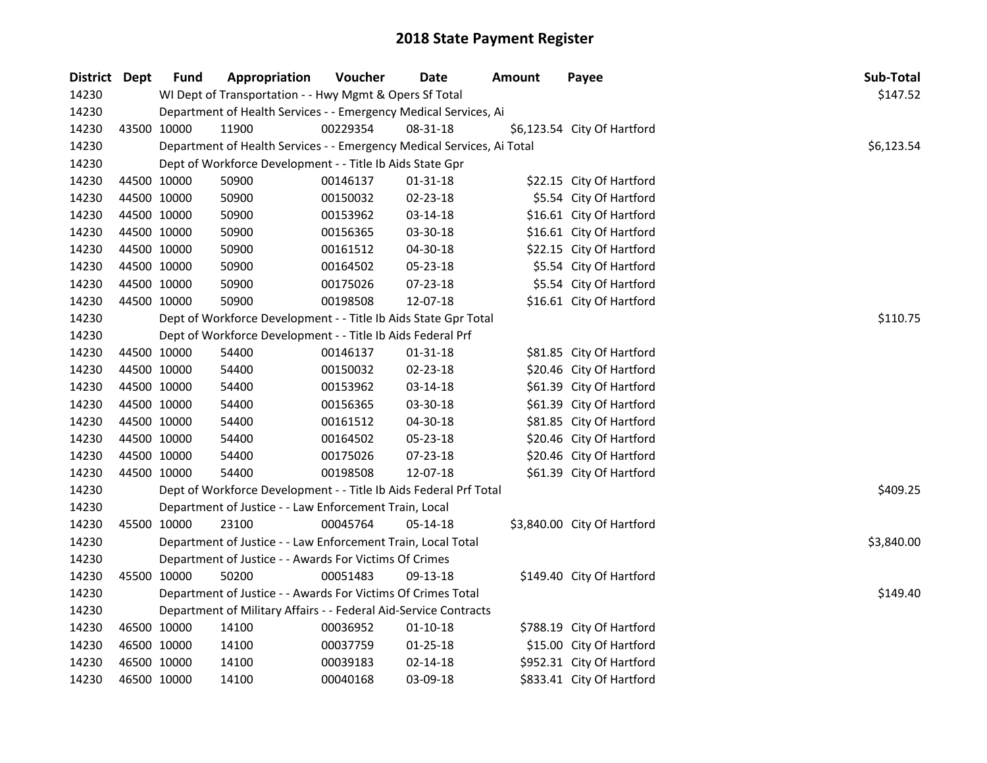| District Dept |             | <b>Fund</b> | Appropriation                                                          | Voucher  | <b>Date</b>    | <b>Amount</b> | Payee                       | Sub-Total  |
|---------------|-------------|-------------|------------------------------------------------------------------------|----------|----------------|---------------|-----------------------------|------------|
| 14230         |             |             | WI Dept of Transportation - - Hwy Mgmt & Opers Sf Total                |          |                |               |                             | \$147.52   |
| 14230         |             |             | Department of Health Services - - Emergency Medical Services, Ai       |          |                |               |                             |            |
| 14230         | 43500 10000 |             | 11900                                                                  | 00229354 | 08-31-18       |               | \$6,123.54 City Of Hartford |            |
| 14230         |             |             | Department of Health Services - - Emergency Medical Services, Ai Total |          |                |               |                             | \$6,123.54 |
| 14230         |             |             | Dept of Workforce Development - - Title Ib Aids State Gpr              |          |                |               |                             |            |
| 14230         |             | 44500 10000 | 50900                                                                  | 00146137 | $01 - 31 - 18$ |               | \$22.15 City Of Hartford    |            |
| 14230         | 44500 10000 |             | 50900                                                                  | 00150032 | 02-23-18       |               | \$5.54 City Of Hartford     |            |
| 14230         | 44500 10000 |             | 50900                                                                  | 00153962 | 03-14-18       |               | \$16.61 City Of Hartford    |            |
| 14230         | 44500 10000 |             | 50900                                                                  | 00156365 | 03-30-18       |               | \$16.61 City Of Hartford    |            |
| 14230         | 44500 10000 |             | 50900                                                                  | 00161512 | 04-30-18       |               | \$22.15 City Of Hartford    |            |
| 14230         | 44500 10000 |             | 50900                                                                  | 00164502 | 05-23-18       |               | \$5.54 City Of Hartford     |            |
| 14230         | 44500 10000 |             | 50900                                                                  | 00175026 | 07-23-18       |               | \$5.54 City Of Hartford     |            |
| 14230         | 44500 10000 |             | 50900                                                                  | 00198508 | 12-07-18       |               | \$16.61 City Of Hartford    |            |
| 14230         |             |             | Dept of Workforce Development - - Title Ib Aids State Gpr Total        |          |                |               |                             | \$110.75   |
| 14230         |             |             | Dept of Workforce Development - - Title Ib Aids Federal Prf            |          |                |               |                             |            |
| 14230         | 44500 10000 |             | 54400                                                                  | 00146137 | 01-31-18       |               | \$81.85 City Of Hartford    |            |
| 14230         | 44500 10000 |             | 54400                                                                  | 00150032 | 02-23-18       |               | \$20.46 City Of Hartford    |            |
| 14230         | 44500 10000 |             | 54400                                                                  | 00153962 | 03-14-18       |               | \$61.39 City Of Hartford    |            |
| 14230         | 44500 10000 |             | 54400                                                                  | 00156365 | 03-30-18       |               | \$61.39 City Of Hartford    |            |
| 14230         | 44500 10000 |             | 54400                                                                  | 00161512 | 04-30-18       |               | \$81.85 City Of Hartford    |            |
| 14230         | 44500 10000 |             | 54400                                                                  | 00164502 | 05-23-18       |               | \$20.46 City Of Hartford    |            |
| 14230         | 44500 10000 |             | 54400                                                                  | 00175026 | 07-23-18       |               | \$20.46 City Of Hartford    |            |
| 14230         | 44500 10000 |             | 54400                                                                  | 00198508 | 12-07-18       |               | \$61.39 City Of Hartford    |            |
| 14230         |             |             | Dept of Workforce Development - - Title Ib Aids Federal Prf Total      |          |                |               |                             | \$409.25   |
| 14230         |             |             | Department of Justice - - Law Enforcement Train, Local                 |          |                |               |                             |            |
| 14230         | 45500 10000 |             | 23100                                                                  | 00045764 | 05-14-18       |               | \$3,840.00 City Of Hartford |            |
| 14230         |             |             | Department of Justice - - Law Enforcement Train, Local Total           |          |                |               |                             | \$3,840.00 |
| 14230         |             |             | Department of Justice - - Awards For Victims Of Crimes                 |          |                |               |                             |            |
| 14230         |             | 45500 10000 | 50200                                                                  | 00051483 | 09-13-18       |               | \$149.40 City Of Hartford   |            |
| 14230         |             |             | Department of Justice - - Awards For Victims Of Crimes Total           |          |                |               |                             | \$149.40   |
| 14230         |             |             | Department of Military Affairs - - Federal Aid-Service Contracts       |          |                |               |                             |            |
| 14230         | 46500 10000 |             | 14100                                                                  | 00036952 | $01-10-18$     |               | \$788.19 City Of Hartford   |            |
| 14230         | 46500 10000 |             | 14100                                                                  | 00037759 | $01 - 25 - 18$ |               | \$15.00 City Of Hartford    |            |
| 14230         |             | 46500 10000 | 14100                                                                  | 00039183 | $02 - 14 - 18$ |               | \$952.31 City Of Hartford   |            |
| 14230         | 46500 10000 |             | 14100                                                                  | 00040168 | 03-09-18       |               | \$833.41 City Of Hartford   |            |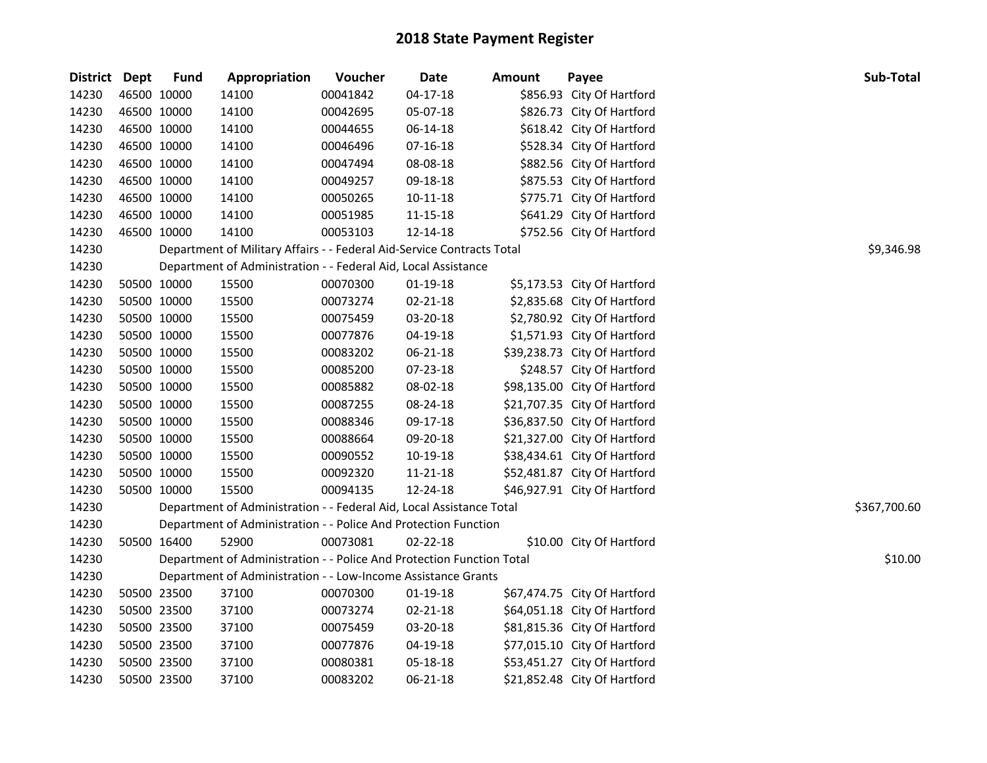|       | District Dept | <b>Fund</b> | Appropriation                                                          | Voucher  | Date           | Amount | Payee                        | Sub-Total    |
|-------|---------------|-------------|------------------------------------------------------------------------|----------|----------------|--------|------------------------------|--------------|
| 14230 |               | 46500 10000 | 14100                                                                  | 00041842 | $04-17-18$     |        | \$856.93 City Of Hartford    |              |
| 14230 |               | 46500 10000 | 14100                                                                  | 00042695 | 05-07-18       |        | \$826.73 City Of Hartford    |              |
| 14230 |               | 46500 10000 | 14100                                                                  | 00044655 | 06-14-18       |        | \$618.42 City Of Hartford    |              |
| 14230 |               | 46500 10000 | 14100                                                                  | 00046496 | $07-16-18$     |        | \$528.34 City Of Hartford    |              |
| 14230 |               | 46500 10000 | 14100                                                                  | 00047494 | 08-08-18       |        | \$882.56 City Of Hartford    |              |
| 14230 |               | 46500 10000 | 14100                                                                  | 00049257 | 09-18-18       |        | \$875.53 City Of Hartford    |              |
| 14230 |               | 46500 10000 | 14100                                                                  | 00050265 | $10 - 11 - 18$ |        | \$775.71 City Of Hartford    |              |
| 14230 |               | 46500 10000 | 14100                                                                  | 00051985 | 11-15-18       |        | \$641.29 City Of Hartford    |              |
| 14230 |               | 46500 10000 | 14100                                                                  | 00053103 | 12-14-18       |        | \$752.56 City Of Hartford    |              |
| 14230 |               |             | Department of Military Affairs - - Federal Aid-Service Contracts Total |          |                |        |                              | \$9,346.98   |
| 14230 |               |             | Department of Administration - - Federal Aid, Local Assistance         |          |                |        |                              |              |
| 14230 |               | 50500 10000 | 15500                                                                  | 00070300 | 01-19-18       |        | \$5,173.53 City Of Hartford  |              |
| 14230 |               | 50500 10000 | 15500                                                                  | 00073274 | 02-21-18       |        | \$2,835.68 City Of Hartford  |              |
| 14230 |               | 50500 10000 | 15500                                                                  | 00075459 | 03-20-18       |        | \$2,780.92 City Of Hartford  |              |
| 14230 |               | 50500 10000 | 15500                                                                  | 00077876 | 04-19-18       |        | \$1,571.93 City Of Hartford  |              |
| 14230 |               | 50500 10000 | 15500                                                                  | 00083202 | 06-21-18       |        | \$39,238.73 City Of Hartford |              |
| 14230 |               | 50500 10000 | 15500                                                                  | 00085200 | 07-23-18       |        | \$248.57 City Of Hartford    |              |
| 14230 |               | 50500 10000 | 15500                                                                  | 00085882 | 08-02-18       |        | \$98,135.00 City Of Hartford |              |
| 14230 |               | 50500 10000 | 15500                                                                  | 00087255 | 08-24-18       |        | \$21,707.35 City Of Hartford |              |
| 14230 |               | 50500 10000 | 15500                                                                  | 00088346 | 09-17-18       |        | \$36,837.50 City Of Hartford |              |
| 14230 |               | 50500 10000 | 15500                                                                  | 00088664 | 09-20-18       |        | \$21,327.00 City Of Hartford |              |
| 14230 |               | 50500 10000 | 15500                                                                  | 00090552 | 10-19-18       |        | \$38,434.61 City Of Hartford |              |
| 14230 |               | 50500 10000 | 15500                                                                  | 00092320 | 11-21-18       |        | \$52,481.87 City Of Hartford |              |
| 14230 |               | 50500 10000 | 15500                                                                  | 00094135 | 12-24-18       |        | \$46,927.91 City Of Hartford |              |
| 14230 |               |             | Department of Administration - - Federal Aid, Local Assistance Total   |          |                |        |                              | \$367,700.60 |
| 14230 |               |             | Department of Administration - - Police And Protection Function        |          |                |        |                              |              |
| 14230 |               | 50500 16400 | 52900                                                                  | 00073081 | 02-22-18       |        | \$10.00 City Of Hartford     |              |
| 14230 |               |             | Department of Administration - - Police And Protection Function Total  |          |                |        |                              | \$10.00      |
| 14230 |               |             | Department of Administration - - Low-Income Assistance Grants          |          |                |        |                              |              |
| 14230 |               | 50500 23500 | 37100                                                                  | 00070300 | 01-19-18       |        | \$67,474.75 City Of Hartford |              |
| 14230 |               | 50500 23500 | 37100                                                                  | 00073274 | 02-21-18       |        | \$64,051.18 City Of Hartford |              |
| 14230 |               | 50500 23500 | 37100                                                                  | 00075459 | 03-20-18       |        | \$81,815.36 City Of Hartford |              |
| 14230 |               | 50500 23500 | 37100                                                                  | 00077876 | 04-19-18       |        | \$77,015.10 City Of Hartford |              |
| 14230 |               | 50500 23500 | 37100                                                                  | 00080381 | 05-18-18       |        | \$53,451.27 City Of Hartford |              |
| 14230 |               | 50500 23500 | 37100                                                                  | 00083202 | 06-21-18       |        | \$21,852.48 City Of Hartford |              |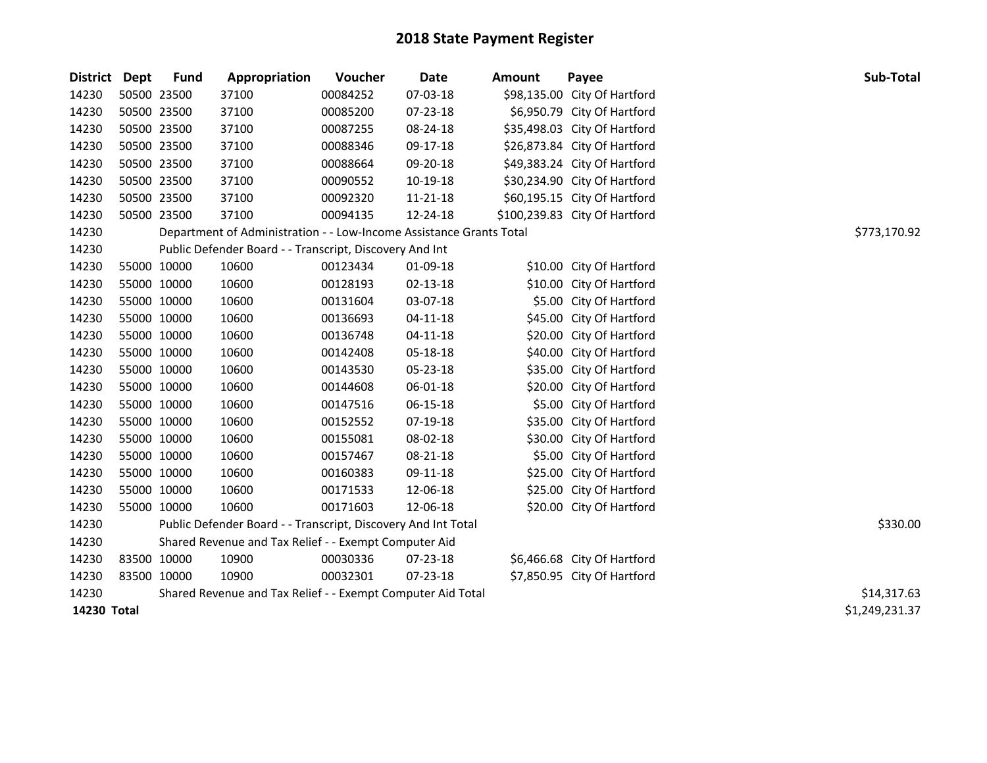| <b>District</b> | Dept        | <b>Fund</b> | Appropriation                                                       | Voucher        | <b>Date</b> | <b>Amount</b> | Payee                         | Sub-Total    |
|-----------------|-------------|-------------|---------------------------------------------------------------------|----------------|-------------|---------------|-------------------------------|--------------|
| 14230           | 50500 23500 |             | 37100                                                               | 00084252       | 07-03-18    |               | \$98,135.00 City Of Hartford  |              |
| 14230           | 50500 23500 |             | 37100                                                               | 00085200       | 07-23-18    |               | \$6,950.79 City Of Hartford   |              |
| 14230           | 50500 23500 |             | 37100                                                               | 00087255       | 08-24-18    |               | \$35,498.03 City Of Hartford  |              |
| 14230           | 50500 23500 |             | 37100                                                               | 00088346       | 09-17-18    |               | \$26,873.84 City Of Hartford  |              |
| 14230           | 50500 23500 |             | 37100                                                               | 00088664       | 09-20-18    |               | \$49,383.24 City Of Hartford  |              |
| 14230           |             | 50500 23500 | 37100                                                               | 00090552       | 10-19-18    |               | \$30,234.90 City Of Hartford  |              |
| 14230           | 50500 23500 |             | 37100                                                               | 00092320       | 11-21-18    |               | \$60,195.15 City Of Hartford  |              |
| 14230           | 50500 23500 |             | 37100                                                               | 00094135       | 12-24-18    |               | \$100,239.83 City Of Hartford |              |
| 14230           |             |             | Department of Administration - - Low-Income Assistance Grants Total |                |             |               |                               | \$773,170.92 |
| 14230           |             |             | Public Defender Board - - Transcript, Discovery And Int             |                |             |               |                               |              |
| 14230           | 55000 10000 |             | 10600                                                               | 00123434       | 01-09-18    |               | \$10.00 City Of Hartford      |              |
| 14230           | 55000 10000 |             | 10600                                                               | 00128193       | 02-13-18    |               | \$10.00 City Of Hartford      |              |
| 14230           | 55000 10000 |             | 10600                                                               | 00131604       | 03-07-18    |               | \$5.00 City Of Hartford       |              |
| 14230           | 55000 10000 |             | 10600                                                               | 00136693       | 04-11-18    |               | \$45.00 City Of Hartford      |              |
| 14230           | 55000 10000 |             | 10600                                                               | 00136748       | $04-11-18$  |               | \$20.00 City Of Hartford      |              |
| 14230           | 55000 10000 |             | 10600                                                               | 00142408       | 05-18-18    |               | \$40.00 City Of Hartford      |              |
| 14230           | 55000 10000 |             | 10600                                                               | 00143530       | 05-23-18    |               | \$35.00 City Of Hartford      |              |
| 14230           | 55000 10000 |             | 10600                                                               | 00144608       | 06-01-18    |               | \$20.00 City Of Hartford      |              |
| 14230           | 55000 10000 |             | 10600                                                               | 00147516       | 06-15-18    |               | \$5.00 City Of Hartford       |              |
| 14230           | 55000 10000 |             | 10600                                                               | 00152552       | 07-19-18    |               | \$35.00 City Of Hartford      |              |
| 14230           | 55000 10000 |             | 10600                                                               | 00155081       | 08-02-18    |               | \$30.00 City Of Hartford      |              |
| 14230           | 55000 10000 |             | 10600                                                               | 00157467       | 08-21-18    |               | \$5.00 City Of Hartford       |              |
| 14230           | 55000 10000 |             | 10600                                                               | 00160383       | 09-11-18    |               | \$25.00 City Of Hartford      |              |
| 14230           | 55000 10000 |             | 10600                                                               | 00171533       | 12-06-18    |               | \$25.00 City Of Hartford      |              |
| 14230           | 55000 10000 |             | 10600                                                               | 00171603       | 12-06-18    |               | \$20.00 City Of Hartford      |              |
| 14230           |             |             | Public Defender Board - - Transcript, Discovery And Int Total       |                |             |               |                               | \$330.00     |
| 14230           |             |             | Shared Revenue and Tax Relief - - Exempt Computer Aid               |                |             |               |                               |              |
| 14230           | 83500 10000 |             | 10900                                                               | 00030336       | 07-23-18    |               | \$6,466.68 City Of Hartford   |              |
| 14230           | 83500 10000 |             | 10900                                                               | 00032301       | 07-23-18    |               | \$7,850.95 City Of Hartford   |              |
| 14230           |             |             | Shared Revenue and Tax Relief - - Exempt Computer Aid Total         |                |             |               |                               | \$14,317.63  |
| 14230 Total     |             |             |                                                                     | \$1,249,231.37 |             |               |                               |              |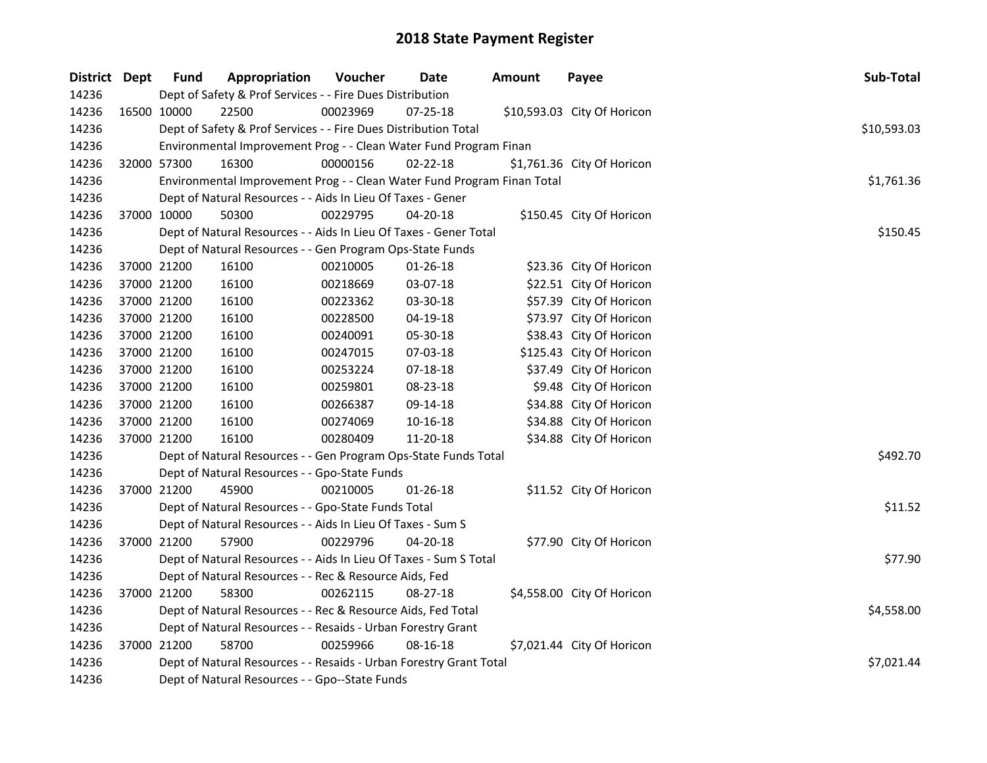| District Dept |             | <b>Fund</b> | Appropriation                                                           | Voucher  | Date           | <b>Amount</b> | Payee                       | Sub-Total   |
|---------------|-------------|-------------|-------------------------------------------------------------------------|----------|----------------|---------------|-----------------------------|-------------|
| 14236         |             |             | Dept of Safety & Prof Services - - Fire Dues Distribution               |          |                |               |                             |             |
| 14236         |             | 16500 10000 | 22500                                                                   | 00023969 | 07-25-18       |               | \$10,593.03 City Of Horicon |             |
| 14236         |             |             | Dept of Safety & Prof Services - - Fire Dues Distribution Total         |          |                |               |                             | \$10,593.03 |
| 14236         |             |             | Environmental Improvement Prog - - Clean Water Fund Program Finan       |          |                |               |                             |             |
| 14236         | 32000 57300 |             | 16300                                                                   | 00000156 | $02 - 22 - 18$ |               | \$1,761.36 City Of Horicon  |             |
| 14236         |             |             | Environmental Improvement Prog - - Clean Water Fund Program Finan Total |          |                |               |                             | \$1,761.36  |
| 14236         |             |             | Dept of Natural Resources - - Aids In Lieu Of Taxes - Gener             |          |                |               |                             |             |
| 14236         |             | 37000 10000 | 50300                                                                   | 00229795 | 04-20-18       |               | \$150.45 City Of Horicon    |             |
| 14236         |             |             | Dept of Natural Resources - - Aids In Lieu Of Taxes - Gener Total       |          |                |               |                             | \$150.45    |
| 14236         |             |             | Dept of Natural Resources - - Gen Program Ops-State Funds               |          |                |               |                             |             |
| 14236         |             | 37000 21200 | 16100                                                                   | 00210005 | $01 - 26 - 18$ |               | \$23.36 City Of Horicon     |             |
| 14236         |             | 37000 21200 | 16100                                                                   | 00218669 | 03-07-18       |               | \$22.51 City Of Horicon     |             |
| 14236         |             | 37000 21200 | 16100                                                                   | 00223362 | 03-30-18       |               | \$57.39 City Of Horicon     |             |
| 14236         |             | 37000 21200 | 16100                                                                   | 00228500 | 04-19-18       |               | \$73.97 City Of Horicon     |             |
| 14236         |             | 37000 21200 | 16100                                                                   | 00240091 | 05-30-18       |               | \$38.43 City Of Horicon     |             |
| 14236         |             | 37000 21200 | 16100                                                                   | 00247015 | 07-03-18       |               | \$125.43 City Of Horicon    |             |
| 14236         |             | 37000 21200 | 16100                                                                   | 00253224 | $07 - 18 - 18$ |               | \$37.49 City Of Horicon     |             |
| 14236         |             | 37000 21200 | 16100                                                                   | 00259801 | 08-23-18       |               | \$9.48 City Of Horicon      |             |
| 14236         |             | 37000 21200 | 16100                                                                   | 00266387 | 09-14-18       |               | \$34.88 City Of Horicon     |             |
| 14236         |             | 37000 21200 | 16100                                                                   | 00274069 | 10-16-18       |               | \$34.88 City Of Horicon     |             |
| 14236         | 37000 21200 |             | 16100                                                                   | 00280409 | 11-20-18       |               | \$34.88 City Of Horicon     |             |
| 14236         |             |             | Dept of Natural Resources - - Gen Program Ops-State Funds Total         |          |                |               |                             | \$492.70    |
| 14236         |             |             | Dept of Natural Resources - - Gpo-State Funds                           |          |                |               |                             |             |
| 14236         | 37000 21200 |             | 45900                                                                   | 00210005 | $01 - 26 - 18$ |               | \$11.52 City Of Horicon     |             |
| 14236         |             |             | Dept of Natural Resources - - Gpo-State Funds Total                     |          |                |               |                             | \$11.52     |
| 14236         |             |             | Dept of Natural Resources - - Aids In Lieu Of Taxes - Sum S             |          |                |               |                             |             |
| 14236         | 37000 21200 |             | 57900                                                                   | 00229796 | 04-20-18       |               | \$77.90 City Of Horicon     |             |
| 14236         |             |             | Dept of Natural Resources - - Aids In Lieu Of Taxes - Sum S Total       |          |                |               |                             | \$77.90     |
| 14236         |             |             | Dept of Natural Resources - - Rec & Resource Aids, Fed                  |          |                |               |                             |             |
| 14236         |             | 37000 21200 | 58300                                                                   | 00262115 | 08-27-18       |               | \$4,558.00 City Of Horicon  |             |
| 14236         |             |             | Dept of Natural Resources - - Rec & Resource Aids, Fed Total            |          |                |               |                             | \$4,558.00  |
| 14236         |             |             | Dept of Natural Resources - - Resaids - Urban Forestry Grant            |          |                |               |                             |             |
| 14236         |             | 37000 21200 | 58700                                                                   | 00259966 | 08-16-18       |               | \$7,021.44 City Of Horicon  |             |
| 14236         |             |             | Dept of Natural Resources - - Resaids - Urban Forestry Grant Total      |          |                |               |                             | \$7,021.44  |
| 14236         |             |             | Dept of Natural Resources - - Gpo--State Funds                          |          |                |               |                             |             |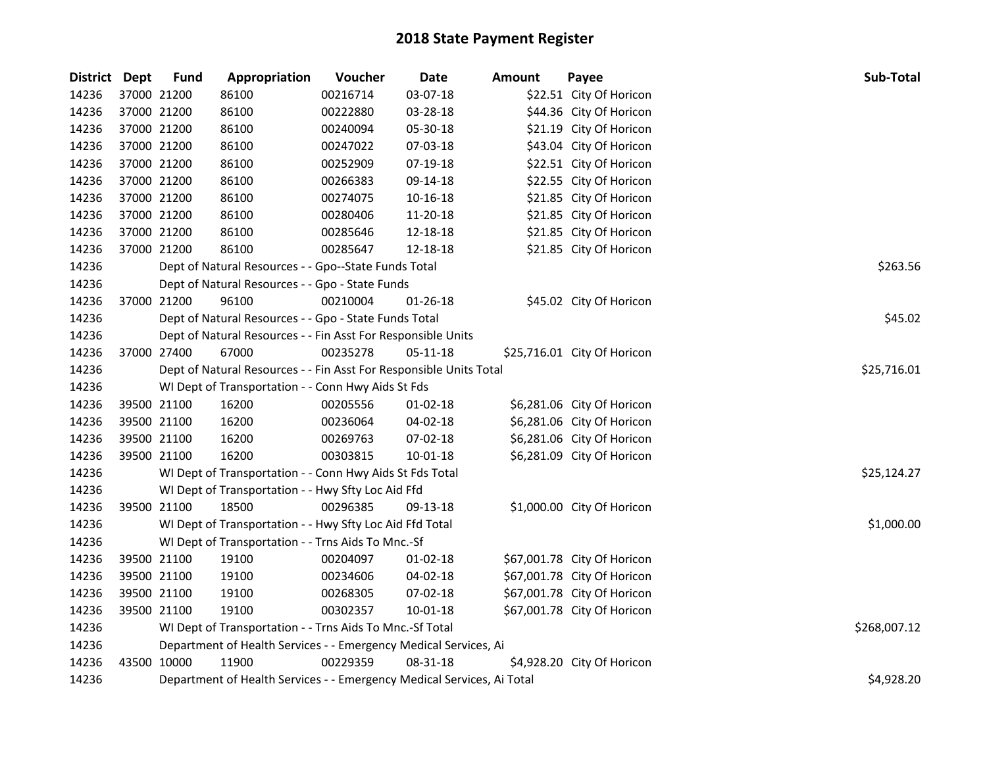| <b>District</b> | Dept        | <b>Fund</b> | Appropriation                                                          | Voucher     | Date           | Amount | Payee                       | Sub-Total    |
|-----------------|-------------|-------------|------------------------------------------------------------------------|-------------|----------------|--------|-----------------------------|--------------|
| 14236           | 37000 21200 |             | 86100                                                                  | 00216714    | 03-07-18       |        | \$22.51 City Of Horicon     |              |
| 14236           | 37000 21200 |             | 86100                                                                  | 00222880    | 03-28-18       |        | \$44.36 City Of Horicon     |              |
| 14236           | 37000 21200 |             | 86100                                                                  | 00240094    | 05-30-18       |        | \$21.19 City Of Horicon     |              |
| 14236           | 37000 21200 |             | 86100                                                                  | 00247022    | 07-03-18       |        | \$43.04 City Of Horicon     |              |
| 14236           | 37000 21200 |             | 86100                                                                  | 00252909    | 07-19-18       |        | \$22.51 City Of Horicon     |              |
| 14236           | 37000 21200 |             | 86100                                                                  | 00266383    | 09-14-18       |        | \$22.55 City Of Horicon     |              |
| 14236           | 37000 21200 |             | 86100                                                                  | 00274075    | 10-16-18       |        | \$21.85 City Of Horicon     |              |
| 14236           | 37000 21200 |             | 86100                                                                  | 00280406    | 11-20-18       |        | \$21.85 City Of Horicon     |              |
| 14236           | 37000 21200 |             | 86100                                                                  | 00285646    | 12-18-18       |        | \$21.85 City Of Horicon     |              |
| 14236           | 37000 21200 |             | 86100                                                                  | 00285647    | 12-18-18       |        | \$21.85 City Of Horicon     |              |
| 14236           |             |             | Dept of Natural Resources - - Gpo--State Funds Total                   |             |                |        |                             | \$263.56     |
| 14236           |             |             | Dept of Natural Resources - - Gpo - State Funds                        |             |                |        |                             |              |
| 14236           | 37000 21200 |             | 96100                                                                  | 00210004    | $01 - 26 - 18$ |        | \$45.02 City Of Horicon     |              |
| 14236           |             |             | Dept of Natural Resources - - Gpo - State Funds Total                  |             |                |        |                             | \$45.02      |
| 14236           |             |             | Dept of Natural Resources - - Fin Asst For Responsible Units           |             |                |        |                             |              |
| 14236           | 37000 27400 |             | 67000                                                                  | 00235278    | 05-11-18       |        | \$25,716.01 City Of Horicon |              |
| 14236           |             |             | Dept of Natural Resources - - Fin Asst For Responsible Units Total     | \$25,716.01 |                |        |                             |              |
| 14236           |             |             | WI Dept of Transportation - - Conn Hwy Aids St Fds                     |             |                |        |                             |              |
| 14236           | 39500 21100 |             | 16200                                                                  | 00205556    | $01 - 02 - 18$ |        | \$6,281.06 City Of Horicon  |              |
| 14236           | 39500 21100 |             | 16200                                                                  | 00236064    | 04-02-18       |        | \$6,281.06 City Of Horicon  |              |
| 14236           | 39500 21100 |             | 16200                                                                  | 00269763    | 07-02-18       |        | \$6,281.06 City Of Horicon  |              |
| 14236           | 39500 21100 |             | 16200                                                                  | 00303815    | 10-01-18       |        | \$6,281.09 City Of Horicon  |              |
| 14236           |             |             | WI Dept of Transportation - - Conn Hwy Aids St Fds Total               |             |                |        |                             | \$25,124.27  |
| 14236           |             |             | WI Dept of Transportation - - Hwy Sfty Loc Aid Ffd                     |             |                |        |                             |              |
| 14236           | 39500 21100 |             | 18500                                                                  | 00296385    | 09-13-18       |        | \$1,000.00 City Of Horicon  |              |
| 14236           |             |             | WI Dept of Transportation - - Hwy Sfty Loc Aid Ffd Total               |             |                |        |                             | \$1,000.00   |
| 14236           |             |             | WI Dept of Transportation - - Trns Aids To Mnc.-Sf                     |             |                |        |                             |              |
| 14236           | 39500 21100 |             | 19100                                                                  | 00204097    | $01 - 02 - 18$ |        | \$67,001.78 City Of Horicon |              |
| 14236           | 39500 21100 |             | 19100                                                                  | 00234606    | 04-02-18       |        | \$67,001.78 City Of Horicon |              |
| 14236           | 39500 21100 |             | 19100                                                                  | 00268305    | 07-02-18       |        | \$67,001.78 City Of Horicon |              |
| 14236           | 39500 21100 |             | 19100                                                                  | 00302357    | $10 - 01 - 18$ |        | \$67,001.78 City Of Horicon |              |
| 14236           |             |             | WI Dept of Transportation - - Trns Aids To Mnc.-Sf Total               |             |                |        |                             | \$268,007.12 |
| 14236           |             |             | Department of Health Services - - Emergency Medical Services, Ai       |             |                |        |                             |              |
| 14236           | 43500 10000 |             | 11900                                                                  | 00229359    | 08-31-18       |        | \$4,928.20 City Of Horicon  |              |
| 14236           |             |             | Department of Health Services - - Emergency Medical Services, Ai Total |             |                |        |                             | \$4,928.20   |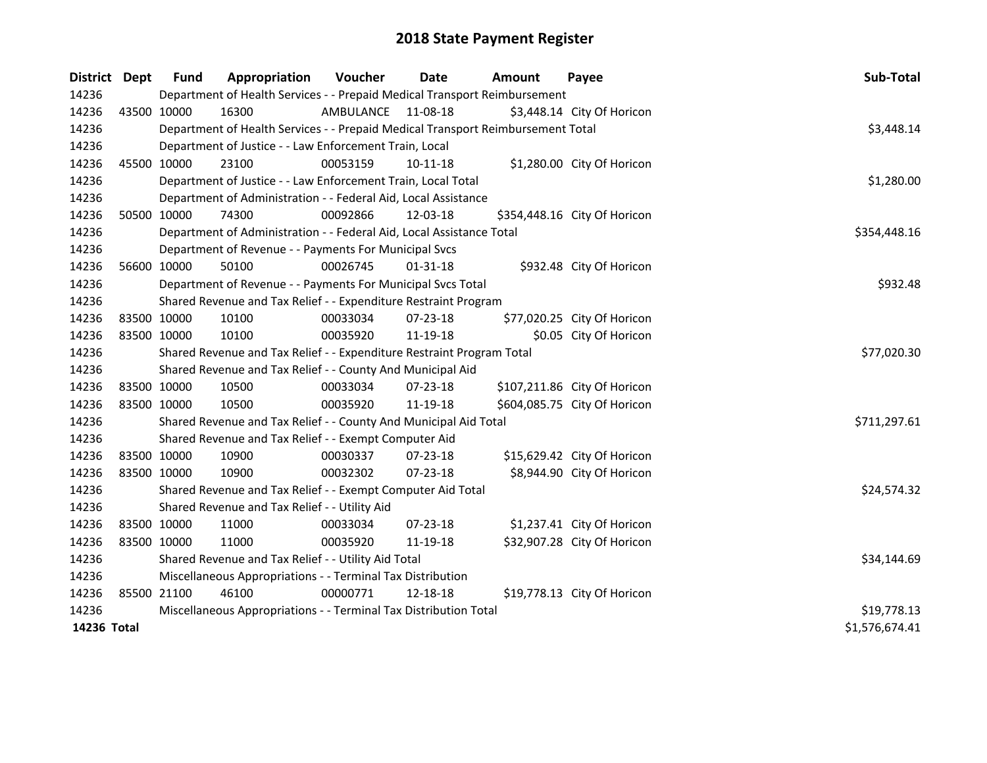| <b>District</b> | Dept        | <b>Fund</b> | Appropriation                                                                   | <b>Voucher</b> | <b>Date</b>    | Amount | Payee                        | Sub-Total      |
|-----------------|-------------|-------------|---------------------------------------------------------------------------------|----------------|----------------|--------|------------------------------|----------------|
| 14236           |             |             | Department of Health Services - - Prepaid Medical Transport Reimbursement       |                |                |        |                              |                |
| 14236           |             | 43500 10000 | 16300                                                                           | AMBULANCE      | 11-08-18       |        | \$3,448.14 City Of Horicon   |                |
| 14236           |             |             | Department of Health Services - - Prepaid Medical Transport Reimbursement Total |                |                |        |                              | \$3,448.14     |
| 14236           |             |             | Department of Justice - - Law Enforcement Train, Local                          |                |                |        |                              |                |
| 14236           |             | 45500 10000 | 23100                                                                           | 00053159       | $10 - 11 - 18$ |        | \$1,280.00 City Of Horicon   |                |
| 14236           |             |             | Department of Justice - - Law Enforcement Train, Local Total                    |                |                |        |                              | \$1,280.00     |
| 14236           |             |             | Department of Administration - - Federal Aid, Local Assistance                  |                |                |        |                              |                |
| 14236           |             | 50500 10000 | 74300                                                                           | 00092866       | 12-03-18       |        | \$354,448.16 City Of Horicon |                |
| 14236           |             |             | Department of Administration - - Federal Aid, Local Assistance Total            |                |                |        |                              | \$354,448.16   |
| 14236           |             |             | Department of Revenue - - Payments For Municipal Svcs                           |                |                |        |                              |                |
| 14236           |             | 56600 10000 | 50100                                                                           | 00026745       | $01 - 31 - 18$ |        | \$932.48 City Of Horicon     |                |
| 14236           |             |             | Department of Revenue - - Payments For Municipal Svcs Total                     |                |                |        |                              | \$932.48       |
| 14236           |             |             | Shared Revenue and Tax Relief - - Expenditure Restraint Program                 |                |                |        |                              |                |
| 14236           |             | 83500 10000 | 10100                                                                           | 00033034       | 07-23-18       |        | \$77,020.25 City Of Horicon  |                |
| 14236           | 83500 10000 |             | 10100                                                                           | 00035920       | 11-19-18       |        | \$0.05 City Of Horicon       |                |
| 14236           |             |             | Shared Revenue and Tax Relief - - Expenditure Restraint Program Total           | \$77,020.30    |                |        |                              |                |
| 14236           |             |             | Shared Revenue and Tax Relief - - County And Municipal Aid                      |                |                |        |                              |                |
| 14236           |             | 83500 10000 | 10500                                                                           | 00033034       | 07-23-18       |        | \$107,211.86 City Of Horicon |                |
| 14236           |             | 83500 10000 | 10500                                                                           | 00035920       | 11-19-18       |        | \$604,085.75 City Of Horicon |                |
| 14236           |             |             | Shared Revenue and Tax Relief - - County And Municipal Aid Total                |                |                |        |                              | \$711,297.61   |
| 14236           |             |             | Shared Revenue and Tax Relief - - Exempt Computer Aid                           |                |                |        |                              |                |
| 14236           | 83500 10000 |             | 10900                                                                           | 00030337       | $07 - 23 - 18$ |        | \$15,629.42 City Of Horicon  |                |
| 14236           | 83500 10000 |             | 10900                                                                           | 00032302       | 07-23-18       |        | \$8,944.90 City Of Horicon   |                |
| 14236           |             |             | Shared Revenue and Tax Relief - - Exempt Computer Aid Total                     |                |                |        |                              | \$24,574.32    |
| 14236           |             |             | Shared Revenue and Tax Relief - - Utility Aid                                   |                |                |        |                              |                |
| 14236           |             | 83500 10000 | 11000                                                                           | 00033034       | 07-23-18       |        | \$1,237.41 City Of Horicon   |                |
| 14236           | 83500 10000 |             | 11000                                                                           | 00035920       | 11-19-18       |        | \$32,907.28 City Of Horicon  |                |
| 14236           |             |             | Shared Revenue and Tax Relief - - Utility Aid Total                             | \$34,144.69    |                |        |                              |                |
| 14236           |             |             | Miscellaneous Appropriations - - Terminal Tax Distribution                      |                |                |        |                              |                |
| 14236           | 85500 21100 |             | 46100                                                                           | 00000771       | 12-18-18       |        | \$19,778.13 City Of Horicon  |                |
| 14236           |             |             | Miscellaneous Appropriations - - Terminal Tax Distribution Total                | \$19,778.13    |                |        |                              |                |
| 14236 Total     |             |             |                                                                                 |                |                |        |                              | \$1,576,674.41 |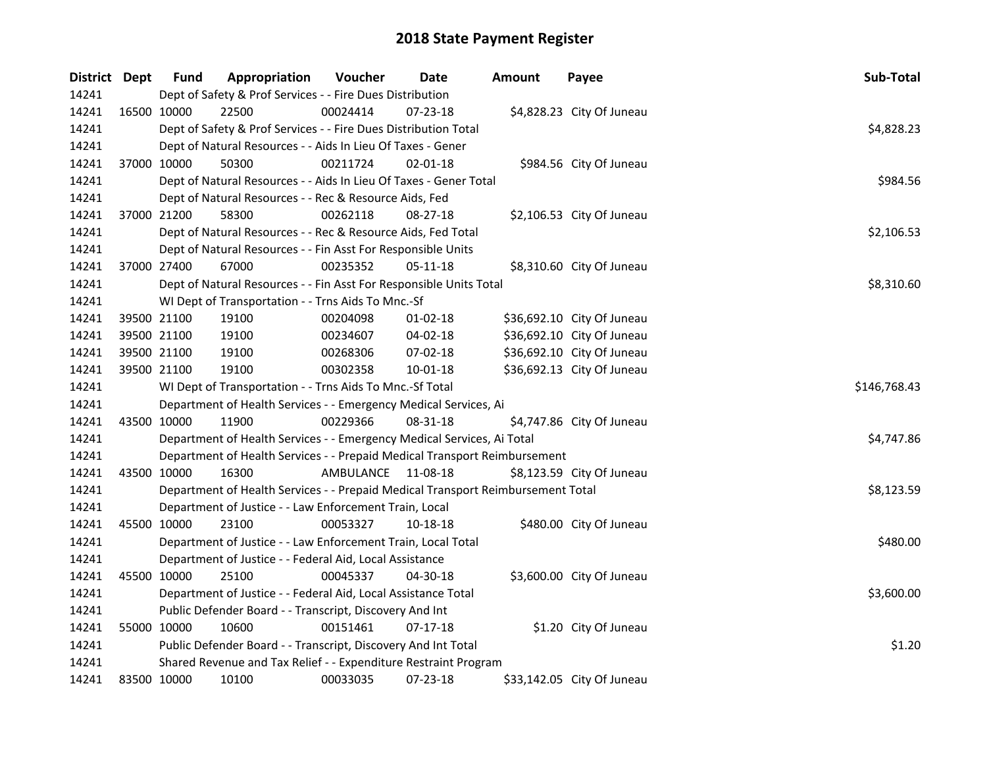| District Dept | <b>Fund</b> | Appropriation                                                                   | Voucher            | Date           | Amount | Payee                      | Sub-Total    |
|---------------|-------------|---------------------------------------------------------------------------------|--------------------|----------------|--------|----------------------------|--------------|
| 14241         |             | Dept of Safety & Prof Services - - Fire Dues Distribution                       |                    |                |        |                            |              |
| 14241         | 16500 10000 | 22500                                                                           | 00024414           | 07-23-18       |        | \$4,828.23 City Of Juneau  |              |
| 14241         |             | Dept of Safety & Prof Services - - Fire Dues Distribution Total                 |                    |                |        |                            | \$4,828.23   |
| 14241         |             | Dept of Natural Resources - - Aids In Lieu Of Taxes - Gener                     |                    |                |        |                            |              |
| 14241         | 37000 10000 | 50300                                                                           | 00211724           | $02 - 01 - 18$ |        | \$984.56 City Of Juneau    |              |
| 14241         |             | Dept of Natural Resources - - Aids In Lieu Of Taxes - Gener Total               |                    |                |        |                            | \$984.56     |
| 14241         |             | Dept of Natural Resources - - Rec & Resource Aids, Fed                          |                    |                |        |                            |              |
| 14241         | 37000 21200 | 58300                                                                           | 00262118           | 08-27-18       |        | \$2,106.53 City Of Juneau  |              |
| 14241         |             | Dept of Natural Resources - - Rec & Resource Aids, Fed Total                    |                    |                |        |                            | \$2,106.53   |
| 14241         |             | Dept of Natural Resources - - Fin Asst For Responsible Units                    |                    |                |        |                            |              |
| 14241         | 37000 27400 | 67000                                                                           | 00235352           | $05 - 11 - 18$ |        | \$8,310.60 City Of Juneau  |              |
| 14241         |             | Dept of Natural Resources - - Fin Asst For Responsible Units Total              |                    |                |        |                            | \$8,310.60   |
| 14241         |             | WI Dept of Transportation - - Trns Aids To Mnc.-Sf                              |                    |                |        |                            |              |
| 14241         | 39500 21100 | 19100                                                                           | 00204098           | 01-02-18       |        | \$36,692.10 City Of Juneau |              |
| 14241         | 39500 21100 | 19100                                                                           | 00234607           | 04-02-18       |        | \$36,692.10 City Of Juneau |              |
| 14241         | 39500 21100 | 19100                                                                           | 00268306           | 07-02-18       |        | \$36,692.10 City Of Juneau |              |
| 14241         | 39500 21100 | 19100                                                                           | 00302358           | $10 - 01 - 18$ |        | \$36,692.13 City Of Juneau |              |
| 14241         |             | WI Dept of Transportation - - Trns Aids To Mnc.-Sf Total                        |                    |                |        |                            | \$146,768.43 |
| 14241         |             | Department of Health Services - - Emergency Medical Services, Ai                |                    |                |        |                            |              |
| 14241         | 43500 10000 | 11900                                                                           | 00229366           | 08-31-18       |        | \$4,747.86 City Of Juneau  |              |
| 14241         |             | Department of Health Services - - Emergency Medical Services, Ai Total          |                    |                |        |                            | \$4,747.86   |
| 14241         |             | Department of Health Services - - Prepaid Medical Transport Reimbursement       |                    |                |        |                            |              |
| 14241         | 43500 10000 | 16300                                                                           | AMBULANCE 11-08-18 |                |        | \$8,123.59 City Of Juneau  |              |
| 14241         |             | Department of Health Services - - Prepaid Medical Transport Reimbursement Total |                    |                |        |                            | \$8,123.59   |
| 14241         |             | Department of Justice - - Law Enforcement Train, Local                          |                    |                |        |                            |              |
| 14241         | 45500 10000 | 23100                                                                           | 00053327           | 10-18-18       |        | \$480.00 City Of Juneau    |              |
| 14241         |             | Department of Justice - - Law Enforcement Train, Local Total                    |                    |                |        |                            | \$480.00     |
| 14241         |             | Department of Justice - - Federal Aid, Local Assistance                         |                    |                |        |                            |              |
| 14241         | 45500 10000 | 25100                                                                           | 00045337           | 04-30-18       |        | \$3,600.00 City Of Juneau  |              |
| 14241         |             | Department of Justice - - Federal Aid, Local Assistance Total                   |                    |                |        |                            | \$3,600.00   |
| 14241         |             | Public Defender Board - - Transcript, Discovery And Int                         |                    |                |        |                            |              |
| 14241         | 55000 10000 | 10600                                                                           | 00151461           | $07-17-18$     |        | \$1.20 City Of Juneau      |              |
| 14241         |             | Public Defender Board - - Transcript, Discovery And Int Total                   |                    |                |        |                            | \$1.20       |
| 14241         |             | Shared Revenue and Tax Relief - - Expenditure Restraint Program                 |                    |                |        |                            |              |
| 14241         | 83500 10000 | 10100                                                                           | 00033035           | 07-23-18       |        | \$33,142.05 City Of Juneau |              |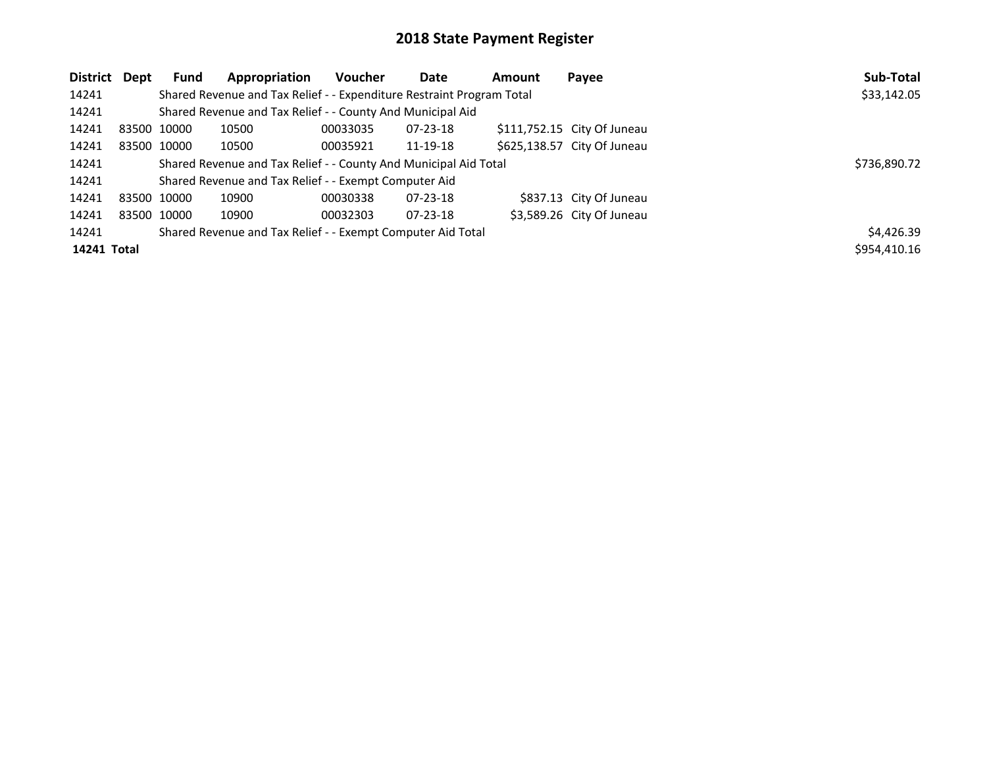| District Dept | <b>Fund</b> | Appropriation                                                         | Voucher      | <b>Date</b>    | Amount | Payee                       | Sub-Total    |
|---------------|-------------|-----------------------------------------------------------------------|--------------|----------------|--------|-----------------------------|--------------|
| 14241         |             | Shared Revenue and Tax Relief - - Expenditure Restraint Program Total |              |                |        |                             | \$33,142.05  |
| 14241         |             | Shared Revenue and Tax Relief - - County And Municipal Aid            |              |                |        |                             |              |
| 14241         | 83500 10000 | 10500                                                                 | 00033035     | $07 - 23 - 18$ |        | \$111,752.15 City Of Juneau |              |
| 14241         | 83500 10000 | 10500                                                                 | 00035921     | 11-19-18       |        | \$625,138.57 City Of Juneau |              |
| 14241         |             | Shared Revenue and Tax Relief - - County And Municipal Aid Total      | \$736,890.72 |                |        |                             |              |
| 14241         |             | Shared Revenue and Tax Relief - - Exempt Computer Aid                 |              |                |        |                             |              |
| 14241         | 83500 10000 | 10900                                                                 | 00030338     | $07 - 23 - 18$ |        | \$837.13 City Of Juneau     |              |
| 14241         | 83500 10000 | 10900                                                                 | 00032303     | $07 - 23 - 18$ |        | \$3,589.26 City Of Juneau   |              |
| 14241         |             | Shared Revenue and Tax Relief - - Exempt Computer Aid Total           |              |                |        |                             | \$4,426.39   |
| 14241 Total   |             |                                                                       |              |                |        |                             | \$954,410.16 |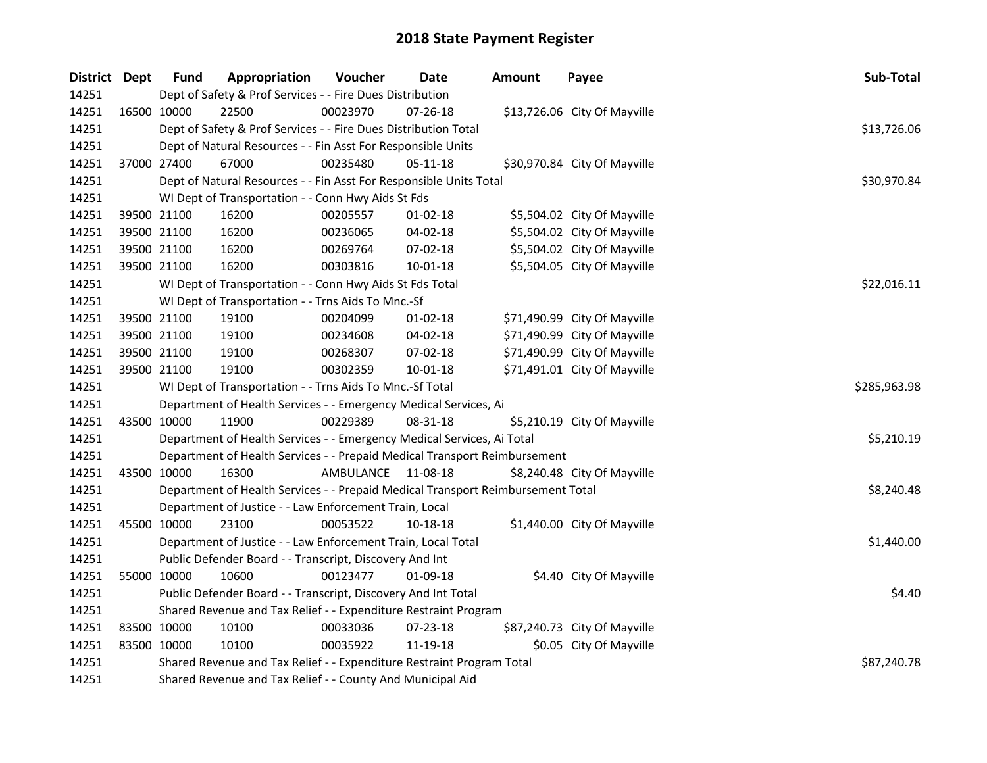| District Dept |             | <b>Fund</b> | Appropriation                                                                   | Voucher            | Date           | <b>Amount</b> | Payee                        | Sub-Total    |
|---------------|-------------|-------------|---------------------------------------------------------------------------------|--------------------|----------------|---------------|------------------------------|--------------|
| 14251         |             |             | Dept of Safety & Prof Services - - Fire Dues Distribution                       |                    |                |               |                              |              |
| 14251         |             | 16500 10000 | 22500                                                                           | 00023970           | 07-26-18       |               | \$13,726.06 City Of Mayville |              |
| 14251         |             |             | Dept of Safety & Prof Services - - Fire Dues Distribution Total                 |                    |                |               |                              | \$13,726.06  |
| 14251         |             |             | Dept of Natural Resources - - Fin Asst For Responsible Units                    |                    |                |               |                              |              |
| 14251         | 37000 27400 |             | 67000                                                                           | 00235480           | 05-11-18       |               | \$30,970.84 City Of Mayville |              |
| 14251         |             |             | Dept of Natural Resources - - Fin Asst For Responsible Units Total              |                    |                |               |                              | \$30,970.84  |
| 14251         |             |             | WI Dept of Transportation - - Conn Hwy Aids St Fds                              |                    |                |               |                              |              |
| 14251         |             | 39500 21100 | 16200                                                                           | 00205557           | 01-02-18       |               | \$5,504.02 City Of Mayville  |              |
| 14251         |             | 39500 21100 | 16200                                                                           | 00236065           | 04-02-18       |               | \$5,504.02 City Of Mayville  |              |
| 14251         |             | 39500 21100 | 16200                                                                           | 00269764           | 07-02-18       |               | \$5,504.02 City Of Mayville  |              |
| 14251         |             | 39500 21100 | 16200                                                                           | 00303816           | 10-01-18       |               | \$5,504.05 City Of Mayville  |              |
| 14251         |             |             | WI Dept of Transportation - - Conn Hwy Aids St Fds Total                        |                    |                |               |                              | \$22,016.11  |
| 14251         |             |             | WI Dept of Transportation - - Trns Aids To Mnc.-Sf                              |                    |                |               |                              |              |
| 14251         |             | 39500 21100 | 19100                                                                           | 00204099           | 01-02-18       |               | \$71,490.99 City Of Mayville |              |
| 14251         |             | 39500 21100 | 19100                                                                           | 00234608           | 04-02-18       |               | \$71,490.99 City Of Mayville |              |
| 14251         |             | 39500 21100 | 19100                                                                           | 00268307           | 07-02-18       |               | \$71,490.99 City Of Mayville |              |
| 14251         |             | 39500 21100 | 19100                                                                           | 00302359           | $10 - 01 - 18$ |               | \$71,491.01 City Of Mayville |              |
| 14251         |             |             | WI Dept of Transportation - - Trns Aids To Mnc.-Sf Total                        |                    |                |               |                              | \$285,963.98 |
| 14251         |             |             | Department of Health Services - - Emergency Medical Services, Ai                |                    |                |               |                              |              |
| 14251         |             | 43500 10000 | 11900                                                                           | 00229389           | 08-31-18       |               | \$5,210.19 City Of Mayville  |              |
| 14251         |             |             | Department of Health Services - - Emergency Medical Services, Ai Total          |                    |                |               |                              | \$5,210.19   |
| 14251         |             |             | Department of Health Services - - Prepaid Medical Transport Reimbursement       |                    |                |               |                              |              |
| 14251         |             | 43500 10000 | 16300                                                                           | AMBULANCE 11-08-18 |                |               | \$8,240.48 City Of Mayville  |              |
| 14251         |             |             | Department of Health Services - - Prepaid Medical Transport Reimbursement Total |                    |                |               |                              | \$8,240.48   |
| 14251         |             |             | Department of Justice - - Law Enforcement Train, Local                          |                    |                |               |                              |              |
| 14251         | 45500 10000 |             | 23100                                                                           | 00053522           | 10-18-18       |               | \$1,440.00 City Of Mayville  |              |
| 14251         |             |             | Department of Justice - - Law Enforcement Train, Local Total                    |                    |                |               |                              | \$1,440.00   |
| 14251         |             |             | Public Defender Board - - Transcript, Discovery And Int                         |                    |                |               |                              |              |
| 14251         | 55000 10000 |             | 10600                                                                           | 00123477           | 01-09-18       |               | \$4.40 City Of Mayville      |              |
| 14251         |             |             | Public Defender Board - - Transcript, Discovery And Int Total                   |                    | \$4.40         |               |                              |              |
| 14251         |             |             | Shared Revenue and Tax Relief - - Expenditure Restraint Program                 |                    |                |               |                              |              |
| 14251         |             | 83500 10000 | 10100                                                                           | 00033036           | 07-23-18       |               | \$87,240.73 City Of Mayville |              |
| 14251         |             | 83500 10000 | 10100                                                                           | 00035922           | 11-19-18       |               | \$0.05 City Of Mayville      |              |
| 14251         |             |             | Shared Revenue and Tax Relief - - Expenditure Restraint Program Total           |                    | \$87,240.78    |               |                              |              |
| 14251         |             |             | Shared Revenue and Tax Relief - - County And Municipal Aid                      |                    |                |               |                              |              |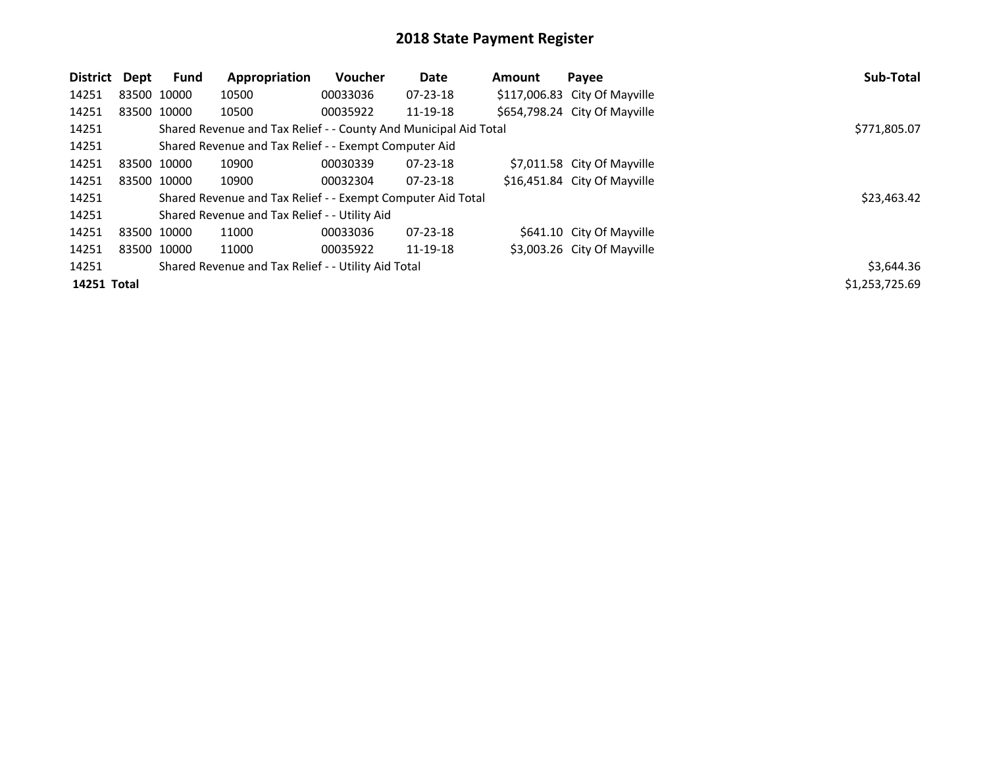| District    | Dept | <b>Fund</b> | Appropriation                                                    | <b>Voucher</b> | Date           | <b>Amount</b> | Payee                         | Sub-Total      |
|-------------|------|-------------|------------------------------------------------------------------|----------------|----------------|---------------|-------------------------------|----------------|
| 14251       |      | 83500 10000 | 10500                                                            | 00033036       | $07 - 23 - 18$ |               | \$117,006.83 City Of Mayville |                |
| 14251       |      | 83500 10000 | 10500                                                            | 00035922       | 11-19-18       |               | \$654,798.24 City Of Mayville |                |
| 14251       |      |             | Shared Revenue and Tax Relief - - County And Municipal Aid Total |                |                |               |                               | \$771,805.07   |
| 14251       |      |             | Shared Revenue and Tax Relief - - Exempt Computer Aid            |                |                |               |                               |                |
| 14251       |      | 83500 10000 | 10900                                                            | 00030339       | 07-23-18       |               | \$7,011.58 City Of Mayville   |                |
| 14251       |      | 83500 10000 | 10900                                                            | 00032304       | $07 - 23 - 18$ |               | \$16,451.84 City Of Mayville  |                |
| 14251       |      |             | Shared Revenue and Tax Relief - - Exempt Computer Aid Total      |                |                |               |                               | \$23,463.42    |
| 14251       |      |             | Shared Revenue and Tax Relief - - Utility Aid                    |                |                |               |                               |                |
| 14251       |      | 83500 10000 | 11000                                                            | 00033036       | $07 - 23 - 18$ |               | \$641.10 City Of Mayville     |                |
| 14251       |      | 83500 10000 | 11000                                                            | 00035922       | 11-19-18       |               | \$3,003.26 City Of Mayville   |                |
| 14251       |      |             | Shared Revenue and Tax Relief - - Utility Aid Total              |                |                |               |                               | \$3,644.36     |
| 14251 Total |      |             |                                                                  |                |                |               |                               | \$1,253,725.69 |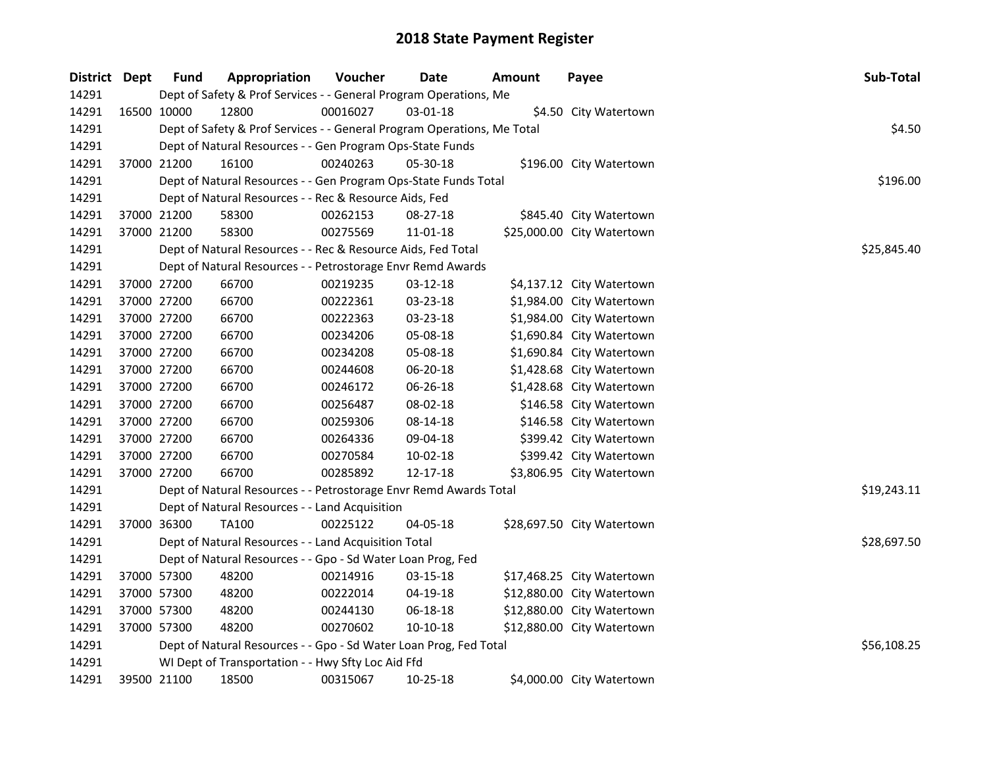| District Dept |             | <b>Fund</b> | Appropriation                                                           | Voucher  | <b>Date</b> | Amount | Payee                      | Sub-Total   |
|---------------|-------------|-------------|-------------------------------------------------------------------------|----------|-------------|--------|----------------------------|-------------|
| 14291         |             |             | Dept of Safety & Prof Services - - General Program Operations, Me       |          |             |        |                            |             |
| 14291         | 16500 10000 |             | 12800                                                                   | 00016027 | 03-01-18    |        | \$4.50 City Watertown      |             |
| 14291         |             |             | Dept of Safety & Prof Services - - General Program Operations, Me Total |          |             |        |                            | \$4.50      |
| 14291         |             |             | Dept of Natural Resources - - Gen Program Ops-State Funds               |          |             |        |                            |             |
| 14291         |             | 37000 21200 | 16100                                                                   | 00240263 | 05-30-18    |        | \$196.00 City Watertown    |             |
| 14291         |             |             | Dept of Natural Resources - - Gen Program Ops-State Funds Total         |          |             |        |                            | \$196.00    |
| 14291         |             |             | Dept of Natural Resources - - Rec & Resource Aids, Fed                  |          |             |        |                            |             |
| 14291         |             | 37000 21200 | 58300                                                                   | 00262153 | 08-27-18    |        | \$845.40 City Watertown    |             |
| 14291         |             | 37000 21200 | 58300                                                                   | 00275569 | 11-01-18    |        | \$25,000.00 City Watertown |             |
| 14291         |             |             | Dept of Natural Resources - - Rec & Resource Aids, Fed Total            |          |             |        |                            | \$25,845.40 |
| 14291         |             |             | Dept of Natural Resources - - Petrostorage Envr Remd Awards             |          |             |        |                            |             |
| 14291         |             | 37000 27200 | 66700                                                                   | 00219235 | 03-12-18    |        | \$4,137.12 City Watertown  |             |
| 14291         | 37000 27200 |             | 66700                                                                   | 00222361 | 03-23-18    |        | \$1,984.00 City Watertown  |             |
| 14291         | 37000 27200 |             | 66700                                                                   | 00222363 | 03-23-18    |        | \$1,984.00 City Watertown  |             |
| 14291         |             | 37000 27200 | 66700                                                                   | 00234206 | 05-08-18    |        | \$1,690.84 City Watertown  |             |
| 14291         |             | 37000 27200 | 66700                                                                   | 00234208 | 05-08-18    |        | \$1,690.84 City Watertown  |             |
| 14291         |             | 37000 27200 | 66700                                                                   | 00244608 | 06-20-18    |        | \$1,428.68 City Watertown  |             |
| 14291         |             | 37000 27200 | 66700                                                                   | 00246172 | 06-26-18    |        | \$1,428.68 City Watertown  |             |
| 14291         |             | 37000 27200 | 66700                                                                   | 00256487 | 08-02-18    |        | \$146.58 City Watertown    |             |
| 14291         |             | 37000 27200 | 66700                                                                   | 00259306 | 08-14-18    |        | \$146.58 City Watertown    |             |
| 14291         |             | 37000 27200 | 66700                                                                   | 00264336 | 09-04-18    |        | \$399.42 City Watertown    |             |
| 14291         |             | 37000 27200 | 66700                                                                   | 00270584 | 10-02-18    |        | \$399.42 City Watertown    |             |
| 14291         | 37000 27200 |             | 66700                                                                   | 00285892 | 12-17-18    |        | \$3,806.95 City Watertown  |             |
| 14291         |             |             | Dept of Natural Resources - - Petrostorage Envr Remd Awards Total       |          |             |        |                            | \$19,243.11 |
| 14291         |             |             | Dept of Natural Resources - - Land Acquisition                          |          |             |        |                            |             |
| 14291         |             | 37000 36300 | <b>TA100</b>                                                            | 00225122 | 04-05-18    |        | \$28,697.50 City Watertown |             |
| 14291         |             |             | Dept of Natural Resources - - Land Acquisition Total                    |          |             |        |                            | \$28,697.50 |
| 14291         |             |             | Dept of Natural Resources - - Gpo - Sd Water Loan Prog, Fed             |          |             |        |                            |             |
| 14291         |             | 37000 57300 | 48200                                                                   | 00214916 | 03-15-18    |        | \$17,468.25 City Watertown |             |
| 14291         |             | 37000 57300 | 48200                                                                   | 00222014 | 04-19-18    |        | \$12,880.00 City Watertown |             |
| 14291         |             | 37000 57300 | 48200                                                                   | 00244130 | 06-18-18    |        | \$12,880.00 City Watertown |             |
| 14291         |             | 37000 57300 | 48200                                                                   | 00270602 | 10-10-18    |        | \$12,880.00 City Watertown |             |
| 14291         |             |             | Dept of Natural Resources - - Gpo - Sd Water Loan Prog, Fed Total       |          |             |        |                            | \$56,108.25 |
| 14291         |             |             | WI Dept of Transportation - - Hwy Sfty Loc Aid Ffd                      |          |             |        |                            |             |
| 14291         |             | 39500 21100 | 18500                                                                   | 00315067 | 10-25-18    |        | \$4,000.00 City Watertown  |             |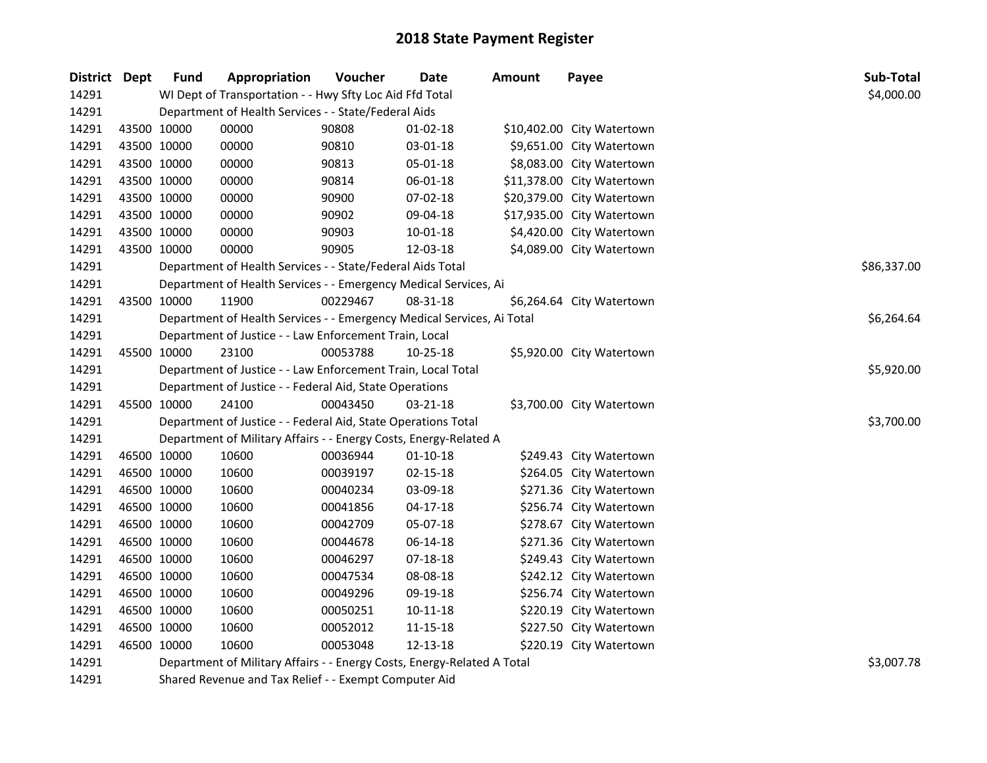| District Dept |             | <b>Fund</b> | Appropriation                                                           | Voucher  | Date           | <b>Amount</b> | Payee                      | Sub-Total   |  |  |
|---------------|-------------|-------------|-------------------------------------------------------------------------|----------|----------------|---------------|----------------------------|-------------|--|--|
| 14291         |             |             | WI Dept of Transportation - - Hwy Sfty Loc Aid Ffd Total                |          |                |               |                            | \$4,000.00  |  |  |
| 14291         |             |             | Department of Health Services - - State/Federal Aids                    |          |                |               |                            |             |  |  |
| 14291         | 43500 10000 |             | 00000                                                                   | 90808    | 01-02-18       |               | \$10,402.00 City Watertown |             |  |  |
| 14291         | 43500 10000 |             | 00000                                                                   | 90810    | 03-01-18       |               | \$9,651.00 City Watertown  |             |  |  |
| 14291         | 43500 10000 |             | 00000                                                                   | 90813    | 05-01-18       |               | \$8,083.00 City Watertown  |             |  |  |
| 14291         | 43500 10000 |             | 00000                                                                   | 90814    | 06-01-18       |               | \$11,378.00 City Watertown |             |  |  |
| 14291         | 43500 10000 |             | 00000                                                                   | 90900    | 07-02-18       |               | \$20,379.00 City Watertown |             |  |  |
| 14291         | 43500 10000 |             | 00000                                                                   | 90902    | 09-04-18       |               | \$17,935.00 City Watertown |             |  |  |
| 14291         | 43500 10000 |             | 00000                                                                   | 90903    | 10-01-18       |               | \$4,420.00 City Watertown  |             |  |  |
| 14291         | 43500 10000 |             | 00000                                                                   | 90905    | 12-03-18       |               | \$4,089.00 City Watertown  |             |  |  |
| 14291         |             |             | Department of Health Services - - State/Federal Aids Total              |          |                |               |                            | \$86,337.00 |  |  |
| 14291         |             |             | Department of Health Services - - Emergency Medical Services, Ai        |          |                |               |                            |             |  |  |
| 14291         | 43500 10000 |             | 11900                                                                   | 00229467 | 08-31-18       |               | \$6,264.64 City Watertown  |             |  |  |
| 14291         |             |             | Department of Health Services - - Emergency Medical Services, Ai Total  |          |                |               |                            | \$6,264.64  |  |  |
| 14291         |             |             | Department of Justice - - Law Enforcement Train, Local                  |          |                |               |                            |             |  |  |
| 14291         | 45500 10000 |             | 23100                                                                   | 00053788 | 10-25-18       |               | \$5,920.00 City Watertown  |             |  |  |
| 14291         |             |             | Department of Justice - - Law Enforcement Train, Local Total            |          |                |               |                            | \$5,920.00  |  |  |
| 14291         |             |             | Department of Justice - - Federal Aid, State Operations                 |          |                |               |                            |             |  |  |
| 14291         | 45500 10000 |             | 24100                                                                   | 00043450 | 03-21-18       |               | \$3,700.00 City Watertown  |             |  |  |
| 14291         |             |             | Department of Justice - - Federal Aid, State Operations Total           |          |                |               |                            | \$3,700.00  |  |  |
| 14291         |             |             | Department of Military Affairs - - Energy Costs, Energy-Related A       |          |                |               |                            |             |  |  |
| 14291         | 46500 10000 |             | 10600                                                                   | 00036944 | $01 - 10 - 18$ |               | \$249.43 City Watertown    |             |  |  |
| 14291         | 46500 10000 |             | 10600                                                                   | 00039197 | $02 - 15 - 18$ |               | \$264.05 City Watertown    |             |  |  |
| 14291         | 46500 10000 |             | 10600                                                                   | 00040234 | 03-09-18       |               | \$271.36 City Watertown    |             |  |  |
| 14291         | 46500 10000 |             | 10600                                                                   | 00041856 | 04-17-18       |               | \$256.74 City Watertown    |             |  |  |
| 14291         | 46500 10000 |             | 10600                                                                   | 00042709 | 05-07-18       |               | \$278.67 City Watertown    |             |  |  |
| 14291         | 46500 10000 |             | 10600                                                                   | 00044678 | 06-14-18       |               | \$271.36 City Watertown    |             |  |  |
| 14291         | 46500 10000 |             | 10600                                                                   | 00046297 | 07-18-18       |               | \$249.43 City Watertown    |             |  |  |
| 14291         | 46500 10000 |             | 10600                                                                   | 00047534 | 08-08-18       |               | \$242.12 City Watertown    |             |  |  |
| 14291         | 46500 10000 |             | 10600                                                                   | 00049296 | 09-19-18       |               | \$256.74 City Watertown    |             |  |  |
| 14291         | 46500 10000 |             | 10600                                                                   | 00050251 | 10-11-18       |               | \$220.19 City Watertown    |             |  |  |
| 14291         | 46500 10000 |             | 10600                                                                   | 00052012 | 11-15-18       |               | \$227.50 City Watertown    |             |  |  |
| 14291         | 46500 10000 |             | 10600                                                                   | 00053048 | 12-13-18       |               | \$220.19 City Watertown    |             |  |  |
| 14291         |             |             | Department of Military Affairs - - Energy Costs, Energy-Related A Total |          |                |               |                            |             |  |  |
| 11001         |             |             | Charad Dougnus and Tay Dollaf Frament Campaitar Aid                     |          |                |               |                            |             |  |  |

Shared Revenue and Tax Relief - - Exempt Computer Aid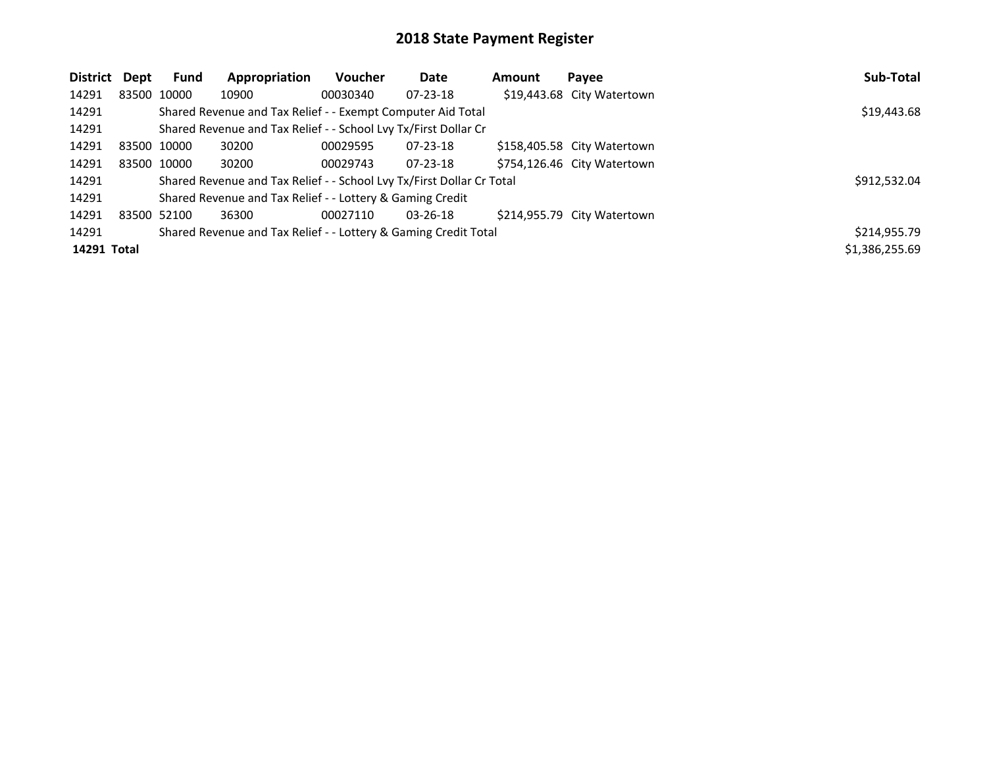| District    | Dept | <b>Fund</b> | Appropriation                                                         | Voucher     | <b>Date</b>    | Amount | Payee                       | Sub-Total      |
|-------------|------|-------------|-----------------------------------------------------------------------|-------------|----------------|--------|-----------------------------|----------------|
| 14291       |      | 83500 10000 | 10900                                                                 | 00030340    | $07 - 23 - 18$ |        | \$19,443.68 City Watertown  |                |
| 14291       |      |             | Shared Revenue and Tax Relief - - Exempt Computer Aid Total           | \$19,443.68 |                |        |                             |                |
| 14291       |      |             | Shared Revenue and Tax Relief - - School Lvy Tx/First Dollar Cr       |             |                |        |                             |                |
| 14291       |      | 83500 10000 | 30200                                                                 | 00029595    | $07 - 23 - 18$ |        | \$158,405.58 City Watertown |                |
| 14291       |      | 83500 10000 | 30200                                                                 | 00029743    | $07 - 23 - 18$ |        | \$754,126.46 City Watertown |                |
| 14291       |      |             | Shared Revenue and Tax Relief - - School Lvy Tx/First Dollar Cr Total |             |                |        |                             | \$912,532.04   |
| 14291       |      |             | Shared Revenue and Tax Relief - - Lottery & Gaming Credit             |             |                |        |                             |                |
| 14291       |      | 83500 52100 | 36300                                                                 | 00027110    | $03 - 26 - 18$ |        | \$214,955.79 City Watertown |                |
| 14291       |      |             | Shared Revenue and Tax Relief - - Lottery & Gaming Credit Total       |             |                |        |                             | \$214,955.79   |
| 14291 Total |      |             |                                                                       |             |                |        |                             | \$1,386,255.69 |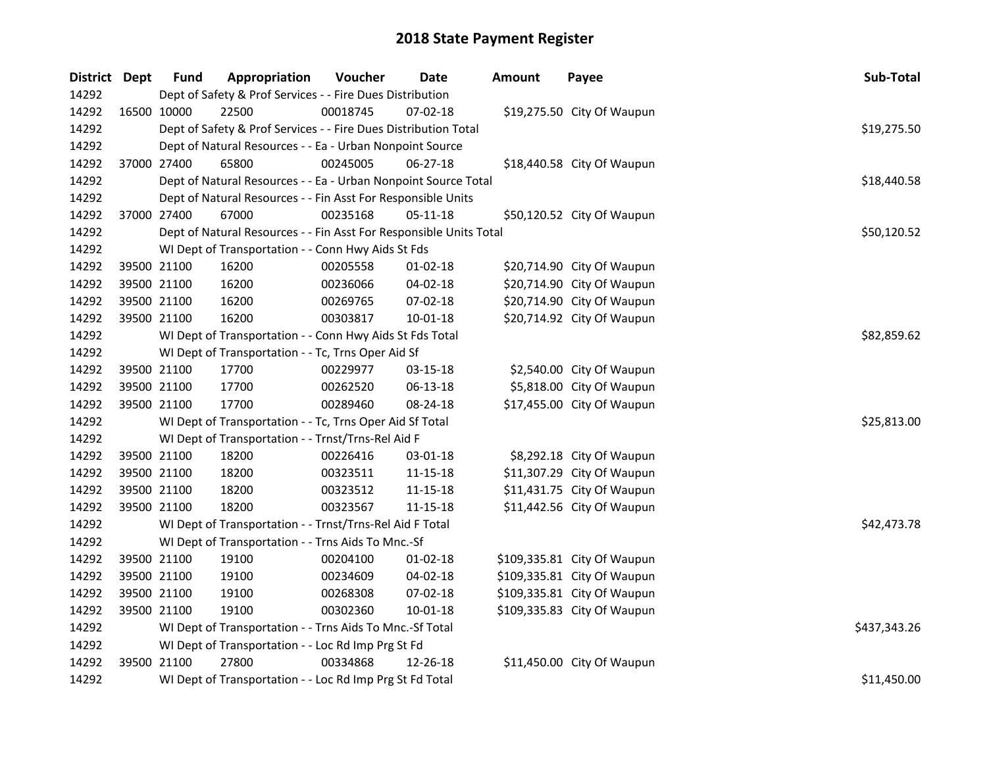| District Dept |             | <b>Fund</b> | Appropriation                                                      | Voucher  | <b>Date</b>    | <b>Amount</b> | Payee                       | Sub-Total    |  |  |  |
|---------------|-------------|-------------|--------------------------------------------------------------------|----------|----------------|---------------|-----------------------------|--------------|--|--|--|
| 14292         |             |             | Dept of Safety & Prof Services - - Fire Dues Distribution          |          |                |               |                             |              |  |  |  |
| 14292         |             | 16500 10000 | 22500                                                              | 00018745 | 07-02-18       |               | \$19,275.50 City Of Waupun  |              |  |  |  |
| 14292         |             |             | Dept of Safety & Prof Services - - Fire Dues Distribution Total    |          |                |               |                             | \$19,275.50  |  |  |  |
| 14292         |             |             | Dept of Natural Resources - - Ea - Urban Nonpoint Source           |          |                |               |                             |              |  |  |  |
| 14292         | 37000 27400 |             | 65800                                                              | 00245005 | 06-27-18       |               | \$18,440.58 City Of Waupun  |              |  |  |  |
| 14292         |             |             | Dept of Natural Resources - - Ea - Urban Nonpoint Source Total     |          |                |               |                             | \$18,440.58  |  |  |  |
| 14292         |             |             | Dept of Natural Resources - - Fin Asst For Responsible Units       |          |                |               |                             |              |  |  |  |
| 14292         |             | 37000 27400 | 67000                                                              | 00235168 | $05-11-18$     |               | \$50,120.52 City Of Waupun  |              |  |  |  |
| 14292         |             |             | Dept of Natural Resources - - Fin Asst For Responsible Units Total |          |                |               |                             | \$50,120.52  |  |  |  |
| 14292         |             |             | WI Dept of Transportation - - Conn Hwy Aids St Fds                 |          |                |               |                             |              |  |  |  |
| 14292         |             | 39500 21100 | 16200                                                              | 00205558 | 01-02-18       |               | \$20,714.90 City Of Waupun  |              |  |  |  |
| 14292         |             | 39500 21100 | 16200                                                              | 00236066 | 04-02-18       |               | \$20,714.90 City Of Waupun  |              |  |  |  |
| 14292         |             | 39500 21100 | 16200                                                              | 00269765 | 07-02-18       |               | \$20,714.90 City Of Waupun  |              |  |  |  |
| 14292         |             | 39500 21100 | 16200                                                              | 00303817 | $10 - 01 - 18$ |               | \$20,714.92 City Of Waupun  |              |  |  |  |
| 14292         |             |             | WI Dept of Transportation - - Conn Hwy Aids St Fds Total           |          |                |               |                             | \$82,859.62  |  |  |  |
| 14292         |             |             | WI Dept of Transportation - - Tc, Trns Oper Aid Sf                 |          |                |               |                             |              |  |  |  |
| 14292         |             | 39500 21100 | 17700                                                              | 00229977 | 03-15-18       |               | \$2,540.00 City Of Waupun   |              |  |  |  |
| 14292         |             | 39500 21100 | 17700                                                              | 00262520 | 06-13-18       |               | \$5,818.00 City Of Waupun   |              |  |  |  |
| 14292         | 39500 21100 |             | 17700                                                              | 00289460 | 08-24-18       |               | \$17,455.00 City Of Waupun  |              |  |  |  |
| 14292         |             |             | WI Dept of Transportation - - Tc, Trns Oper Aid Sf Total           |          |                |               |                             | \$25,813.00  |  |  |  |
| 14292         |             |             | WI Dept of Transportation - - Trnst/Trns-Rel Aid F                 |          |                |               |                             |              |  |  |  |
| 14292         |             | 39500 21100 | 18200                                                              | 00226416 | 03-01-18       |               | \$8,292.18 City Of Waupun   |              |  |  |  |
| 14292         |             | 39500 21100 | 18200                                                              | 00323511 | 11-15-18       |               | \$11,307.29 City Of Waupun  |              |  |  |  |
| 14292         |             | 39500 21100 | 18200                                                              | 00323512 | 11-15-18       |               | \$11,431.75 City Of Waupun  |              |  |  |  |
| 14292         | 39500 21100 |             | 18200                                                              | 00323567 | 11-15-18       |               | \$11,442.56 City Of Waupun  |              |  |  |  |
| 14292         |             |             | WI Dept of Transportation - - Trnst/Trns-Rel Aid F Total           |          |                |               |                             | \$42,473.78  |  |  |  |
| 14292         |             |             | WI Dept of Transportation - - Trns Aids To Mnc.-Sf                 |          |                |               |                             |              |  |  |  |
| 14292         |             | 39500 21100 | 19100                                                              | 00204100 | $01 - 02 - 18$ |               | \$109,335.81 City Of Waupun |              |  |  |  |
| 14292         |             | 39500 21100 | 19100                                                              | 00234609 | 04-02-18       |               | \$109,335.81 City Of Waupun |              |  |  |  |
| 14292         |             | 39500 21100 | 19100                                                              | 00268308 | 07-02-18       |               | \$109,335.81 City Of Waupun |              |  |  |  |
| 14292         | 39500 21100 |             | 19100                                                              | 00302360 | $10 - 01 - 18$ |               | \$109,335.83 City Of Waupun |              |  |  |  |
| 14292         |             |             | WI Dept of Transportation - - Trns Aids To Mnc.-Sf Total           |          |                |               |                             | \$437,343.26 |  |  |  |
| 14292         |             |             | WI Dept of Transportation - - Loc Rd Imp Prg St Fd                 |          |                |               |                             |              |  |  |  |
| 14292         | 39500 21100 |             | 27800                                                              | 00334868 | 12-26-18       |               | \$11,450.00 City Of Waupun  |              |  |  |  |
| 14292         |             |             | WI Dept of Transportation - - Loc Rd Imp Prg St Fd Total           |          |                |               |                             | \$11,450.00  |  |  |  |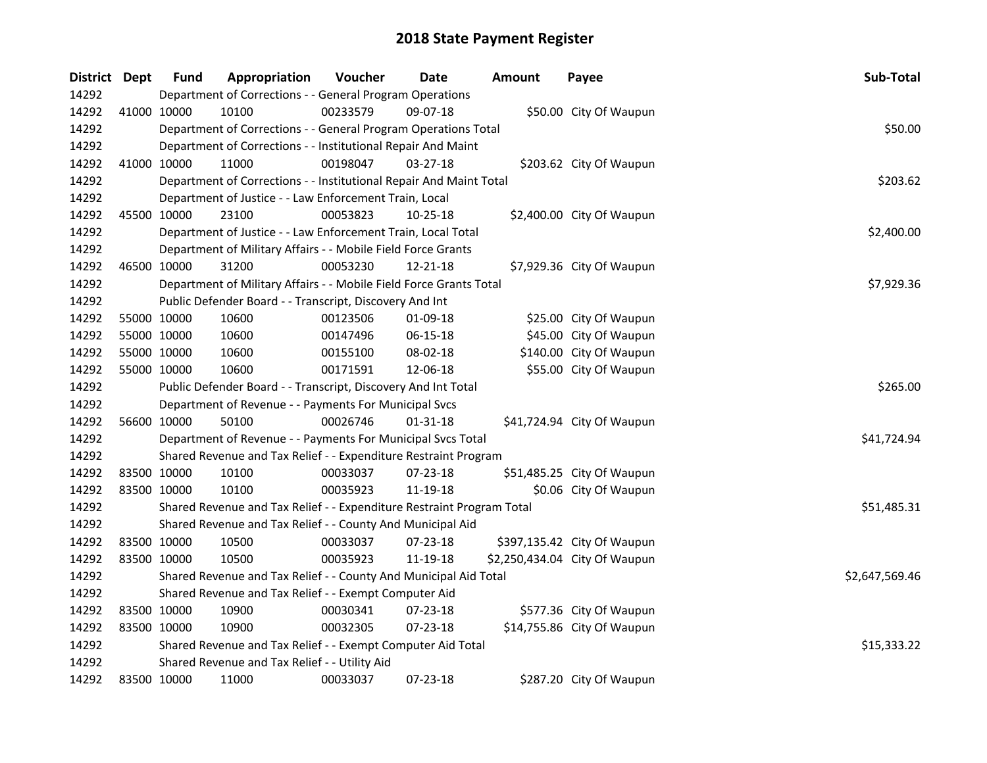| District Dept | <b>Fund</b>                                                  | Appropriation                                                         | Voucher  | <b>Date</b>    | <b>Amount</b> | Payee                         | Sub-Total      |
|---------------|--------------------------------------------------------------|-----------------------------------------------------------------------|----------|----------------|---------------|-------------------------------|----------------|
| 14292         | Department of Corrections - - General Program Operations     |                                                                       |          |                |               |                               |                |
| 14292         | 41000 10000                                                  | 10100                                                                 | 00233579 | 09-07-18       |               | \$50.00 City Of Waupun        |                |
| 14292         |                                                              | Department of Corrections - - General Program Operations Total        |          |                |               |                               | \$50.00        |
| 14292         | Department of Corrections - - Institutional Repair And Maint |                                                                       |          |                |               |                               |                |
| 14292         | 41000 10000                                                  | 11000                                                                 | 00198047 | $03 - 27 - 18$ |               | \$203.62 City Of Waupun       |                |
| 14292         |                                                              | Department of Corrections - - Institutional Repair And Maint Total    |          |                |               |                               | \$203.62       |
| 14292         |                                                              | Department of Justice - - Law Enforcement Train, Local                |          |                |               |                               |                |
| 14292         | 45500 10000                                                  | 23100                                                                 | 00053823 | 10-25-18       |               | \$2,400.00 City Of Waupun     |                |
| 14292         |                                                              | Department of Justice - - Law Enforcement Train, Local Total          |          |                |               |                               | \$2,400.00     |
| 14292         |                                                              | Department of Military Affairs - - Mobile Field Force Grants          |          |                |               |                               |                |
| 14292         | 46500 10000                                                  | 31200                                                                 | 00053230 | 12-21-18       |               | \$7,929.36 City Of Waupun     |                |
| 14292         |                                                              | Department of Military Affairs - - Mobile Field Force Grants Total    |          |                |               |                               | \$7,929.36     |
| 14292         |                                                              | Public Defender Board - - Transcript, Discovery And Int               |          |                |               |                               |                |
| 14292         | 55000 10000                                                  | 10600                                                                 | 00123506 | 01-09-18       |               | \$25.00 City Of Waupun        |                |
| 14292         | 55000 10000                                                  | 10600                                                                 | 00147496 | 06-15-18       |               | \$45.00 City Of Waupun        |                |
| 14292         | 55000 10000                                                  | 10600                                                                 | 00155100 | 08-02-18       |               | \$140.00 City Of Waupun       |                |
| 14292         | 55000 10000                                                  | 10600                                                                 | 00171591 | 12-06-18       |               | \$55.00 City Of Waupun        |                |
| 14292         |                                                              | Public Defender Board - - Transcript, Discovery And Int Total         |          |                |               |                               | \$265.00       |
| 14292         |                                                              | Department of Revenue - - Payments For Municipal Svcs                 |          |                |               |                               |                |
| 14292         | 56600 10000                                                  | 50100                                                                 | 00026746 | $01 - 31 - 18$ |               | \$41,724.94 City Of Waupun    |                |
| 14292         |                                                              | Department of Revenue - - Payments For Municipal Svcs Total           |          |                |               |                               | \$41,724.94    |
| 14292         |                                                              | Shared Revenue and Tax Relief - - Expenditure Restraint Program       |          |                |               |                               |                |
| 14292         | 83500 10000                                                  | 10100                                                                 | 00033037 | 07-23-18       |               | \$51,485.25 City Of Waupun    |                |
| 14292         | 83500 10000                                                  | 10100                                                                 | 00035923 | 11-19-18       |               | \$0.06 City Of Waupun         |                |
| 14292         |                                                              | Shared Revenue and Tax Relief - - Expenditure Restraint Program Total |          |                |               |                               | \$51,485.31    |
| 14292         |                                                              | Shared Revenue and Tax Relief - - County And Municipal Aid            |          |                |               |                               |                |
| 14292         | 83500 10000                                                  | 10500                                                                 | 00033037 | 07-23-18       |               | \$397,135.42 City Of Waupun   |                |
| 14292         | 83500 10000                                                  | 10500                                                                 | 00035923 | 11-19-18       |               | \$2,250,434.04 City Of Waupun |                |
| 14292         |                                                              | Shared Revenue and Tax Relief - - County And Municipal Aid Total      |          |                |               |                               | \$2,647,569.46 |
| 14292         |                                                              | Shared Revenue and Tax Relief - - Exempt Computer Aid                 |          |                |               |                               |                |
| 14292         | 83500 10000                                                  | 10900                                                                 | 00030341 | 07-23-18       |               | \$577.36 City Of Waupun       |                |
| 14292         | 83500 10000                                                  | 10900                                                                 | 00032305 | $07 - 23 - 18$ |               | \$14,755.86 City Of Waupun    |                |
| 14292         |                                                              | Shared Revenue and Tax Relief - - Exempt Computer Aid Total           |          |                |               |                               | \$15,333.22    |
| 14292         |                                                              | Shared Revenue and Tax Relief - - Utility Aid                         |          |                |               |                               |                |
| 14292         | 83500 10000                                                  | 11000                                                                 | 00033037 | 07-23-18       |               | \$287.20 City Of Waupun       |                |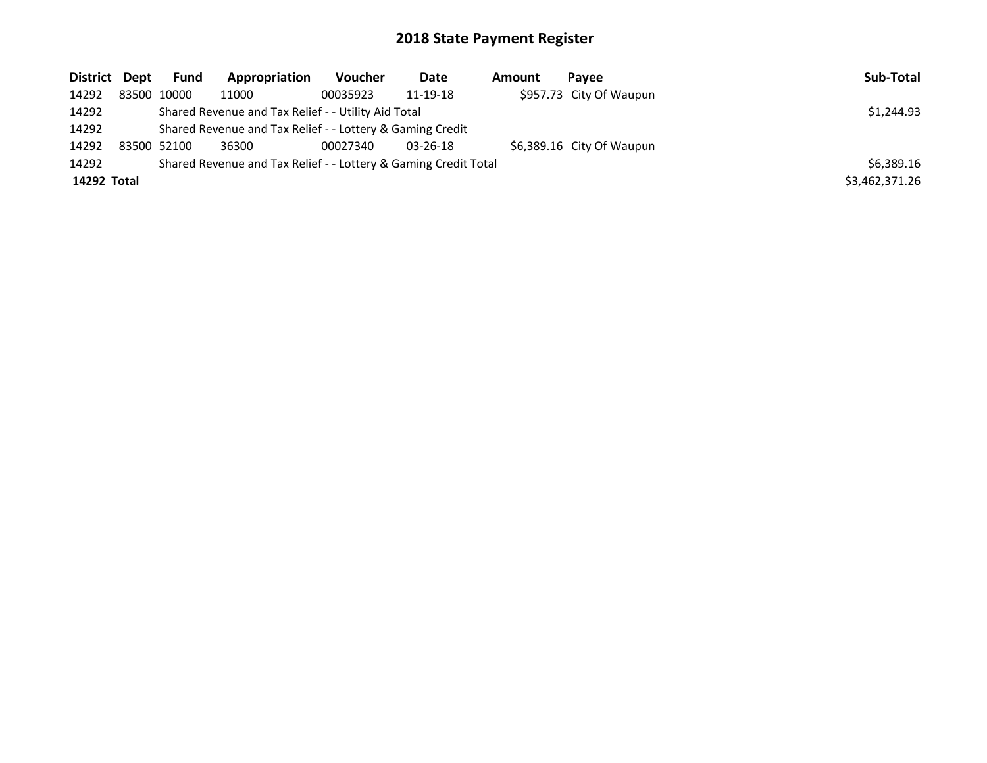| District Dept | <b>Fund</b>                                                     | Appropriation | Voucher  | Date           | Amount | Pavee                     | Sub-Total      |
|---------------|-----------------------------------------------------------------|---------------|----------|----------------|--------|---------------------------|----------------|
| 14292         | 83500 10000                                                     | 11000         | 00035923 | 11-19-18       |        | \$957.73 City Of Waupun   |                |
| 14292         | Shared Revenue and Tax Relief - - Utility Aid Total             | \$1,244.93    |          |                |        |                           |                |
| 14292         | Shared Revenue and Tax Relief - - Lottery & Gaming Credit       |               |          |                |        |                           |                |
| 14292         | 83500 52100                                                     | 36300         | 00027340 | $03 - 26 - 18$ |        | \$6,389.16 City Of Waupun |                |
| 14292         | Shared Revenue and Tax Relief - - Lottery & Gaming Credit Total |               |          |                |        |                           |                |
| 14292 Total   |                                                                 |               |          |                |        |                           | \$3,462,371.26 |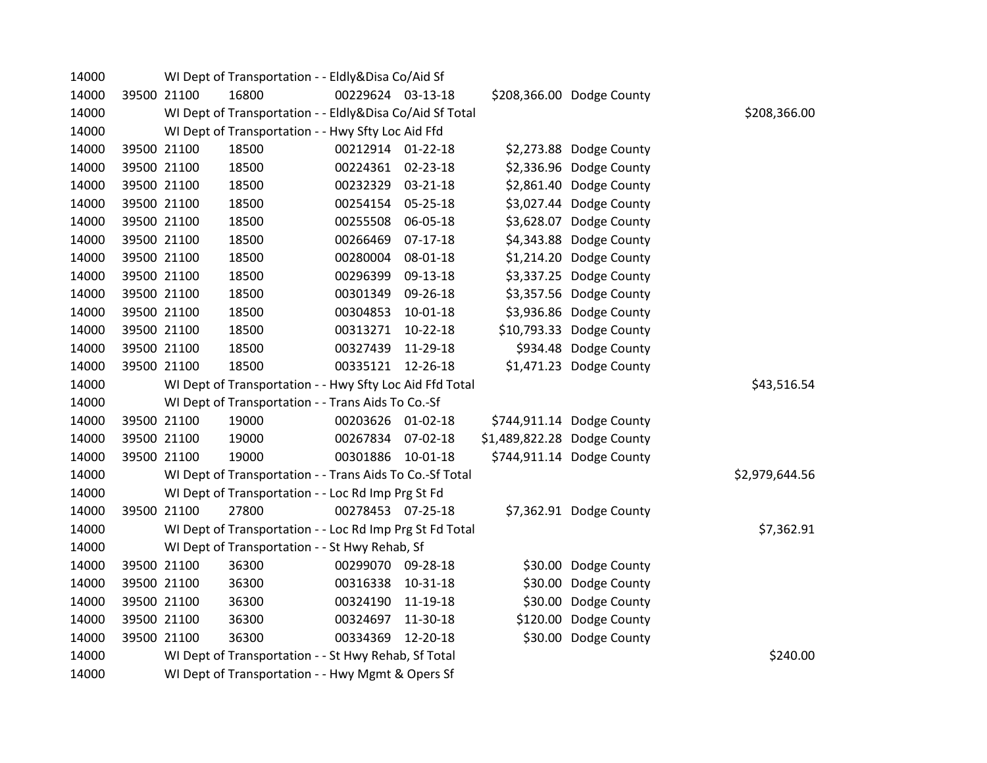| 14000 |                                                                        | WI Dept of Transportation - - Eldly&Disa Co/Aid Sf       |                   |                |                             |                           |                |  |  |  |
|-------|------------------------------------------------------------------------|----------------------------------------------------------|-------------------|----------------|-----------------------------|---------------------------|----------------|--|--|--|
| 14000 | 39500 21100                                                            | 16800                                                    | 00229624 03-13-18 |                |                             | \$208,366.00 Dodge County |                |  |  |  |
| 14000 |                                                                        | WI Dept of Transportation - - Eldly&Disa Co/Aid Sf Total |                   |                |                             |                           | \$208,366.00   |  |  |  |
| 14000 | WI Dept of Transportation - - Hwy Sfty Loc Aid Ffd                     |                                                          |                   |                |                             |                           |                |  |  |  |
| 14000 | 39500 21100                                                            | 18500                                                    | 00212914 01-22-18 |                |                             | \$2,273.88 Dodge County   |                |  |  |  |
| 14000 | 39500 21100                                                            | 18500                                                    | 00224361 02-23-18 |                |                             | \$2,336.96 Dodge County   |                |  |  |  |
| 14000 | 39500 21100                                                            | 18500                                                    | 00232329 03-21-18 |                |                             | \$2,861.40 Dodge County   |                |  |  |  |
| 14000 | 39500 21100                                                            | 18500                                                    | 00254154          | 05-25-18       |                             | \$3,027.44 Dodge County   |                |  |  |  |
| 14000 | 39500 21100                                                            | 18500                                                    | 00255508          | 06-05-18       |                             | \$3,628.07 Dodge County   |                |  |  |  |
| 14000 | 39500 21100                                                            | 18500                                                    | 00266469          | $07-17-18$     |                             | \$4,343.88 Dodge County   |                |  |  |  |
| 14000 | 39500 21100                                                            | 18500                                                    | 00280004          | 08-01-18       |                             | \$1,214.20 Dodge County   |                |  |  |  |
| 14000 | 39500 21100                                                            | 18500                                                    | 00296399          | 09-13-18       |                             | \$3,337.25 Dodge County   |                |  |  |  |
| 14000 | 39500 21100                                                            | 18500                                                    | 00301349          | 09-26-18       |                             | \$3,357.56 Dodge County   |                |  |  |  |
| 14000 | 39500 21100                                                            | 18500                                                    | 00304853          | $10-01-18$     |                             | \$3,936.86 Dodge County   |                |  |  |  |
| 14000 | 39500 21100                                                            | 18500                                                    | 00313271          | $10-22-18$     |                             | \$10,793.33 Dodge County  |                |  |  |  |
| 14000 | 39500 21100                                                            | 18500                                                    | 00327439          | 11-29-18       |                             | \$934.48 Dodge County     |                |  |  |  |
| 14000 | 39500 21100                                                            | 18500                                                    | 00335121 12-26-18 |                |                             | \$1,471.23 Dodge County   |                |  |  |  |
| 14000 |                                                                        | WI Dept of Transportation - - Hwy Sfty Loc Aid Ffd Total |                   |                |                             |                           | \$43,516.54    |  |  |  |
| 14000 |                                                                        | WI Dept of Transportation - - Trans Aids To Co.-Sf       |                   |                |                             |                           |                |  |  |  |
| 14000 | 39500 21100                                                            | 19000                                                    | 00203626 01-02-18 |                |                             | \$744,911.14 Dodge County |                |  |  |  |
| 14000 | 39500 21100                                                            | 19000                                                    | 00267834          | 07-02-18       | \$1,489,822.28 Dodge County |                           |                |  |  |  |
| 14000 | 39500 21100                                                            | 19000                                                    | 00301886          | 10-01-18       |                             | \$744,911.14 Dodge County |                |  |  |  |
| 14000 |                                                                        | WI Dept of Transportation - - Trans Aids To Co.-Sf Total |                   |                |                             |                           | \$2,979,644.56 |  |  |  |
| 14000 |                                                                        | WI Dept of Transportation - - Loc Rd Imp Prg St Fd       |                   |                |                             |                           |                |  |  |  |
| 14000 | 39500 21100                                                            | 27800                                                    | 00278453 07-25-18 |                |                             | \$7,362.91 Dodge County   |                |  |  |  |
| 14000 | \$7,362.91<br>WI Dept of Transportation - - Loc Rd Imp Prg St Fd Total |                                                          |                   |                |                             |                           |                |  |  |  |
| 14000 | WI Dept of Transportation - - St Hwy Rehab, Sf                         |                                                          |                   |                |                             |                           |                |  |  |  |
| 14000 | 39500 21100                                                            | 36300                                                    | 00299070          | 09-28-18       |                             | \$30.00 Dodge County      |                |  |  |  |
| 14000 | 39500 21100                                                            | 36300                                                    | 00316338          | $10 - 31 - 18$ |                             | \$30.00 Dodge County      |                |  |  |  |
| 14000 | 39500 21100                                                            | 36300                                                    | 00324190          | 11-19-18       |                             | \$30.00 Dodge County      |                |  |  |  |
| 14000 | 39500 21100                                                            | 36300                                                    | 00324697          | 11-30-18       |                             | \$120.00 Dodge County     |                |  |  |  |
| 14000 | 39500 21100                                                            | 36300                                                    | 00334369          | 12-20-18       |                             | \$30.00 Dodge County      |                |  |  |  |
| 14000 |                                                                        | WI Dept of Transportation - - St Hwy Rehab, Sf Total     |                   |                |                             |                           | \$240.00       |  |  |  |
| 14000 |                                                                        | WI Dept of Transportation - - Hwy Mgmt & Opers Sf        |                   |                |                             |                           |                |  |  |  |
|       |                                                                        |                                                          |                   |                |                             |                           |                |  |  |  |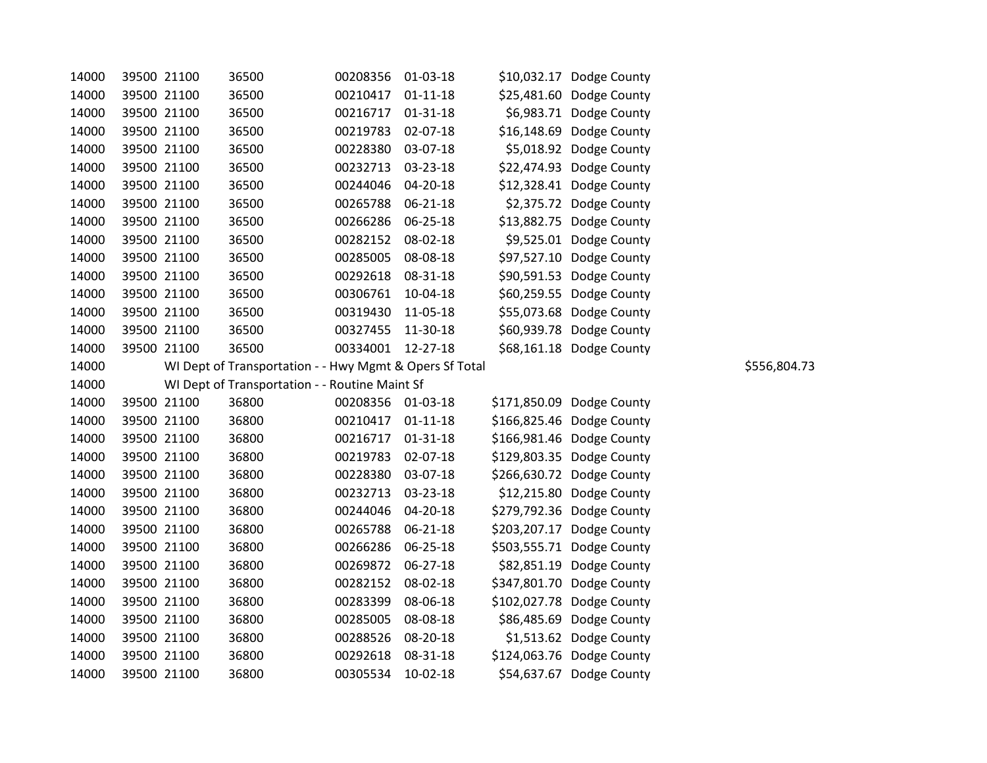| 14000 | 39500 21100 | 36500                                                   | 00208356 | 01-03-18       |              | \$10,032.17 Dodge County |
|-------|-------------|---------------------------------------------------------|----------|----------------|--------------|--------------------------|
| 14000 | 39500 21100 | 36500                                                   | 00210417 | $01 - 11 - 18$ | \$25,481.60  | Dodge County             |
| 14000 | 39500 21100 | 36500                                                   | 00216717 | $01 - 31 - 18$ | \$6,983.71   | Dodge County             |
| 14000 | 39500 21100 | 36500                                                   | 00219783 | 02-07-18       | \$16,148.69  | Dodge County             |
| 14000 | 39500 21100 | 36500                                                   | 00228380 | 03-07-18       | \$5,018.92   | Dodge County             |
| 14000 | 39500 21100 | 36500                                                   | 00232713 | 03-23-18       | \$22,474.93  | Dodge County             |
| 14000 | 39500 21100 | 36500                                                   | 00244046 | 04-20-18       | \$12,328.41  | Dodge County             |
| 14000 | 39500 21100 | 36500                                                   | 00265788 | 06-21-18       | \$2,375.72   | Dodge County             |
| 14000 | 39500 21100 | 36500                                                   | 00266286 | 06-25-18       | \$13,882.75  | Dodge County             |
| 14000 | 39500 21100 | 36500                                                   | 00282152 | 08-02-18       | \$9,525.01   | Dodge County             |
| 14000 | 39500 21100 | 36500                                                   | 00285005 | 08-08-18       | \$97,527.10  | Dodge County             |
| 14000 | 39500 21100 | 36500                                                   | 00292618 | 08-31-18       | \$90,591.53  | Dodge County             |
| 14000 | 39500 21100 | 36500                                                   | 00306761 | 10-04-18       | \$60,259.55  | Dodge County             |
| 14000 | 39500 21100 | 36500                                                   | 00319430 | 11-05-18       | \$55,073.68  | Dodge County             |
| 14000 | 39500 21100 | 36500                                                   | 00327455 | 11-30-18       | \$60,939.78  | Dodge County             |
| 14000 | 39500 21100 | 36500                                                   | 00334001 | 12-27-18       | \$68,161.18  | Dodge County             |
| 14000 |             | WI Dept of Transportation - - Hwy Mgmt & Opers Sf Total |          |                |              |                          |
| 14000 |             | WI Dept of Transportation - - Routine Maint Sf          |          |                |              |                          |
| 14000 | 39500 21100 | 36800                                                   | 00208356 | $01-03-18$     | \$171,850.09 | Dodge County             |
| 14000 | 39500 21100 | 36800                                                   | 00210417 | $01 - 11 - 18$ | \$166,825.46 | Dodge County             |
| 14000 | 39500 21100 | 36800                                                   | 00216717 | $01 - 31 - 18$ | \$166,981.46 | Dodge County             |
| 14000 | 39500 21100 | 36800                                                   | 00219783 | 02-07-18       | \$129,803.35 | Dodge County             |
| 14000 | 39500 21100 | 36800                                                   | 00228380 | 03-07-18       | \$266,630.72 | Dodge County             |
| 14000 | 39500 21100 | 36800                                                   | 00232713 | 03-23-18       | \$12,215.80  | Dodge County             |
| 14000 | 39500 21100 | 36800                                                   | 00244046 | 04-20-18       | \$279,792.36 | Dodge County             |
| 14000 | 39500 21100 | 36800                                                   | 00265788 | 06-21-18       | \$203,207.17 | Dodge County             |
| 14000 | 39500 21100 | 36800                                                   | 00266286 | 06-25-18       | \$503,555.71 | Dodge County             |
| 14000 | 39500 21100 | 36800                                                   | 00269872 | 06-27-18       | \$82,851.19  | Dodge County             |
| 14000 | 39500 21100 | 36800                                                   | 00282152 | 08-02-18       | \$347,801.70 | Dodge County             |
| 14000 | 39500 21100 | 36800                                                   | 00283399 | 08-06-18       | \$102,027.78 | Dodge County             |
| 14000 | 39500 21100 | 36800                                                   | 00285005 | 08-08-18       | \$86,485.69  | Dodge County             |
| 14000 | 39500 21100 | 36800                                                   | 00288526 | 08-20-18       | \$1,513.62   | Dodge County             |
| 14000 | 39500 21100 | 36800                                                   | 00292618 | 08-31-18       | \$124,063.76 | Dodge County             |
| 14000 | 39500 21100 | 36800                                                   | 00305534 | 10-02-18       | \$54,637.67  | Dodge County             |

\$556,804.73